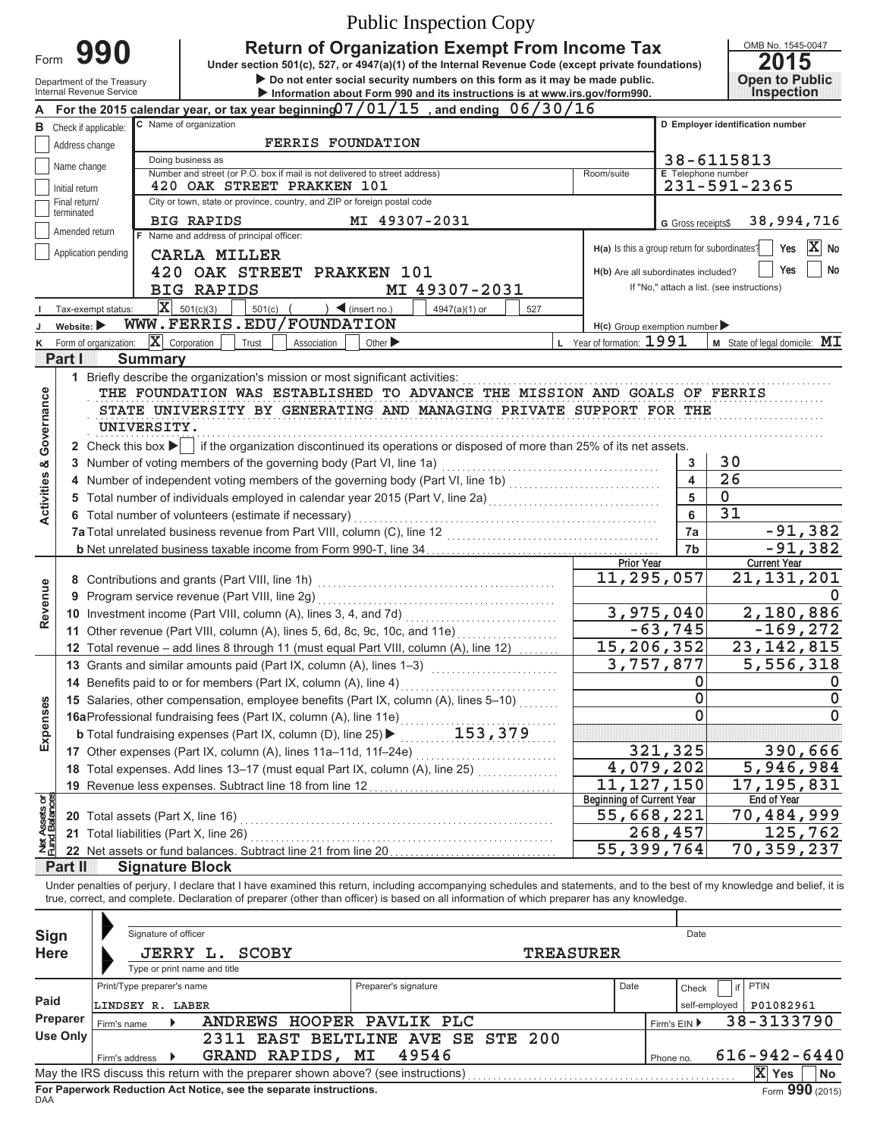|                                    | <b>Public Inspection Copy</b>                                                                                                                                                                                                                                                                                            |                                        |                                                                                                        |                                                                                                                                                                         |                                                  |                              |                                            |  |  |
|------------------------------------|--------------------------------------------------------------------------------------------------------------------------------------------------------------------------------------------------------------------------------------------------------------------------------------------------------------------------|----------------------------------------|--------------------------------------------------------------------------------------------------------|-------------------------------------------------------------------------------------------------------------------------------------------------------------------------|--------------------------------------------------|------------------------------|--------------------------------------------|--|--|
|                                    |                                                                                                                                                                                                                                                                                                                          | 990                                    |                                                                                                        | <b>Return of Organization Exempt From Income Tax</b>                                                                                                                    |                                                  |                              | OMB No. 1545-0047                          |  |  |
|                                    | Form<br>2015<br>Under section 501(c), 527, or 4947(a)(1) of the Internal Revenue Code (except private foundations)<br>Do not enter social security numbers on this form as it may be made public.                                                                                                                        |                                        |                                                                                                        |                                                                                                                                                                         |                                                  |                              |                                            |  |  |
|                                    | <b>Open to Public</b><br>Department of the Treasury<br>Inspection<br>Internal Revenue Service<br>Information about Form 990 and its instructions is at www.irs.gov/form990.                                                                                                                                              |                                        |                                                                                                        |                                                                                                                                                                         |                                                  |                              |                                            |  |  |
|                                    |                                                                                                                                                                                                                                                                                                                          |                                        |                                                                                                        | For the 2015 calendar year, or tax year beginning $07/01/15$ , and ending $06/30/16$                                                                                    |                                                  |                              |                                            |  |  |
|                                    |                                                                                                                                                                                                                                                                                                                          | <b>B</b> Check if applicable:          | C Name of organization                                                                                 |                                                                                                                                                                         |                                                  |                              | D Employer identification number           |  |  |
|                                    | Address change                                                                                                                                                                                                                                                                                                           |                                        | <b>FERRIS FOUNDATION</b><br>Doing business as                                                          |                                                                                                                                                                         |                                                  |                              | 38-6115813                                 |  |  |
|                                    | Name change                                                                                                                                                                                                                                                                                                              |                                        | Number and street (or P.O. box if mail is not delivered to street address)                             |                                                                                                                                                                         | Room/suite                                       | E Telephone number           |                                            |  |  |
|                                    | Initial return<br>Final return/                                                                                                                                                                                                                                                                                          |                                        | 420 OAK STREET PRAKKEN 101<br>City or town, state or province, country, and ZIP or foreign postal code |                                                                                                                                                                         |                                                  |                              | 231-591-2365                               |  |  |
|                                    | terminated                                                                                                                                                                                                                                                                                                               |                                        | <b>BIG RAPIDS</b>                                                                                      | MI 49307-2031                                                                                                                                                           |                                                  | G Gross receipts\$           | 38,994,716                                 |  |  |
|                                    | Amended return                                                                                                                                                                                                                                                                                                           |                                        | F Name and address of principal officer:                                                               |                                                                                                                                                                         |                                                  |                              |                                            |  |  |
|                                    |                                                                                                                                                                                                                                                                                                                          | Application pending                    | CARLA MILLER                                                                                           |                                                                                                                                                                         | H(a) Is this a group return for subordinates?    |                              | $\mathbf{X}$ No<br>Yes                     |  |  |
|                                    |                                                                                                                                                                                                                                                                                                                          |                                        | 420 OAK STREET PRAKKEN 101                                                                             |                                                                                                                                                                         | H(b) Are all subordinates included?              |                              | No<br>Yes                                  |  |  |
|                                    |                                                                                                                                                                                                                                                                                                                          |                                        | <b>BIG RAPIDS</b><br>$ \mathbf{X} $ 501(c)(3)                                                          | MI 49307-2031                                                                                                                                                           |                                                  |                              | If "No," attach a list. (see instructions) |  |  |
|                                    | Website: $\blacktriangleright$                                                                                                                                                                                                                                                                                           | Tax-exempt status:                     | $501(c)$ (<br>WWW.FERRIS.EDU/FOUNDATION                                                                | $\sum$ (insert no.)<br>4947(a)(1) or<br>527                                                                                                                             | $H(c)$ Group exemption number                    |                              |                                            |  |  |
| κ                                  |                                                                                                                                                                                                                                                                                                                          | Form of organization:                  | $ \mathbf{X} $ Corporation<br>Trust<br>Association                                                     | Other $\blacktriangleright$                                                                                                                                             | L Year of formation: 1991                        |                              | <b>M</b> State of legal domicile: $ML$     |  |  |
|                                    | Partil                                                                                                                                                                                                                                                                                                                   | <b>Summary</b>                         |                                                                                                        |                                                                                                                                                                         |                                                  |                              |                                            |  |  |
|                                    |                                                                                                                                                                                                                                                                                                                          |                                        | 1 Briefly describe the organization's mission or most significant activities:                          |                                                                                                                                                                         |                                                  |                              |                                            |  |  |
|                                    |                                                                                                                                                                                                                                                                                                                          |                                        |                                                                                                        | THE FOUNDATION WAS ESTABLISHED TO ADVANCE THE MISSION AND GOALS OF FERRIS<br>STATE UNIVERSITY BY GENERATING AND MANAGING PRIVATE SUPPORT FOR THE                        |                                                  |                              |                                            |  |  |
|                                    |                                                                                                                                                                                                                                                                                                                          | UNIVERSITY.                            |                                                                                                        |                                                                                                                                                                         |                                                  |                              |                                            |  |  |
| <b>Activities &amp; Governance</b> |                                                                                                                                                                                                                                                                                                                          |                                        |                                                                                                        | 2 Check this box $\blacktriangleright$ if the organization discontinued its operations or disposed of more than 25% of its net assets.                                  |                                                  |                              |                                            |  |  |
|                                    |                                                                                                                                                                                                                                                                                                                          |                                        | 3 Number of voting members of the governing body (Part VI, line 1a)                                    |                                                                                                                                                                         |                                                  | 3                            | 30                                         |  |  |
|                                    |                                                                                                                                                                                                                                                                                                                          |                                        |                                                                                                        | 4 Number of independent voting members of the governing body (Part VI, line 1b) [11] [11] Number of independent voting members of the governing body (Part VI, line 1b) |                                                  | $\overline{\mathbf{4}}$<br>5 | $\overline{26}$                            |  |  |
|                                    | 5 Total number of individuals employed in calendar year 2015 (Part V, line 2a)<br>Subsection control of the 20 number of the control of the control of the control of the calendary of the cont                                                                                                                          |                                        |                                                                                                        |                                                                                                                                                                         |                                                  |                              | $\overline{0}$<br>$\overline{31}$          |  |  |
|                                    | 6 Total number of volunteers (estimate if necessary)                                                                                                                                                                                                                                                                     |                                        |                                                                                                        |                                                                                                                                                                         |                                                  | 6<br>7a                      | $-91,382$                                  |  |  |
|                                    |                                                                                                                                                                                                                                                                                                                          |                                        |                                                                                                        |                                                                                                                                                                         |                                                  | 7b                           | $-91,382$                                  |  |  |
|                                    |                                                                                                                                                                                                                                                                                                                          |                                        |                                                                                                        |                                                                                                                                                                         | Prior Year                                       |                              | <b>Current Year</b>                        |  |  |
|                                    |                                                                                                                                                                                                                                                                                                                          |                                        |                                                                                                        |                                                                                                                                                                         | 11,295,057                                       |                              | 21,131,201                                 |  |  |
| Revenue                            |                                                                                                                                                                                                                                                                                                                          |                                        | 9 Program service revenue (Part VIII, line 2g)                                                         |                                                                                                                                                                         |                                                  | 3,975,040                    | 2,180,886                                  |  |  |
|                                    |                                                                                                                                                                                                                                                                                                                          |                                        |                                                                                                        | 11 Other revenue (Part VIII, column (A), lines 5, 6d, 8c, 9c, 10c, and 11e)                                                                                             |                                                  | $-63, 745$                   | $-169, 272$                                |  |  |
|                                    |                                                                                                                                                                                                                                                                                                                          |                                        |                                                                                                        | 12 Total revenue - add lines 8 through 11 (must equal Part VIII, column (A), line 12)                                                                                   | 15,206,352                                       |                              | 23.142.815                                 |  |  |
|                                    |                                                                                                                                                                                                                                                                                                                          |                                        |                                                                                                        |                                                                                                                                                                         |                                                  | 3,757,877                    | 5,556,318                                  |  |  |
|                                    |                                                                                                                                                                                                                                                                                                                          |                                        | 14 Benefits paid to or for members (Part IX, column (A), line 4)                                       |                                                                                                                                                                         |                                                  | 0<br>0                       | $\mathbf 0$                                |  |  |
| Expenses                           |                                                                                                                                                                                                                                                                                                                          |                                        |                                                                                                        | 15 Salaries, other compensation, employee benefits (Part IX, column (A), lines 5-10)                                                                                    |                                                  | $\Omega$                     | $\mathbf{0}$                               |  |  |
|                                    |                                                                                                                                                                                                                                                                                                                          |                                        |                                                                                                        |                                                                                                                                                                         |                                                  |                              |                                            |  |  |
|                                    |                                                                                                                                                                                                                                                                                                                          |                                        |                                                                                                        | 17 Other expenses (Part IX, column (A), lines 11a-11d, 11f-24e)                                                                                                         |                                                  | 321,325                      | 390,666                                    |  |  |
|                                    |                                                                                                                                                                                                                                                                                                                          |                                        |                                                                                                        |                                                                                                                                                                         | 4,079,202                                        |                              | 5,946,984                                  |  |  |
|                                    |                                                                                                                                                                                                                                                                                                                          |                                        | 19 Revenue less expenses. Subtract line 18 from line 12                                                |                                                                                                                                                                         | 11, 127, 150<br><b>Beginning of Current Year</b> |                              | 17, 195, 831<br><b>End of Year</b>         |  |  |
| Net Assets or<br>Fund Balances     |                                                                                                                                                                                                                                                                                                                          | 20 Total assets (Part X, line 16)      |                                                                                                        |                                                                                                                                                                         | 55,668,221                                       |                              | 70,484,999                                 |  |  |
|                                    |                                                                                                                                                                                                                                                                                                                          | 21 Total liabilities (Part X, line 26) |                                                                                                        |                                                                                                                                                                         |                                                  | 268,457                      | 125,762                                    |  |  |
|                                    |                                                                                                                                                                                                                                                                                                                          |                                        | 22 Net assets or fund balances. Subtract line 21 from line 20                                          |                                                                                                                                                                         | 55,399,764                                       |                              | 70,359,237                                 |  |  |
|                                    | <b>Part II</b>                                                                                                                                                                                                                                                                                                           |                                        | <b>Signature Block</b>                                                                                 |                                                                                                                                                                         |                                                  |                              |                                            |  |  |
|                                    | Under penalties of perjury, I declare that I have examined this return, including accompanying schedules and statements, and to the best of my knowledge and belief, it is<br>true, correct, and complete. Declaration of preparer (other than officer) is based on all information of which preparer has any knowledge. |                                        |                                                                                                        |                                                                                                                                                                         |                                                  |                              |                                            |  |  |
|                                    |                                                                                                                                                                                                                                                                                                                          |                                        |                                                                                                        |                                                                                                                                                                         |                                                  |                              |                                            |  |  |
| Sign                               |                                                                                                                                                                                                                                                                                                                          | Signature of officer                   |                                                                                                        |                                                                                                                                                                         |                                                  | Date                         |                                            |  |  |
| <b>Here</b>                        |                                                                                                                                                                                                                                                                                                                          |                                        | JERRY L. SCOBY                                                                                         | <b>TREASURER</b>                                                                                                                                                        |                                                  |                              |                                            |  |  |
|                                    |                                                                                                                                                                                                                                                                                                                          | Print/Type preparer's name             | Type or print name and title                                                                           | Preparer's signature                                                                                                                                                    | Date                                             | Check                        | <b>PTIN</b><br>if                          |  |  |
| Paid                               |                                                                                                                                                                                                                                                                                                                          | LINDSEY R. LABER                       |                                                                                                        |                                                                                                                                                                         |                                                  |                              | P01082961<br>self-employed                 |  |  |
|                                    | Preparer                                                                                                                                                                                                                                                                                                                 | Firm's name                            | ANDREWS HOOPER PAVLIK PLC                                                                              |                                                                                                                                                                         |                                                  | Firm's EIN ▶                 | 38-3133790                                 |  |  |
|                                    | <b>Use Only</b><br>2311 EAST BELTLINE AVE SE STE 200                                                                                                                                                                                                                                                                     |                                        |                                                                                                        |                                                                                                                                                                         |                                                  |                              |                                            |  |  |
|                                    |                                                                                                                                                                                                                                                                                                                          | Firm's address ▶                       | GRAND RAPIDS, MI                                                                                       | 49546                                                                                                                                                                   |                                                  | Phone no.                    | $616 - 942 - 6440$                         |  |  |
|                                    |                                                                                                                                                                                                                                                                                                                          |                                        |                                                                                                        |                                                                                                                                                                         |                                                  |                              | $ X $ Yes<br>No                            |  |  |

| Sign<br><b>Here</b> | Signature of officer<br>JERRY L.                                                                                  | <b>SCOBY</b>            | Date<br><b>TREASURER</b> |      |               |                    |  |  |  |
|---------------------|-------------------------------------------------------------------------------------------------------------------|-------------------------|--------------------------|------|---------------|--------------------|--|--|--|
|                     | Type or print name and title                                                                                      |                         |                          |      |               |                    |  |  |  |
|                     | Print/Type preparer's name                                                                                        |                         | Preparer's signature     | Date | Check         | PTIN<br>if         |  |  |  |
| Paid                | LINDSEY R. LABER                                                                                                  |                         |                          |      | self-emploved | P01082961          |  |  |  |
| Preparer            | Firm's name                                                                                                       | <b>ANDREWS</b>          | HOOPER PAVLIK PLC        |      | Firm's $EIN$  | 38-3133790         |  |  |  |
| <b>Use Only</b>     | <b>EAST BELTLINE AVE SE STE 200</b><br>2311                                                                       |                         |                          |      |               |                    |  |  |  |
|                     | Firm's address                                                                                                    | RAPIDS,<br><b>GRAND</b> | MΙ<br>49546              |      | Phone no.     | $616 - 942 - 6440$ |  |  |  |
|                     | x<br>May the IRS discuss this return with the preparer shown above? (see instructions)<br><b>No</b><br><b>Yes</b> |                         |                          |      |               |                    |  |  |  |
| <b>DAA</b>          | Form 990 (2015)<br>For Paperwork Reduction Act Notice, see the separate instructions.                             |                         |                          |      |               |                    |  |  |  |

DAA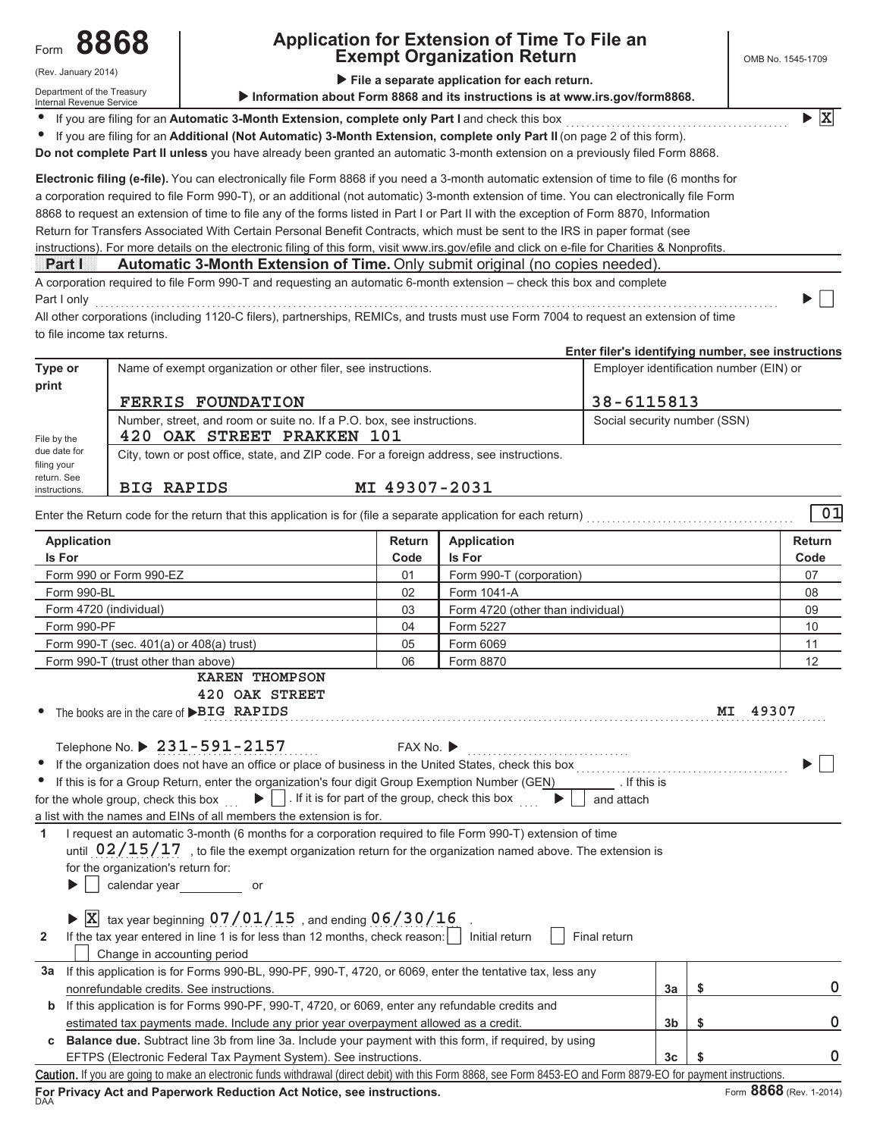### (Rev. January 2014)

Department of the Treasury Internal Revenue Service

# **Application for Extension of Time To File an Exempt Organization Return**

**X**

**File a separate application for each return.** 

If you are filing for an Automatic 3-Month Extension, complete only Part I and check this box  $\overline{\bullet}$ 

If you are filing for an Additional (Not Automatic) 3-Month Extension, complete only Part II (on page 2 of this form).  $\bullet$ 

Do not complete Part II unless you have already been granted an automatic 3-month extension on a previously filed Form 8868.

instructions). For more details on the electronic filing of this form, visit www.irs.gov/efile and click on e-file for Charities & Nonprofits. Return for Transfers Associated With Certain Personal Benefit Contracts, which must be sent to the IRS in paper format (see 8868 to request an extension of time to file any of the forms listed in Part I or Part II with the exception of Form 8870, Information a corporation required to file Form 990-T), or an additional (not automatic) 3-month extension of time. You can electronically file Form **Electronic filing (e-file).** You can electronically file Form 8868 if you need a 3-month automatic extension of time to file (6 months for

**Part | 3 Automatic 3-Month Extension of Time.** Only submit original (no copies needed)

A corporation required to file Form 990-T and requesting an automatic 6-month extension - check this box and complete 3DUW,RQO\

All other corporations (including 1120-C filers), partnerships, REMICs, and trusts must use Form 7004 to request an extension of time to file income tax returns.

|                              |                                                               |                                                                                          | Enter filer's identifying number, see instructions |
|------------------------------|---------------------------------------------------------------|------------------------------------------------------------------------------------------|----------------------------------------------------|
| Type or                      | Name of exempt organization or other filer, see instructions. |                                                                                          | Employer identification number (EIN) or            |
| print                        |                                                               |                                                                                          |                                                    |
|                              | <b>FERRIS FOUNDATION</b>                                      |                                                                                          | 38-6115813                                         |
|                              |                                                               | Number, street, and room or suite no. If a P.O. box, see instructions.                   | Social security number (SSN)                       |
| File by the                  | 420 OAK STREET PRAKKEN 101                                    |                                                                                          |                                                    |
| due date for<br>filing your  |                                                               | City, town or post office, state, and ZIP code. For a foreign address, see instructions. |                                                    |
| return, See<br>instructions. | <b>BIG RAPIDS</b>                                             | MI 49307-2031                                                                            |                                                    |

| 01<br>Enter the Return code for the return that this application is for (file a separate application for each return) |      |                                   |      |  |  |  |  |  |
|-----------------------------------------------------------------------------------------------------------------------|------|-----------------------------------|------|--|--|--|--|--|
| <b>Return</b><br>Application<br>Application                                                                           |      |                                   |      |  |  |  |  |  |
| Is For                                                                                                                | Code | <b>Is For</b>                     | Code |  |  |  |  |  |
| Form 990 or Form 990-EZ                                                                                               | 01   | Form 990-T (corporation)          | 07   |  |  |  |  |  |
| Form 990-BL                                                                                                           | 02   | Form 1041-A                       | 08   |  |  |  |  |  |
| Form 4720 (individual)                                                                                                | 03   | Form 4720 (other than individual) | 09   |  |  |  |  |  |
| Form 990-PF                                                                                                           | 04   | Form 5227                         | 10   |  |  |  |  |  |

05 06 Form 6069

Form 8870

Form 990-T (trust other than above)

**KAREN THOMPSON**

**420 OAK STREET**

The books are in the care of **PBIG RAPIDS MI** 49307  $\bullet$ 

Form 990-T (sec.  $401(a)$  or  $408(a)$  trust)

| Telephone No. $\blacktriangleright$ 231-591-2157 | FAX No. |
|--------------------------------------------------|---------|

|  | ICICDIOIIC INV. $\blacktriangleright$ 4 J $\blacktriangleright$ - J J $\blacktriangleright$ - 4 $\blacktriangleright$ J | AX INU.                                                                                                 |
|--|-------------------------------------------------------------------------------------------------------------------------|---------------------------------------------------------------------------------------------------------|
|  |                                                                                                                         |                                                                                                         |
|  |                                                                                                                         | • If the organization does not have an office or place of business in the United States, check this box |

| If this is for a Group Return, enter the organization's four digit Group Exemption Number (GEN)                                                      | . If this is |
|------------------------------------------------------------------------------------------------------------------------------------------------------|--------------|
| $\blacktriangleright$     If it is for part of the group, check this box $\blacktriangleright$     and attach<br>for the whole group, check this box |              |
| - 2014年11月11日 1月20日 - 2015年11月11日 - 1月20日 - 1月20日 - 1月20日 - 1月20日 - 1月20日 - 1月20日 - 1月20日 - 1月20日                                                    |              |

a list with the names and EINs of all members the extension is for.

1 I request an automatic 3-month (6 months for a corporation required to file Form 990-T) extension of time until  $\sqrt{02/15/17}$  , to file the exempt organization return for the organization named above. The extension is for the organization's return for:

 $\blacktriangleright$  $\vert \hspace{.1cm} \vert$  calendar year or

DAA

 $\overline{\textbf{X}}$  tax year beginning  $07/01/15$  , and ending  $06/30/16$  .

| If the tax vear entered in line 1 is for less than 12 months, check reason: | I Initial return | Final return |  |
|-----------------------------------------------------------------------------|------------------|--------------|--|
| Change in accounting period                                                 |                  |              |  |
|                                                                             |                  |              |  |

| За | If this application is for Forms 990-BL, 990-PF, 990-T, 4720, or 6069, enter the tentative tax, less any                                                         |                |  |  |  |  |
|----|------------------------------------------------------------------------------------------------------------------------------------------------------------------|----------------|--|--|--|--|
|    | nonrefundable credits. See instructions.                                                                                                                         | 3a             |  |  |  |  |
| b  | If this application is for Forms 990-PF, 990-T, 4720, or 6069, enter any refundable credits and                                                                  |                |  |  |  |  |
|    | estimated tax payments made. Include any prior year overpayment allowed as a credit.                                                                             | 3b             |  |  |  |  |
| C  | <b>Balance due.</b> Subtract line 3b from line 3a. Include your payment with this form, if required, by using                                                    |                |  |  |  |  |
|    | EFTPS (Electronic Federal Tax Payment System). See instructions.                                                                                                 | 3 <sub>c</sub> |  |  |  |  |
|    | Caution. If you are going to make an electronic funds withdrawal (direct debit) with this Form 8868, see Form 8453-EO and Form 8879-EO for payment instructions. |                |  |  |  |  |

For Privacy Act and Paperwork Reduction Act Notice, see instructions.

 $11$  $12$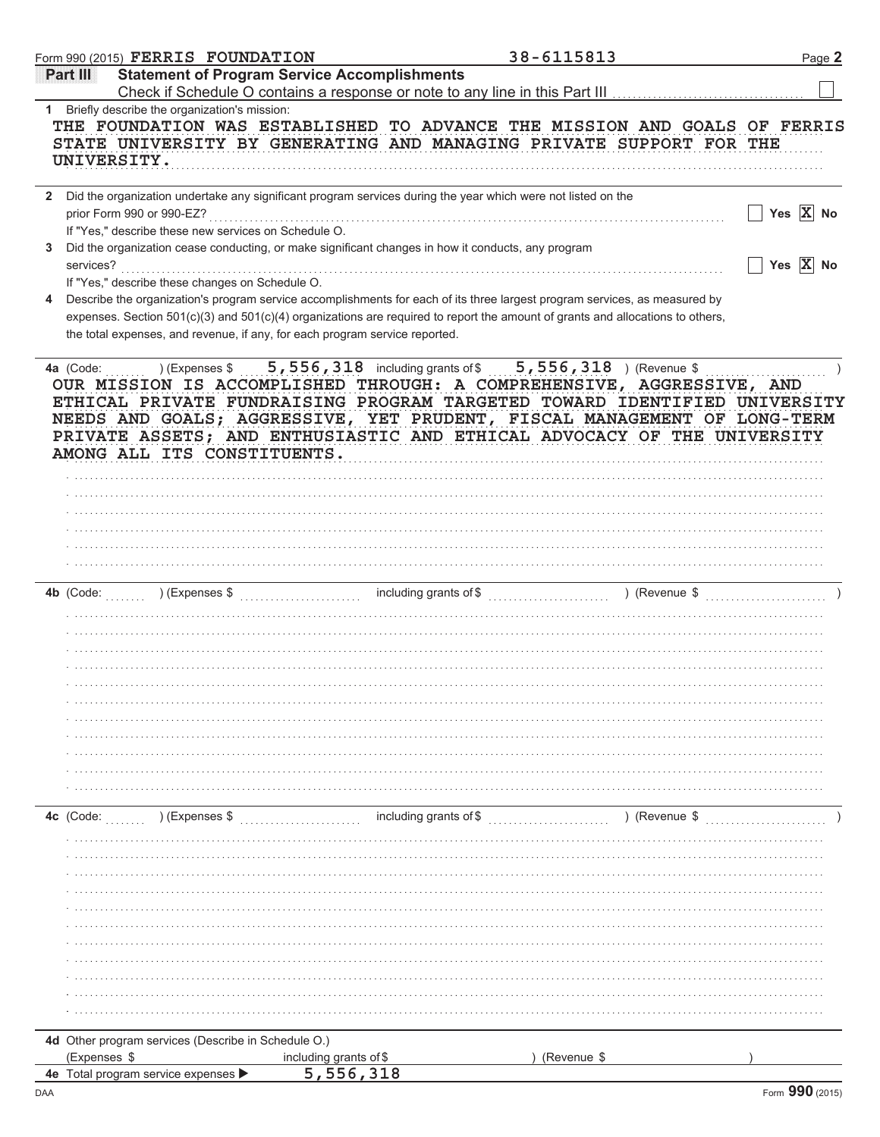| <b>Statement of Program Service Accomplishments</b><br>Partilli<br>Check if Schedule O contains a response or note to any line in this Part III<br>Briefly describe the organization's mission:<br>1.<br>THE FOUNDATION WAS ESTABLISHED TO ADVANCE THE MISSION AND GOALS OF FERRIS<br>STATE UNIVERSITY BY GENERATING AND MANAGING PRIVATE SUPPORT FOR THE<br>UNIVERSITY.<br>Did the organization undertake any significant program services during the year which were not listed on the<br>Yes $\overline{X}$ No<br>prior Form 990 or 990-EZ?<br>If "Yes," describe these new services on Schedule O.<br>Did the organization cease conducting, or make significant changes in how it conducts, any program<br>3<br>Yes $\overline{X}$ No<br>services?<br>If "Yes," describe these changes on Schedule O.<br>Describe the organization's program service accomplishments for each of its three largest program services, as measured by<br>4<br>expenses. Section 501(c)(3) and 501(c)(4) organizations are required to report the amount of grants and allocations to others,<br>the total expenses, and revenue, if any, for each program service reported.<br>4a (Code: ) (Expenses \$ 5,556,318 including grants of \$ 5,556,318 ) (Revenue \$<br>OUR MISSION IS ACCOMPLISHED THROUGH: A COMPREHENSIVE, AGGRESSIVE, AND<br>ETHICAL PRIVATE FUNDRAISING PROGRAM TARGETED TOWARD IDENTIFIED UNIVERSITY<br>NEEDS AND GOALS; AGGRESSIVE, YET PRUDENT, FISCAL MANAGEMENT OF LONG-TERM<br>PRIVATE ASSETS; AND ENTHUSIASTIC AND ETHICAL ADVOCACY OF THE UNIVERSITY<br>AMONG ALL ITS CONSTITUENTS.<br>including grants of \$<br>4c (Code: ) (Expenses \$<br>) (Revenue \$<br>4d Other program services (Describe in Schedule O.)<br>(Expenses \$<br>including grants of \$<br>(Revenue \$<br>5,556,318<br>4e Total program service expenses |  | Form 990 (2015) $\verb FERRIS $ $\verb FOUNDATION $ |  | 38-6115813 | Page 2 |
|------------------------------------------------------------------------------------------------------------------------------------------------------------------------------------------------------------------------------------------------------------------------------------------------------------------------------------------------------------------------------------------------------------------------------------------------------------------------------------------------------------------------------------------------------------------------------------------------------------------------------------------------------------------------------------------------------------------------------------------------------------------------------------------------------------------------------------------------------------------------------------------------------------------------------------------------------------------------------------------------------------------------------------------------------------------------------------------------------------------------------------------------------------------------------------------------------------------------------------------------------------------------------------------------------------------------------------------------------------------------------------------------------------------------------------------------------------------------------------------------------------------------------------------------------------------------------------------------------------------------------------------------------------------------------------------------------------------------------------------------------------------------------------------------------------------------------------------|--|-----------------------------------------------------|--|------------|--------|
|                                                                                                                                                                                                                                                                                                                                                                                                                                                                                                                                                                                                                                                                                                                                                                                                                                                                                                                                                                                                                                                                                                                                                                                                                                                                                                                                                                                                                                                                                                                                                                                                                                                                                                                                                                                                                                          |  |                                                     |  |            |        |
|                                                                                                                                                                                                                                                                                                                                                                                                                                                                                                                                                                                                                                                                                                                                                                                                                                                                                                                                                                                                                                                                                                                                                                                                                                                                                                                                                                                                                                                                                                                                                                                                                                                                                                                                                                                                                                          |  |                                                     |  |            |        |
|                                                                                                                                                                                                                                                                                                                                                                                                                                                                                                                                                                                                                                                                                                                                                                                                                                                                                                                                                                                                                                                                                                                                                                                                                                                                                                                                                                                                                                                                                                                                                                                                                                                                                                                                                                                                                                          |  |                                                     |  |            |        |
|                                                                                                                                                                                                                                                                                                                                                                                                                                                                                                                                                                                                                                                                                                                                                                                                                                                                                                                                                                                                                                                                                                                                                                                                                                                                                                                                                                                                                                                                                                                                                                                                                                                                                                                                                                                                                                          |  |                                                     |  |            |        |
|                                                                                                                                                                                                                                                                                                                                                                                                                                                                                                                                                                                                                                                                                                                                                                                                                                                                                                                                                                                                                                                                                                                                                                                                                                                                                                                                                                                                                                                                                                                                                                                                                                                                                                                                                                                                                                          |  |                                                     |  |            |        |
|                                                                                                                                                                                                                                                                                                                                                                                                                                                                                                                                                                                                                                                                                                                                                                                                                                                                                                                                                                                                                                                                                                                                                                                                                                                                                                                                                                                                                                                                                                                                                                                                                                                                                                                                                                                                                                          |  |                                                     |  |            |        |
|                                                                                                                                                                                                                                                                                                                                                                                                                                                                                                                                                                                                                                                                                                                                                                                                                                                                                                                                                                                                                                                                                                                                                                                                                                                                                                                                                                                                                                                                                                                                                                                                                                                                                                                                                                                                                                          |  |                                                     |  |            |        |
|                                                                                                                                                                                                                                                                                                                                                                                                                                                                                                                                                                                                                                                                                                                                                                                                                                                                                                                                                                                                                                                                                                                                                                                                                                                                                                                                                                                                                                                                                                                                                                                                                                                                                                                                                                                                                                          |  |                                                     |  |            |        |
|                                                                                                                                                                                                                                                                                                                                                                                                                                                                                                                                                                                                                                                                                                                                                                                                                                                                                                                                                                                                                                                                                                                                                                                                                                                                                                                                                                                                                                                                                                                                                                                                                                                                                                                                                                                                                                          |  |                                                     |  |            |        |
|                                                                                                                                                                                                                                                                                                                                                                                                                                                                                                                                                                                                                                                                                                                                                                                                                                                                                                                                                                                                                                                                                                                                                                                                                                                                                                                                                                                                                                                                                                                                                                                                                                                                                                                                                                                                                                          |  |                                                     |  |            |        |
|                                                                                                                                                                                                                                                                                                                                                                                                                                                                                                                                                                                                                                                                                                                                                                                                                                                                                                                                                                                                                                                                                                                                                                                                                                                                                                                                                                                                                                                                                                                                                                                                                                                                                                                                                                                                                                          |  |                                                     |  |            |        |
|                                                                                                                                                                                                                                                                                                                                                                                                                                                                                                                                                                                                                                                                                                                                                                                                                                                                                                                                                                                                                                                                                                                                                                                                                                                                                                                                                                                                                                                                                                                                                                                                                                                                                                                                                                                                                                          |  |                                                     |  |            |        |
|                                                                                                                                                                                                                                                                                                                                                                                                                                                                                                                                                                                                                                                                                                                                                                                                                                                                                                                                                                                                                                                                                                                                                                                                                                                                                                                                                                                                                                                                                                                                                                                                                                                                                                                                                                                                                                          |  |                                                     |  |            |        |
|                                                                                                                                                                                                                                                                                                                                                                                                                                                                                                                                                                                                                                                                                                                                                                                                                                                                                                                                                                                                                                                                                                                                                                                                                                                                                                                                                                                                                                                                                                                                                                                                                                                                                                                                                                                                                                          |  |                                                     |  |            |        |
|                                                                                                                                                                                                                                                                                                                                                                                                                                                                                                                                                                                                                                                                                                                                                                                                                                                                                                                                                                                                                                                                                                                                                                                                                                                                                                                                                                                                                                                                                                                                                                                                                                                                                                                                                                                                                                          |  |                                                     |  |            |        |
|                                                                                                                                                                                                                                                                                                                                                                                                                                                                                                                                                                                                                                                                                                                                                                                                                                                                                                                                                                                                                                                                                                                                                                                                                                                                                                                                                                                                                                                                                                                                                                                                                                                                                                                                                                                                                                          |  |                                                     |  |            |        |
|                                                                                                                                                                                                                                                                                                                                                                                                                                                                                                                                                                                                                                                                                                                                                                                                                                                                                                                                                                                                                                                                                                                                                                                                                                                                                                                                                                                                                                                                                                                                                                                                                                                                                                                                                                                                                                          |  |                                                     |  |            |        |
|                                                                                                                                                                                                                                                                                                                                                                                                                                                                                                                                                                                                                                                                                                                                                                                                                                                                                                                                                                                                                                                                                                                                                                                                                                                                                                                                                                                                                                                                                                                                                                                                                                                                                                                                                                                                                                          |  |                                                     |  |            |        |
|                                                                                                                                                                                                                                                                                                                                                                                                                                                                                                                                                                                                                                                                                                                                                                                                                                                                                                                                                                                                                                                                                                                                                                                                                                                                                                                                                                                                                                                                                                                                                                                                                                                                                                                                                                                                                                          |  |                                                     |  |            |        |
|                                                                                                                                                                                                                                                                                                                                                                                                                                                                                                                                                                                                                                                                                                                                                                                                                                                                                                                                                                                                                                                                                                                                                                                                                                                                                                                                                                                                                                                                                                                                                                                                                                                                                                                                                                                                                                          |  |                                                     |  |            |        |
|                                                                                                                                                                                                                                                                                                                                                                                                                                                                                                                                                                                                                                                                                                                                                                                                                                                                                                                                                                                                                                                                                                                                                                                                                                                                                                                                                                                                                                                                                                                                                                                                                                                                                                                                                                                                                                          |  |                                                     |  |            |        |
|                                                                                                                                                                                                                                                                                                                                                                                                                                                                                                                                                                                                                                                                                                                                                                                                                                                                                                                                                                                                                                                                                                                                                                                                                                                                                                                                                                                                                                                                                                                                                                                                                                                                                                                                                                                                                                          |  |                                                     |  |            |        |
|                                                                                                                                                                                                                                                                                                                                                                                                                                                                                                                                                                                                                                                                                                                                                                                                                                                                                                                                                                                                                                                                                                                                                                                                                                                                                                                                                                                                                                                                                                                                                                                                                                                                                                                                                                                                                                          |  |                                                     |  |            |        |
|                                                                                                                                                                                                                                                                                                                                                                                                                                                                                                                                                                                                                                                                                                                                                                                                                                                                                                                                                                                                                                                                                                                                                                                                                                                                                                                                                                                                                                                                                                                                                                                                                                                                                                                                                                                                                                          |  |                                                     |  |            |        |
|                                                                                                                                                                                                                                                                                                                                                                                                                                                                                                                                                                                                                                                                                                                                                                                                                                                                                                                                                                                                                                                                                                                                                                                                                                                                                                                                                                                                                                                                                                                                                                                                                                                                                                                                                                                                                                          |  |                                                     |  |            |        |
|                                                                                                                                                                                                                                                                                                                                                                                                                                                                                                                                                                                                                                                                                                                                                                                                                                                                                                                                                                                                                                                                                                                                                                                                                                                                                                                                                                                                                                                                                                                                                                                                                                                                                                                                                                                                                                          |  |                                                     |  |            |        |
|                                                                                                                                                                                                                                                                                                                                                                                                                                                                                                                                                                                                                                                                                                                                                                                                                                                                                                                                                                                                                                                                                                                                                                                                                                                                                                                                                                                                                                                                                                                                                                                                                                                                                                                                                                                                                                          |  |                                                     |  |            |        |
|                                                                                                                                                                                                                                                                                                                                                                                                                                                                                                                                                                                                                                                                                                                                                                                                                                                                                                                                                                                                                                                                                                                                                                                                                                                                                                                                                                                                                                                                                                                                                                                                                                                                                                                                                                                                                                          |  |                                                     |  |            |        |
|                                                                                                                                                                                                                                                                                                                                                                                                                                                                                                                                                                                                                                                                                                                                                                                                                                                                                                                                                                                                                                                                                                                                                                                                                                                                                                                                                                                                                                                                                                                                                                                                                                                                                                                                                                                                                                          |  |                                                     |  |            |        |
|                                                                                                                                                                                                                                                                                                                                                                                                                                                                                                                                                                                                                                                                                                                                                                                                                                                                                                                                                                                                                                                                                                                                                                                                                                                                                                                                                                                                                                                                                                                                                                                                                                                                                                                                                                                                                                          |  |                                                     |  |            |        |
|                                                                                                                                                                                                                                                                                                                                                                                                                                                                                                                                                                                                                                                                                                                                                                                                                                                                                                                                                                                                                                                                                                                                                                                                                                                                                                                                                                                                                                                                                                                                                                                                                                                                                                                                                                                                                                          |  |                                                     |  |            |        |
|                                                                                                                                                                                                                                                                                                                                                                                                                                                                                                                                                                                                                                                                                                                                                                                                                                                                                                                                                                                                                                                                                                                                                                                                                                                                                                                                                                                                                                                                                                                                                                                                                                                                                                                                                                                                                                          |  |                                                     |  |            |        |
|                                                                                                                                                                                                                                                                                                                                                                                                                                                                                                                                                                                                                                                                                                                                                                                                                                                                                                                                                                                                                                                                                                                                                                                                                                                                                                                                                                                                                                                                                                                                                                                                                                                                                                                                                                                                                                          |  |                                                     |  |            |        |
|                                                                                                                                                                                                                                                                                                                                                                                                                                                                                                                                                                                                                                                                                                                                                                                                                                                                                                                                                                                                                                                                                                                                                                                                                                                                                                                                                                                                                                                                                                                                                                                                                                                                                                                                                                                                                                          |  |                                                     |  |            |        |
|                                                                                                                                                                                                                                                                                                                                                                                                                                                                                                                                                                                                                                                                                                                                                                                                                                                                                                                                                                                                                                                                                                                                                                                                                                                                                                                                                                                                                                                                                                                                                                                                                                                                                                                                                                                                                                          |  |                                                     |  |            |        |
|                                                                                                                                                                                                                                                                                                                                                                                                                                                                                                                                                                                                                                                                                                                                                                                                                                                                                                                                                                                                                                                                                                                                                                                                                                                                                                                                                                                                                                                                                                                                                                                                                                                                                                                                                                                                                                          |  |                                                     |  |            |        |
|                                                                                                                                                                                                                                                                                                                                                                                                                                                                                                                                                                                                                                                                                                                                                                                                                                                                                                                                                                                                                                                                                                                                                                                                                                                                                                                                                                                                                                                                                                                                                                                                                                                                                                                                                                                                                                          |  |                                                     |  |            |        |
|                                                                                                                                                                                                                                                                                                                                                                                                                                                                                                                                                                                                                                                                                                                                                                                                                                                                                                                                                                                                                                                                                                                                                                                                                                                                                                                                                                                                                                                                                                                                                                                                                                                                                                                                                                                                                                          |  |                                                     |  |            |        |
|                                                                                                                                                                                                                                                                                                                                                                                                                                                                                                                                                                                                                                                                                                                                                                                                                                                                                                                                                                                                                                                                                                                                                                                                                                                                                                                                                                                                                                                                                                                                                                                                                                                                                                                                                                                                                                          |  |                                                     |  |            |        |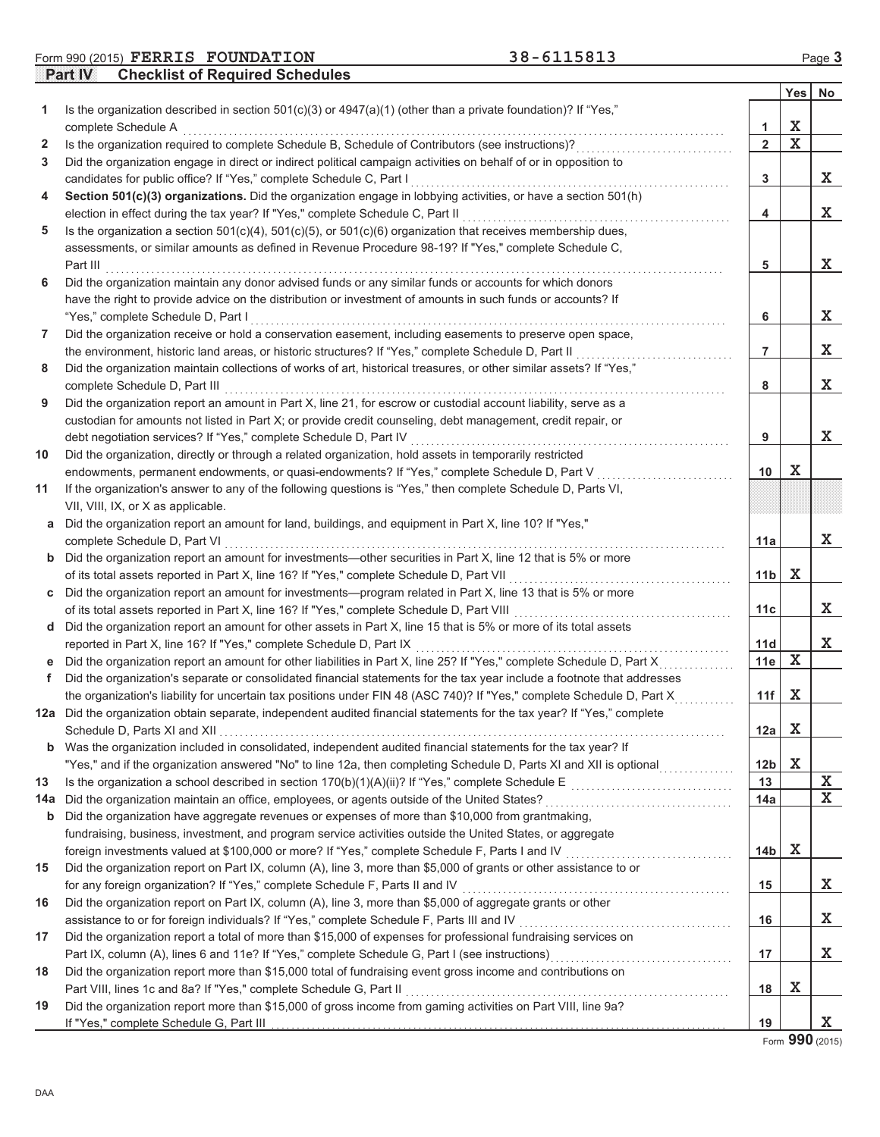**Form 990 (2015) FERRIS FOUNDATION** 38-6115813 Page 3

**Part IV Checklist of Required Schedules**

|              |                                                                                                                                                                                                                             |                 | Yes I       | No |
|--------------|-----------------------------------------------------------------------------------------------------------------------------------------------------------------------------------------------------------------------------|-----------------|-------------|----|
| 1            | Is the organization described in section 501(c)(3) or 4947(a)(1) (other than a private foundation)? If "Yes,"                                                                                                               |                 |             |    |
|              | complete Schedule A                                                                                                                                                                                                         | 1               | X           |    |
| $\mathbf{2}$ | Is the organization required to complete Schedule B, Schedule of Contributors (see instructions)?                                                                                                                           | $\overline{2}$  | $\mathbf X$ |    |
| 3            | Did the organization engage in direct or indirect political campaign activities on behalf of or in opposition to                                                                                                            |                 |             |    |
|              | candidates for public office? If "Yes," complete Schedule C, Part I                                                                                                                                                         | 3               |             | X  |
| 4            | Section 501(c)(3) organizations. Did the organization engage in lobbying activities, or have a section 501(h)                                                                                                               |                 |             |    |
|              | election in effect during the tax year? If "Yes," complete Schedule C, Part II                                                                                                                                              | 4               |             | X  |
| 5            | Is the organization a section $501(c)(4)$ , $501(c)(5)$ , or $501(c)(6)$ organization that receives membership dues,                                                                                                        |                 |             |    |
|              | assessments, or similar amounts as defined in Revenue Procedure 98-19? If "Yes," complete Schedule C,                                                                                                                       |                 |             |    |
|              | Part III                                                                                                                                                                                                                    | 5               |             | X  |
| 6            | Did the organization maintain any donor advised funds or any similar funds or accounts for which donors                                                                                                                     |                 |             |    |
|              | have the right to provide advice on the distribution or investment of amounts in such funds or accounts? If                                                                                                                 |                 |             |    |
|              | "Yes," complete Schedule D, Part I                                                                                                                                                                                          | 6               |             | X  |
| 7            | Did the organization receive or hold a conservation easement, including easements to preserve open space,                                                                                                                   |                 |             |    |
|              | the environment, historic land areas, or historic structures? If "Yes," complete Schedule D, Part II<br>Did the organization maintain collections of works of art, historical treasures, or other similar assets? If "Yes," | 7               |             | X  |
| 8            |                                                                                                                                                                                                                             | 8               |             | X  |
|              | complete Schedule D, Part III<br>Did the organization report an amount in Part X, line 21, for escrow or custodial account liability, serve as a                                                                            |                 |             |    |
| 9            | custodian for amounts not listed in Part X; or provide credit counseling, debt management, credit repair, or                                                                                                                |                 |             |    |
|              | debt negotiation services? If "Yes," complete Schedule D, Part IV                                                                                                                                                           | 9               |             | X  |
| 10           | Did the organization, directly or through a related organization, hold assets in temporarily restricted                                                                                                                     |                 |             |    |
|              | endowments, permanent endowments, or quasi-endowments? If "Yes," complete Schedule D, Part V                                                                                                                                | 10              | X           |    |
| 11           | If the organization's answer to any of the following questions is "Yes," then complete Schedule D, Parts VI,                                                                                                                |                 |             |    |
|              | VII, VIII, IX, or X as applicable.                                                                                                                                                                                          |                 |             |    |
| а            | Did the organization report an amount for land, buildings, and equipment in Part X, line 10? If "Yes,"                                                                                                                      |                 |             |    |
|              | complete Schedule D, Part VI                                                                                                                                                                                                | 11a             |             | X  |
|              | <b>b</b> Did the organization report an amount for investments—other securities in Part X, line 12 that is 5% or more                                                                                                       |                 |             |    |
|              | of its total assets reported in Part X, line 16? If "Yes," complete Schedule D, Part VII                                                                                                                                    | 11 <sub>b</sub> | X           |    |
| С            | Did the organization report an amount for investments—program related in Part X, line 13 that is 5% or more                                                                                                                 |                 |             |    |
|              | of its total assets reported in Part X, line 16? If "Yes," complete Schedule D, Part VIII                                                                                                                                   | 11c             |             | X  |
| d            | Did the organization report an amount for other assets in Part X, line 15 that is 5% or more of its total assets                                                                                                            |                 |             |    |
|              | reported in Part X, line 16? If "Yes," complete Schedule D, Part IX                                                                                                                                                         | 11d             |             | X  |
|              | Did the organization report an amount for other liabilities in Part X, line 25? If "Yes," complete Schedule D, Part X                                                                                                       | 11e             | X           |    |
| f.           | Did the organization's separate or consolidated financial statements for the tax year include a footnote that addresses                                                                                                     |                 |             |    |
|              | the organization's liability for uncertain tax positions under FIN 48 (ASC 740)? If "Yes," complete Schedule D, Part X                                                                                                      | 11f             | X           |    |
|              | 12a Did the organization obtain separate, independent audited financial statements for the tax year? If "Yes," complete                                                                                                     |                 |             |    |
|              | Schedule D. Parts XI and XII                                                                                                                                                                                                | $12a$ X         |             |    |
|              | <b>b</b> Was the organization included in consolidated, independent audited financial statements for the tax year? If                                                                                                       |                 |             |    |
|              | "Yes," and if the organization answered "No" to line 12a, then completing Schedule D, Parts XI and XII is optional                                                                                                          | 12b             | $\mathbf x$ |    |
| 13           |                                                                                                                                                                                                                             | 13              |             | X  |
| 14a          | Did the organization maintain an office, employees, or agents outside of the United States?                                                                                                                                 | 14a             |             | X  |
| b            | Did the organization have aggregate revenues or expenses of more than \$10,000 from grantmaking,                                                                                                                            |                 |             |    |
|              | fundraising, business, investment, and program service activities outside the United States, or aggregate                                                                                                                   |                 |             |    |
|              | foreign investments valued at \$100,000 or more? If "Yes," complete Schedule F, Parts I and IV [[[[[[[[[[[[[[[                                                                                                              | 14b             | х           |    |
| 15           | Did the organization report on Part IX, column (A), line 3, more than \$5,000 of grants or other assistance to or                                                                                                           |                 |             |    |
|              | for any foreign organization? If "Yes," complete Schedule F, Parts II and IV                                                                                                                                                | 15              |             | X  |
| 16           | Did the organization report on Part IX, column (A), line 3, more than \$5,000 of aggregate grants or other                                                                                                                  |                 |             |    |
|              | assistance to or for foreign individuals? If "Yes," complete Schedule F, Parts III and IV                                                                                                                                   | 16              |             | X  |
| 17           | Did the organization report a total of more than \$15,000 of expenses for professional fundraising services on                                                                                                              |                 |             |    |
|              |                                                                                                                                                                                                                             | 17              |             | x  |
| 18           | Did the organization report more than \$15,000 total of fundraising event gross income and contributions on                                                                                                                 |                 |             |    |
|              |                                                                                                                                                                                                                             | 18              | х           |    |
| 19           | Did the organization report more than \$15,000 of gross income from gaming activities on Part VIII, line 9a?<br>If "Yes," complete Schedule G, Part III                                                                     | 19              |             | X. |
|              |                                                                                                                                                                                                                             |                 |             |    |

Form **990** (2015)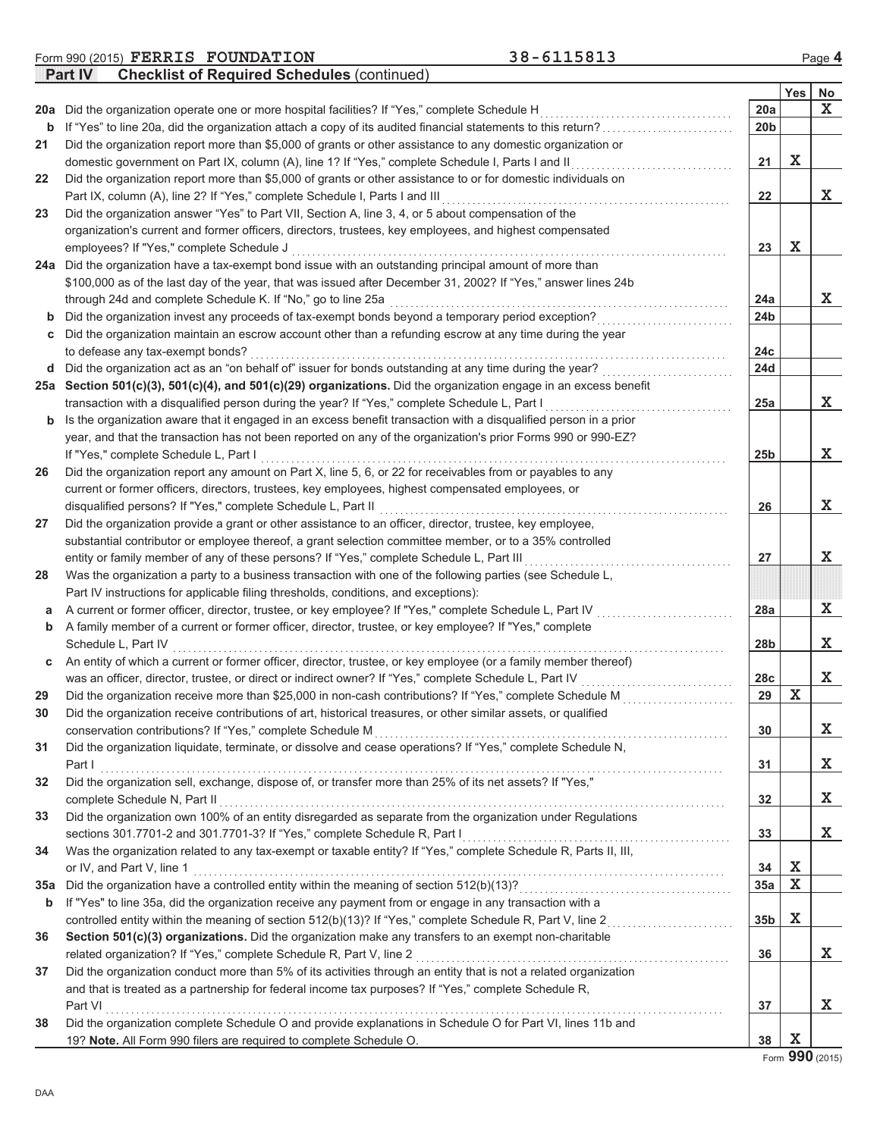|     | 20a Did the organization operate one or more hospital facilities? If "Yes," complete Schedule H                                                                                                     | 20a             |             | X |
|-----|-----------------------------------------------------------------------------------------------------------------------------------------------------------------------------------------------------|-----------------|-------------|---|
| b   | If "Yes" to line 20a, did the organization attach a copy of its audited financial statements to this return?                                                                                        | 20 <sub>b</sub> |             |   |
| 21  | Did the organization report more than \$5,000 of grants or other assistance to any domestic organization or                                                                                         |                 |             |   |
|     | domestic government on Part IX, column (A), line 1? If "Yes," complete Schedule I, Parts I and II                                                                                                   | 21              | X           |   |
| 22  | Did the organization report more than \$5,000 of grants or other assistance to or for domestic individuals on                                                                                       |                 |             |   |
|     | Part IX, column (A), line 2? If "Yes," complete Schedule I, Parts I and III                                                                                                                         | 22              |             | X |
| 23  | Did the organization answer "Yes" to Part VII, Section A, line 3, 4, or 5 about compensation of the                                                                                                 |                 |             |   |
|     | organization's current and former officers, directors, trustees, key employees, and highest compensated                                                                                             |                 |             |   |
|     | employees? If "Yes," complete Schedule J                                                                                                                                                            | 23              | $\mathbf X$ |   |
|     | 24a Did the organization have a tax-exempt bond issue with an outstanding principal amount of more than                                                                                             |                 |             |   |
|     | \$100,000 as of the last day of the year, that was issued after December 31, 2002? If "Yes," answer lines 24b                                                                                       |                 |             |   |
|     | through 24d and complete Schedule K. If "No," go to line 25a                                                                                                                                        | 24a             |             | X |
| b   | Did the organization invest any proceeds of tax-exempt bonds beyond a temporary period exception?                                                                                                   | 24 <sub>b</sub> |             |   |
|     | Did the organization maintain an escrow account other than a refunding escrow at any time during the year                                                                                           |                 |             |   |
|     | to defease any tax-exempt bonds?                                                                                                                                                                    | 24c             |             |   |
| d   | Did the organization act as an "on behalf of" issuer for bonds outstanding at any time during the year?                                                                                             | 24d             |             |   |
|     | 25a Section 501(c)(3), 501(c)(4), and 501(c)(29) organizations. Did the organization engage in an excess benefit                                                                                    |                 |             |   |
|     | transaction with a disqualified person during the year? If "Yes," complete Schedule L, Part I                                                                                                       | 25a             |             | X |
| b   | Is the organization aware that it engaged in an excess benefit transaction with a disqualified person in a prior                                                                                    |                 |             |   |
|     | year, and that the transaction has not been reported on any of the organization's prior Forms 990 or 990-EZ?                                                                                        |                 |             |   |
|     | If "Yes," complete Schedule L, Part I                                                                                                                                                               | 25b             |             | X |
| 26  | Did the organization report any amount on Part X, line 5, 6, or 22 for receivables from or payables to any                                                                                          |                 |             |   |
|     | current or former officers, directors, trustees, key employees, highest compensated employees, or                                                                                                   |                 |             |   |
|     | disqualified persons? If "Yes," complete Schedule L, Part II                                                                                                                                        | 26              |             | X |
| 27  | Did the organization provide a grant or other assistance to an officer, director, trustee, key employee,                                                                                            |                 |             |   |
|     |                                                                                                                                                                                                     |                 |             |   |
|     | substantial contributor or employee thereof, a grant selection committee member, or to a 35% controlled<br>entity or family member of any of these persons? If "Yes," complete Schedule L, Part III | 27              |             | X |
|     | Was the organization a party to a business transaction with one of the following parties (see Schedule L,                                                                                           |                 |             |   |
| 28  |                                                                                                                                                                                                     |                 |             |   |
|     | Part IV instructions for applicable filing thresholds, conditions, and exceptions):                                                                                                                 |                 |             | X |
| а   | A current or former officer, director, trustee, or key employee? If "Yes," complete Schedule L, Part IV                                                                                             | 28a             |             |   |
| b   | A family member of a current or former officer, director, trustee, or key employee? If "Yes," complete                                                                                              |                 |             |   |
|     | Schedule L, Part IV                                                                                                                                                                                 | 28b             |             | X |
| С   | An entity of which a current or former officer, director, trustee, or key employee (or a family member thereof)                                                                                     |                 |             |   |
|     | was an officer, director, trustee, or direct or indirect owner? If "Yes," complete Schedule L, Part IV                                                                                              | 28c             |             | X |
| 29  | Did the organization receive more than \$25,000 in non-cash contributions? If "Yes," complete Schedule M                                                                                            | 29              | $\mathbf X$ |   |
| 30  | Did the organization receive contributions of art, historical treasures, or other similar assets, or qualified                                                                                      |                 |             |   |
|     | conservation contributions? If "Yes," complete Schedule M                                                                                                                                           | 30              |             | X |
| 31  | Did the organization liquidate, terminate, or dissolve and cease operations? If "Yes," complete Schedule N,                                                                                         |                 |             |   |
|     | Part I                                                                                                                                                                                              | 31              |             | X |
| 32  | Did the organization sell, exchange, dispose of, or transfer more than 25% of its net assets? If "Yes,"                                                                                             |                 |             |   |
|     | complete Schedule N, Part II                                                                                                                                                                        | 32              |             | X |
| 33  | Did the organization own 100% of an entity disregarded as separate from the organization under Regulations                                                                                          |                 |             |   |
|     | sections 301.7701-2 and 301.7701-3? If "Yes," complete Schedule R, Part I                                                                                                                           | 33              |             | X |
| 34  | Was the organization related to any tax-exempt or taxable entity? If "Yes," complete Schedule R, Parts II, III,                                                                                     |                 |             |   |
|     | or IV, and Part V, line 1                                                                                                                                                                           | 34              | X           |   |
| 35a | Did the organization have a controlled entity within the meaning of section 512(b)(13)?                                                                                                             | 35a             | $\mathbf x$ |   |
| b   | If "Yes" to line 35a, did the organization receive any payment from or engage in any transaction with a                                                                                             |                 |             |   |
|     | controlled entity within the meaning of section 512(b)(13)? If "Yes," complete Schedule R, Part V, line 2                                                                                           | 35 <sub>b</sub> | X           |   |
| 36  | Section 501(c)(3) organizations. Did the organization make any transfers to an exempt non-charitable                                                                                                |                 |             |   |
|     | related organization? If "Yes," complete Schedule R, Part V, line 2                                                                                                                                 | 36              |             | X |
| 37  | Did the organization conduct more than 5% of its activities through an entity that is not a related organization                                                                                    |                 |             |   |
|     | and that is treated as a partnership for federal income tax purposes? If "Yes," complete Schedule R,                                                                                                |                 |             |   |
|     | Part VI                                                                                                                                                                                             | 37              |             | X |
| 38  | Did the organization complete Schedule O and provide explanations in Schedule O for Part VI, lines 11b and                                                                                          |                 |             |   |
|     | 19? Note. All Form 990 filers are required to complete Schedule O.                                                                                                                                  | 38              | X           |   |

**Yes No**

Form **990** (2015)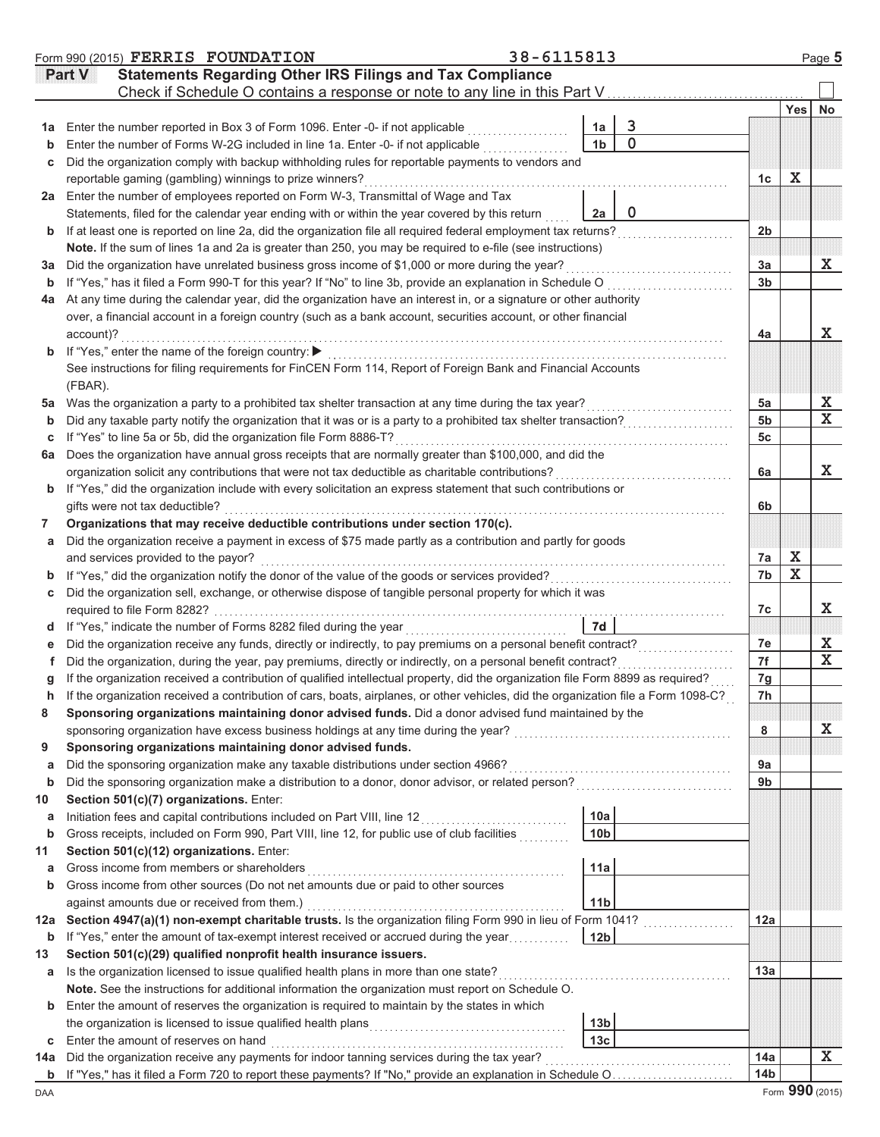|     | Form 990 (2015) FERRIS FOUNDATION                                                                                                  | 38-6115813 |                 |                                                                                                                        |                 |             | Page 5                  |
|-----|------------------------------------------------------------------------------------------------------------------------------------|------------|-----------------|------------------------------------------------------------------------------------------------------------------------|-----------------|-------------|-------------------------|
|     | <b>Statements Regarding Other IRS Filings and Tax Compliance</b><br>Part V                                                         |            |                 |                                                                                                                        |                 |             |                         |
|     |                                                                                                                                    |            |                 |                                                                                                                        |                 |             |                         |
|     |                                                                                                                                    |            |                 |                                                                                                                        |                 | Yes         | <b>No</b>               |
| 1a  | Enter the number reported in Box 3 of Form 1096. Enter -0- if not applicable                                                       |            | 1a              | $\overline{3}$                                                                                                         |                 |             |                         |
| b   | Enter the number of Forms W-2G included in line 1a. Enter -0- if not applicable                                                    |            | 1 <sub>b</sub>  | $\overline{0}$                                                                                                         |                 |             |                         |
| С   | Did the organization comply with backup withholding rules for reportable payments to vendors and                                   |            |                 |                                                                                                                        |                 |             |                         |
|     | reportable gaming (gambling) winnings to prize winners?                                                                            |            |                 |                                                                                                                        | 1c              | X           |                         |
| 2a  | Enter the number of employees reported on Form W-3, Transmittal of Wage and Tax                                                    |            |                 |                                                                                                                        |                 |             |                         |
|     | Statements, filed for the calendar year ending with or within the year covered by this return                                      |            | 2a              | $\mathbf 0$                                                                                                            |                 |             |                         |
| b   | If at least one is reported on line 2a, did the organization file all required federal employment tax returns?                     |            |                 |                                                                                                                        | 2 <sub>b</sub>  |             |                         |
|     | Note. If the sum of lines 1a and 2a is greater than 250, you may be required to e-file (see instructions)                          |            |                 |                                                                                                                        |                 |             |                         |
| За  | Did the organization have unrelated business gross income of \$1,000 or more during the year?                                      |            |                 |                                                                                                                        | 3a              |             | X                       |
| b   | If "Yes," has it filed a Form 990-T for this year? If "No" to line 3b, provide an explanation in Schedule O                        |            |                 |                                                                                                                        | 3 <sub>b</sub>  |             |                         |
| 4a  | At any time during the calendar year, did the organization have an interest in, or a signature or other authority                  |            |                 |                                                                                                                        |                 |             |                         |
|     | over, a financial account in a foreign country (such as a bank account, securities account, or other financial                     |            |                 |                                                                                                                        |                 |             |                         |
|     | account)?                                                                                                                          |            |                 |                                                                                                                        | 4a              |             | X                       |
| b   | If "Yes," enter the name of the foreign country: ▶                                                                                 |            |                 |                                                                                                                        |                 |             |                         |
|     | See instructions for filing requirements for FinCEN Form 114, Report of Foreign Bank and Financial Accounts                        |            |                 |                                                                                                                        |                 |             |                         |
|     | (FBAR).                                                                                                                            |            |                 |                                                                                                                        |                 |             |                         |
| 5a  | Was the organization a party to a prohibited tax shelter transaction at any time during the tax year?                              |            |                 |                                                                                                                        | 5a              |             | X                       |
| b   | Did any taxable party notify the organization that it was or is a party to a prohibited tax shelter transaction?                   |            |                 |                                                                                                                        | 5 <sub>b</sub>  |             | $\overline{\mathbf{x}}$ |
| С   | If "Yes" to line 5a or 5b, did the organization file Form 8886-T?                                                                  |            |                 |                                                                                                                        | 5c              |             |                         |
| 6a  | Does the organization have annual gross receipts that are normally greater than \$100,000, and did the                             |            |                 |                                                                                                                        |                 |             |                         |
|     | organization solicit any contributions that were not tax deductible as charitable contributions?                                   |            |                 |                                                                                                                        | 6a              |             | X                       |
| b   | If "Yes," did the organization include with every solicitation an express statement that such contributions or                     |            |                 |                                                                                                                        |                 |             |                         |
|     | gifts were not tax deductible?                                                                                                     |            |                 |                                                                                                                        | 6b              |             |                         |
| 7   | Organizations that may receive deductible contributions under section 170(c).                                                      |            |                 |                                                                                                                        |                 |             |                         |
| a   | Did the organization receive a payment in excess of \$75 made partly as a contribution and partly for goods                        |            |                 |                                                                                                                        |                 |             |                         |
|     | and services provided to the payor?                                                                                                |            |                 |                                                                                                                        | 7a              | X           |                         |
| b   | If "Yes," did the organization notify the donor of the value of the goods or services provided?                                    |            |                 |                                                                                                                        | 7b              | $\mathbf X$ |                         |
| С   | Did the organization sell, exchange, or otherwise dispose of tangible personal property for which it was                           |            |                 |                                                                                                                        |                 |             |                         |
|     | required to file Form 8282?                                                                                                        |            |                 |                                                                                                                        | 7c              |             | X                       |
| d   | If "Yes," indicate the number of Forms 8282 filed during the year                                                                  |            | 7d              |                                                                                                                        |                 |             |                         |
| е   | Did the organization receive any funds, directly or indirectly, to pay premiums on a personal benefit contract?                    |            |                 |                                                                                                                        | 7e              |             | X                       |
|     | Did the organization, during the year, pay premiums, directly or indirectly, on a personal benefit contract?                       |            |                 |                                                                                                                        | 7f              |             | $\overline{\mathbf{x}}$ |
|     | If the organization received a contribution of qualified intellectual property, did the organization file Form 8899 as required?   |            |                 |                                                                                                                        | 7g              |             |                         |
| h   | If the organization received a contribution of cars, boats, airplanes, or other vehicles, did the organization file a Form 1098-C? |            |                 |                                                                                                                        | 7h              |             |                         |
| 8   | Sponsoring organizations maintaining donor advised funds. Did a donor advised fund maintained by the                               |            |                 |                                                                                                                        |                 |             |                         |
|     | sponsoring organization have excess business holdings at any time during the year?                                                 |            |                 | <u> 1986 - Johann Stoff, deutscher Stoff, der Stoff, deutscher Stoff, der Stoff, der Stoff, der Stoff, der Stoff, </u> | 8               |             | х                       |
| 9   | Sponsoring organizations maintaining donor advised funds.                                                                          |            |                 |                                                                                                                        |                 |             |                         |
| a   | Did the sponsoring organization make any taxable distributions under section 4966?                                                 |            |                 |                                                                                                                        | 9a              |             |                         |
| b   | Did the sponsoring organization make a distribution to a donor, donor advisor, or related person?                                  |            |                 |                                                                                                                        | 9 <sub>b</sub>  |             |                         |
| 10  | Section 501(c)(7) organizations. Enter:                                                                                            |            |                 |                                                                                                                        |                 |             |                         |
| а   | Initiation fees and capital contributions included on Part VIII, line 12                                                           |            | 10a             |                                                                                                                        |                 |             |                         |
| b   | Gross receipts, included on Form 990, Part VIII, line 12, for public use of club facilities                                        |            | 10 <sub>b</sub> |                                                                                                                        |                 |             |                         |
| 11  | Section 501(c)(12) organizations. Enter:                                                                                           |            |                 |                                                                                                                        |                 |             |                         |
| а   | Gross income from members or shareholders                                                                                          |            | 11a             |                                                                                                                        |                 |             |                         |
| b   | Gross income from other sources (Do not net amounts due or paid to other sources                                                   |            |                 |                                                                                                                        |                 |             |                         |
|     | against amounts due or received from them.)                                                                                        |            | 11 <sub>b</sub> |                                                                                                                        |                 |             |                         |
| 12a | Section 4947(a)(1) non-exempt charitable trusts. Is the organization filing Form 990 in lieu of Form 1041?                         |            |                 |                                                                                                                        | 12a             |             |                         |
| b   | If "Yes," enter the amount of tax-exempt interest received or accrued during the year                                              |            | 12 <sub>b</sub> |                                                                                                                        |                 |             |                         |
| 13  | Section 501(c)(29) qualified nonprofit health insurance issuers.                                                                   |            |                 |                                                                                                                        |                 |             |                         |
| а   | Is the organization licensed to issue qualified health plans in more than one state?                                               |            |                 |                                                                                                                        | 13a             |             |                         |
|     | Note. See the instructions for additional information the organization must report on Schedule O.                                  |            |                 |                                                                                                                        |                 |             |                         |
| b   | Enter the amount of reserves the organization is required to maintain by the states in which                                       |            |                 |                                                                                                                        |                 |             |                         |
|     | the organization is licensed to issue qualified health plans                                                                       |            | 13 <sub>b</sub> |                                                                                                                        |                 |             |                         |
| С   | Enter the amount of reserves on hand                                                                                               |            | 13 <sub>c</sub> |                                                                                                                        |                 |             |                         |
| 14a | Did the organization receive any payments for indoor tanning services during the tax year?                                         |            |                 |                                                                                                                        | 14a             |             | X                       |
| b   | If "Yes," has it filed a Form 720 to report these payments? If "No," provide an explanation in Schedule O                          |            |                 |                                                                                                                        | 14 <sub>b</sub> |             |                         |
| DAA |                                                                                                                                    |            |                 |                                                                                                                        |                 |             | Form 990 (2015)         |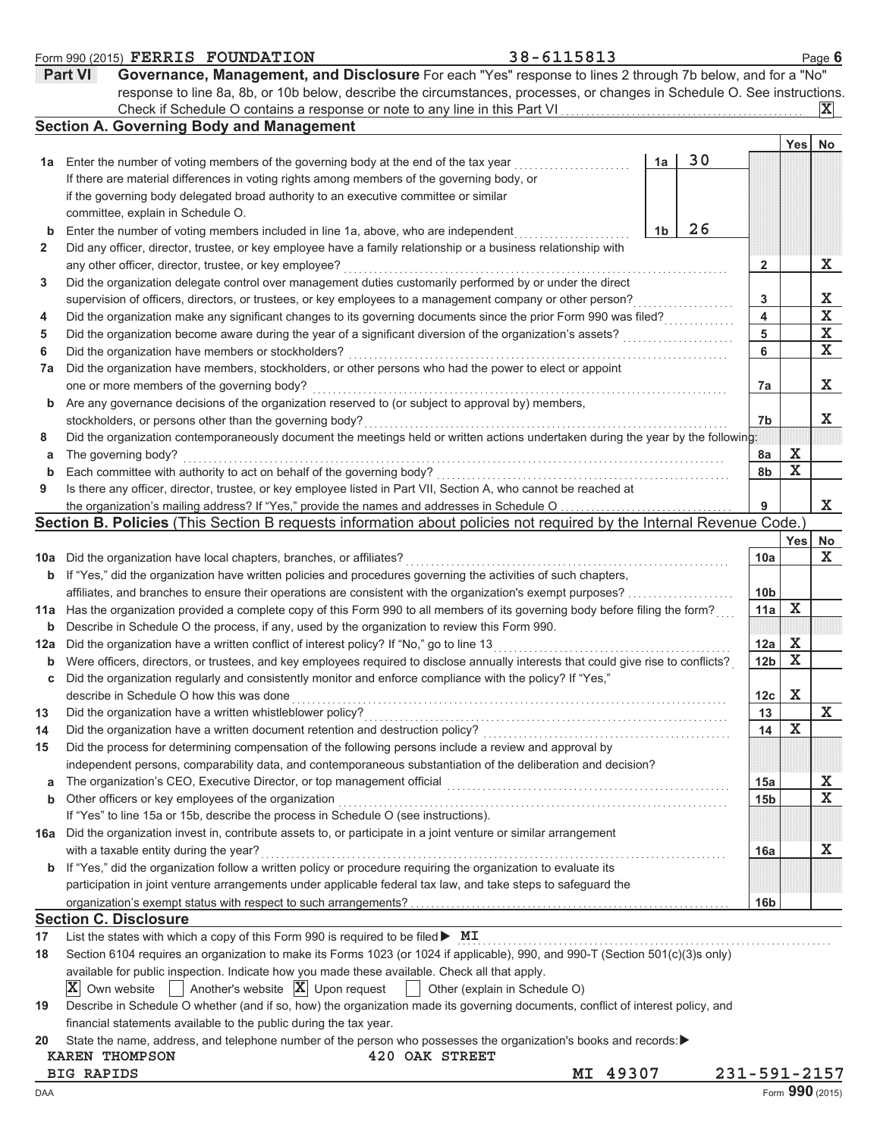|              | Part VI<br>Governance, Management, and Disclosure For each "Yes" response to lines 2 through 7b below, and for a "No"               |                 |             |                 |
|--------------|-------------------------------------------------------------------------------------------------------------------------------------|-----------------|-------------|-----------------|
|              | response to line 8a, 8b, or 10b below, describe the circumstances, processes, or changes in Schedule O. See instructions.           |                 |             |                 |
|              |                                                                                                                                     |                 |             | $ {\bf X} $     |
|              | <b>Section A. Governing Body and Management</b>                                                                                     |                 |             |                 |
|              | 30<br>Enter the number of voting members of the governing body at the end of the tax year<br>1a                                     |                 | Yes         | No              |
| 1а           | If there are material differences in voting rights among members of the governing body, or                                          |                 |             |                 |
|              | if the governing body delegated broad authority to an executive committee or similar                                                |                 |             |                 |
|              | committee, explain in Schedule O.                                                                                                   |                 |             |                 |
| b            | 26<br>Enter the number of voting members included in line 1a, above, who are independent<br>1b                                      |                 |             |                 |
| $\mathbf{2}$ | Did any officer, director, trustee, or key employee have a family relationship or a business relationship with                      |                 |             |                 |
|              | any other officer, director, trustee, or key employee?                                                                              | 2               |             | X               |
| 3            | Did the organization delegate control over management duties customarily performed by or under the direct                           |                 |             |                 |
|              | supervision of officers, directors, or trustees, or key employees to a management company or other person?                          | 3               |             | х               |
| 4            | Did the organization make any significant changes to its governing documents since the prior Form 990 was filed?                    | 4               |             | X               |
| 5            | Did the organization become aware during the year of a significant diversion of the organization's assets?                          | 5               |             | X               |
| 6            | Did the organization have members or stockholders?                                                                                  | 6               |             | $\mathbf X$     |
| 7a           | Did the organization have members, stockholders, or other persons who had the power to elect or appoint                             |                 |             |                 |
|              | one or more members of the governing body?                                                                                          | 7a              |             | X               |
| b            | Are any governance decisions of the organization reserved to (or subject to approval by) members,                                   |                 |             |                 |
|              | stockholders, or persons other than the governing body?                                                                             | 7b              |             | X               |
| 8            | Did the organization contemporaneously document the meetings held or written actions undertaken during the year by the following:   |                 |             |                 |
| а            | The governing body?                                                                                                                 | 8a              | X           |                 |
| b            | Each committee with authority to act on behalf of the governing body?                                                               | 8b              | X           |                 |
| 9            | Is there any officer, director, trustee, or key employee listed in Part VII, Section A, who cannot be reached at                    |                 |             |                 |
|              | the organization's mailing address? If "Yes," provide the names and addresses in Schedule O                                         | 9               |             | X               |
|              | Section B. Policies (This Section B requests information about policies not required by the Internal Revenue Code.)                 |                 |             |                 |
|              |                                                                                                                                     |                 | Yes         | No              |
| 10a          | Did the organization have local chapters, branches, or affiliates?                                                                  | 10a             |             | X               |
| b            | If "Yes," did the organization have written policies and procedures governing the activities of such chapters,                      |                 |             |                 |
|              | affiliates, and branches to ensure their operations are consistent with the organization's exempt purposes?                         | 10 <sub>b</sub> |             |                 |
| 11a          | Has the organization provided a complete copy of this Form 990 to all members of its governing body before filing the form?         | 11a             | х           |                 |
| b            | Describe in Schedule O the process, if any, used by the organization to review this Form 990.                                       |                 |             |                 |
| 12a          | Did the organization have a written conflict of interest policy? If "No," go to line 13                                             | 12a             | X           |                 |
| $\mathbf b$  | Were officers, directors, or trustees, and key employees required to disclose annually interests that could give rise to conflicts? | 12b             | X           |                 |
| С            | Did the organization regularly and consistently monitor and enforce compliance with the policy? If "Yes,"                           |                 |             |                 |
|              | describe in Schedule O how this was done                                                                                            | 12c             | X           |                 |
| 13           | Did the organization have a written whistleblower policy?                                                                           | 13              |             | X               |
| 14           | Did the organization have a written document retention and destruction policy?                                                      | 14              | $\mathbf x$ |                 |
| 15           | Did the process for determining compensation of the following persons include a review and approval by                              |                 |             |                 |
|              | independent persons, comparability data, and contemporaneous substantiation of the deliberation and decision?                       |                 |             |                 |
| a            | The organization's CEO, Executive Director, or top management official                                                              | 15a             |             | х               |
| b            | Other officers or key employees of the organization                                                                                 | 15 <sub>b</sub> |             | X               |
|              | If "Yes" to line 15a or 15b, describe the process in Schedule O (see instructions).                                                 |                 |             |                 |
| 16a          | Did the organization invest in, contribute assets to, or participate in a joint venture or similar arrangement                      |                 |             |                 |
|              | with a taxable entity during the year?                                                                                              | 16a             |             | X               |
| b            | If "Yes," did the organization follow a written policy or procedure requiring the organization to evaluate its                      |                 |             |                 |
|              | participation in joint venture arrangements under applicable federal tax law, and take steps to safeguard the                       |                 |             |                 |
|              |                                                                                                                                     | 16 <sub>b</sub> |             |                 |
|              | <b>Section C. Disclosure</b>                                                                                                        |                 |             |                 |
| 17           | List the states with which a copy of this Form 990 is required to be filed $\blacktriangleright$ MI                                 |                 |             |                 |
| 18           | Section 6104 requires an organization to make its Forms 1023 (or 1024 if applicable), 990, and 990-T (Section 501(c)(3)s only)      |                 |             |                 |
|              | available for public inspection. Indicate how you made these available. Check all that apply.                                       |                 |             |                 |
|              | Another's website $ \mathbf{X} $ Upon request<br>IXI.<br>Own website<br>Other (explain in Schedule O)<br>$\mathbf{L}$               |                 |             |                 |
| 19           | Describe in Schedule O whether (and if so, how) the organization made its governing documents, conflict of interest policy, and     |                 |             |                 |
|              | financial statements available to the public during the tax year.                                                                   |                 |             |                 |
| 20           | State the name, address, and telephone number of the person who possesses the organization's books and records:▶                    |                 |             |                 |
|              | 420 OAK STREET<br><b>KAREN THOMPSON</b>                                                                                             |                 |             |                 |
|              | 49307<br><b>BIG RAPIDS</b><br>МI                                                                                                    |                 |             | 231-591-2157    |
| DAA          |                                                                                                                                     |                 |             | Form 990 (2015) |

**Form 990 (2015) FERRIS FOUNDATION** 38-6115813 Page 6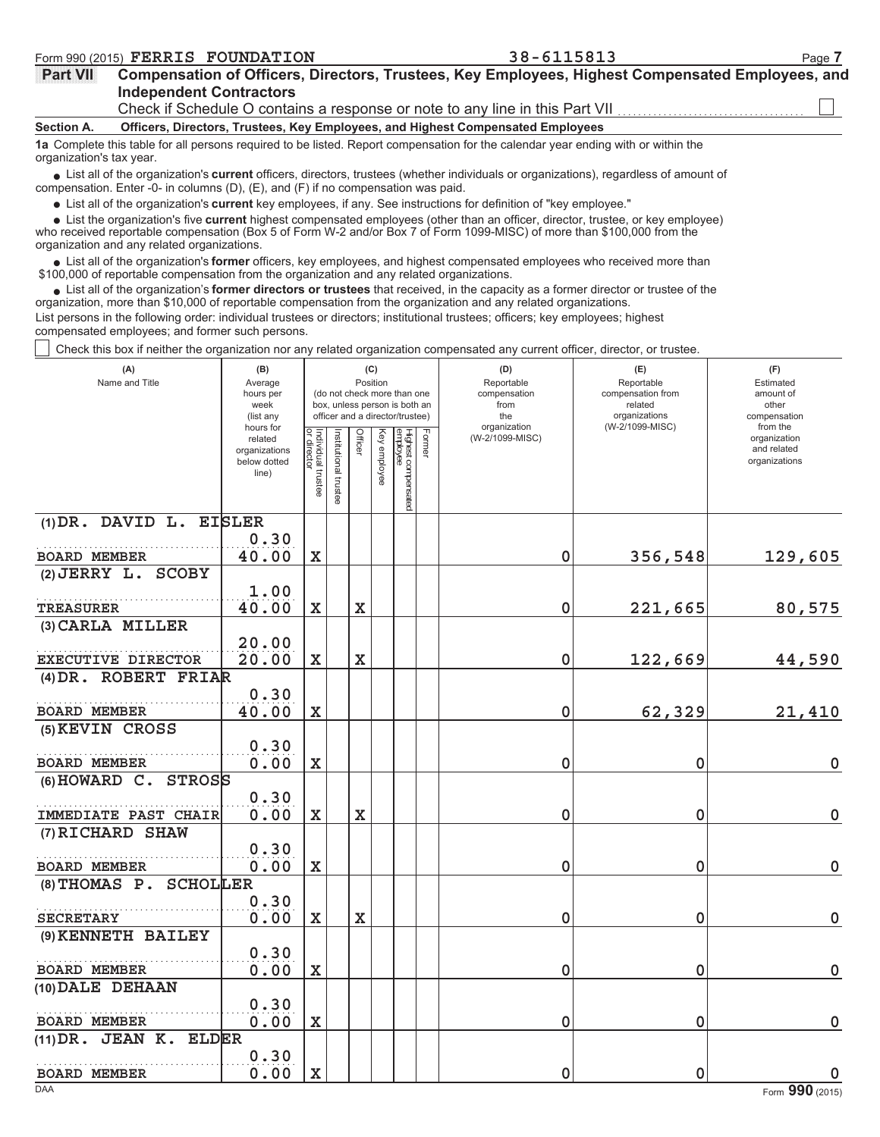# **Independent Contractors Part VII Compensation of Officers, Directors, Trustees, Key Employees, Highest Compensated Employees, and**

Check if Schedule O contains a response or note to any line in this Part VII

**Section A. Officers, Directors, Trustees, Key Employees, and Highest Compensated Employees**

**1a** Complete this table for all persons required to be listed. Report compensation for the calendar year ending with or within the organization's tax year.

• List all of the organization's **current** officers, directors, trustees (whether individuals or organizations), regardless of amount of proposation. Enter  $\Omega$  in columns  $(D)$ ,  $(E)$  and  $(E)$  if no componention was paid. compensation. Enter -0- in columns (D), (E), and (F) if no compensation was paid.

List all of the organization's **current** key employees, if any. See instructions for definition of "key employee."

■ List all of the organization's **current** key employees, if any. See instructions for definition of "key employee."<br>■ List the organization's five **current** highest compensated employees (other than an officer, director,

who received reportable compensation (Box 5 of Form W-2 and/or Box 7 of Form 1099-MISC) of more than \$100,000 from the organization and any related organizations.

• List all of the organization's **former** officers, key employees, and highest compensated employees who received more than<br>00,000 of reportable compensation from the organization and any related erganizations. \$100,000 of reportable compensation from the organization and any related organizations.

• List all of the organization's **former directors or trustees** that received, in the capacity as a former director or trustee of the principle compared in the cropical property of the principle compared in the cropical or organization, more than \$10,000 of reportable compensation from the organization and any related organizations. List persons in the following order: individual trustees or directors; institutional trustees; officers; key employees; highest

compensated employees; and former such persons.

Check this box if neither the organization nor any related organization compensated any current officer, director, or trustee.

| (A)<br>Name and Title                         | (B)<br>Average<br>hours per<br>week<br>(list any               |                                   |                      |                    | (C)<br>Position | (do not check more than one<br>box, unless person is both an<br>officer and a director/trustee) |        | (D)<br>Reportable<br>compensation<br>from<br>the | (E)<br>Reportable<br>compensation from<br>related<br>organizations | (F)<br>Estimated<br>amount of<br>other<br>compensation   |
|-----------------------------------------------|----------------------------------------------------------------|-----------------------------------|----------------------|--------------------|-----------------|-------------------------------------------------------------------------------------------------|--------|--------------------------------------------------|--------------------------------------------------------------------|----------------------------------------------------------|
|                                               | hours for<br>related<br>organizations<br>below dotted<br>line) | Individual trustee<br>or director | nstitutional trustee | Officer            | Key employee    | Highest compensated<br>employee                                                                 | Former | organization<br>(W-2/1099-MISC)                  | (W-2/1099-MISC)                                                    | from the<br>organization<br>and related<br>organizations |
| (1) DR. DAVID L. EISLER                       |                                                                |                                   |                      |                    |                 |                                                                                                 |        |                                                  |                                                                    |                                                          |
| <b>BOARD MEMBER</b>                           | 0.30<br>40.00                                                  | $\mathbf X$                       |                      |                    |                 |                                                                                                 |        | 0                                                | 356,548                                                            | 129,605                                                  |
| (2) JERRY L. SCOBY                            |                                                                |                                   |                      |                    |                 |                                                                                                 |        |                                                  |                                                                    |                                                          |
| <b>TREASURER</b>                              | 1.00<br>40.00                                                  | $\mathbf X$                       |                      | $\mathbf x$        |                 |                                                                                                 |        | 0                                                | 221,665                                                            | 80,575                                                   |
| (3) CARLA MILLER                              |                                                                |                                   |                      |                    |                 |                                                                                                 |        |                                                  |                                                                    |                                                          |
| <b>EXECUTIVE DIRECTOR</b>                     | 20.00<br>20.00                                                 | $\mathbf X$                       |                      | $\mathbf X$        |                 |                                                                                                 |        | 0                                                | 122,669                                                            | 44,590                                                   |
| (4) DR. ROBERT FRIAR                          |                                                                |                                   |                      |                    |                 |                                                                                                 |        |                                                  |                                                                    |                                                          |
| <b>BOARD MEMBER</b>                           | 0.30<br>40.00                                                  | $\mathbf X$                       |                      |                    |                 |                                                                                                 |        | 0                                                | 62,329                                                             | 21,410                                                   |
| (5) KEVIN CROSS                               | 0.30                                                           |                                   |                      |                    |                 |                                                                                                 |        |                                                  |                                                                    |                                                          |
| <b>BOARD MEMBER</b>                           | 0.00                                                           | $\mathbf X$                       |                      |                    |                 |                                                                                                 |        | 0                                                | 0                                                                  | 0                                                        |
| (6) HOWARD C. STROSS                          |                                                                |                                   |                      |                    |                 |                                                                                                 |        |                                                  |                                                                    |                                                          |
| IMMEDIATE PAST CHAIR                          | 0.30<br>0.00                                                   | $\mathbf X$                       |                      | $\mathbf{\bar{X}}$ |                 |                                                                                                 |        | 0                                                | 0                                                                  | $\mathbf 0$                                              |
| (7) RICHARD SHAW                              |                                                                |                                   |                      |                    |                 |                                                                                                 |        |                                                  |                                                                    |                                                          |
| <b>BOARD MEMBER</b>                           | 0.30<br>0.00                                                   | $\mathbf X$                       |                      |                    |                 |                                                                                                 |        | 0                                                | $\mathbf 0$                                                        | 0                                                        |
| (8) THOMAS P. SCHOLLER                        |                                                                |                                   |                      |                    |                 |                                                                                                 |        |                                                  |                                                                    |                                                          |
| <b>SECRETARY</b>                              | 0.30<br>0.00                                                   | $\mathbf X$                       |                      | $\mathbf{\bar{X}}$ |                 |                                                                                                 |        | 0                                                | $\mathbf 0$                                                        | $\mathbf 0$                                              |
| (9) KENNETH BAILEY                            |                                                                |                                   |                      |                    |                 |                                                                                                 |        |                                                  |                                                                    |                                                          |
|                                               | 0.30                                                           |                                   |                      |                    |                 |                                                                                                 |        |                                                  |                                                                    |                                                          |
| <b>BOARD MEMBER</b>                           | 0.00                                                           | $\mathbf X$                       |                      |                    |                 |                                                                                                 |        | 0                                                | $\mathbf 0$                                                        | 0                                                        |
| (10) DALE DEHAAN                              | 0.30                                                           |                                   |                      |                    |                 |                                                                                                 |        |                                                  |                                                                    |                                                          |
| <b>BOARD MEMBER</b><br>(11) DR. JEAN K. ELDER | 0.00                                                           | $\mathbf X$                       |                      |                    |                 |                                                                                                 |        | 0                                                | $\mathbf 0$                                                        | 0                                                        |
|                                               | 0.30                                                           |                                   |                      |                    |                 |                                                                                                 |        |                                                  |                                                                    |                                                          |
| <b>BOARD MEMBER</b>                           | 0.00                                                           | $\mathbf X$                       |                      |                    |                 |                                                                                                 |        | 0                                                | $\mathbf 0$                                                        | 0                                                        |
| <b>DAA</b>                                    |                                                                |                                   |                      |                    |                 |                                                                                                 |        |                                                  |                                                                    | Form 990 (2015)                                          |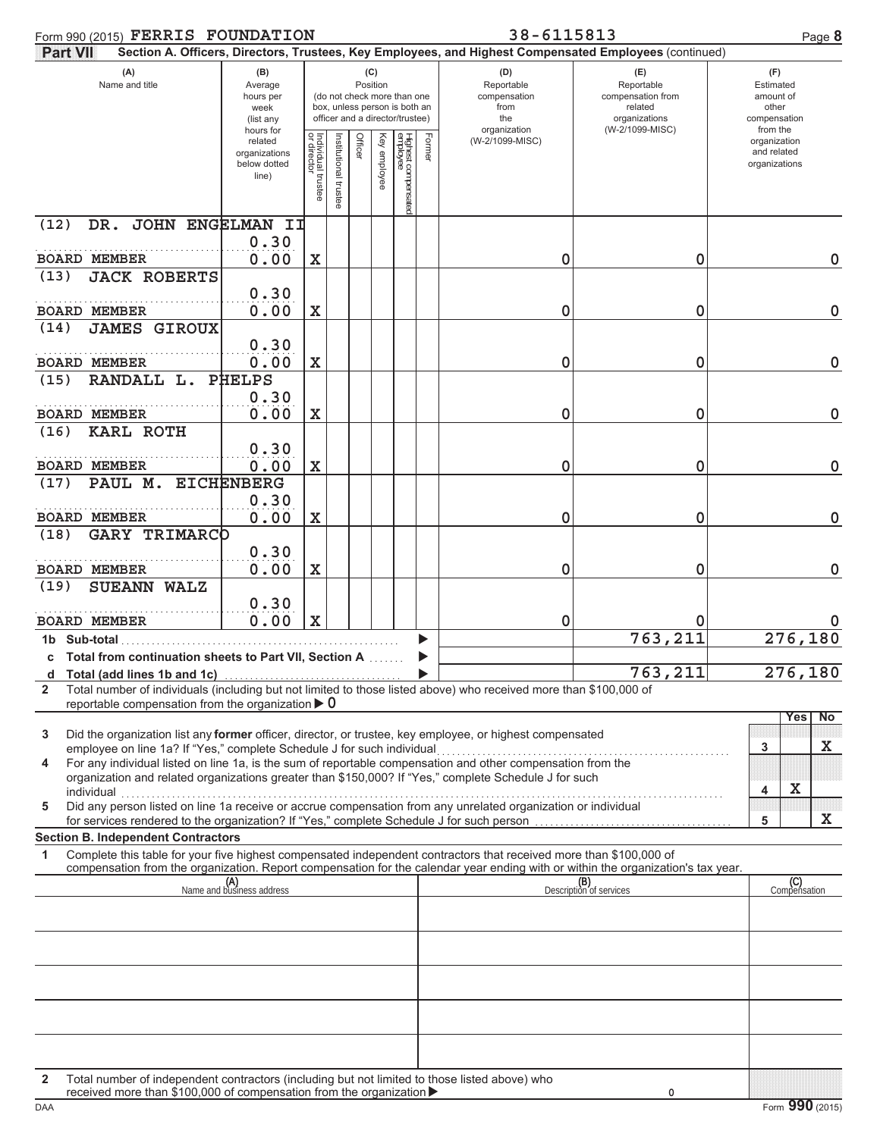| Form 990 (2015) FERRIS FOUNDATION                                                                                                                                                                                                                           |                                                               |                                      |                      |                                                                                                                    |              |                                 |        | 38-6115813                                                                                             |                                                                                       |                                                                    | Page 8              |
|-------------------------------------------------------------------------------------------------------------------------------------------------------------------------------------------------------------------------------------------------------------|---------------------------------------------------------------|--------------------------------------|----------------------|--------------------------------------------------------------------------------------------------------------------|--------------|---------------------------------|--------|--------------------------------------------------------------------------------------------------------|---------------------------------------------------------------------------------------|--------------------------------------------------------------------|---------------------|
| <b>Part VIII</b>                                                                                                                                                                                                                                            |                                                               |                                      |                      |                                                                                                                    |              |                                 |        | Section A. Officers, Directors, Trustees, Key Employees, and Highest Compensated Employees (continued) |                                                                                       |                                                                    |                     |
| (A)<br>Name and title                                                                                                                                                                                                                                       | (B)<br>Average<br>hours per<br>week<br>(list any<br>hours for |                                      |                      | (C)<br>Position<br>(do not check more than one<br>box, unless person is both an<br>officer and a director/trustee) |              |                                 |        | (D)<br>Reportable<br>compensation<br>from<br>the<br>organization                                       | (E)<br>Reportable<br>compensation from<br>related<br>organizations<br>(W-2/1099-MISC) | (F)<br>Estimated<br>amount of<br>other<br>compensation<br>from the |                     |
|                                                                                                                                                                                                                                                             | related<br>organizations<br>below dotted<br>line)             | Individual<br>or director<br>trustee | Institutional truste | Officer                                                                                                            | Key employee | Highest compensatec<br>employee | Former | (W-2/1099-MISC)                                                                                        |                                                                                       | organization<br>and related<br>organizations                       |                     |
| (12)<br>DR. JOHN ENGELMAN II                                                                                                                                                                                                                                | 0.30                                                          |                                      |                      |                                                                                                                    |              |                                 |        |                                                                                                        |                                                                                       |                                                                    |                     |
| <b>BOARD MEMBER</b>                                                                                                                                                                                                                                         | 0.00                                                          | $\mathbf X$                          |                      |                                                                                                                    |              |                                 |        | 0                                                                                                      | 0                                                                                     |                                                                    | $\mathbf 0$         |
| <b>JACK ROBERTS</b><br>(13)                                                                                                                                                                                                                                 |                                                               |                                      |                      |                                                                                                                    |              |                                 |        |                                                                                                        |                                                                                       |                                                                    |                     |
| <b>BOARD MEMBER</b>                                                                                                                                                                                                                                         | 0.30<br>0.00                                                  | $\mathbf X$                          |                      |                                                                                                                    |              |                                 |        | 0                                                                                                      | 0                                                                                     |                                                                    | $\mathbf 0$         |
| <b>JAMES GIROUX</b><br>(14)                                                                                                                                                                                                                                 |                                                               |                                      |                      |                                                                                                                    |              |                                 |        |                                                                                                        |                                                                                       |                                                                    |                     |
| <b>BOARD MEMBER</b>                                                                                                                                                                                                                                         | 0.30<br>0.00                                                  | X                                    |                      |                                                                                                                    |              |                                 |        | 0                                                                                                      | 0                                                                                     |                                                                    | $\mathbf 0$         |
| RANDALL L.<br>(15)                                                                                                                                                                                                                                          | <b>PHELPS</b>                                                 |                                      |                      |                                                                                                                    |              |                                 |        |                                                                                                        |                                                                                       |                                                                    |                     |
|                                                                                                                                                                                                                                                             | 0.30                                                          |                                      |                      |                                                                                                                    |              |                                 |        |                                                                                                        |                                                                                       |                                                                    |                     |
| <b>BOARD MEMBER</b>                                                                                                                                                                                                                                         | 0.00                                                          | $\mathbf X$                          |                      |                                                                                                                    |              |                                 |        | 0                                                                                                      | 0                                                                                     |                                                                    | $\mathbf 0$         |
| <b>KARL ROTH</b><br>(16)                                                                                                                                                                                                                                    |                                                               |                                      |                      |                                                                                                                    |              |                                 |        |                                                                                                        |                                                                                       |                                                                    |                     |
| <b>BOARD MEMBER</b>                                                                                                                                                                                                                                         | 0.30<br>0.00                                                  | X                                    |                      |                                                                                                                    |              |                                 |        | 0                                                                                                      | 0                                                                                     |                                                                    | $\mathbf 0$         |
| PAUL M. EICHENBERG<br>(17)                                                                                                                                                                                                                                  |                                                               |                                      |                      |                                                                                                                    |              |                                 |        |                                                                                                        |                                                                                       |                                                                    |                     |
|                                                                                                                                                                                                                                                             | 0.30                                                          |                                      |                      |                                                                                                                    |              |                                 |        |                                                                                                        |                                                                                       |                                                                    |                     |
| <b>BOARD MEMBER</b>                                                                                                                                                                                                                                         | 0.00                                                          | $\mathbf X$                          |                      |                                                                                                                    |              |                                 |        | 0                                                                                                      | 0                                                                                     |                                                                    | $\mathbf 0$         |
| <b>GARY TRIMARCO</b><br>(18)                                                                                                                                                                                                                                |                                                               |                                      |                      |                                                                                                                    |              |                                 |        |                                                                                                        |                                                                                       |                                                                    |                     |
| <b>BOARD MEMBER</b>                                                                                                                                                                                                                                         | 0.30<br>0.00                                                  | $\mathbf X$                          |                      |                                                                                                                    |              |                                 |        | 0                                                                                                      | 0                                                                                     |                                                                    | $\mathbf 0$         |
| <b>SUEANN WALZ</b><br>(19)                                                                                                                                                                                                                                  |                                                               |                                      |                      |                                                                                                                    |              |                                 |        |                                                                                                        |                                                                                       |                                                                    |                     |
|                                                                                                                                                                                                                                                             | 0.30                                                          |                                      |                      |                                                                                                                    |              |                                 |        |                                                                                                        |                                                                                       |                                                                    |                     |
| <b>BOARD MEMBER</b>                                                                                                                                                                                                                                         | 0.00                                                          | $\mathbf x$                          |                      |                                                                                                                    |              |                                 |        | 0                                                                                                      | 0                                                                                     |                                                                    |                     |
| 1b Sub-total                                                                                                                                                                                                                                                |                                                               |                                      |                      |                                                                                                                    |              |                                 |        |                                                                                                        | 763, 211                                                                              |                                                                    | 276,180             |
| c Total from continuation sheets to Part VII, Section A<br>d Total (add lines 1b and 1c)                                                                                                                                                                    |                                                               |                                      |                      |                                                                                                                    |              |                                 |        |                                                                                                        | 763,211                                                                               |                                                                    | 276,180             |
| Total number of individuals (including but not limited to those listed above) who received more than \$100,000 of<br>2                                                                                                                                      |                                                               |                                      |                      |                                                                                                                    |              |                                 |        |                                                                                                        |                                                                                       |                                                                    |                     |
| reportable compensation from the organization $\triangleright$ 0                                                                                                                                                                                            |                                                               |                                      |                      |                                                                                                                    |              |                                 |        |                                                                                                        |                                                                                       |                                                                    | Yes<br><b>No</b>    |
| Did the organization list any former officer, director, or trustee, key employee, or highest compensated<br>3<br>employee on line 1a? If "Yes," complete Schedule J for such individual                                                                     |                                                               |                                      |                      |                                                                                                                    |              |                                 |        |                                                                                                        |                                                                                       | 3                                                                  | X                   |
| For any individual listed on line 1a, is the sum of reportable compensation and other compensation from the<br>4<br>organization and related organizations greater than \$150,000? If "Yes," complete Schedule J for such                                   |                                                               |                                      |                      |                                                                                                                    |              |                                 |        |                                                                                                        |                                                                                       |                                                                    |                     |
| individual<br>Did any person listed on line 1a receive or accrue compensation from any unrelated organization or individual<br>5                                                                                                                            |                                                               |                                      |                      |                                                                                                                    |              |                                 |        |                                                                                                        |                                                                                       | 4                                                                  | X                   |
| for services rendered to the organization? If "Yes," complete Schedule J for such person                                                                                                                                                                    |                                                               |                                      |                      |                                                                                                                    |              |                                 |        |                                                                                                        |                                                                                       | 5                                                                  | X                   |
| <b>Section B. Independent Contractors</b>                                                                                                                                                                                                                   |                                                               |                                      |                      |                                                                                                                    |              |                                 |        |                                                                                                        |                                                                                       |                                                                    |                     |
| Complete this table for your five highest compensated independent contractors that received more than \$100,000 of<br>1<br>compensation from the organization. Report compensation for the calendar year ending with or within the organization's tax year. |                                                               |                                      |                      |                                                                                                                    |              |                                 |        |                                                                                                        |                                                                                       |                                                                    |                     |
|                                                                                                                                                                                                                                                             | (A)<br>Name and business address                              |                                      |                      |                                                                                                                    |              |                                 |        |                                                                                                        | (B)<br>Description of services                                                        |                                                                    | (C)<br>Compensation |
|                                                                                                                                                                                                                                                             |                                                               |                                      |                      |                                                                                                                    |              |                                 |        |                                                                                                        |                                                                                       |                                                                    |                     |
|                                                                                                                                                                                                                                                             |                                                               |                                      |                      |                                                                                                                    |              |                                 |        |                                                                                                        |                                                                                       |                                                                    |                     |
|                                                                                                                                                                                                                                                             |                                                               |                                      |                      |                                                                                                                    |              |                                 |        |                                                                                                        |                                                                                       |                                                                    |                     |
|                                                                                                                                                                                                                                                             |                                                               |                                      |                      |                                                                                                                    |              |                                 |        |                                                                                                        |                                                                                       |                                                                    |                     |
|                                                                                                                                                                                                                                                             |                                                               |                                      |                      |                                                                                                                    |              |                                 |        |                                                                                                        |                                                                                       |                                                                    |                     |
|                                                                                                                                                                                                                                                             |                                                               |                                      |                      |                                                                                                                    |              |                                 |        |                                                                                                        |                                                                                       |                                                                    |                     |
| Total number of independent contractors (including but not limited to those listed above) who<br>2<br>received more than \$100,000 of compensation from the organization ▶                                                                                  |                                                               |                                      |                      |                                                                                                                    |              |                                 |        |                                                                                                        | 0                                                                                     |                                                                    |                     |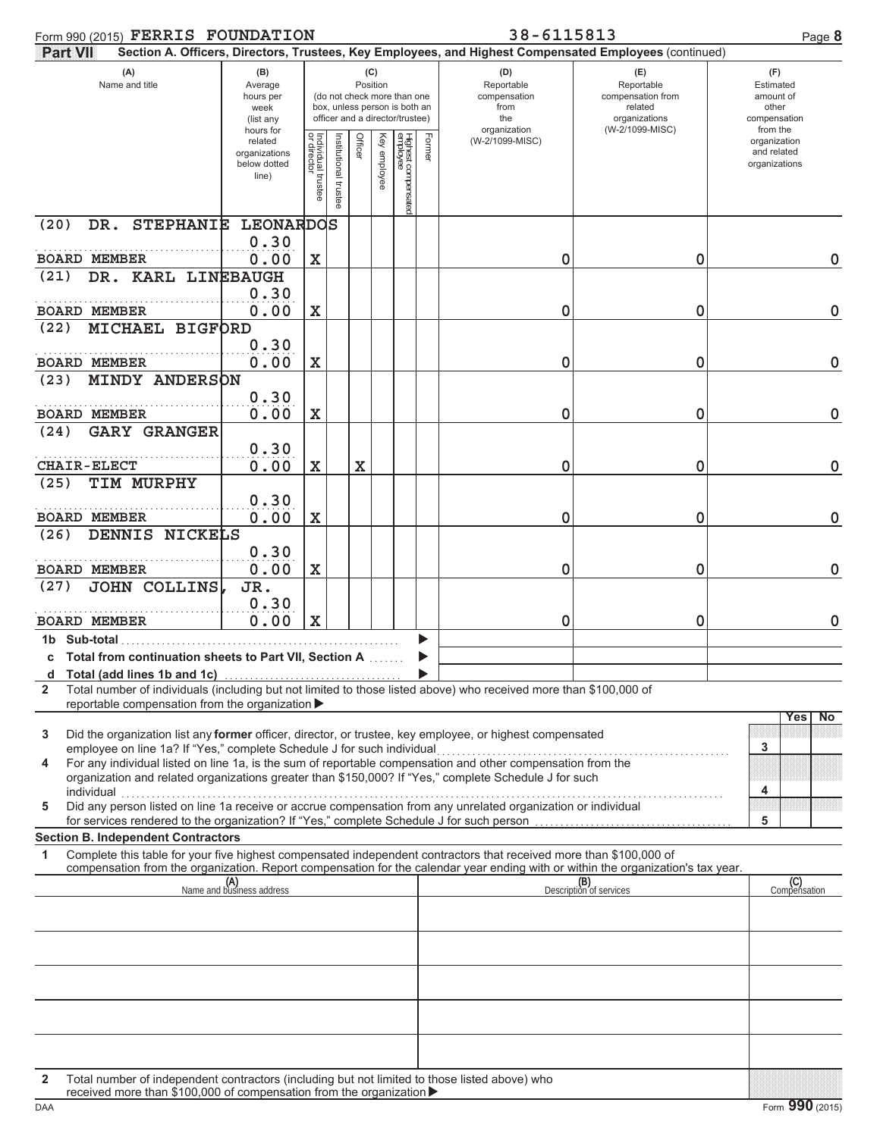| Form 990 (2015) FERRIS FOUNDATION                                                                                                                                                              |                                                               |                                   |                     |         |                 |                                                                                                 |        | 38-6115813                                                                                             |                                                                                       |                                                                    | Page 8      |
|------------------------------------------------------------------------------------------------------------------------------------------------------------------------------------------------|---------------------------------------------------------------|-----------------------------------|---------------------|---------|-----------------|-------------------------------------------------------------------------------------------------|--------|--------------------------------------------------------------------------------------------------------|---------------------------------------------------------------------------------------|--------------------------------------------------------------------|-------------|
| Part VII                                                                                                                                                                                       |                                                               |                                   |                     |         |                 |                                                                                                 |        | Section A. Officers, Directors, Trustees, Key Employees, and Highest Compensated Employees (continued) |                                                                                       |                                                                    |             |
| (A)<br>Name and title                                                                                                                                                                          | (B)<br>Average<br>hours per<br>week<br>(list any<br>hours for |                                   |                     |         | (C)<br>Position | (do not check more than one<br>box, unless person is both an<br>officer and a director/trustee) |        | (D)<br>Reportable<br>compensation<br>from<br>the<br>organization                                       | (E)<br>Reportable<br>compensation from<br>related<br>organizations<br>(W-2/1099-MISC) | (F)<br>Estimated<br>amount of<br>other<br>compensation<br>from the |             |
|                                                                                                                                                                                                | related<br>organizations<br>below dotted<br>line)             | Individual trustee<br>or director | nstitutional truste | Officer | Key employee    | Highest compensated<br>employee                                                                 | Former | (W-2/1099-MISC)                                                                                        |                                                                                       | organization<br>and related<br>organizations                       |             |
| DR. STEPHANIE LEONARDOS<br>(20)                                                                                                                                                                |                                                               |                                   |                     |         |                 |                                                                                                 |        |                                                                                                        |                                                                                       |                                                                    |             |
| <b>BOARD MEMBER</b>                                                                                                                                                                            | 0.30<br>0.00                                                  |                                   |                     |         |                 |                                                                                                 |        | 0                                                                                                      | 0                                                                                     |                                                                    | 0           |
| DR. KARL LINEBAUGH<br>(21)                                                                                                                                                                     |                                                               | X                                 |                     |         |                 |                                                                                                 |        |                                                                                                        |                                                                                       |                                                                    |             |
| <b>BOARD MEMBER</b>                                                                                                                                                                            | 0.30<br>0.00                                                  | X                                 |                     |         |                 |                                                                                                 |        | 0                                                                                                      | 0                                                                                     |                                                                    | $\mathbf 0$ |
| (22)<br>MICHAEL BIGFORD                                                                                                                                                                        |                                                               |                                   |                     |         |                 |                                                                                                 |        |                                                                                                        |                                                                                       |                                                                    |             |
| <b>BOARD MEMBER</b>                                                                                                                                                                            | 0.30<br>0.00                                                  | $\mathbf X$                       |                     |         |                 |                                                                                                 |        | 0                                                                                                      | 0                                                                                     |                                                                    | $\mathbf 0$ |
| <b>MINDY ANDERSON</b><br>(23)                                                                                                                                                                  | 0.30                                                          |                                   |                     |         |                 |                                                                                                 |        |                                                                                                        |                                                                                       |                                                                    |             |
| <b>BOARD MEMBER</b>                                                                                                                                                                            | 0.00                                                          | $\mathbf X$                       |                     |         |                 |                                                                                                 |        | 0                                                                                                      | 0                                                                                     |                                                                    | $\mathbf 0$ |
| <b>GARY GRANGER</b><br>(24)                                                                                                                                                                    | 0.30                                                          |                                   |                     |         |                 |                                                                                                 |        |                                                                                                        |                                                                                       |                                                                    |             |
| <b>CHAIR-ELECT</b>                                                                                                                                                                             | 0.00                                                          | X                                 |                     | X       |                 |                                                                                                 |        | 0                                                                                                      | 0                                                                                     |                                                                    | $\mathbf 0$ |
| (25)<br>TIM MURPHY                                                                                                                                                                             | 0.30                                                          |                                   |                     |         |                 |                                                                                                 |        |                                                                                                        |                                                                                       |                                                                    |             |
| <b>BOARD MEMBER</b>                                                                                                                                                                            | 0.00                                                          | $\mathbf X$                       |                     |         |                 |                                                                                                 |        | 0                                                                                                      | 0                                                                                     |                                                                    | $\mathbf 0$ |
| DENNIS NICKELS<br>(26)                                                                                                                                                                         |                                                               |                                   |                     |         |                 |                                                                                                 |        |                                                                                                        |                                                                                       |                                                                    |             |
| <b>BOARD MEMBER</b>                                                                                                                                                                            | 0.30<br>0.00                                                  | $\mathbf X$                       |                     |         |                 |                                                                                                 |        | 0                                                                                                      | 0                                                                                     |                                                                    | $\mathbf 0$ |
| <b>JOHN COLLINS</b><br>(27)                                                                                                                                                                    | JR.                                                           |                                   |                     |         |                 |                                                                                                 |        |                                                                                                        |                                                                                       |                                                                    |             |
| <b>BOARD MEMBER</b>                                                                                                                                                                            | 0.30<br>0.00                                                  | X                                 |                     |         |                 |                                                                                                 |        | 0                                                                                                      | 0                                                                                     |                                                                    | 0           |
| 1b Sub-total                                                                                                                                                                                   |                                                               |                                   |                     |         |                 |                                                                                                 |        |                                                                                                        |                                                                                       |                                                                    |             |
| c Total from continuation sheets to Part VII, Section A                                                                                                                                        |                                                               |                                   |                     |         |                 |                                                                                                 |        |                                                                                                        |                                                                                       |                                                                    |             |
| d Total (add lines 1b and 1c)<br>Total number of individuals (including but not limited to those listed above) who received more than \$100,000 of<br>$\mathbf{2}$                             |                                                               |                                   |                     |         |                 |                                                                                                 |        |                                                                                                        |                                                                                       |                                                                    |             |
| reportable compensation from the organization ▶                                                                                                                                                |                                                               |                                   |                     |         |                 |                                                                                                 |        |                                                                                                        |                                                                                       |                                                                    |             |
| 3<br>Did the organization list any <b>former</b> officer, director, or trustee, key employee, or highest compensated<br>employee on line 1a? If "Yes," complete Schedule J for such individual |                                                               |                                   |                     |         |                 |                                                                                                 |        |                                                                                                        |                                                                                       | Yes<br>3                                                           | No          |
| For any individual listed on line 1a, is the sum of reportable compensation and other compensation from the<br>4                                                                               |                                                               |                                   |                     |         |                 |                                                                                                 |        |                                                                                                        |                                                                                       |                                                                    |             |
| organization and related organizations greater than \$150,000? If "Yes," complete Schedule J for such<br>individual                                                                            |                                                               |                                   |                     |         |                 |                                                                                                 |        |                                                                                                        |                                                                                       | 4                                                                  |             |
| Did any person listed on line 1a receive or accrue compensation from any unrelated organization or individual<br>5                                                                             |                                                               |                                   |                     |         |                 |                                                                                                 |        |                                                                                                        |                                                                                       |                                                                    |             |
| for services rendered to the organization? If "Yes," complete Schedule J for such person<br><b>Section B. Independent Contractors</b>                                                          |                                                               |                                   |                     |         |                 |                                                                                                 |        |                                                                                                        |                                                                                       | 5                                                                  |             |
| Complete this table for your five highest compensated independent contractors that received more than \$100,000 of<br>1                                                                        |                                                               |                                   |                     |         |                 |                                                                                                 |        |                                                                                                        |                                                                                       |                                                                    |             |
| compensation from the organization. Report compensation for the calendar year ending with or within the organization's tax year.                                                               |                                                               |                                   |                     |         |                 |                                                                                                 |        |                                                                                                        |                                                                                       |                                                                    |             |
|                                                                                                                                                                                                | (A)<br>Name and business address                              |                                   |                     |         |                 |                                                                                                 |        |                                                                                                        | (B)<br>Description of services                                                        | (C)<br>Compensation                                                |             |
|                                                                                                                                                                                                |                                                               |                                   |                     |         |                 |                                                                                                 |        |                                                                                                        |                                                                                       |                                                                    |             |
|                                                                                                                                                                                                |                                                               |                                   |                     |         |                 |                                                                                                 |        |                                                                                                        |                                                                                       |                                                                    |             |
|                                                                                                                                                                                                |                                                               |                                   |                     |         |                 |                                                                                                 |        |                                                                                                        |                                                                                       |                                                                    |             |
|                                                                                                                                                                                                |                                                               |                                   |                     |         |                 |                                                                                                 |        |                                                                                                        |                                                                                       |                                                                    |             |
|                                                                                                                                                                                                |                                                               |                                   |                     |         |                 |                                                                                                 |        |                                                                                                        |                                                                                       |                                                                    |             |
|                                                                                                                                                                                                |                                                               |                                   |                     |         |                 |                                                                                                 |        |                                                                                                        |                                                                                       |                                                                    |             |
|                                                                                                                                                                                                |                                                               |                                   |                     |         |                 |                                                                                                 |        |                                                                                                        |                                                                                       |                                                                    |             |
|                                                                                                                                                                                                |                                                               |                                   |                     |         |                 |                                                                                                 |        |                                                                                                        |                                                                                       |                                                                    |             |

**2** Total number of independent contractors (including but not limited to those listed above) who received more than \$100,000 of compensation from the organization >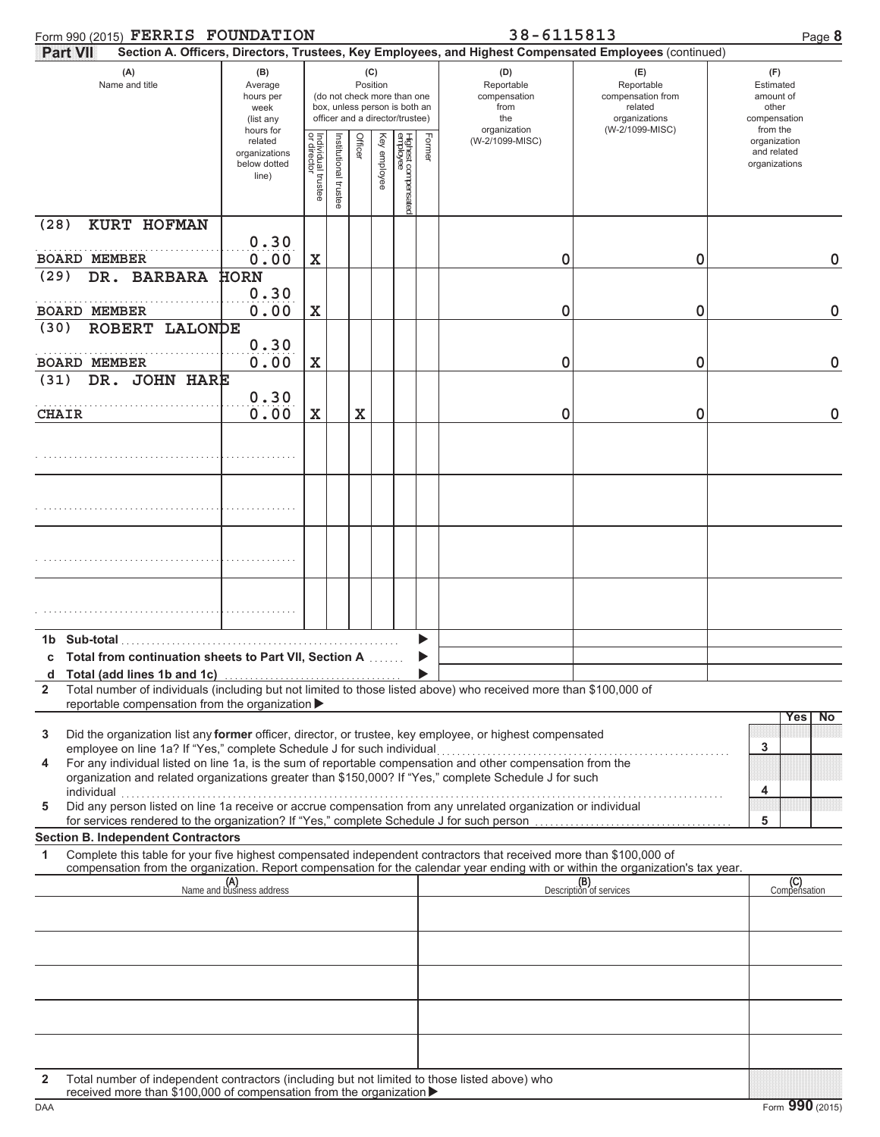|              | Form 990 (2015) FERRIS FOUNDATION                                                                                                                                                                                                                      |                                                               |                                   |                     |         |              |                                                                                                 |        | 38-6115813                                                                                             |                                                                                       | Page 8                                                             |
|--------------|--------------------------------------------------------------------------------------------------------------------------------------------------------------------------------------------------------------------------------------------------------|---------------------------------------------------------------|-----------------------------------|---------------------|---------|--------------|-------------------------------------------------------------------------------------------------|--------|--------------------------------------------------------------------------------------------------------|---------------------------------------------------------------------------------------|--------------------------------------------------------------------|
|              | <b>Part VII</b>                                                                                                                                                                                                                                        |                                                               |                                   |                     |         |              |                                                                                                 |        | Section A. Officers, Directors, Trustees, Key Employees, and Highest Compensated Employees (continued) |                                                                                       |                                                                    |
|              | (A)<br>Name and title                                                                                                                                                                                                                                  | (B)<br>Average<br>hours per<br>week<br>(list any<br>hours for |                                   |                     | (C)     | Position     | (do not check more than one<br>box, unless person is both an<br>officer and a director/trustee) |        | (D)<br>Reportable<br>compensation<br>from<br>the<br>organization                                       | (E)<br>Reportable<br>compensation from<br>related<br>organizations<br>(W-2/1099-MISC) | (F)<br>Estimated<br>amount of<br>other<br>compensation<br>from the |
|              |                                                                                                                                                                                                                                                        | related<br>organizations<br>below dotted<br>line)             | Individual trustee<br>or director | nstitutional truste | Officer | Key employee | Highest compensated<br>employee                                                                 | Former | (W-2/1099-MISC)                                                                                        |                                                                                       | organization<br>and related<br>organizations                       |
| (28)         | KURT HOFMAN                                                                                                                                                                                                                                            | 0.30                                                          |                                   |                     |         |              |                                                                                                 |        |                                                                                                        |                                                                                       |                                                                    |
|              | <b>BOARD MEMBER</b>                                                                                                                                                                                                                                    | 0.00                                                          | $\mathbf x$                       |                     |         |              |                                                                                                 |        | 0                                                                                                      | 0                                                                                     | $\mathbf 0$                                                        |
| (29)         | DR. BARBARA                                                                                                                                                                                                                                            | <b>HORN</b><br>0.30                                           |                                   |                     |         |              |                                                                                                 |        |                                                                                                        |                                                                                       |                                                                    |
|              | <b>BOARD MEMBER</b>                                                                                                                                                                                                                                    | 0.00                                                          | X                                 |                     |         |              |                                                                                                 |        | 0                                                                                                      | 0                                                                                     | $\mathbf 0$                                                        |
| (30)         | ROBERT LALONDE                                                                                                                                                                                                                                         | 0.30                                                          |                                   |                     |         |              |                                                                                                 |        |                                                                                                        |                                                                                       |                                                                    |
|              | <b>BOARD MEMBER</b>                                                                                                                                                                                                                                    | 0.00                                                          | X                                 |                     |         |              |                                                                                                 |        | 0                                                                                                      | 0                                                                                     | $\mathbf 0$                                                        |
| (31)         | DR. JOHN HARE                                                                                                                                                                                                                                          | 0.30                                                          |                                   |                     |         |              |                                                                                                 |        |                                                                                                        |                                                                                       |                                                                    |
| <b>CHAIR</b> |                                                                                                                                                                                                                                                        | 0.00                                                          | X                                 |                     | X       |              |                                                                                                 |        | 0                                                                                                      | 0                                                                                     | $\mathbf 0$                                                        |
|              |                                                                                                                                                                                                                                                        |                                                               |                                   |                     |         |              |                                                                                                 |        |                                                                                                        |                                                                                       |                                                                    |
|              |                                                                                                                                                                                                                                                        |                                                               |                                   |                     |         |              |                                                                                                 |        |                                                                                                        |                                                                                       |                                                                    |
|              |                                                                                                                                                                                                                                                        |                                                               |                                   |                     |         |              |                                                                                                 |        |                                                                                                        |                                                                                       |                                                                    |
|              |                                                                                                                                                                                                                                                        |                                                               |                                   |                     |         |              |                                                                                                 |        |                                                                                                        |                                                                                       |                                                                    |
|              | 1b Sub-total                                                                                                                                                                                                                                           |                                                               |                                   |                     |         |              |                                                                                                 |        |                                                                                                        |                                                                                       |                                                                    |
| d            | Total from continuation sheets to Part VII, Section A<br>Total (add lines 1b and 1c)                                                                                                                                                                   |                                                               |                                   |                     |         |              |                                                                                                 |        |                                                                                                        |                                                                                       |                                                                    |
| $\mathbf{2}$ | Total number of individuals (including but not limited to those listed above) who received more than \$100,000 of                                                                                                                                      |                                                               |                                   |                     |         |              |                                                                                                 |        |                                                                                                        |                                                                                       |                                                                    |
|              | reportable compensation from the organization >                                                                                                                                                                                                        |                                                               |                                   |                     |         |              |                                                                                                 |        |                                                                                                        |                                                                                       | Yes<br><b>No</b>                                                   |
| 3            | Did the organization list any former officer, director, or trustee, key employee, or highest compensated<br>employee on line 1a? If "Yes," complete Schedule J for such individual                                                                     |                                                               |                                   |                     |         |              |                                                                                                 |        |                                                                                                        |                                                                                       | 3                                                                  |
| 4            | For any individual listed on line 1a, is the sum of reportable compensation and other compensation from the<br>organization and related organizations greater than \$150,000? If "Yes," complete Schedule J for such<br>individual                     |                                                               |                                   |                     |         |              |                                                                                                 |        |                                                                                                        |                                                                                       | 4                                                                  |
| 5            | Did any person listed on line 1a receive or accrue compensation from any unrelated organization or individual<br>for services rendered to the organization? If "Yes," complete Schedule J for such person                                              |                                                               |                                   |                     |         |              |                                                                                                 |        |                                                                                                        |                                                                                       | 5                                                                  |
|              | <b>Section B. Independent Contractors</b>                                                                                                                                                                                                              |                                                               |                                   |                     |         |              |                                                                                                 |        |                                                                                                        |                                                                                       |                                                                    |
| 1            | Complete this table for your five highest compensated independent contractors that received more than \$100,000 of<br>compensation from the organization. Report compensation for the calendar year ending with or within the organization's tax year. |                                                               |                                   |                     |         |              |                                                                                                 |        |                                                                                                        |                                                                                       |                                                                    |
|              |                                                                                                                                                                                                                                                        | (A)<br>Name and business address                              |                                   |                     |         |              |                                                                                                 |        |                                                                                                        | (B)<br>Description of services                                                        | (C)<br>Compensation                                                |
|              |                                                                                                                                                                                                                                                        |                                                               |                                   |                     |         |              |                                                                                                 |        |                                                                                                        |                                                                                       |                                                                    |
|              |                                                                                                                                                                                                                                                        |                                                               |                                   |                     |         |              |                                                                                                 |        |                                                                                                        |                                                                                       |                                                                    |
|              |                                                                                                                                                                                                                                                        |                                                               |                                   |                     |         |              |                                                                                                 |        |                                                                                                        |                                                                                       |                                                                    |
|              |                                                                                                                                                                                                                                                        |                                                               |                                   |                     |         |              |                                                                                                 |        |                                                                                                        |                                                                                       |                                                                    |
|              |                                                                                                                                                                                                                                                        |                                                               |                                   |                     |         |              |                                                                                                 |        |                                                                                                        |                                                                                       |                                                                    |
|              |                                                                                                                                                                                                                                                        |                                                               |                                   |                     |         |              |                                                                                                 |        |                                                                                                        |                                                                                       |                                                                    |
| $\mathbf{2}$ | Total number of independent contractors (including but not limited to those listed above) who                                                                                                                                                          |                                                               |                                   |                     |         |              |                                                                                                 |        |                                                                                                        |                                                                                       |                                                                    |

received more than \$100,000 of compensation from the organization >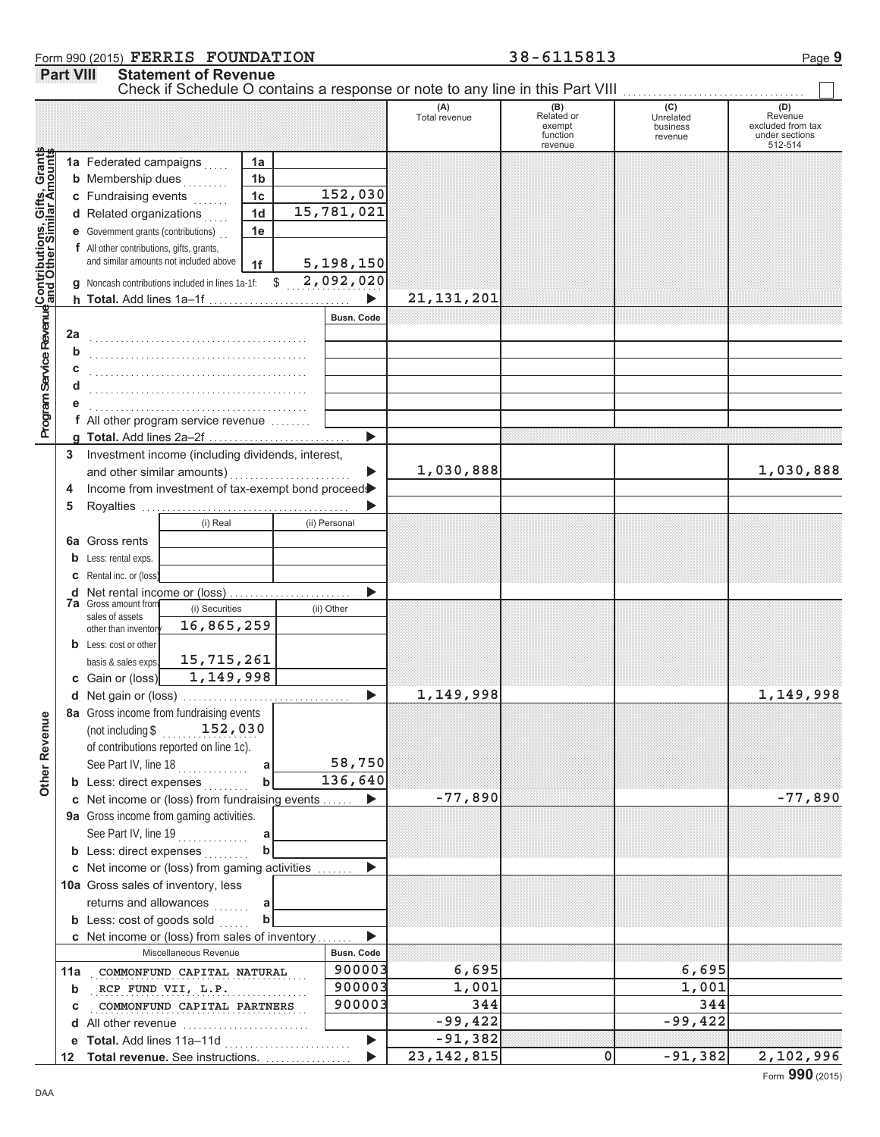# **Form 990 (2015) FERRIS FOUNDATION** 38-6115813 Page 9 **Part VIII Statement of Revenue**

 $\overline{\phantom{0}}$ 

|                                                                                                           |             | Check if Schedule O contains a response or note to any line in this Part VIII |                |               |                   |                      |                                                    |                                         |                                                           |
|-----------------------------------------------------------------------------------------------------------|-------------|-------------------------------------------------------------------------------|----------------|---------------|-------------------|----------------------|----------------------------------------------------|-----------------------------------------|-----------------------------------------------------------|
|                                                                                                           |             |                                                                               |                |               |                   | (A)<br>Total revenue | (B)<br>Related or<br>exempt<br>function<br>revenue | (C)<br>Unrelated<br>business<br>revenue | Revenue<br>excluded from tax<br>under sections<br>512-514 |
|                                                                                                           |             | 1a Federated campaigns                                                        | 1a             |               |                   |                      |                                                    |                                         |                                                           |
|                                                                                                           |             | <b>b</b> Membership dues                                                      | 1 <sub>b</sub> |               |                   |                      |                                                    |                                         |                                                           |
|                                                                                                           |             | c Fundraising events                                                          | 1 <sub>c</sub> |               | 152,030           |                      |                                                    |                                         |                                                           |
|                                                                                                           |             | d Related organizations                                                       | 1 <sub>d</sub> |               | 15,781,021        |                      |                                                    |                                         |                                                           |
|                                                                                                           |             | <b>e</b> Government grants (contributions)                                    | 1e             |               |                   |                      |                                                    |                                         |                                                           |
|                                                                                                           |             | f All other contributions, gifts, grants,                                     |                |               |                   |                      |                                                    |                                         |                                                           |
|                                                                                                           |             | and similar amounts not included above                                        | 1f             |               | 5,198,150         |                      |                                                    |                                         |                                                           |
|                                                                                                           |             | <b>g</b> Noncash contributions included in lines 1a-1f: $$$                   |                |               | 2,092,020         |                      |                                                    |                                         |                                                           |
|                                                                                                           |             | h Total. Add lines 1a-1f                                                      |                |               |                   | 21, 131, 201         |                                                    |                                         |                                                           |
|                                                                                                           |             |                                                                               |                |               | <b>Busn. Code</b> |                      |                                                    |                                         |                                                           |
|                                                                                                           | 2a          |                                                                               |                |               |                   |                      |                                                    |                                         |                                                           |
|                                                                                                           | b           |                                                                               |                |               |                   |                      |                                                    |                                         |                                                           |
|                                                                                                           | С           |                                                                               |                |               |                   |                      |                                                    |                                         |                                                           |
|                                                                                                           | d           |                                                                               |                |               |                   |                      |                                                    |                                         |                                                           |
|                                                                                                           |             |                                                                               |                |               |                   |                      |                                                    |                                         |                                                           |
|                                                                                                           |             | <b>f</b> All other program service revenue $\ldots$                           |                |               |                   |                      |                                                    |                                         |                                                           |
| Program Service Revenue Contributions, Gifts, Granta<br>Program Service Revenue and Other Similar Amounts |             |                                                                               |                |               | ь                 |                      |                                                    |                                         |                                                           |
|                                                                                                           | 3           | Investment income (including dividends, interest,                             |                |               |                   |                      |                                                    |                                         |                                                           |
|                                                                                                           |             | and other similar amounts)                                                    |                |               |                   | 1,030,888            |                                                    |                                         | 1,030,888                                                 |
|                                                                                                           | 4           | Income from investment of tax-exempt bond proceed                             |                |               |                   |                      |                                                    |                                         |                                                           |
|                                                                                                           | 5           |                                                                               |                |               |                   |                      |                                                    |                                         |                                                           |
|                                                                                                           |             | (i) Real                                                                      |                | (ii) Personal |                   |                      |                                                    |                                         |                                                           |
|                                                                                                           |             |                                                                               |                |               |                   |                      |                                                    |                                         |                                                           |
|                                                                                                           |             | <b>6a</b> Gross rents                                                         |                |               |                   |                      |                                                    |                                         |                                                           |
|                                                                                                           |             | <b>b</b> Less: rental exps.                                                   |                |               |                   |                      |                                                    |                                         |                                                           |
|                                                                                                           |             | <b>c</b> Rental inc. or (loss)                                                |                |               |                   |                      |                                                    |                                         |                                                           |
|                                                                                                           |             | <b>7a</b> Gross amount from                                                   |                |               |                   |                      |                                                    |                                         |                                                           |
|                                                                                                           |             | (i) Securities<br>sales of assets<br>16,865,259                               |                | (ii) Other    |                   |                      |                                                    |                                         |                                                           |
|                                                                                                           |             | other than inventor                                                           |                |               |                   |                      |                                                    |                                         |                                                           |
|                                                                                                           |             | <b>b</b> Less: cost or other<br>15,715,261                                    |                |               |                   |                      |                                                    |                                         |                                                           |
|                                                                                                           |             | basis & sales exps.<br>1, 149, 998                                            |                |               |                   |                      |                                                    |                                         |                                                           |
|                                                                                                           |             | c Gain or (loss)                                                              |                |               |                   | 1,149,998            |                                                    |                                         |                                                           |
|                                                                                                           |             |                                                                               |                |               |                   |                      |                                                    |                                         | 1,149,998                                                 |
| g                                                                                                         |             | 8a Gross income from fundraising events                                       |                |               |                   |                      |                                                    |                                         |                                                           |
|                                                                                                           |             | (not including $\frac{152}{100}$ , 030                                        |                |               |                   |                      |                                                    |                                         |                                                           |
|                                                                                                           |             | of contributions reported on line 1c).                                        |                |               |                   |                      |                                                    |                                         |                                                           |
| Other Reven                                                                                               |             | See Part IV, line 18                                                          | a              |               | 58,750            |                      |                                                    |                                         |                                                           |
|                                                                                                           |             | <b>b</b> Less: direct expenses                                                | $\mathbf b$    |               | 136,640           |                      |                                                    |                                         |                                                           |
|                                                                                                           |             | c Net income or (loss) from fundraising events                                |                |               |                   | $-77,890$            |                                                    |                                         | $-77,890$                                                 |
|                                                                                                           |             | 9a Gross income from gaming activities.                                       |                |               |                   |                      |                                                    |                                         |                                                           |
|                                                                                                           |             | See Part IV, line 19                                                          | a              |               |                   |                      |                                                    |                                         |                                                           |
|                                                                                                           |             | <b>b</b> Less: direct expenses                                                | $\mathbf b$    |               |                   |                      |                                                    |                                         |                                                           |
|                                                                                                           |             | c Net income or (loss) from gaming activities                                 |                |               |                   |                      |                                                    |                                         |                                                           |
|                                                                                                           |             | 10a Gross sales of inventory, less                                            |                |               |                   |                      |                                                    |                                         |                                                           |
|                                                                                                           |             | returns and allowances<br>.                                                   | a              |               |                   |                      |                                                    |                                         |                                                           |
|                                                                                                           |             | <b>b</b> Less: cost of goods sold                                             | $\mathbf b$    |               |                   |                      |                                                    |                                         |                                                           |
|                                                                                                           |             | c Net income or (loss) from sales of inventory                                |                |               |                   |                      |                                                    |                                         |                                                           |
|                                                                                                           |             | Miscellaneous Revenue                                                         |                |               | <b>Busn. Code</b> |                      |                                                    |                                         |                                                           |
|                                                                                                           |             | 11a COMMONFUND CAPITAL NATURAL                                                |                |               | 900003            | 6,695                |                                                    | 6,695                                   |                                                           |
|                                                                                                           | $\mathbf b$ | RCP FUND VII, L.P.                                                            |                |               | 900003            | 1,001                |                                                    | 1,001                                   |                                                           |
|                                                                                                           | c           | COMMONFUND CAPITAL PARTNERS                                                   |                |               | 900003            | 344<br>$-99,422$     |                                                    | 344<br>$-99,422$                        |                                                           |
|                                                                                                           |             | d All other revenue                                                           |                |               |                   | $-91,382$            |                                                    |                                         |                                                           |
|                                                                                                           |             | e Total. Add lines 11a-11d                                                    |                |               | ▶                 | 23, 142, 815         |                                                    | $-91,382$                               |                                                           |
|                                                                                                           | 12          | Total revenue. See instructions.                                              |                |               |                   |                      | 0                                                  |                                         | 2,102,996                                                 |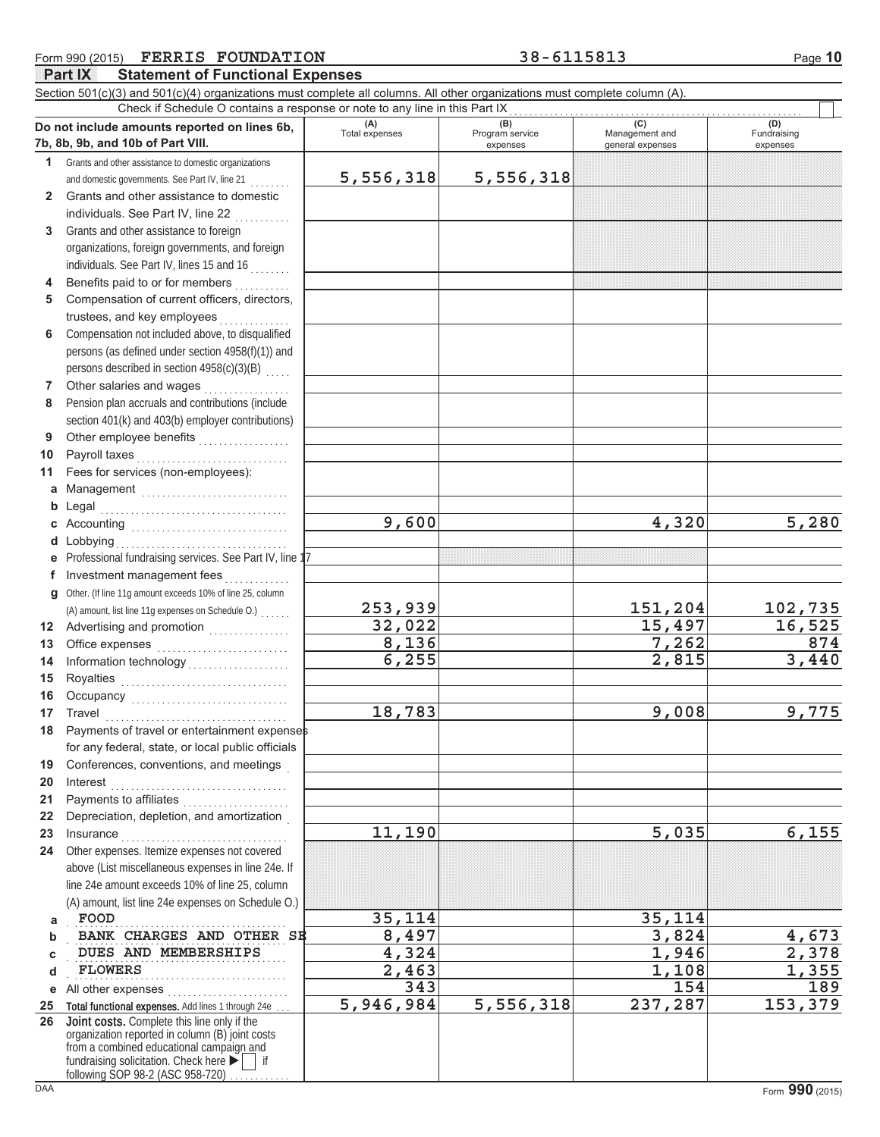|              | <b>FERRIS FOUNDATION</b><br>Form 990 (2015)                                                                                                                                                                                       |                | 38-6115813                  |                                    | Page 10                 |
|--------------|-----------------------------------------------------------------------------------------------------------------------------------------------------------------------------------------------------------------------------------|----------------|-----------------------------|------------------------------------|-------------------------|
|              | <b>Part IX</b><br><b>Statement of Functional Expenses</b>                                                                                                                                                                         |                |                             |                                    |                         |
|              | Section 501(c)(3) and 501(c)(4) organizations must complete all columns. All other organizations must complete column (A).<br>Check if Schedule O contains a response or note to any line in this Part IX                         |                |                             |                                    |                         |
|              | Do not include amounts reported on lines 6b,                                                                                                                                                                                      | (A)            | (B)                         | (C)                                | (D)                     |
|              | 7b, 8b, 9b, and 10b of Part VIII.                                                                                                                                                                                                 | Total expenses | Program service<br>expenses | Management and<br>general expenses | Fundraising<br>expenses |
| 1            | Grants and other assistance to domestic organizations                                                                                                                                                                             |                |                             |                                    |                         |
|              | and domestic governments. See Part IV, line 21                                                                                                                                                                                    | 5,556,318      | 5,556,318                   |                                    |                         |
| $\mathbf{2}$ | Grants and other assistance to domestic                                                                                                                                                                                           |                |                             |                                    |                         |
|              | individuals. See Part IV, line 22                                                                                                                                                                                                 |                |                             |                                    |                         |
| 3            | Grants and other assistance to foreign                                                                                                                                                                                            |                |                             |                                    |                         |
|              | organizations, foreign governments, and foreign                                                                                                                                                                                   |                |                             |                                    |                         |
|              | individuals. See Part IV, lines 15 and 16                                                                                                                                                                                         |                |                             |                                    |                         |
| 4            | Benefits paid to or for members                                                                                                                                                                                                   |                |                             |                                    |                         |
| 5            | Compensation of current officers, directors,                                                                                                                                                                                      |                |                             |                                    |                         |
|              | trustees, and key employees                                                                                                                                                                                                       |                |                             |                                    |                         |
| 6            | Compensation not included above, to disqualified                                                                                                                                                                                  |                |                             |                                    |                         |
|              | persons (as defined under section 4958(f)(1)) and                                                                                                                                                                                 |                |                             |                                    |                         |
|              | persons described in section 4958(c)(3)(B)                                                                                                                                                                                        |                |                             |                                    |                         |
| 7            | Other salaries and wages                                                                                                                                                                                                          |                |                             |                                    |                         |
| 8            | Pension plan accruals and contributions (include                                                                                                                                                                                  |                |                             |                                    |                         |
|              | section 401(k) and 403(b) employer contributions)                                                                                                                                                                                 |                |                             |                                    |                         |
| 9            | Other employee benefits                                                                                                                                                                                                           |                |                             |                                    |                         |
| 10           | Payroll taxes                                                                                                                                                                                                                     |                |                             |                                    |                         |
| 11           | Fees for services (non-employees):                                                                                                                                                                                                |                |                             |                                    |                         |
| a            | Management                                                                                                                                                                                                                        |                |                             |                                    |                         |
|              | <b>b</b> Legal                                                                                                                                                                                                                    |                |                             |                                    |                         |
|              | c Accounting $\ldots$                                                                                                                                                                                                             | 9,600          |                             | 4,320                              | 5,280                   |
|              | d Lobbying                                                                                                                                                                                                                        |                |                             |                                    |                         |
| е            | Professional fundraising services. See Part IV, line 17                                                                                                                                                                           |                |                             |                                    |                         |
| f            | Investment management fees                                                                                                                                                                                                        |                |                             |                                    |                         |
| q            | Other. (If line 11g amount exceeds 10% of line 25, column                                                                                                                                                                         |                |                             |                                    |                         |
|              | (A) amount, list line 11g expenses on Schedule O.)                                                                                                                                                                                | 253,939        |                             | 151,204                            | 102,735                 |
|              | 12 Advertising and promotion [1] [1] Advertising and promotion                                                                                                                                                                    | 32,022         |                             | 15,497                             | 16,525                  |
| 13           | Office expenses                                                                                                                                                                                                                   | 8,136          |                             | 7,262                              | 874                     |
| 14           |                                                                                                                                                                                                                                   | 6,255          |                             | 2,815                              | 3,440                   |
| 15           | Royalties<br>Note: All Distribution of the Magnetic Section of the Magnetic Section of the Magnetic Section of the Magnetic Section of the Magnetic Section of the Magnetic Section of the Magnetic Section of the Magnetic Secti |                |                             |                                    |                         |
| 16           |                                                                                                                                                                                                                                   |                |                             |                                    |                         |
| 17           | Travel                                                                                                                                                                                                                            | 18,783         |                             | 9,008                              | 9,775                   |
| 18           | Payments of travel or entertainment expenses                                                                                                                                                                                      |                |                             |                                    |                         |
|              | for any federal, state, or local public officials                                                                                                                                                                                 |                |                             |                                    |                         |
| 19           | Conferences, conventions, and meetings                                                                                                                                                                                            |                |                             |                                    |                         |
| 20           | Interest                                                                                                                                                                                                                          |                |                             |                                    |                         |
| 21           | Payments to affiliates<br>.                                                                                                                                                                                                       |                |                             |                                    |                         |
| 22           | Depreciation, depletion, and amortization                                                                                                                                                                                         |                |                             |                                    |                         |
| 23           | Insurance                                                                                                                                                                                                                         | 11,190         |                             | 5,035                              | 6,155                   |
| 24           | Other expenses. Itemize expenses not covered                                                                                                                                                                                      |                |                             |                                    |                         |
|              | above (List miscellaneous expenses in line 24e. If                                                                                                                                                                                |                |                             |                                    |                         |
|              | line 24e amount exceeds 10% of line 25, column                                                                                                                                                                                    |                |                             |                                    |                         |

**BANK CHARGES AND OTHER SE 8,497** 3,824 4,673 **DUES AND MEMBERSHIPS** 4,324 1,946 2,378

**FLOWERS 2,463 1,108 1,355** 

**343 154 189**

**5,946,984 5,556,318 237,287 153,379**

**FOOD 35,114 35,114**

**26**

**a b c d**

**e** All other expenses . . . . . . . . . . . . . . . . . . . . . . . . 25 Total functional expenses. Add lines 1 through 24e ...

Joint costs. Complete this line only if the

. . . . . . . . . . . . . . . . . . . . . . . . . . . . . . . . . . . . . . . . . . .

fundraising solicitation. Check here  $\blacktriangleright$  | if organization reported in column (B) joint costs from a combined educational campaign and

following SOP 98-2 (ASC 958-720)

(A) amount, list line 24e expenses on Schedule O.)

. . . . . . . . . . . . . . . . . . . . . . . . . . . . . . . . . . . . . . . . . . .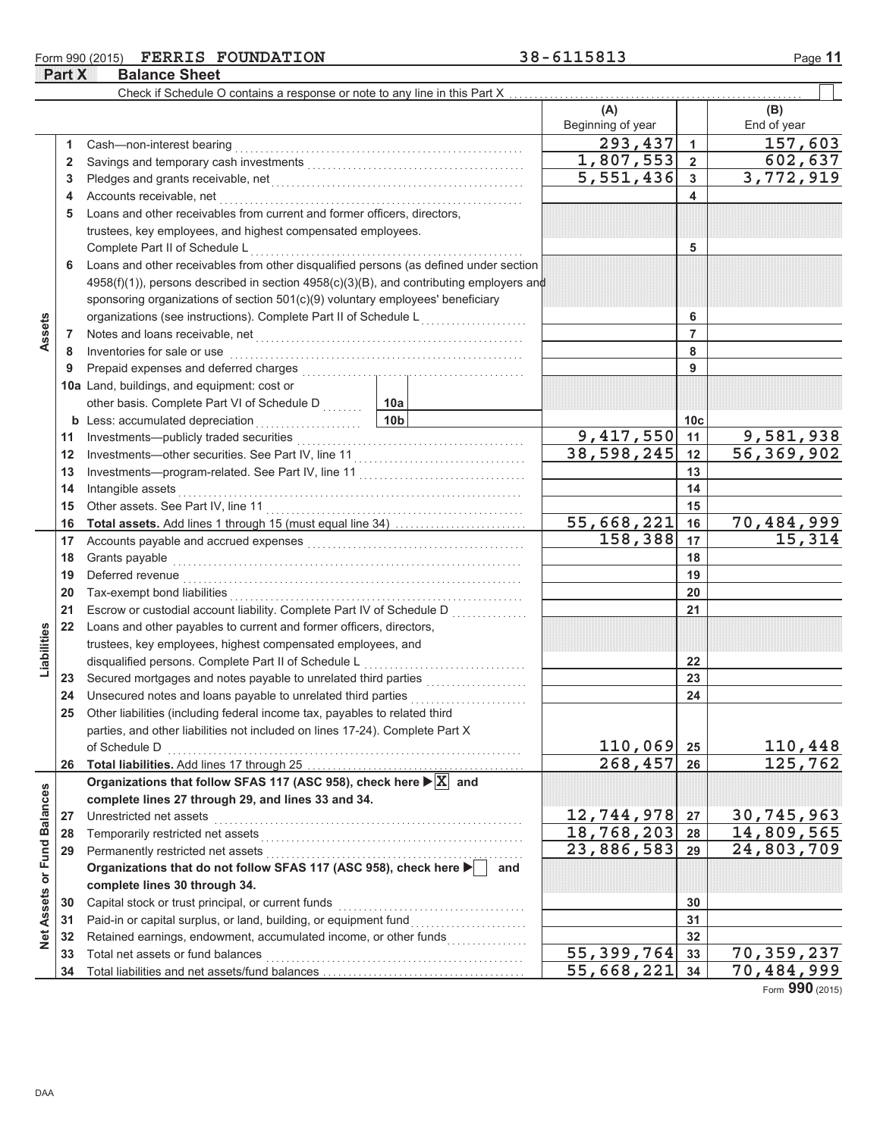### Form 990 (2015) FERRIS FOUNDATION 38-6115813 Page 11 **Part X** Balance Sheet

|                             |          | Check if Schedule O contains a response or note to any line in this Part X                                                                                                                                                          |                                          |                                         |                 |                            |
|-----------------------------|----------|-------------------------------------------------------------------------------------------------------------------------------------------------------------------------------------------------------------------------------------|------------------------------------------|-----------------------------------------|-----------------|----------------------------|
|                             |          |                                                                                                                                                                                                                                     |                                          | (A)                                     |                 | (B)                        |
|                             |          |                                                                                                                                                                                                                                     |                                          | Beginning of year                       |                 | End of year                |
|                             | 1.       | Cash-non-interest bearing                                                                                                                                                                                                           |                                          | 293,437                                 | $\mathbf{1}$    | 157,603                    |
|                             | 2        |                                                                                                                                                                                                                                     |                                          | 1,807,553                               | $\overline{2}$  | 602,637                    |
|                             | 3        |                                                                                                                                                                                                                                     |                                          | 5,551,436                               | 3               | 3,772,919                  |
|                             | 4        | Accounts receivable, net                                                                                                                                                                                                            |                                          |                                         | 4               |                            |
|                             | 5        | Loans and other receivables from current and former officers, directors,                                                                                                                                                            |                                          |                                         |                 |                            |
|                             |          | trustees, key employees, and highest compensated employees.                                                                                                                                                                         |                                          |                                         |                 |                            |
|                             |          | Complete Part II of Schedule L                                                                                                                                                                                                      |                                          |                                         | 5               |                            |
|                             | 6        | Loans and other receivables from other disqualified persons (as defined under section                                                                                                                                               |                                          |                                         |                 |                            |
|                             |          | $4958(f)(1)$ , persons described in section $4958(c)(3)(B)$ , and contributing employers and                                                                                                                                        |                                          |                                         |                 |                            |
|                             |          | sponsoring organizations of section 501(c)(9) voluntary employees' beneficiary                                                                                                                                                      |                                          |                                         |                 |                            |
|                             |          | organizations (see instructions). Complete Part II of Schedule L                                                                                                                                                                    | and a strategic control of the strategic |                                         | 6               |                            |
| Assets                      | 7        | Notes and loans receivable, net <b>constructs</b> and in the set of the set of the set of the set of the set of the set of the set of the set of the set of the set of the set of the set of the set of the set of the set of the s |                                          |                                         | 7               |                            |
|                             | 8        | Inventories for sale or use                                                                                                                                                                                                         |                                          |                                         | 8               |                            |
|                             | 9        | Prepaid expenses and deferred charges                                                                                                                                                                                               |                                          |                                         | 9               |                            |
|                             |          | 10a Land, buildings, and equipment: cost or                                                                                                                                                                                         |                                          |                                         |                 |                            |
|                             |          | other basis. Complete Part VI of Schedule D                                                                                                                                                                                         | 10a                                      |                                         |                 |                            |
|                             |          | <b>b</b> Less: accumulated depreciation<br>.                                                                                                                                                                                        | 10 <sub>b</sub>                          |                                         | 10 <sub>c</sub> | 9,581,938                  |
|                             | 11       |                                                                                                                                                                                                                                     |                                          | $\overline{9}$ , 417, 550<br>38,598,245 | 11              |                            |
|                             | 12       |                                                                                                                                                                                                                                     |                                          |                                         | 12              | 56,369,902                 |
|                             | 13<br>14 | Intangible assets                                                                                                                                                                                                                   |                                          |                                         | 13<br>14        |                            |
|                             | 15       |                                                                                                                                                                                                                                     |                                          | 15                                      |                 |                            |
|                             | 16       |                                                                                                                                                                                                                                     |                                          | $\overline{55}$ , 668, 221              | 16              | 70,484,999                 |
|                             | 17       |                                                                                                                                                                                                                                     |                                          | 158,388                                 | 17              | 15,314                     |
|                             | 18       | Grants payable                                                                                                                                                                                                                      |                                          |                                         | 18              |                            |
|                             | 19       | Deferred revenue                                                                                                                                                                                                                    |                                          |                                         | 19              |                            |
|                             | 20       |                                                                                                                                                                                                                                     |                                          | 20                                      |                 |                            |
|                             | 21       | Escrow or custodial account liability. Complete Part IV of Schedule D                                                                                                                                                               |                                          |                                         | 21              |                            |
|                             | 22       | Loans and other payables to current and former officers, directors,                                                                                                                                                                 |                                          |                                         |                 |                            |
|                             |          | trustees, key employees, highest compensated employees, and                                                                                                                                                                         |                                          |                                         |                 |                            |
| Liabilities                 |          | disqualified persons. Complete Part II of Schedule L                                                                                                                                                                                |                                          |                                         | 22              |                            |
|                             | 23       | Secured mortgages and notes payable to unrelated third parties                                                                                                                                                                      |                                          |                                         | 23              |                            |
|                             | 24       |                                                                                                                                                                                                                                     |                                          |                                         | 24              |                            |
|                             | 25       | Other liabilities (including federal income tax, payables to related third                                                                                                                                                          |                                          |                                         |                 |                            |
|                             |          | parties, and other liabilities not included on lines 17-24). Complete Part X                                                                                                                                                        |                                          |                                         |                 |                            |
|                             |          | of Schedule D                                                                                                                                                                                                                       |                                          | 110,069                                 | 25              | 110,448                    |
|                             | 26       |                                                                                                                                                                                                                                     |                                          | 268,457                                 | 26              | 125,762                    |
|                             |          | Organizations that follow SFAS 117 (ASC 958), check here $\blacktriangleright$ $\boxed{\mathbf{X}}$ and                                                                                                                             |                                          |                                         |                 |                            |
|                             |          | complete lines 27 through 29, and lines 33 and 34.                                                                                                                                                                                  |                                          | 12,744,978                              | 27              | 30,745,963                 |
|                             | 27<br>28 | Unrestricted net assets<br>Temporarily restricted net assets                                                                                                                                                                        |                                          | 18,768,203                              | 28              | 14,809,565                 |
|                             | 29       | Permanently restricted net assets                                                                                                                                                                                                   |                                          | 23,886,583                              | 29              | $\overline{24}$ , 803, 709 |
|                             |          | Organizations that do not follow SFAS 117 (ASC 958), check here                                                                                                                                                                     | and                                      |                                         |                 |                            |
|                             |          | complete lines 30 through 34.                                                                                                                                                                                                       |                                          |                                         |                 |                            |
| Net Assets or Fund Balances | 30       | Capital stock or trust principal, or current funds                                                                                                                                                                                  |                                          |                                         | 30              |                            |
|                             | 31       |                                                                                                                                                                                                                                     |                                          |                                         | 31              |                            |
|                             | 32       | Retained earnings, endowment, accumulated income, or other funds                                                                                                                                                                    | and a straight and a straight.           |                                         | 32              |                            |
|                             | 33       | Total net assets or fund balances                                                                                                                                                                                                   |                                          | 55,399,764                              | 33              | 70,359,237                 |
|                             | 34       |                                                                                                                                                                                                                                     |                                          | 55,668,221                              | 34              | 70,484,999                 |

Form **990** (2015)

DAA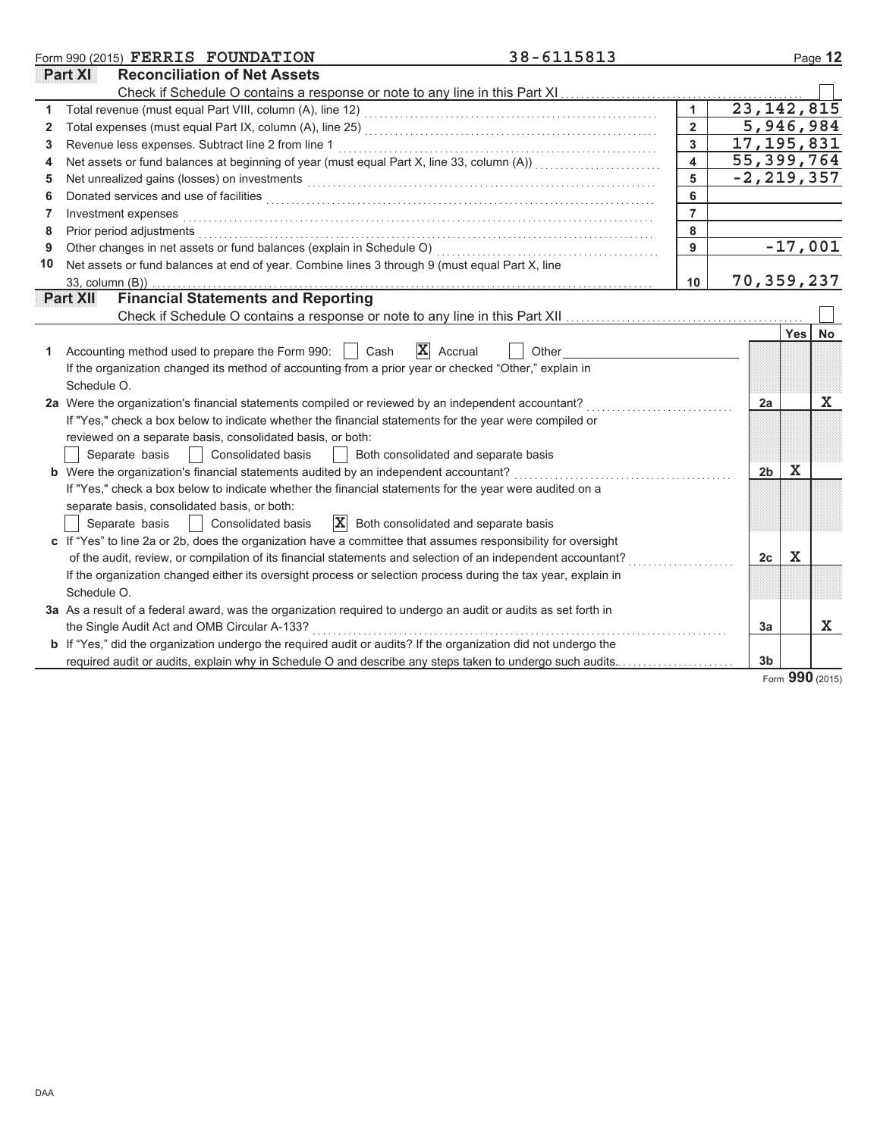|    | 38-6115813<br>Form 990 (2015) FERRIS FOUNDATION                                                                                                                                                                               |                  |                           |            | Page 12   |
|----|-------------------------------------------------------------------------------------------------------------------------------------------------------------------------------------------------------------------------------|------------------|---------------------------|------------|-----------|
|    | <b>Reconciliation of Net Assets</b><br>Part XI                                                                                                                                                                                |                  |                           |            |           |
|    |                                                                                                                                                                                                                               |                  |                           |            |           |
|    |                                                                                                                                                                                                                               |                  | $\overline{23,142}$ , 815 |            |           |
| 2  |                                                                                                                                                                                                                               | $\overline{2}$   | 5,946,984                 |            |           |
| 3  |                                                                                                                                                                                                                               | 3                | 17, 195, 831              |            |           |
| 4  | Net assets or fund balances at beginning of year (must equal Part X, line 33, column (A)) [[[[[[[[[[[[[[[[[[[                                                                                                                 | $\blacktriangle$ | 55,399,764                |            |           |
| 5  | Net unrealized gains (losses) on investments [11] with the context of the context of the state of the context of the context of the context of the context of the context of the context of the context of the context of the | 5                | $-2, 219, 357$            |            |           |
| 6  |                                                                                                                                                                                                                               | 6                |                           |            |           |
| 7  | Investment expenses                                                                                                                                                                                                           | $\overline{7}$   |                           |            |           |
| 8  | Prior period adjustments                                                                                                                                                                                                      | 8                |                           |            |           |
| 9  | Other changes in net assets or fund balances (explain in Schedule O)                                                                                                                                                          | 9                |                           |            | $-17,001$ |
| 10 | Net assets or fund balances at end of year. Combine lines 3 through 9 (must equal Part X, line                                                                                                                                |                  |                           |            |           |
|    | 33, column (B))                                                                                                                                                                                                               | 10               | 70, 359, 237              |            |           |
|    | <b>Financial Statements and Reporting</b><br>Part XII                                                                                                                                                                         |                  |                           |            |           |
|    |                                                                                                                                                                                                                               |                  |                           |            |           |
|    |                                                                                                                                                                                                                               |                  |                           | <b>Yes</b> | No        |
| 1. | $\mathbf{X}$ Accrual<br>Accounting method used to prepare the Form 990:<br>Cash<br>Other                                                                                                                                      |                  |                           |            |           |
|    | If the organization changed its method of accounting from a prior year or checked "Other," explain in                                                                                                                         |                  |                           |            |           |
|    | Schedule O.                                                                                                                                                                                                                   |                  |                           |            |           |
|    | 2a Were the organization's financial statements compiled or reviewed by an independent accountant?                                                                                                                            |                  | 2a                        |            | х         |
|    | If "Yes," check a box below to indicate whether the financial statements for the year were compiled or                                                                                                                        |                  |                           |            |           |
|    | reviewed on a separate basis, consolidated basis, or both:                                                                                                                                                                    |                  |                           |            |           |
|    | Separate basis<br><b>Consolidated basis</b><br>Both consolidated and separate basis<br>$\mathbf{1}$                                                                                                                           |                  |                           |            |           |
|    | b Were the organization's financial statements audited by an independent accountant?                                                                                                                                          |                  | 2 <sub>b</sub>            | х          |           |
|    | If "Yes," check a box below to indicate whether the financial statements for the year were audited on a                                                                                                                       |                  |                           |            |           |
|    | separate basis, consolidated basis, or both:                                                                                                                                                                                  |                  |                           |            |           |
|    | $ \mathbf{X} $ Both consolidated and separate basis<br>Separate basis<br><b>Consolidated basis</b>                                                                                                                            |                  |                           |            |           |
|    | c If "Yes" to line 2a or 2b, does the organization have a committee that assumes responsibility for oversight                                                                                                                 |                  |                           |            |           |
|    | of the audit, review, or compilation of its financial statements and selection of an independent accountant?                                                                                                                  |                  | 2c                        | X          |           |
|    | If the organization changed either its oversight process or selection process during the tax year, explain in                                                                                                                 |                  |                           |            |           |
|    | Schedule O.                                                                                                                                                                                                                   |                  |                           |            |           |
|    | 3a As a result of a federal award, was the organization required to undergo an audit or audits as set forth in                                                                                                                |                  |                           |            |           |
|    | the Single Audit Act and OMB Circular A-133?                                                                                                                                                                                  |                  | 3a                        |            | X         |
|    | <b>b</b> If "Yes," did the organization undergo the required audit or audits? If the organization did not undergo the                                                                                                         |                  |                           |            |           |
|    | required audit or audits, explain why in Schedule O and describe any steps taken to undergo such audits                                                                                                                       |                  | 3 <sub>b</sub>            |            |           |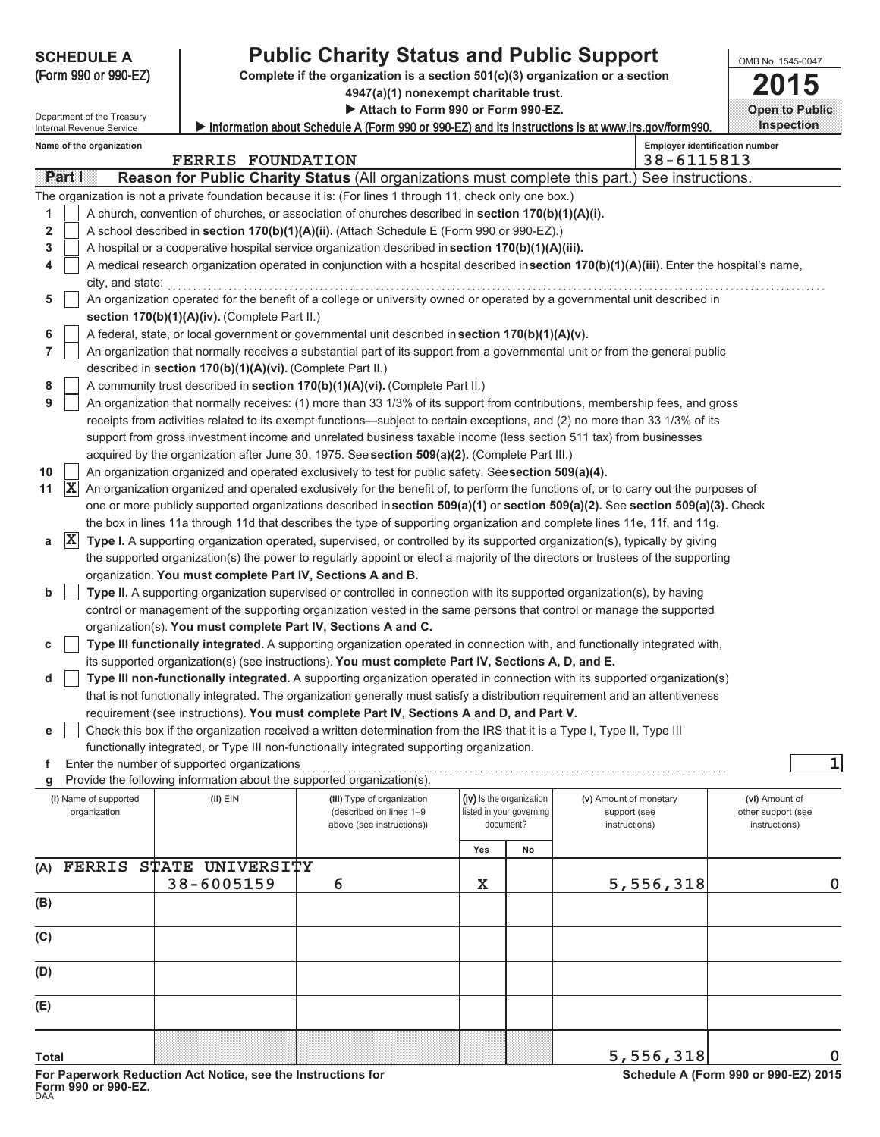| <b>SCHEDULE A</b>                     |                                                                               | <b>Public Charity Status and Public Support</b>                                                                                                                                                                                  |                          |                          |                                        |  | OMB No. 1545-0047                    |
|---------------------------------------|-------------------------------------------------------------------------------|----------------------------------------------------------------------------------------------------------------------------------------------------------------------------------------------------------------------------------|--------------------------|--------------------------|----------------------------------------|--|--------------------------------------|
| (Form 990 or 990-EZ)                  | Complete if the organization is a section 501(c)(3) organization or a section |                                                                                                                                                                                                                                  |                          |                          |                                        |  | 5                                    |
|                                       | 4947(a)(1) nonexempt charitable trust.                                        |                                                                                                                                                                                                                                  |                          |                          |                                        |  |                                      |
| Department of the Treasury            |                                                                               | Attach to Form 990 or Form 990-EZ.                                                                                                                                                                                               |                          |                          |                                        |  | <b>Open to Public</b>                |
| Internal Revenue Service              |                                                                               | Information about Schedule A (Form 990 or 990-EZ) and its instructions is at www.irs.gov/form990.                                                                                                                                |                          |                          |                                        |  | <b>Inspection</b>                    |
| Name of the organization              | <b>FERRIS FOUNDATION</b>                                                      |                                                                                                                                                                                                                                  |                          |                          | 38-6115813                             |  | Employer identification number       |
| Partill                               |                                                                               | Reason for Public Charity Status (All organizations must complete this part.) See instructions.                                                                                                                                  |                          |                          |                                        |  |                                      |
|                                       |                                                                               | The organization is not a private foundation because it is: (For lines 1 through 11, check only one box.)                                                                                                                        |                          |                          |                                        |  |                                      |
| 1                                     |                                                                               | A church, convention of churches, or association of churches described in section 170(b)(1)(A)(i).                                                                                                                               |                          |                          |                                        |  |                                      |
| $\overline{\mathbf{2}}$               |                                                                               | A school described in section 170(b)(1)(A)(ii). (Attach Schedule E (Form 990 or 990-EZ).)                                                                                                                                        |                          |                          |                                        |  |                                      |
| 3                                     |                                                                               | A hospital or a cooperative hospital service organization described in section 170(b)(1)(A)(iii).                                                                                                                                |                          |                          |                                        |  |                                      |
| 4                                     |                                                                               | A medical research organization operated in conjunction with a hospital described insection 170(b)(1)(A)(iii). Enter the hospital's name,                                                                                        |                          |                          |                                        |  |                                      |
| city, and state:                      |                                                                               |                                                                                                                                                                                                                                  |                          |                          |                                        |  |                                      |
| 5                                     |                                                                               | An organization operated for the benefit of a college or university owned or operated by a governmental unit described in                                                                                                        |                          |                          |                                        |  |                                      |
|                                       | section 170(b)(1)(A)(iv). (Complete Part II.)                                 |                                                                                                                                                                                                                                  |                          |                          |                                        |  |                                      |
| 6                                     |                                                                               | A federal, state, or local government or governmental unit described in section 170(b)(1)(A)(v).                                                                                                                                 |                          |                          |                                        |  |                                      |
| $\overline{7}$                        |                                                                               | An organization that normally receives a substantial part of its support from a governmental unit or from the general public                                                                                                     |                          |                          |                                        |  |                                      |
|                                       | described in section 170(b)(1)(A)(vi). (Complete Part II.)                    |                                                                                                                                                                                                                                  |                          |                          |                                        |  |                                      |
| 8<br>9                                |                                                                               | A community trust described in section 170(b)(1)(A)(vi). (Complete Part II.)<br>An organization that normally receives: (1) more than 33 1/3% of its support from contributions, membership fees, and gross                      |                          |                          |                                        |  |                                      |
|                                       |                                                                               | receipts from activities related to its exempt functions—subject to certain exceptions, and (2) no more than 33 1/3% of its                                                                                                      |                          |                          |                                        |  |                                      |
|                                       |                                                                               | support from gross investment income and unrelated business taxable income (less section 511 tax) from businesses                                                                                                                |                          |                          |                                        |  |                                      |
|                                       |                                                                               | acquired by the organization after June 30, 1975. See section 509(a)(2). (Complete Part III.)                                                                                                                                    |                          |                          |                                        |  |                                      |
| 10                                    |                                                                               | An organization organized and operated exclusively to test for public safety. Seesection 509(a)(4).                                                                                                                              |                          |                          |                                        |  |                                      |
| $ \mathbf{X} $<br>11                  |                                                                               | An organization organized and operated exclusively for the benefit of, to perform the functions of, or to carry out the purposes of                                                                                              |                          |                          |                                        |  |                                      |
|                                       |                                                                               | one or more publicly supported organizations described in section 509(a)(1) or section 509(a)(2). See section 509(a)(3). Check                                                                                                   |                          |                          |                                        |  |                                      |
|                                       |                                                                               | the box in lines 11a through 11d that describes the type of supporting organization and complete lines 11e, 11f, and 11g.                                                                                                        |                          |                          |                                        |  |                                      |
| $ \mathbf{X} $<br>a                   |                                                                               | Type I. A supporting organization operated, supervised, or controlled by its supported organization(s), typically by giving                                                                                                      |                          |                          |                                        |  |                                      |
|                                       |                                                                               | the supported organization(s) the power to regularly appoint or elect a majority of the directors or trustees of the supporting                                                                                                  |                          |                          |                                        |  |                                      |
|                                       | organization. You must complete Part IV, Sections A and B.                    |                                                                                                                                                                                                                                  |                          |                          |                                        |  |                                      |
| b                                     |                                                                               | Type II. A supporting organization supervised or controlled in connection with its supported organization(s), by having                                                                                                          |                          |                          |                                        |  |                                      |
|                                       |                                                                               | control or management of the supporting organization vested in the same persons that control or manage the supported                                                                                                             |                          |                          |                                        |  |                                      |
|                                       |                                                                               | organization(s). You must complete Part IV, Sections A and C.                                                                                                                                                                    |                          |                          |                                        |  |                                      |
| с                                     |                                                                               | Type III functionally integrated. A supporting organization operated in connection with, and functionally integrated with,<br>its supported organization(s) (see instructions). You must complete Part IV, Sections A, D, and E. |                          |                          |                                        |  |                                      |
| d                                     |                                                                               | Type III non-functionally integrated. A supporting organization operated in connection with its supported organization(s)                                                                                                        |                          |                          |                                        |  |                                      |
|                                       |                                                                               | that is not functionally integrated. The organization generally must satisfy a distribution requirement and an attentiveness                                                                                                     |                          |                          |                                        |  |                                      |
|                                       |                                                                               | requirement (see instructions). You must complete Part IV, Sections A and D, and Part V.                                                                                                                                         |                          |                          |                                        |  |                                      |
| е                                     |                                                                               | Check this box if the organization received a written determination from the IRS that it is a Type I, Type II, Type III                                                                                                          |                          |                          |                                        |  |                                      |
|                                       |                                                                               | functionally integrated, or Type III non-functionally integrated supporting organization.                                                                                                                                        |                          |                          |                                        |  |                                      |
| f                                     | Enter the number of supported organizations                                   |                                                                                                                                                                                                                                  |                          |                          |                                        |  | 1                                    |
| g                                     | Provide the following information about the supported organization(s).        |                                                                                                                                                                                                                                  |                          |                          |                                        |  |                                      |
| (i) Name of supported<br>organization | $(ii)$ $EIN$                                                                  | (iii) Type of organization<br>(described on lines 1-9                                                                                                                                                                            | (iv) Is the organization | listed in your governing | (v) Amount of monetary<br>support (see |  | (vi) Amount of<br>other support (see |
|                                       |                                                                               | above (see instructions))                                                                                                                                                                                                        |                          | document?                | instructions)                          |  | instructions)                        |
|                                       |                                                                               |                                                                                                                                                                                                                                  |                          |                          |                                        |  |                                      |
| (A)                                   | FERRIS STATE UNIVERSITY                                                       |                                                                                                                                                                                                                                  | Yes                      | No                       |                                        |  |                                      |
|                                       | 38-6005159                                                                    | 6                                                                                                                                                                                                                                | X                        |                          | 5,556,318                              |  | 0                                    |
| (B)                                   |                                                                               |                                                                                                                                                                                                                                  |                          |                          |                                        |  |                                      |
|                                       |                                                                               |                                                                                                                                                                                                                                  |                          |                          |                                        |  |                                      |
| (C)                                   |                                                                               |                                                                                                                                                                                                                                  |                          |                          |                                        |  |                                      |
|                                       |                                                                               |                                                                                                                                                                                                                                  |                          |                          |                                        |  |                                      |
| (D)                                   |                                                                               |                                                                                                                                                                                                                                  |                          |                          |                                        |  |                                      |
|                                       |                                                                               |                                                                                                                                                                                                                                  |                          |                          |                                        |  |                                      |
| (E)                                   |                                                                               |                                                                                                                                                                                                                                  |                          |                          |                                        |  |                                      |
|                                       |                                                                               |                                                                                                                                                                                                                                  |                          |                          |                                        |  |                                      |
|                                       |                                                                               |                                                                                                                                                                                                                                  |                          |                          | 5,556,318                              |  | 0                                    |
| <b>Total</b>                          |                                                                               |                                                                                                                                                                                                                                  |                          |                          |                                        |  |                                      |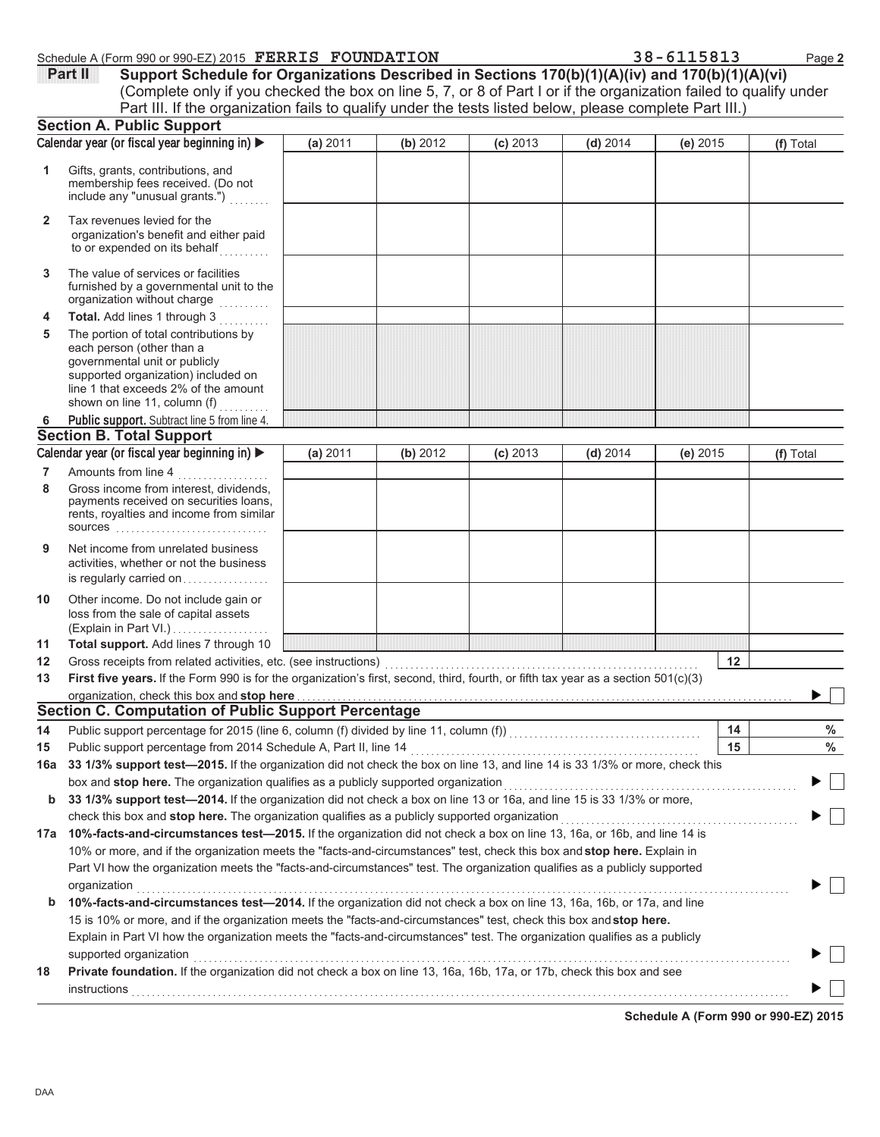$\blacktriangleright \Box$ 

 $\blacktriangleright$   $\Box$ 

|              | Schedule A (Form 990 or 990-EZ) 2015 FERRIS FOUNDATION                                                                                                                                                                                                                                                                                    |          |          |            |            | 38-6115813 | Page 2    |
|--------------|-------------------------------------------------------------------------------------------------------------------------------------------------------------------------------------------------------------------------------------------------------------------------------------------------------------------------------------------|----------|----------|------------|------------|------------|-----------|
|              | Support Schedule for Organizations Described in Sections 170(b)(1)(A)(iv) and 170(b)(1)(A)(vi)<br>Part II<br>(Complete only if you checked the box on line 5, 7, or 8 of Part I or if the organization failed to qualify under<br>Part III. If the organization fails to qualify under the tests listed below, please complete Part III.) |          |          |            |            |            |           |
|              | <b>Section A. Public Support</b>                                                                                                                                                                                                                                                                                                          |          |          |            |            |            |           |
|              | Calendar year (or fiscal year beginning in)                                                                                                                                                                                                                                                                                               | (a) 2011 | (b) 2012 | $(c)$ 2013 | $(d)$ 2014 | $(e)$ 2015 | (f) Total |
| 1            | Gifts, grants, contributions, and<br>membership fees received. (Do not<br>include any "unusual grants.")                                                                                                                                                                                                                                  |          |          |            |            |            |           |
| $\mathbf{2}$ | Tax revenues levied for the<br>organization's benefit and either paid<br>to or expended on its behalf                                                                                                                                                                                                                                     |          |          |            |            |            |           |
| 3            | The value of services or facilities<br>furnished by a governmental unit to the<br>organization without charge                                                                                                                                                                                                                             |          |          |            |            |            |           |
| 4            | Total. Add lines 1 through 3                                                                                                                                                                                                                                                                                                              |          |          |            |            |            |           |
| 5            | The portion of total contributions by<br>each person (other than a<br>governmental unit or publicly<br>supported organization) included on<br>line 1 that exceeds 2% of the amount                                                                                                                                                        |          |          |            |            |            |           |
|              | shown on line 11, column (f) $\ldots$                                                                                                                                                                                                                                                                                                     |          |          |            |            |            |           |
| 6            | Public support. Subtract line 5 from line 4.                                                                                                                                                                                                                                                                                              |          |          |            |            |            |           |
|              | <b>Section B. Total Support</b><br>Calendar year (or fiscal year beginning in)                                                                                                                                                                                                                                                            |          |          |            |            |            |           |
|              |                                                                                                                                                                                                                                                                                                                                           | (a) 2011 | (b) 2012 | $(c)$ 2013 | $(d)$ 2014 | $(e)$ 2015 | (f) Total |
| 7<br>8       | Amounts from line 4<br>.<br>Gross income from interest, dividends,                                                                                                                                                                                                                                                                        |          |          |            |            |            |           |
|              | payments received on securities loans,<br>rents, royalties and income from similar<br><b>sources</b>                                                                                                                                                                                                                                      |          |          |            |            |            |           |
| 9            | Net income from unrelated business<br>activities, whether or not the business<br>is regularly carried on                                                                                                                                                                                                                                  |          |          |            |            |            |           |
| 10           | Other income. Do not include gain or<br>loss from the sale of capital assets<br>(Explain in Part VI.)                                                                                                                                                                                                                                     |          |          |            |            |            |           |
| 11           | Total support. Add lines 7 through 10                                                                                                                                                                                                                                                                                                     |          |          |            |            |            |           |
| 12           | Gross receipts from related activities, etc. (see instructions)                                                                                                                                                                                                                                                                           |          |          |            |            | 12         |           |
| 13           | First five years. If the Form 990 is for the organization's first, second, third, fourth, or fifth tax year as a section 501(c)(3)                                                                                                                                                                                                        |          |          |            |            |            |           |
|              | organization, check this box and stop here                                                                                                                                                                                                                                                                                                |          |          |            |            |            |           |
|              | <b>Section C. Computation of Public Support Percentage</b>                                                                                                                                                                                                                                                                                |          |          |            |            |            |           |
| 14           |                                                                                                                                                                                                                                                                                                                                           |          |          |            |            | 14         | $\%$      |
| 15           | Public support percentage from 2014 Schedule A, Part II, line 14                                                                                                                                                                                                                                                                          |          |          |            |            | 15         | $\%$      |
| 16a          | 33 1/3% support test-2015. If the organization did not check the box on line 13, and line 14 is 33 1/3% or more, check this                                                                                                                                                                                                               |          |          |            |            |            |           |
|              | box and stop here. The organization qualifies as a publicly supported organization                                                                                                                                                                                                                                                        |          |          |            |            |            |           |
| b            | 33 1/3% support test-2014. If the organization did not check a box on line 13 or 16a, and line 15 is 33 1/3% or more,                                                                                                                                                                                                                     |          |          |            |            |            |           |
|              | check this box and stop here. The organization qualifies as a publicly supported organization                                                                                                                                                                                                                                             |          |          |            |            |            |           |
|              | 17a 10%-facts-and-circumstances test-2015. If the organization did not check a box on line 13, 16a, or 16b, and line 14 is                                                                                                                                                                                                                |          |          |            |            |            |           |
|              | 10% or more, and if the organization meets the "facts-and-circumstances" test, check this box and stop here. Explain in                                                                                                                                                                                                                   |          |          |            |            |            |           |

|    | Part VI how the organization meets the "facts-and-circumstances" test. The organization qualifies as a publicly supported      |
|----|--------------------------------------------------------------------------------------------------------------------------------|
|    | organization                                                                                                                   |
|    | <b>b</b> 10%-facts-and-circumstances test—2014. If the organization did not check a box on line 13, 16a, 16b, or 17a, and line |
|    | 15 is 10% or more, and if the organization meets the "facts-and-circumstances" test, check this box and stop here.             |
|    | Explain in Part VI how the organization meets the "facts-and-circumstances" test. The organization qualifies as a publicly     |
|    | supported organization                                                                                                         |
| 18 | Private foundation. If the organization did not check a box on line 13, 16a, 16b, 17a, or 17b, check this box and see          |

 $\blacktriangleright$   $\Box$ <u>instructions</u>

**Schedule A (Form 990 or 990-EZ) 2015**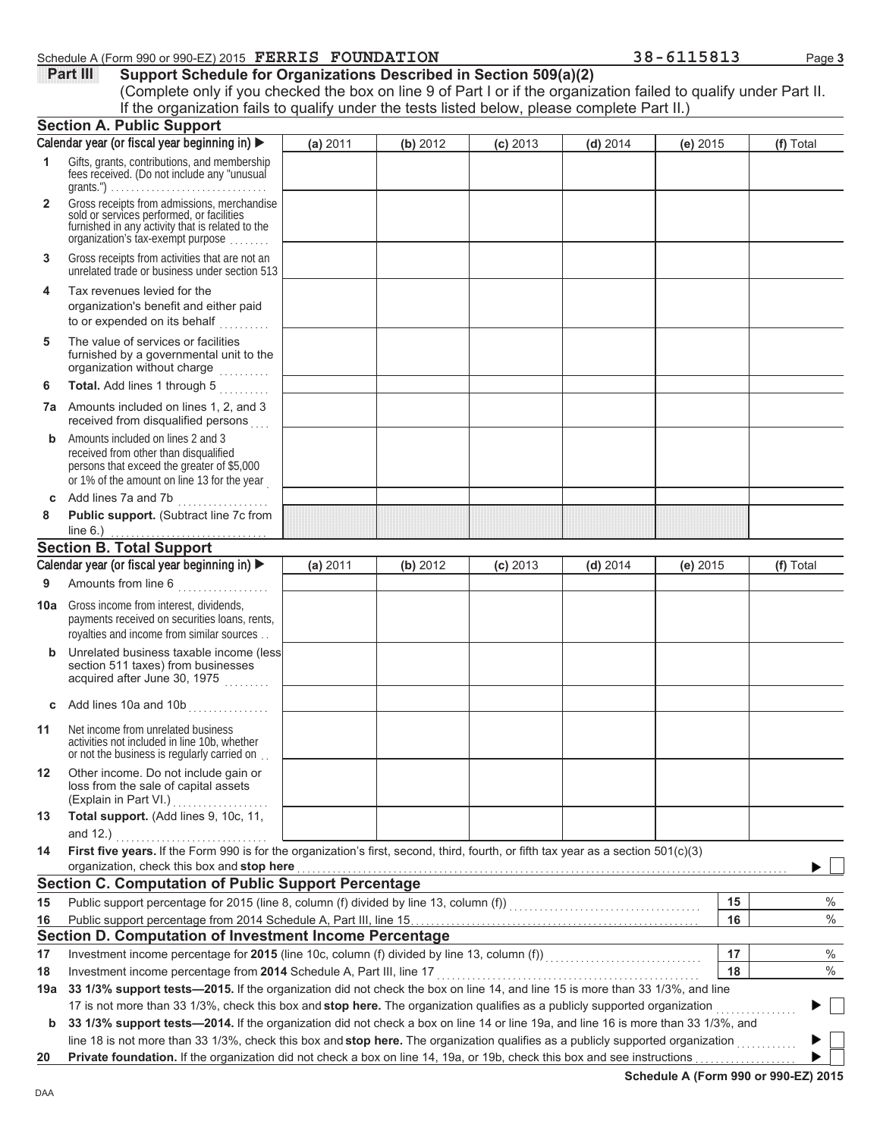## **Schedule A (Form 990 or 990-EZ) 2015 FERRIS FOUNDATION** 38 - 6115813 Page 3

| $8 - 6115813$ |  |  |  |  |
|---------------|--|--|--|--|

**Part III** Support Schedule for Organizations Described in Section 509(a)(2) (Complete only if you checked the box on line 9 of Part I or if the organization failed to qualify under Part II. **Section A. Public Support (a)** 2011 **(b)** 2012 **(c)** 2013 **(d)** 2014 **(e)** 2015 **(f)** Total If the organization fails to qualify under the tests listed below, please complete Part II.)

|              | <br>Calendar year (or fiscal year beginning in) ▶                                                                                                                                                                                                                    | (a) 2011 | (b) 2012 | $(c)$ 2013 | $(d)$ 2014 | (e) 2015 |    | (f) Total |
|--------------|----------------------------------------------------------------------------------------------------------------------------------------------------------------------------------------------------------------------------------------------------------------------|----------|----------|------------|------------|----------|----|-----------|
| 1            | Gifts, grants, contributions, and membership<br>fees received. (Do not include any "unusual                                                                                                                                                                          |          |          |            |            |          |    |           |
| $\mathbf{2}$ | Gross receipts from admissions, merchandise<br>sold or services performed, or facilities<br>furnished in any activity that is related to the<br>organization's fax-exempt purpose                                                                                    |          |          |            |            |          |    |           |
| 3            | Gross receipts from activities that are not an<br>unrelated trade or business under section 513                                                                                                                                                                      |          |          |            |            |          |    |           |
| 4            | Tax revenues levied for the<br>organization's benefit and either paid<br>to or expended on its behalf                                                                                                                                                                |          |          |            |            |          |    |           |
| 5            | The value of services or facilities<br>furnished by a governmental unit to the<br>organization without charge                                                                                                                                                        |          |          |            |            |          |    |           |
| 6            | Total. Add lines 1 through 5                                                                                                                                                                                                                                         |          |          |            |            |          |    |           |
|              | <b>7a</b> Amounts included on lines 1, 2, and 3<br>received from disqualified persons                                                                                                                                                                                |          |          |            |            |          |    |           |
| b            | Amounts included on lines 2 and 3<br>received from other than disqualified<br>persons that exceed the greater of \$5,000<br>or 1% of the amount on line 13 for the year                                                                                              |          |          |            |            |          |    |           |
| C            | Add lines 7a and 7b<br>.                                                                                                                                                                                                                                             |          |          |            |            |          |    |           |
| 8            | Public support. (Subtract line 7c from                                                                                                                                                                                                                               |          |          |            |            |          |    |           |
|              | line $6.$ )                                                                                                                                                                                                                                                          |          |          |            |            |          |    |           |
|              | <b>Section B. Total Support</b><br>Calendar year (or fiscal year beginning in)                                                                                                                                                                                       | (a) 2011 | (b) 2012 | $(c)$ 2013 | $(d)$ 2014 | (e) 2015 |    | (f) Total |
| 9            | Amounts from line 6                                                                                                                                                                                                                                                  |          |          |            |            |          |    |           |
|              |                                                                                                                                                                                                                                                                      |          |          |            |            |          |    |           |
| 10a          | Gross income from interest, dividends,<br>payments received on securities loans, rents,<br>royalties and income from similar sources                                                                                                                                 |          |          |            |            |          |    |           |
| b            | Unrelated business taxable income (less<br>section 511 taxes) from businesses<br>acquired after June 30, 1975                                                                                                                                                        |          |          |            |            |          |    |           |
| C            | Add lines 10a and 10b<br>                                                                                                                                                                                                                                            |          |          |            |            |          |    |           |
| 11           | Net income from unrelated business<br>activities not included in line 10b, whether<br>or not the business is regularly carried on                                                                                                                                    |          |          |            |            |          |    |           |
| $12 \,$      | Other income. Do not include gain or<br>loss from the sale of capital assets<br>(Explain in Part VI.)                                                                                                                                                                |          |          |            |            |          |    |           |
| 13           | Total support. (Add lines 9, 10c, 11,<br>and 12.)                                                                                                                                                                                                                    |          |          |            |            |          |    |           |
| 14           | First five years. If the Form 990 is for the organization's first, second, third, fourth, or fifth tax year as a section 501(c)(3)                                                                                                                                   |          |          |            |            |          |    |           |
|              | organization, check this box and stop here                                                                                                                                                                                                                           |          |          |            |            |          |    |           |
|              | <b>Section C. Computation of Public Support Percentage</b>                                                                                                                                                                                                           |          |          |            |            |          |    |           |
| 15           |                                                                                                                                                                                                                                                                      |          |          |            |            |          | 15 | $\%$      |
| 16           |                                                                                                                                                                                                                                                                      |          |          |            |            |          | 16 | $\%$      |
|              | Section D. Computation of Investment Income Percentage                                                                                                                                                                                                               |          |          |            |            |          |    |           |
| 17           |                                                                                                                                                                                                                                                                      |          |          |            |            |          | 17 | $\%$      |
| 18           | Investment income percentage from 2014 Schedule A, Part III, line 17                                                                                                                                                                                                 |          |          |            |            |          | 18 | $\%$      |
| 19a          | 33 1/3% support tests—2015. If the organization did not check the box on line 14, and line 15 is more than 33 1/3%, and line                                                                                                                                         |          |          |            |            |          |    |           |
|              | 17 is not more than 33 1/3%, check this box and stop here. The organization qualifies as a publicly supported organization                                                                                                                                           |          |          |            |            |          |    |           |
| b            | 33 1/3% support tests-2014. If the organization did not check a box on line 14 or line 19a, and line 16 is more than 33 1/3%, and<br>line 18 is not more than 33 1/3%, check this box and stop here. The organization qualifies as a publicly supported organization |          |          |            |            |          |    |           |
| 20           | Private foundation. If the organization did not check a box on line 14, 19a, or 19b, check this box and see instructions                                                                                                                                             |          |          |            |            |          |    |           |
|              |                                                                                                                                                                                                                                                                      |          |          |            |            |          |    |           |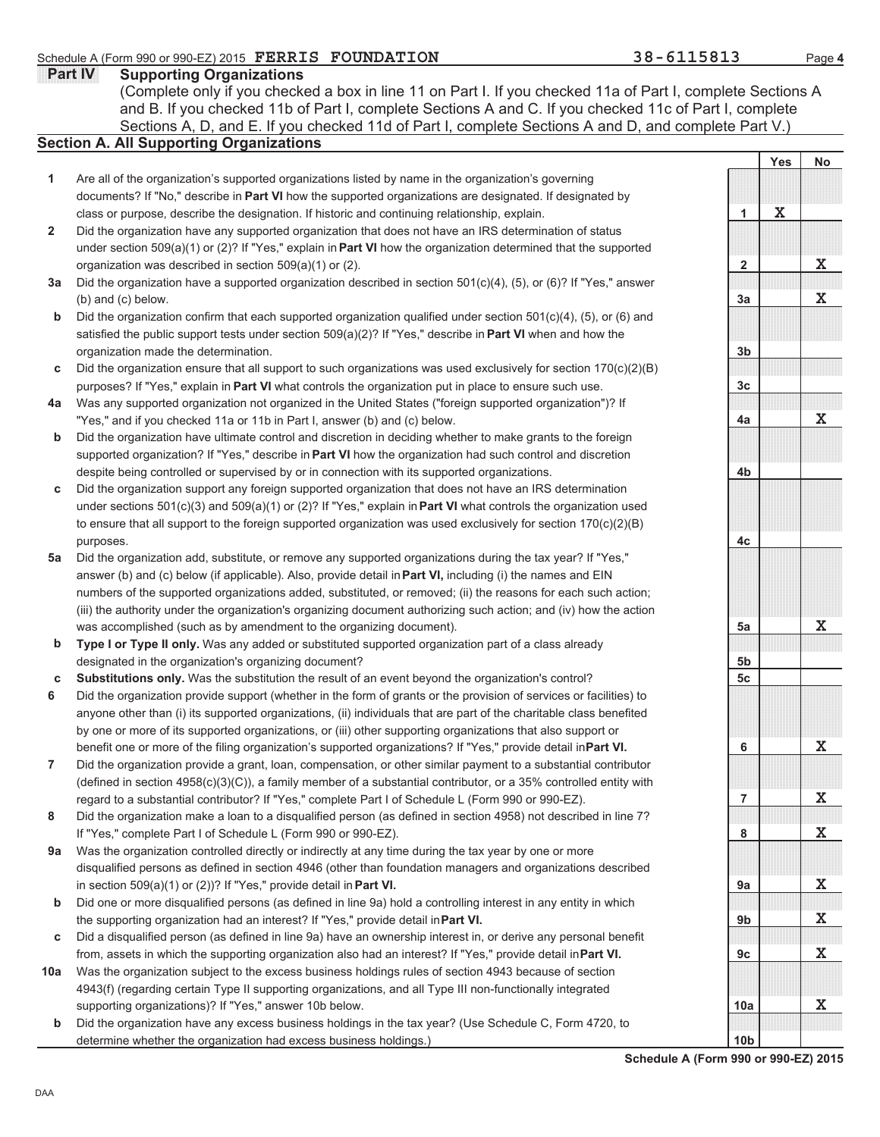**Part IV** Supporting Organizations Sections A, D, and E. If you checked 11d of Part I, complete Sections A and D, and complete Part V.) **Section A. All Supporting Organizations** (Complete only if you checked a box in line 11 on Part I. If you checked 11a of Part I, complete Sections A and B. If you checked 11b of Part I, complete Sections A and C. If you checked 11c of Part I, complete

- Are all of the organization's supported organizations listed by name in the organization's governing documents? If "No," describe in **Part VI** how the supported organizations are designated. If designated by class or purpose, describe the designation. If historic and continuing relationship, explain. **1**
- Did the organization have any supported organization that does not have an IRS determination of status under section 509(a)(1) or (2)? If "Yes," explain in **Part VI** how the organization determined that the supported organization was described in section 509(a)(1) or (2). **2**
- **3a** Did the organization have a supported organization described in section 501(c)(4), (5), or (6)? If "Yes," answer (b) and (c) below.
- **b** Did the organization confirm that each supported organization qualified under section 501(c)(4), (5), or (6) and satisfied the public support tests under section 509(a)(2)? If "Yes," describe in **Part VI** when and how the organization made the determination.
- **c** Did the organization ensure that all support to such organizations was used exclusively for section  $170(c)(2)(B)$ purposes? If "Yes," explain in **Part VI** what controls the organization put in place to ensure such use.
- **4a** Was any supported organization not organized in the United States ("foreign supported organization")? If "Yes," and if you checked 11a or 11b in Part I, answer (b) and (c) below.
- **b** Did the organization have ultimate control and discretion in deciding whether to make grants to the foreign supported organization? If "Yes," describe in **Part VI** how the organization had such control and discretion despite being controlled or supervised by or in connection with its supported organizations.
- **c** Did the organization support any foreign supported organization that does not have an IRS determination under sections 501(c)(3) and 509(a)(1) or (2)? If "Yes," explain in **Part VI** what controls the organization used to ensure that all support to the foreign supported organization was used exclusively for section 170(c)(2)(B) purposes.
- **5a** Did the organization add, substitute, or remove any supported organizations during the tax year? If "Yes," answer (b) and (c) below (if applicable). Also, provide detail in **Part VI,** including (i) the names and EIN numbers of the supported organizations added, substituted, or removed; (ii) the reasons for each such action; (iii) the authority under the organization's organizing document authorizing such action; and (iv) how the action was accomplished (such as by amendment to the organizing document).
- **b Type I or Type II only.** Was any added or substituted supported organization part of a class already designated in the organization's organizing document?
- **c Substitutions only.** Was the substitution the result of an event beyond the organization's control?
- **6** Did the organization provide support (whether in the form of grants or the provision of services or facilities) to anyone other than (i) its supported organizations, (ii) individuals that are part of the charitable class benefited by one or more of its supported organizations, or (iii) other supporting organizations that also support or benefit one or more of the filing organization's supported organizations? If "Yes," provide detail in **Part VI.**
- **7** Did the organization provide a grant, loan, compensation, or other similar payment to a substantial contributor (defined in section 4958(c)(3)(C)), a family member of a substantial contributor, or a 35% controlled entity with regard to a substantial contributor? If "Yes," complete Part I of Schedule L (Form 990 or 990-EZ).
- **8** Did the organization make a loan to a disqualified person (as defined in section 4958) not described in line 7? If "Yes," complete Part I of Schedule L (Form 990 or 990-EZ).
- **9a** Was the organization controlled directly or indirectly at any time during the tax year by one or more disqualified persons as defined in section 4946 (other than foundation managers and organizations described in section 509(a)(1) or (2))? If "Yes," provide detail in **Part VI.**
- **b** Did one or more disqualified persons (as defined in line 9a) hold a controlling interest in any entity in which the supporting organization had an interest? If "Yes," provide detail in **Part VI.**
- **c** Did a disqualified person (as defined in line 9a) have an ownership interest in, or derive any personal benefit from, assets in which the supporting organization also had an interest? If "Yes," provide detail in **Part VI.**
- **10a** Was the organization subject to the excess business holdings rules of section 4943 because of section 4943(f) (regarding certain Type II supporting organizations, and all Type III non-functionally integrated supporting organizations)? If "Yes," answer 10b below.
- **b** Did the organization have any excess business holdings in the tax year? (Use Schedule C, Form 4720, to determine whether the organization had excess business holdings.)

**1 2 3a 3b 3c 4a 4b 4c 5a 5b 5c 6 7 8 9a 9b 9c 10a 10b X X X X X X X X X X X X**

**Yes No**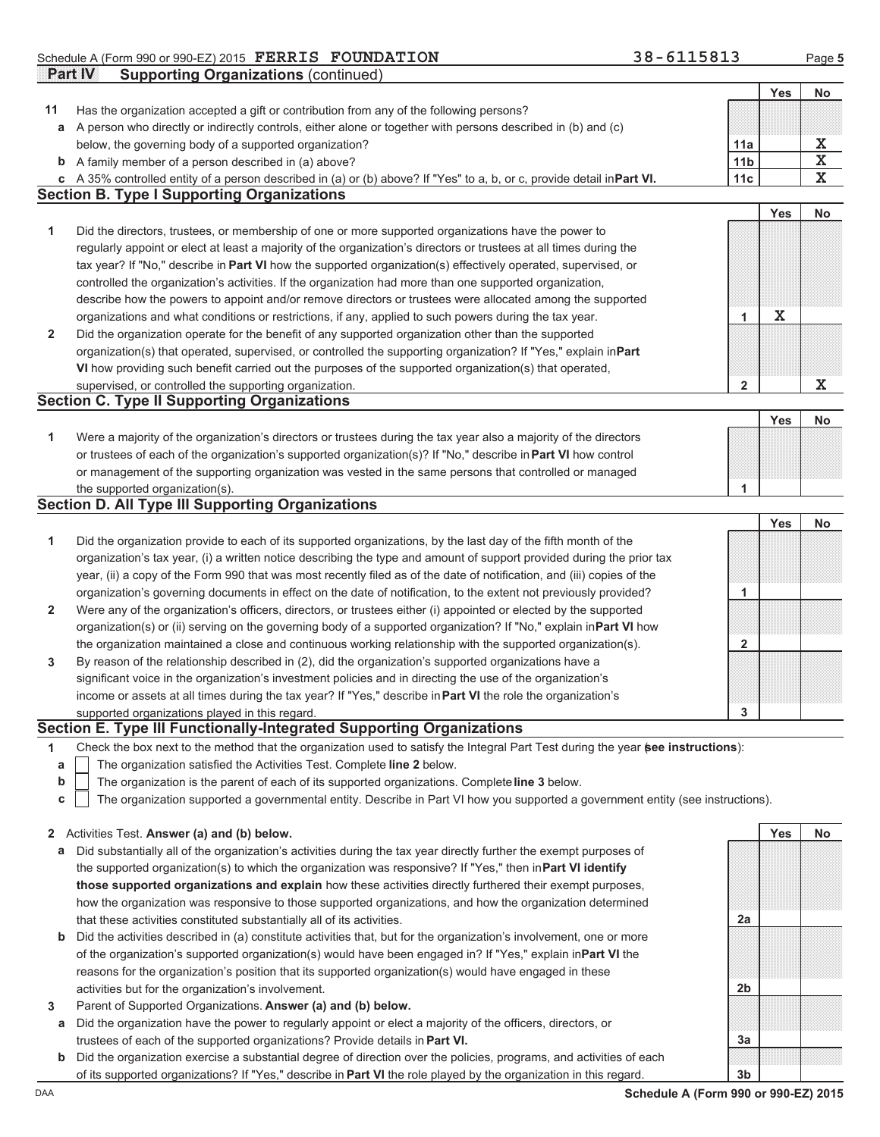|              | Schedule A (Form 990 or 990-EZ) 2015 FERRIS FOUNDATION                                                                           | 38-6115813      |             | Page 5                  |
|--------------|----------------------------------------------------------------------------------------------------------------------------------|-----------------|-------------|-------------------------|
|              | <b>Part IV</b><br><b>Supporting Organizations (continued)</b>                                                                    |                 |             |                         |
|              |                                                                                                                                  |                 | Yes         | <b>No</b>               |
| 11           | Has the organization accepted a gift or contribution from any of the following persons?                                          |                 |             |                         |
|              | a A person who directly or indirectly controls, either alone or together with persons described in (b) and (c)                   |                 |             |                         |
|              | below, the governing body of a supported organization?                                                                           | 11a             |             | х                       |
|              | <b>b</b> A family member of a person described in (a) above?                                                                     | 11 <sub>b</sub> |             | $\overline{\textbf{x}}$ |
|              | c A 35% controlled entity of a person described in (a) or (b) above? If "Yes" to a, b, or c, provide detail inPart VI.           | 11c             |             | $\overline{\mathbf{x}}$ |
|              | <b>Section B. Type I Supporting Organizations</b>                                                                                |                 |             |                         |
|              |                                                                                                                                  |                 | Yes         | <b>No</b>               |
| 1            | Did the directors, trustees, or membership of one or more supported organizations have the power to                              |                 |             |                         |
|              | regularly appoint or elect at least a majority of the organization's directors or trustees at all times during the               |                 |             |                         |
|              | tax year? If "No," describe in Part VI how the supported organization(s) effectively operated, supervised, or                    |                 |             |                         |
|              | controlled the organization's activities. If the organization had more than one supported organization,                          |                 |             |                         |
|              | describe how the powers to appoint and/or remove directors or trustees were allocated among the supported                        |                 |             |                         |
|              | organizations and what conditions or restrictions, if any, applied to such powers during the tax year.                           | 1               | $\mathbf X$ |                         |
|              | Did the organization operate for the benefit of any supported organization other than the supported                              |                 |             |                         |
| $\mathbf{2}$ |                                                                                                                                  |                 |             |                         |
|              | organization(s) that operated, supervised, or controlled the supporting organization? If "Yes," explain inPart                   |                 |             |                         |
|              | VI how providing such benefit carried out the purposes of the supported organization(s) that operated,                           |                 |             |                         |
|              | supervised, or controlled the supporting organization.                                                                           | 2               |             | X                       |
|              | <b>Section C. Type II Supporting Organizations</b>                                                                               |                 | Yes         |                         |
|              |                                                                                                                                  |                 |             | <b>No</b>               |
| 1            | Were a majority of the organization's directors or trustees during the tax year also a majority of the directors                 |                 |             |                         |
|              | or trustees of each of the organization's supported organization(s)? If "No," describe in Part VI how control                    |                 |             |                         |
|              | or management of the supporting organization was vested in the same persons that controlled or managed                           |                 |             |                         |
|              | the supported organization(s).                                                                                                   | 1               |             |                         |
|              | <b>Section D. All Type III Supporting Organizations</b>                                                                          |                 |             |                         |
|              |                                                                                                                                  |                 | <b>Yes</b>  | <b>No</b>               |
| 1            | Did the organization provide to each of its supported organizations, by the last day of the fifth month of the                   |                 |             |                         |
|              | organization's tax year, (i) a written notice describing the type and amount of support provided during the prior tax            |                 |             |                         |
|              | year, (ii) a copy of the Form 990 that was most recently filed as of the date of notification, and (iii) copies of the           |                 |             |                         |
|              | organization's governing documents in effect on the date of notification, to the extent not previously provided?                 | 1               |             |                         |
| 2            | Were any of the organization's officers, directors, or trustees either (i) appointed or elected by the supported                 |                 |             |                         |
|              | organization(s) or (ii) serving on the governing body of a supported organization? If "No," explain inPart VI how                |                 |             |                         |
|              | the organization maintained a close and continuous working relationship with the supported organization(s).                      | 2               |             |                         |
| 3            | By reason of the relationship described in (2), did the organization's supported organizations have a                            |                 |             |                         |
|              | significant voice in the organization's investment policies and in directing the use of the organization's                       |                 |             |                         |
|              | income or assets at all times during the tax year? If "Yes," describe in Part VI the role the organization's                     |                 |             |                         |
|              | supported organizations played in this regard.                                                                                   | 3               |             |                         |
|              | Section E. Type III Functionally-Integrated Supporting Organizations                                                             |                 |             |                         |
| 1            | Check the box next to the method that the organization used to satisfy the Integral Part Test during the year see instructions): |                 |             |                         |
| a            | The organization satisfied the Activities Test. Complete line 2 below.                                                           |                 |             |                         |
| b            | The organization is the parent of each of its supported organizations. Complete line 3 below.                                    |                 |             |                         |
| с            | The organization supported a governmental entity. Describe in Part VI how you supported a government entity (see instructions).  |                 |             |                         |
|              |                                                                                                                                  |                 |             |                         |
|              | 2 Activities Test. Answer (a) and (b) below.                                                                                     |                 | <b>Yes</b>  | No                      |
| а            | Did substantially all of the organization's activities during the tax year directly further the exempt purposes of               |                 |             |                         |
|              | the supported organization(s) to which the organization was responsive? If "Yes," then in Part VI identify                       |                 |             |                         |
|              | those supported organizations and explain how these activities directly furthered their exempt purposes,                         |                 |             |                         |
|              | how the organization was responsive to those supported organizations, and how the organization determined                        |                 |             |                         |

| that these activities constituted substantially all of its activities.                                                       |
|------------------------------------------------------------------------------------------------------------------------------|
| <b>b</b> Did the activities described in (a) constitute activities that, but for the organization's involvement, one or more |
| of the organization's supported organization(s) would have been engaged in? If "Yes," explain in <b>Part VI</b> the          |
| reasons for the organization's position that its supported organization(s) would have engaged in these                       |
| activities but for the organization's involvement.                                                                           |

- **3** Parent of Supported Organizations. **Answer (a) and (b) below.**
- **a** Did the organization have the power to regularly appoint or elect a majority of the officers, directors, or trustees of each of the supported organizations? Provide details in **Part VI.**
- **b** Did the organization exercise a substantial degree of direction over the policies, programs, and activities of each of its supported organizations? If "Yes," describe in **Part VI** the role played by the organization in this regard.

DAA **Schedule A (Form 990 or 990-EZ) 2015 3b**

**2a**

**2b**

**3a**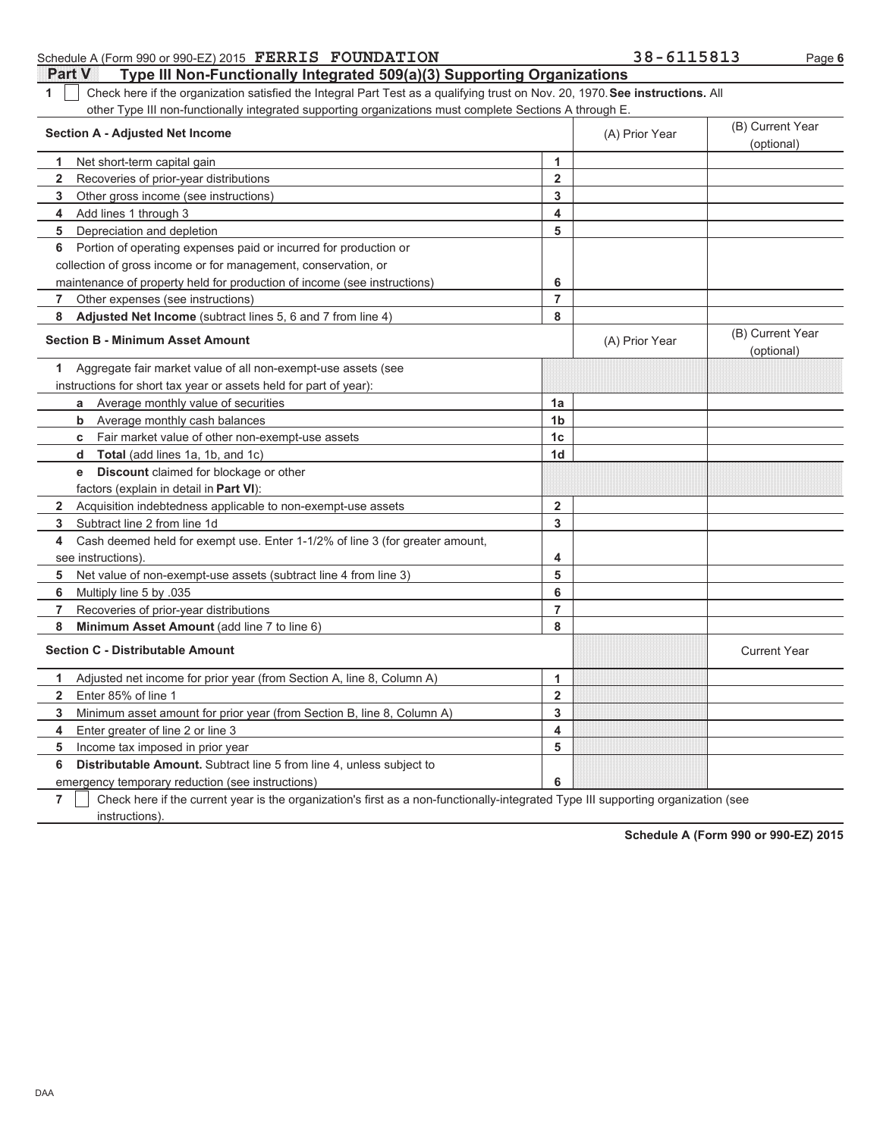| Check here if the organization satisfied the Integral Part Test as a qualifying trust on Nov. 20, 1970. See instructions. All<br>1<br>other Type III non-functionally integrated supporting organizations must complete Sections A through E. |                |                |                                |
|-----------------------------------------------------------------------------------------------------------------------------------------------------------------------------------------------------------------------------------------------|----------------|----------------|--------------------------------|
| <b>Section A - Adjusted Net Income</b>                                                                                                                                                                                                        |                | (A) Prior Year | (B) Current Year<br>(optional) |
| Net short-term capital gain<br>1                                                                                                                                                                                                              | 1              |                |                                |
| $\mathbf{2}$<br>Recoveries of prior-year distributions                                                                                                                                                                                        | $\overline{2}$ |                |                                |
| Other gross income (see instructions)<br>3                                                                                                                                                                                                    | 3              |                |                                |
| Add lines 1 through 3<br>4                                                                                                                                                                                                                    | 4              |                |                                |
| Depreciation and depletion<br>5                                                                                                                                                                                                               | 5              |                |                                |
| Portion of operating expenses paid or incurred for production or<br>6                                                                                                                                                                         |                |                |                                |
| collection of gross income or for management, conservation, or                                                                                                                                                                                |                |                |                                |
| maintenance of property held for production of income (see instructions)                                                                                                                                                                      | 6              |                |                                |
| Other expenses (see instructions)<br>7                                                                                                                                                                                                        | $\overline{7}$ |                |                                |
| Adjusted Net Income (subtract lines 5, 6 and 7 from line 4)<br>8                                                                                                                                                                              | 8              |                |                                |
| <b>Section B - Minimum Asset Amount</b>                                                                                                                                                                                                       |                | (A) Prior Year | (B) Current Year<br>(optional) |
| Aggregate fair market value of all non-exempt-use assets (see<br>1.                                                                                                                                                                           |                |                |                                |
| instructions for short tax year or assets held for part of year):                                                                                                                                                                             |                |                |                                |
| Average monthly value of securities<br>a                                                                                                                                                                                                      | 1a             |                |                                |
| Average monthly cash balances<br>b                                                                                                                                                                                                            | 1 <sub>b</sub> |                |                                |
| Fair market value of other non-exempt-use assets<br>C                                                                                                                                                                                         | 1 <sub>c</sub> |                |                                |
| <b>Total</b> (add lines 1a, 1b, and 1c)<br>d                                                                                                                                                                                                  | 1 <sub>d</sub> |                |                                |
| <b>Discount</b> claimed for blockage or other<br>e                                                                                                                                                                                            |                |                |                                |
| factors (explain in detail in Part VI):                                                                                                                                                                                                       |                |                |                                |
| $\mathbf{2}$<br>Acquisition indebtedness applicable to non-exempt-use assets                                                                                                                                                                  | $\overline{2}$ |                |                                |
| Subtract line 2 from line 1d<br>3                                                                                                                                                                                                             | 3              |                |                                |
| Cash deemed held for exempt use. Enter 1-1/2% of line 3 (for greater amount,<br>4                                                                                                                                                             |                |                |                                |
| see instructions).                                                                                                                                                                                                                            | 4              |                |                                |
| 5<br>Net value of non-exempt-use assets (subtract line 4 from line 3)                                                                                                                                                                         | 5              |                |                                |
| 6<br>Multiply line 5 by .035                                                                                                                                                                                                                  | 6              |                |                                |
| Recoveries of prior-year distributions<br>7                                                                                                                                                                                                   | $\overline{7}$ |                |                                |
| Minimum Asset Amount (add line 7 to line 6)<br>8                                                                                                                                                                                              | 8              |                |                                |
| <b>Section C - Distributable Amount</b>                                                                                                                                                                                                       |                |                | <b>Current Year</b>            |
| Adjusted net income for prior year (from Section A, line 8, Column A)<br>1                                                                                                                                                                    | $\mathbf{1}$   |                |                                |
| Enter 85% of line 1<br>$\mathbf{2}$                                                                                                                                                                                                           | $\overline{2}$ |                |                                |
| 3<br>Minimum asset amount for prior year (from Section B, line 8, Column A)                                                                                                                                                                   | 3              |                |                                |
| Enter greater of line 2 or line 3<br>4                                                                                                                                                                                                        | 4              |                |                                |
| Income tax imposed in prior year<br>5                                                                                                                                                                                                         | 5              |                |                                |
| <b>Distributable Amount.</b> Subtract line 5 from line 4, unless subject to<br>6                                                                                                                                                              |                |                |                                |
| emergency temporary reduction (see instructions)                                                                                                                                                                                              | 6              |                |                                |

Check here if the current year is the organization's first as a non-functionally-integrated Type III supporting organization (see

### **Part V** Type III Non-Functionally Integrated 509(a)(3) Supporting Organizations Schedule A (Form 990 or 990-EZ) 2015 **FERRIS FOUNDATION** 38 - 6115813 Page 6

**Schedule A (Form 990 or 990-EZ) 2015**

**7**

instructions).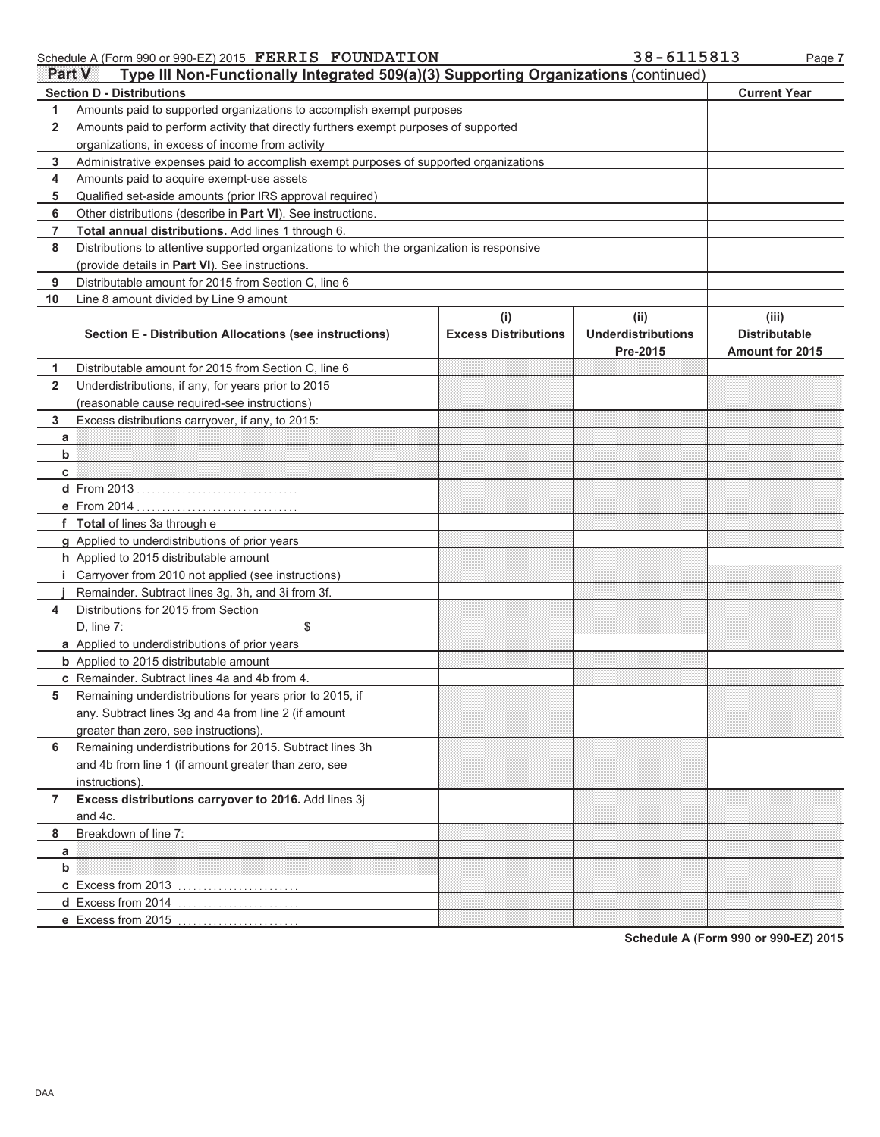Schedule A (Form 990 or 990-EZ) 2015 Page **7 FERRIS FOUNDATION 38-6115813**

| <b>Part V</b> | Type III Non-Functionally Integrated 509(a)(3) Supporting Organizations (continued)        |                                    |                                   |                               |
|---------------|--------------------------------------------------------------------------------------------|------------------------------------|-----------------------------------|-------------------------------|
|               | <b>Section D - Distributions</b>                                                           |                                    |                                   | <b>Current Year</b>           |
| 1             | Amounts paid to supported organizations to accomplish exempt purposes                      |                                    |                                   |                               |
| $\mathbf{2}$  | Amounts paid to perform activity that directly furthers exempt purposes of supported       |                                    |                                   |                               |
|               | organizations, in excess of income from activity                                           |                                    |                                   |                               |
| 3             | Administrative expenses paid to accomplish exempt purposes of supported organizations      |                                    |                                   |                               |
| 4             | Amounts paid to acquire exempt-use assets                                                  |                                    |                                   |                               |
| 5             | Qualified set-aside amounts (prior IRS approval required)                                  |                                    |                                   |                               |
| 6             | Other distributions (describe in Part VI). See instructions.                               |                                    |                                   |                               |
| 7             | Total annual distributions. Add lines 1 through 6.                                         |                                    |                                   |                               |
| 8             | Distributions to attentive supported organizations to which the organization is responsive |                                    |                                   |                               |
|               | (provide details in Part VI). See instructions.                                            |                                    |                                   |                               |
| 9             | Distributable amount for 2015 from Section C, line 6                                       |                                    |                                   |                               |
| 10            | Line 8 amount divided by Line 9 amount                                                     |                                    |                                   |                               |
|               | Section E - Distribution Allocations (see instructions)                                    | (i)<br><b>Excess Distributions</b> | (ii)<br><b>Underdistributions</b> | (iii)<br><b>Distributable</b> |
|               |                                                                                            |                                    | Pre-2015                          | <b>Amount for 2015</b>        |
| 1.            | Distributable amount for 2015 from Section C, line 6                                       |                                    |                                   |                               |
| $\mathbf{2}$  | Underdistributions, if any, for years prior to 2015                                        |                                    |                                   |                               |
|               | (reasonable cause required-see instructions)                                               |                                    |                                   |                               |
| 3             | Excess distributions carryover, if any, to 2015:                                           |                                    |                                   |                               |
| а             |                                                                                            |                                    |                                   |                               |
| b             |                                                                                            |                                    |                                   |                               |
| c             |                                                                                            |                                    |                                   |                               |
|               |                                                                                            |                                    |                                   |                               |
|               |                                                                                            |                                    |                                   |                               |
|               | f Total of lines 3a through e                                                              |                                    |                                   |                               |
|               | g Applied to underdistributions of prior years                                             |                                    |                                   |                               |
|               | h Applied to 2015 distributable amount                                                     |                                    |                                   |                               |
|               | <i>i</i> Carryover from 2010 not applied (see instructions)                                |                                    |                                   |                               |
|               | Remainder. Subtract lines 3g, 3h, and 3i from 3f.                                          |                                    |                                   |                               |
| 4             | Distributions for 2015 from Section                                                        |                                    |                                   |                               |
|               | $D$ , line $7:$<br>\$                                                                      |                                    |                                   |                               |
|               | a Applied to underdistributions of prior years                                             |                                    |                                   |                               |
|               | <b>b</b> Applied to 2015 distributable amount                                              |                                    |                                   |                               |
|               | c Remainder. Subtract lines 4a and 4b from 4.                                              |                                    |                                   |                               |
| 5             | Remaining underdistributions for years prior to 2015, if                                   |                                    |                                   |                               |
|               | any. Subtract lines 3g and 4a from line 2 (if amount                                       |                                    |                                   |                               |
|               | greater than zero, see instructions)                                                       |                                    |                                   |                               |
| 6             | Remaining underdistributions for 2015. Subtract lines 3h                                   |                                    |                                   |                               |
|               | and 4b from line 1 (if amount greater than zero, see                                       |                                    |                                   |                               |
|               | instructions).                                                                             |                                    |                                   |                               |
| 7             | Excess distributions carryover to 2016. Add lines 3j                                       |                                    |                                   |                               |
|               | and 4c.                                                                                    |                                    |                                   |                               |
| 8             | Breakdown of line 7:                                                                       |                                    |                                   |                               |
| a             |                                                                                            |                                    |                                   |                               |
| b             |                                                                                            |                                    |                                   |                               |
|               | c Excess from 2013                                                                         |                                    |                                   |                               |
|               |                                                                                            |                                    |                                   |                               |
|               | e Excess from 2015                                                                         |                                    |                                   |                               |

**Schedule A (Form 990 or 990-EZ) 2015**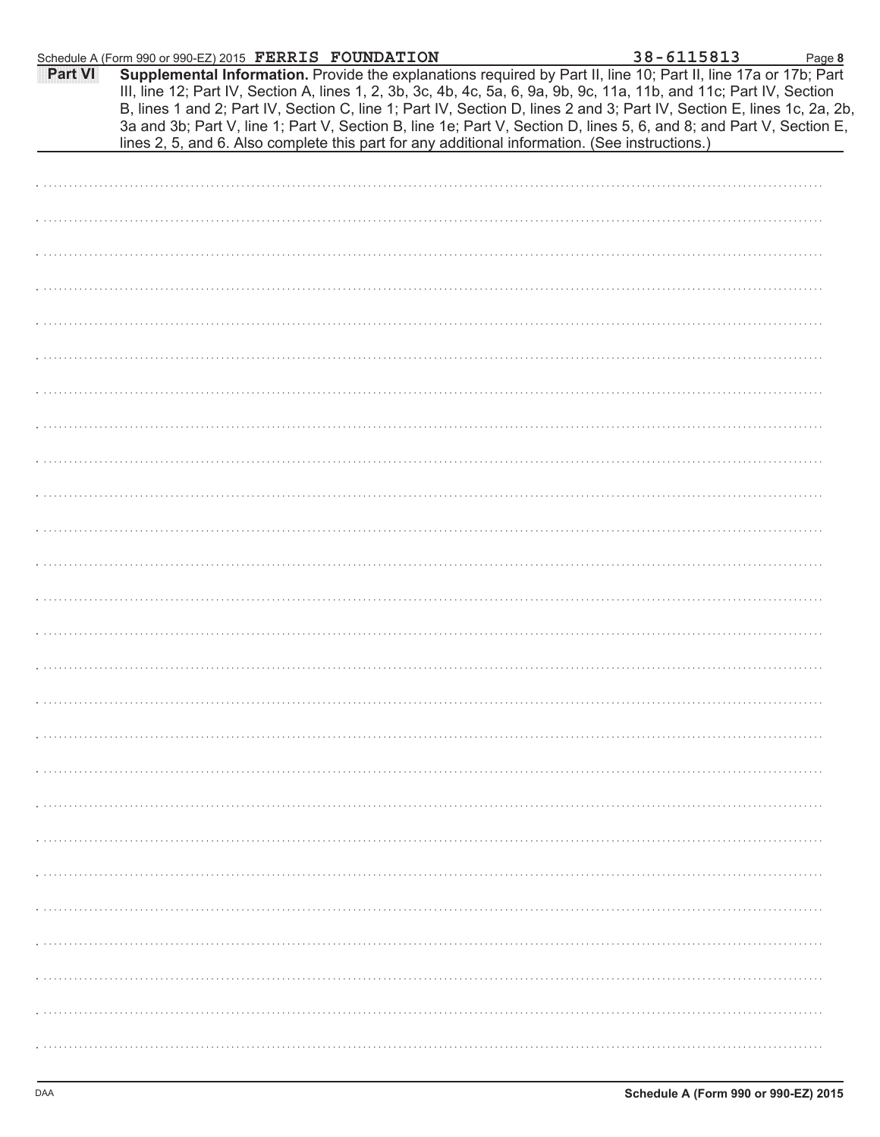|         | Schedule A (Form 990 or 990-EZ) 2015 FERRIS FOUNDATION                                                                                                                                                                                                                                                                                                                                                                                                                                                                                                                                     | 38-6115813 | Page 8 |
|---------|--------------------------------------------------------------------------------------------------------------------------------------------------------------------------------------------------------------------------------------------------------------------------------------------------------------------------------------------------------------------------------------------------------------------------------------------------------------------------------------------------------------------------------------------------------------------------------------------|------------|--------|
| Part VI | Supplemental Information. Provide the explanations required by Part II, line 10; Part II, line 17a or 17b; Part<br>III, line 12; Part IV, Section A, lines 1, 2, 3b, 3c, 4b, 4c, 5a, 6, 9a, 9b, 9c, 11a, 11b, and 11c; Part IV, Section<br>B, lines 1 and 2; Part IV, Section C, line 1; Part IV, Section D, lines 2 and 3; Part IV, Section E, lines 1c, 2a, 2b,<br>3a and 3b; Part V, line 1; Part V, Section B, line 1e; Part V, Section D, lines 5, 6, and 8; and Part V, Section E,<br>lines 2, 5, and 6. Also complete this part for any additional information. (See instructions.) |            |        |
|         |                                                                                                                                                                                                                                                                                                                                                                                                                                                                                                                                                                                            |            |        |
|         |                                                                                                                                                                                                                                                                                                                                                                                                                                                                                                                                                                                            |            |        |
|         |                                                                                                                                                                                                                                                                                                                                                                                                                                                                                                                                                                                            |            |        |
|         |                                                                                                                                                                                                                                                                                                                                                                                                                                                                                                                                                                                            |            |        |
|         |                                                                                                                                                                                                                                                                                                                                                                                                                                                                                                                                                                                            |            |        |
|         |                                                                                                                                                                                                                                                                                                                                                                                                                                                                                                                                                                                            |            |        |
|         |                                                                                                                                                                                                                                                                                                                                                                                                                                                                                                                                                                                            |            |        |
|         |                                                                                                                                                                                                                                                                                                                                                                                                                                                                                                                                                                                            |            |        |
|         |                                                                                                                                                                                                                                                                                                                                                                                                                                                                                                                                                                                            |            |        |
|         |                                                                                                                                                                                                                                                                                                                                                                                                                                                                                                                                                                                            |            |        |
|         |                                                                                                                                                                                                                                                                                                                                                                                                                                                                                                                                                                                            |            |        |
|         |                                                                                                                                                                                                                                                                                                                                                                                                                                                                                                                                                                                            |            |        |
|         |                                                                                                                                                                                                                                                                                                                                                                                                                                                                                                                                                                                            |            |        |
|         |                                                                                                                                                                                                                                                                                                                                                                                                                                                                                                                                                                                            |            |        |
|         |                                                                                                                                                                                                                                                                                                                                                                                                                                                                                                                                                                                            |            |        |
|         |                                                                                                                                                                                                                                                                                                                                                                                                                                                                                                                                                                                            |            |        |
|         |                                                                                                                                                                                                                                                                                                                                                                                                                                                                                                                                                                                            |            |        |
|         |                                                                                                                                                                                                                                                                                                                                                                                                                                                                                                                                                                                            |            |        |
|         |                                                                                                                                                                                                                                                                                                                                                                                                                                                                                                                                                                                            |            |        |
|         |                                                                                                                                                                                                                                                                                                                                                                                                                                                                                                                                                                                            |            |        |
|         |                                                                                                                                                                                                                                                                                                                                                                                                                                                                                                                                                                                            |            |        |
|         |                                                                                                                                                                                                                                                                                                                                                                                                                                                                                                                                                                                            |            |        |
|         |                                                                                                                                                                                                                                                                                                                                                                                                                                                                                                                                                                                            |            |        |
|         |                                                                                                                                                                                                                                                                                                                                                                                                                                                                                                                                                                                            |            |        |
|         |                                                                                                                                                                                                                                                                                                                                                                                                                                                                                                                                                                                            |            |        |
|         |                                                                                                                                                                                                                                                                                                                                                                                                                                                                                                                                                                                            |            |        |
|         |                                                                                                                                                                                                                                                                                                                                                                                                                                                                                                                                                                                            |            |        |
|         |                                                                                                                                                                                                                                                                                                                                                                                                                                                                                                                                                                                            |            |        |
|         |                                                                                                                                                                                                                                                                                                                                                                                                                                                                                                                                                                                            |            |        |
|         |                                                                                                                                                                                                                                                                                                                                                                                                                                                                                                                                                                                            |            |        |
|         |                                                                                                                                                                                                                                                                                                                                                                                                                                                                                                                                                                                            |            |        |
|         |                                                                                                                                                                                                                                                                                                                                                                                                                                                                                                                                                                                            |            |        |
|         |                                                                                                                                                                                                                                                                                                                                                                                                                                                                                                                                                                                            |            |        |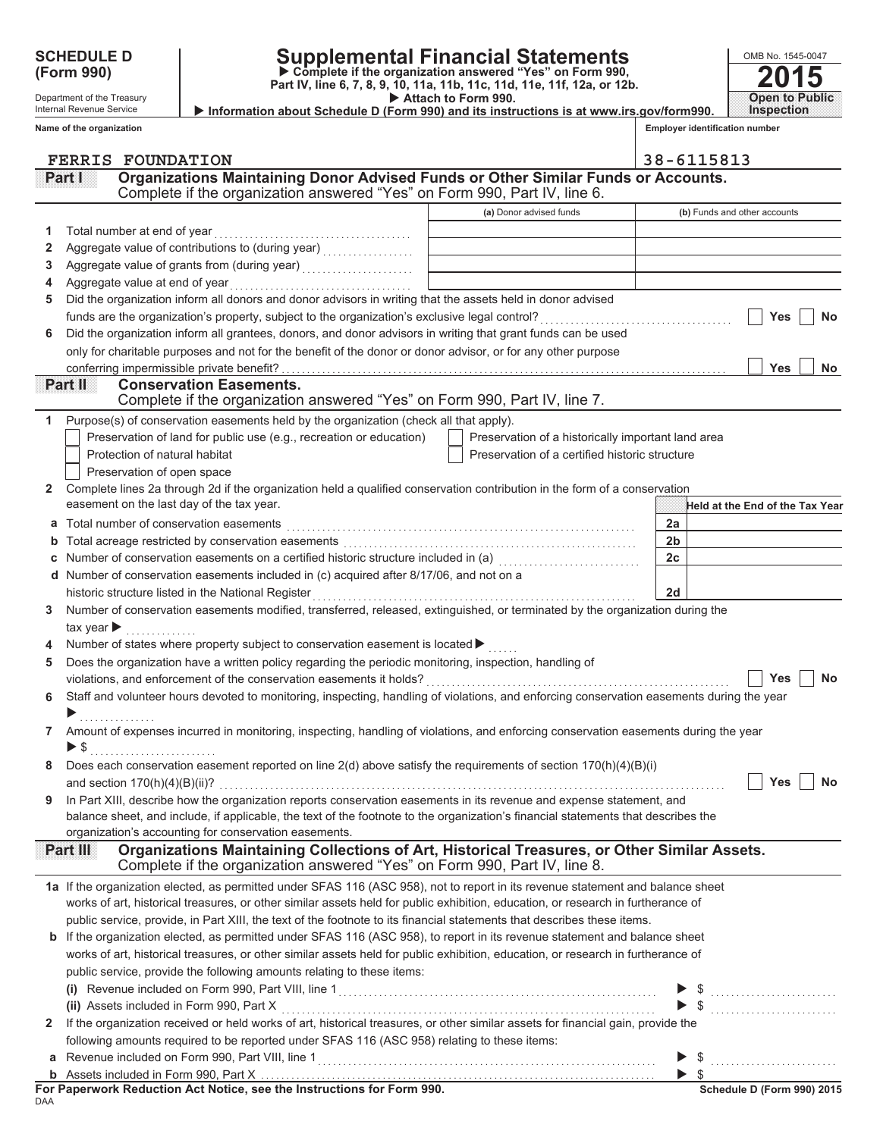# **SCHEDULE D Supplemental Financial Statements**

▶ Attach to Form 990. **(Form 990) Part IV, line 6, 7, 8, 9, 10, 11a, 11b, 11c, 11d, 11e, 11f, 12a, or 12b.** X **Complete if the organization answered "Yes" on Form 990,**

Department of the Treasury Internal Revenue Service **Name of the organization**

|          | $\mathbf{L}$                           |
|----------|----------------------------------------|
| form990. | <b>den</b> to Pul<br>ılic.<br>snectiol |

OMB No. 1545-0047

**Information about Schedule D (Form 990) and its instructions is at www.irs.gov/forms** 

| <b>Employer identification number</b> |  |
|---------------------------------------|--|
|                                       |  |

|                | <b>FERRIS FOUNDATION</b>                                                                                                                                        |                                                    | 38-6115813                      |
|----------------|-----------------------------------------------------------------------------------------------------------------------------------------------------------------|----------------------------------------------------|---------------------------------|
|                | Organizations Maintaining Donor Advised Funds or Other Similar Funds or Accounts.<br>Panul                                                                      |                                                    |                                 |
|                | Complete if the organization answered "Yes" on Form 990, Part IV, line 6.                                                                                       |                                                    |                                 |
|                |                                                                                                                                                                 | (a) Donor advised funds                            | (b) Funds and other accounts    |
| 1              | Total number at end of year                                                                                                                                     |                                                    |                                 |
| 2              |                                                                                                                                                                 |                                                    |                                 |
| 3              |                                                                                                                                                                 |                                                    |                                 |
|                | Aggregate value at end of year                                                                                                                                  |                                                    |                                 |
| 5              | Did the organization inform all donors and donor advisors in writing that the assets held in donor advised                                                      |                                                    |                                 |
|                | funds are the organization's property, subject to the organization's exclusive legal control?                                                                   |                                                    | Yes<br><b>No</b>                |
| 6              | Did the organization inform all grantees, donors, and donor advisors in writing that grant funds can be used                                                    |                                                    |                                 |
|                | only for charitable purposes and not for the benefit of the donor or donor advisor, or for any other purpose                                                    |                                                    |                                 |
|                | conferring impermissible private benefit?                                                                                                                       |                                                    | Yes<br><b>No</b>                |
|                | <b>Conservation Easements.</b><br>Partul                                                                                                                        |                                                    |                                 |
|                | Complete if the organization answered "Yes" on Form 990, Part IV, line 7.                                                                                       |                                                    |                                 |
| 1.             | Purpose(s) of conservation easements held by the organization (check all that apply).                                                                           |                                                    |                                 |
|                | Preservation of land for public use (e.g., recreation or education)                                                                                             | Preservation of a historically important land area |                                 |
|                | Protection of natural habitat                                                                                                                                   | Preservation of a certified historic structure     |                                 |
|                | Preservation of open space                                                                                                                                      |                                                    |                                 |
| $\mathbf{2}^-$ | Complete lines 2a through 2d if the organization held a qualified conservation contribution in the form of a conservation                                       |                                                    |                                 |
|                | easement on the last day of the tax year.                                                                                                                       |                                                    | Held at the End of the Tax Year |
| а              | Total number of conservation easements                                                                                                                          |                                                    | 2a                              |
| b              | Total acreage restricted by conservation easements                                                                                                              |                                                    | 2 <sub>b</sub>                  |
| С              | Number of conservation easements on a certified historic structure included in (a) [11] Number of conservation                                                  |                                                    | 2c                              |
| d              | Number of conservation easements included in (c) acquired after 8/17/06, and not on a                                                                           |                                                    |                                 |
|                | historic structure listed in the National Register                                                                                                              |                                                    | 2d                              |
| 3.             | Number of conservation easements modified, transferred, released, extinguished, or terminated by the organization during the                                    |                                                    |                                 |
|                | tax year $\blacktriangleright$                                                                                                                                  |                                                    |                                 |
|                | Number of states where property subject to conservation easement is located ▶                                                                                   |                                                    |                                 |
| 5              | Does the organization have a written policy regarding the periodic monitoring, inspection, handling of                                                          |                                                    |                                 |
|                | violations, and enforcement of the conservation easements it holds?                                                                                             |                                                    | Yes<br>No                       |
| 6              | Staff and volunteer hours devoted to monitoring, inspecting, handling of violations, and enforcing conservation easements during the year                       |                                                    |                                 |
|                |                                                                                                                                                                 |                                                    |                                 |
| 7              | Amount of expenses incurred in monitoring, inspecting, handling of violations, and enforcing conservation easements during the year<br>$\blacktriangleright$ \$ |                                                    |                                 |
|                | Does each conservation easement reported on line 2(d) above satisfy the requirements of section 170(h)(4)(B)(i)                                                 |                                                    |                                 |
|                | and section $170(h)(4)(B)(ii)?$                                                                                                                                 |                                                    | Yes<br><b>No</b>                |
| 9              | In Part XIII, describe how the organization reports conservation easements in its revenue and expense statement, and                                            |                                                    |                                 |
|                | balance sheet, and include, if applicable, the text of the footnote to the organization's financial statements that describes the                               |                                                    |                                 |
|                | organization's accounting for conservation easements.                                                                                                           |                                                    |                                 |
|                | Organizations Maintaining Collections of Art, Historical Treasures, or Other Similar Assets.<br>Part III                                                        |                                                    |                                 |
|                | Complete if the organization answered "Yes" on Form 990, Part IV, line 8.                                                                                       |                                                    |                                 |
|                | 1a If the organization elected, as permitted under SFAS 116 (ASC 958), not to report in its revenue statement and balance sheet                                 |                                                    |                                 |
|                | works of art, historical treasures, or other similar assets held for public exhibition, education, or research in furtherance of                                |                                                    |                                 |
|                | public service, provide, in Part XIII, the text of the footnote to its financial statements that describes these items.                                         |                                                    |                                 |
| b              | If the organization elected, as permitted under SFAS 116 (ASC 958), to report in its revenue statement and balance sheet                                        |                                                    |                                 |
|                | works of art, historical treasures, or other similar assets held for public exhibition, education, or research in furtherance of                                |                                                    |                                 |
|                | public service, provide the following amounts relating to these items:                                                                                          |                                                    |                                 |
|                |                                                                                                                                                                 |                                                    |                                 |
|                | (ii) Assets included in Form 990, Part X                                                                                                                        |                                                    |                                 |
| $\mathbf{2}$   | If the organization received or held works of art, historical treasures, or other similar assets for financial gain, provide the                                |                                                    |                                 |
|                | following amounts required to be reported under SFAS 116 (ASC 958) relating to these items:                                                                     |                                                    |                                 |
| а              |                                                                                                                                                                 |                                                    |                                 |
|                |                                                                                                                                                                 |                                                    |                                 |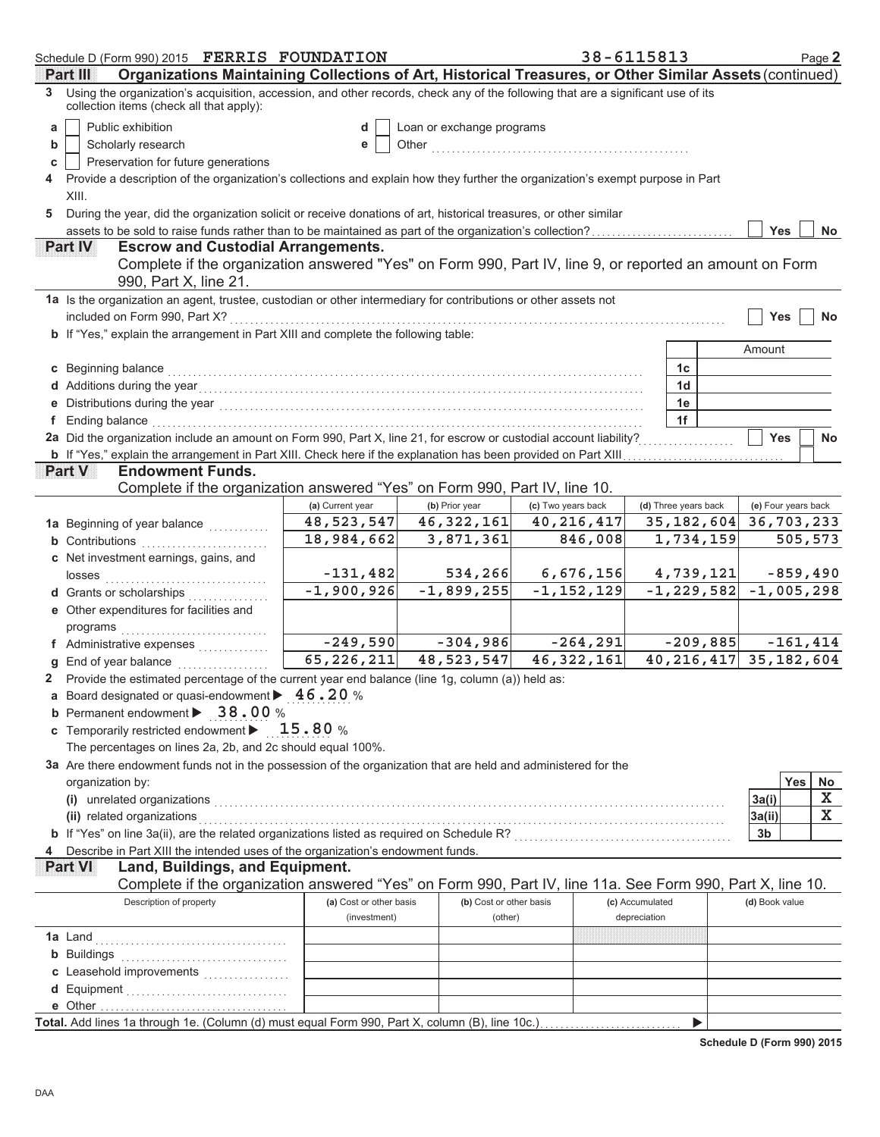| Organizations Maintaining Collections of Art, Historical Treasures, or Other Similar Assets (continued)<br>Pandill<br>3 Using the organization's acquisition, accession, and other records, check any of the following that are a significant use of its<br>collection items (check all that apply):<br>Public exhibition<br>Loan or exchange programs<br>a<br>d<br>Scholarly research<br>b<br>е<br>Preservation for future generations<br>C<br>Provide a description of the organization's collections and explain how they further the organization's exempt purpose in Part<br>XIII.<br>During the year, did the organization solicit or receive donations of art, historical treasures, or other similar<br>5<br>assets to be sold to raise funds rather than to be maintained as part of the organization's collection?<br><b>Yes</b><br>No |  |  |  |  |  |  |  |  |  |
|--------------------------------------------------------------------------------------------------------------------------------------------------------------------------------------------------------------------------------------------------------------------------------------------------------------------------------------------------------------------------------------------------------------------------------------------------------------------------------------------------------------------------------------------------------------------------------------------------------------------------------------------------------------------------------------------------------------------------------------------------------------------------------------------------------------------------------------------------|--|--|--|--|--|--|--|--|--|
|                                                                                                                                                                                                                                                                                                                                                                                                                                                                                                                                                                                                                                                                                                                                                                                                                                                  |  |  |  |  |  |  |  |  |  |
|                                                                                                                                                                                                                                                                                                                                                                                                                                                                                                                                                                                                                                                                                                                                                                                                                                                  |  |  |  |  |  |  |  |  |  |
|                                                                                                                                                                                                                                                                                                                                                                                                                                                                                                                                                                                                                                                                                                                                                                                                                                                  |  |  |  |  |  |  |  |  |  |
|                                                                                                                                                                                                                                                                                                                                                                                                                                                                                                                                                                                                                                                                                                                                                                                                                                                  |  |  |  |  |  |  |  |  |  |
|                                                                                                                                                                                                                                                                                                                                                                                                                                                                                                                                                                                                                                                                                                                                                                                                                                                  |  |  |  |  |  |  |  |  |  |
|                                                                                                                                                                                                                                                                                                                                                                                                                                                                                                                                                                                                                                                                                                                                                                                                                                                  |  |  |  |  |  |  |  |  |  |
|                                                                                                                                                                                                                                                                                                                                                                                                                                                                                                                                                                                                                                                                                                                                                                                                                                                  |  |  |  |  |  |  |  |  |  |
|                                                                                                                                                                                                                                                                                                                                                                                                                                                                                                                                                                                                                                                                                                                                                                                                                                                  |  |  |  |  |  |  |  |  |  |
|                                                                                                                                                                                                                                                                                                                                                                                                                                                                                                                                                                                                                                                                                                                                                                                                                                                  |  |  |  |  |  |  |  |  |  |
| <b>Escrow and Custodial Arrangements.</b><br>Part IV                                                                                                                                                                                                                                                                                                                                                                                                                                                                                                                                                                                                                                                                                                                                                                                             |  |  |  |  |  |  |  |  |  |
| Complete if the organization answered "Yes" on Form 990, Part IV, line 9, or reported an amount on Form<br>990, Part X, line 21.                                                                                                                                                                                                                                                                                                                                                                                                                                                                                                                                                                                                                                                                                                                 |  |  |  |  |  |  |  |  |  |
| 1a Is the organization an agent, trustee, custodian or other intermediary for contributions or other assets not                                                                                                                                                                                                                                                                                                                                                                                                                                                                                                                                                                                                                                                                                                                                  |  |  |  |  |  |  |  |  |  |
| included on Form 990, Part X?<br><b>Yes</b><br><b>No</b>                                                                                                                                                                                                                                                                                                                                                                                                                                                                                                                                                                                                                                                                                                                                                                                         |  |  |  |  |  |  |  |  |  |
| b If "Yes," explain the arrangement in Part XIII and complete the following table:                                                                                                                                                                                                                                                                                                                                                                                                                                                                                                                                                                                                                                                                                                                                                               |  |  |  |  |  |  |  |  |  |
| Amount                                                                                                                                                                                                                                                                                                                                                                                                                                                                                                                                                                                                                                                                                                                                                                                                                                           |  |  |  |  |  |  |  |  |  |
| c Beginning balance<br>1c                                                                                                                                                                                                                                                                                                                                                                                                                                                                                                                                                                                                                                                                                                                                                                                                                        |  |  |  |  |  |  |  |  |  |
| 1 <sub>d</sub>                                                                                                                                                                                                                                                                                                                                                                                                                                                                                                                                                                                                                                                                                                                                                                                                                                   |  |  |  |  |  |  |  |  |  |
| 1e<br>Distributions during the year with the continuum control of the year with the year with the set of the set of the set of the set of the set of the set of the set of the set of the set of the set of the set of the set of th                                                                                                                                                                                                                                                                                                                                                                                                                                                                                                                                                                                                             |  |  |  |  |  |  |  |  |  |
| 1f<br>f Ending balance                                                                                                                                                                                                                                                                                                                                                                                                                                                                                                                                                                                                                                                                                                                                                                                                                           |  |  |  |  |  |  |  |  |  |
| 2a Did the organization include an amount on Form 990, Part X, line 21, for escrow or custodial account liability?<br><b>Yes</b><br><b>No</b>                                                                                                                                                                                                                                                                                                                                                                                                                                                                                                                                                                                                                                                                                                    |  |  |  |  |  |  |  |  |  |
| b If "Yes," explain the arrangement in Part XIII. Check here if the explanation has been provided on Part XIII                                                                                                                                                                                                                                                                                                                                                                                                                                                                                                                                                                                                                                                                                                                                   |  |  |  |  |  |  |  |  |  |
| <b>Endowment Funds.</b><br>Part V                                                                                                                                                                                                                                                                                                                                                                                                                                                                                                                                                                                                                                                                                                                                                                                                                |  |  |  |  |  |  |  |  |  |
| Complete if the organization answered "Yes" on Form 990, Part IV, line 10.                                                                                                                                                                                                                                                                                                                                                                                                                                                                                                                                                                                                                                                                                                                                                                       |  |  |  |  |  |  |  |  |  |
| (c) Two years back<br>(e) Four years back<br>(b) Prior year<br>(d) Three years back<br>(a) Current year                                                                                                                                                                                                                                                                                                                                                                                                                                                                                                                                                                                                                                                                                                                                          |  |  |  |  |  |  |  |  |  |
| 48, 523, 547<br>46, 322, 161<br>40, 216, 417<br>36,703,233<br>35, 182, 604<br>1a Beginning of year balance                                                                                                                                                                                                                                                                                                                                                                                                                                                                                                                                                                                                                                                                                                                                       |  |  |  |  |  |  |  |  |  |
| 18,984,662<br>3,871,361<br>846,008<br>1,734,159<br>505,573<br><b>b</b> Contributions                                                                                                                                                                                                                                                                                                                                                                                                                                                                                                                                                                                                                                                                                                                                                             |  |  |  |  |  |  |  |  |  |
| c Net investment earnings, gains, and                                                                                                                                                                                                                                                                                                                                                                                                                                                                                                                                                                                                                                                                                                                                                                                                            |  |  |  |  |  |  |  |  |  |
| $-131,482$<br>534,266<br>6,676,156<br>4,739,121<br>$-859,490$<br>losses                                                                                                                                                                                                                                                                                                                                                                                                                                                                                                                                                                                                                                                                                                                                                                          |  |  |  |  |  |  |  |  |  |
| $-1,900,926$<br>$-1,899,255$<br>$-1, 152, 129$<br>$-1, 229, 582$<br>$-1,005,298$<br>d Grants or scholarships                                                                                                                                                                                                                                                                                                                                                                                                                                                                                                                                                                                                                                                                                                                                     |  |  |  |  |  |  |  |  |  |
| e Other expenditures for facilities and                                                                                                                                                                                                                                                                                                                                                                                                                                                                                                                                                                                                                                                                                                                                                                                                          |  |  |  |  |  |  |  |  |  |
| programs                                                                                                                                                                                                                                                                                                                                                                                                                                                                                                                                                                                                                                                                                                                                                                                                                                         |  |  |  |  |  |  |  |  |  |
| $-249,590$<br>$-264, 291$<br>$-304,986$<br>$-209,885$<br>$-161, 414$<br>f Administrative expenses                                                                                                                                                                                                                                                                                                                                                                                                                                                                                                                                                                                                                                                                                                                                                |  |  |  |  |  |  |  |  |  |
| 65, 226, 211<br>46, 322, 161<br>48, 523, 547<br>40, 216, 417 35, 182, 604<br>End of year balance                                                                                                                                                                                                                                                                                                                                                                                                                                                                                                                                                                                                                                                                                                                                                 |  |  |  |  |  |  |  |  |  |
| 2 Provide the estimated percentage of the current year end balance (line 1g, column (a)) held as:                                                                                                                                                                                                                                                                                                                                                                                                                                                                                                                                                                                                                                                                                                                                                |  |  |  |  |  |  |  |  |  |
| a Board designated or quasi-endowment $\blacktriangleright$ 46.20%                                                                                                                                                                                                                                                                                                                                                                                                                                                                                                                                                                                                                                                                                                                                                                               |  |  |  |  |  |  |  |  |  |
| <b>b</b> Permanent endowment > 38.00 %                                                                                                                                                                                                                                                                                                                                                                                                                                                                                                                                                                                                                                                                                                                                                                                                           |  |  |  |  |  |  |  |  |  |
| c Temporarily restricted endowment $\blacktriangleright$ 15.80 %                                                                                                                                                                                                                                                                                                                                                                                                                                                                                                                                                                                                                                                                                                                                                                                 |  |  |  |  |  |  |  |  |  |
| The percentages on lines 2a, 2b, and 2c should equal 100%.                                                                                                                                                                                                                                                                                                                                                                                                                                                                                                                                                                                                                                                                                                                                                                                       |  |  |  |  |  |  |  |  |  |
| 3a Are there endowment funds not in the possession of the organization that are held and administered for the                                                                                                                                                                                                                                                                                                                                                                                                                                                                                                                                                                                                                                                                                                                                    |  |  |  |  |  |  |  |  |  |
| <b>Yes</b><br>No<br>organization by:                                                                                                                                                                                                                                                                                                                                                                                                                                                                                                                                                                                                                                                                                                                                                                                                             |  |  |  |  |  |  |  |  |  |
| X<br>3a(i)<br>$\mathbf x$                                                                                                                                                                                                                                                                                                                                                                                                                                                                                                                                                                                                                                                                                                                                                                                                                        |  |  |  |  |  |  |  |  |  |
| (ii) related organizations<br>3a(ii)                                                                                                                                                                                                                                                                                                                                                                                                                                                                                                                                                                                                                                                                                                                                                                                                             |  |  |  |  |  |  |  |  |  |
| b If "Yes" on line 3a(ii), are the related organizations listed as required on Schedule R? [[[[[[[[[[[[[[[[[[[<br>3b                                                                                                                                                                                                                                                                                                                                                                                                                                                                                                                                                                                                                                                                                                                             |  |  |  |  |  |  |  |  |  |
| Describe in Part XIII the intended uses of the organization's endowment funds.                                                                                                                                                                                                                                                                                                                                                                                                                                                                                                                                                                                                                                                                                                                                                                   |  |  |  |  |  |  |  |  |  |
| Land, Buildings, and Equipment.<br><b>Part VII</b><br>Complete if the organization answered "Yes" on Form 990, Part IV, line 11a. See Form 990, Part X, line 10.                                                                                                                                                                                                                                                                                                                                                                                                                                                                                                                                                                                                                                                                                 |  |  |  |  |  |  |  |  |  |
| Description of property<br>(a) Cost or other basis<br>(b) Cost or other basis<br>(c) Accumulated<br>(d) Book value                                                                                                                                                                                                                                                                                                                                                                                                                                                                                                                                                                                                                                                                                                                               |  |  |  |  |  |  |  |  |  |
| depreciation<br>(investment)<br>(other)                                                                                                                                                                                                                                                                                                                                                                                                                                                                                                                                                                                                                                                                                                                                                                                                          |  |  |  |  |  |  |  |  |  |
| 1a Land                                                                                                                                                                                                                                                                                                                                                                                                                                                                                                                                                                                                                                                                                                                                                                                                                                          |  |  |  |  |  |  |  |  |  |
|                                                                                                                                                                                                                                                                                                                                                                                                                                                                                                                                                                                                                                                                                                                                                                                                                                                  |  |  |  |  |  |  |  |  |  |
| <b>b</b> Buildings                                                                                                                                                                                                                                                                                                                                                                                                                                                                                                                                                                                                                                                                                                                                                                                                                               |  |  |  |  |  |  |  |  |  |
| c Leasehold improvements                                                                                                                                                                                                                                                                                                                                                                                                                                                                                                                                                                                                                                                                                                                                                                                                                         |  |  |  |  |  |  |  |  |  |
|                                                                                                                                                                                                                                                                                                                                                                                                                                                                                                                                                                                                                                                                                                                                                                                                                                                  |  |  |  |  |  |  |  |  |  |
| Total. Add lines 1a through 1e. (Column (d) must equal Form 990, Part X, column (B), line 10c.)<br>▶                                                                                                                                                                                                                                                                                                                                                                                                                                                                                                                                                                                                                                                                                                                                             |  |  |  |  |  |  |  |  |  |

**Schedule D (Form 990) 2015**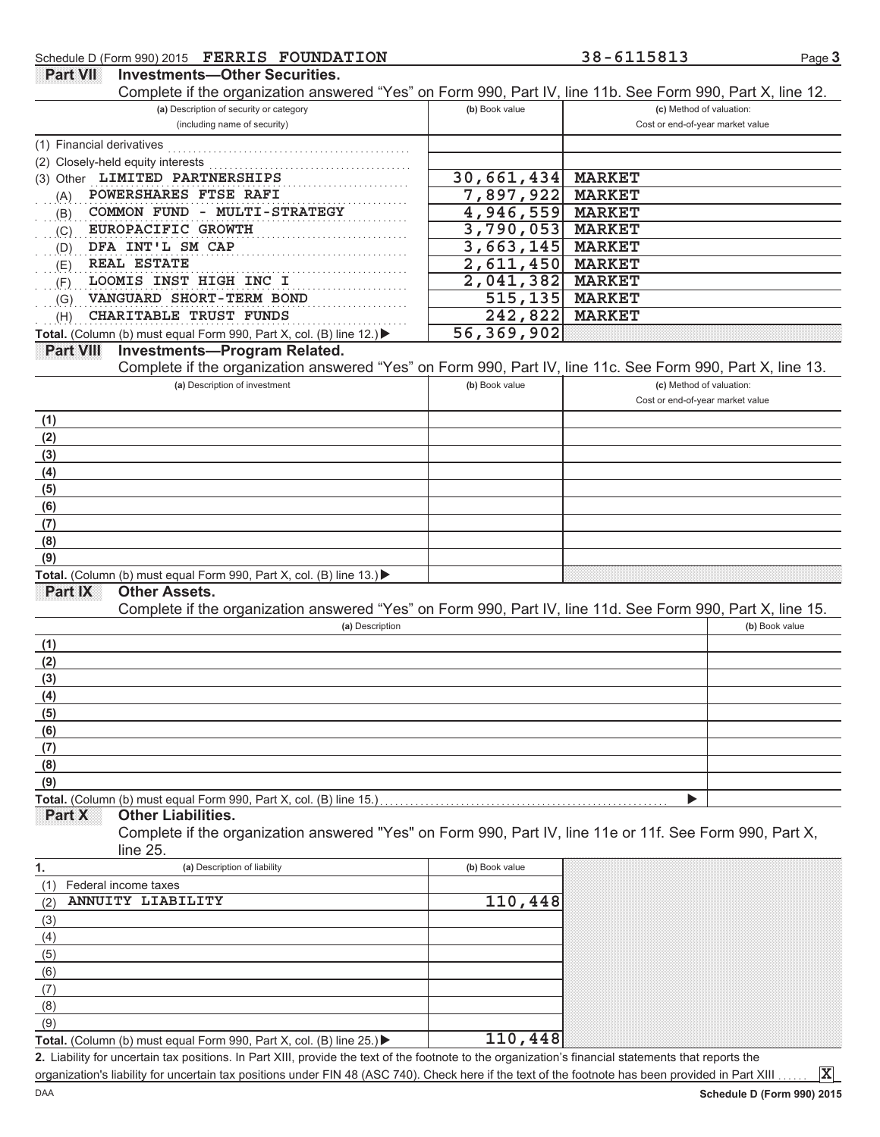DAA

|                                                                                                            |                | Complete if the organization answered "Yes" on Form 990, Part IV, line 11b. See Form 990, Part X, line 12. |
|------------------------------------------------------------------------------------------------------------|----------------|------------------------------------------------------------------------------------------------------------|
| (a) Description of security or category<br>(including name of security)                                    | (b) Book value | (c) Method of valuation:<br>Cost or end-of-year market value                                               |
|                                                                                                            |                |                                                                                                            |
| (1) Financial derivatives<br>(2) Closely-held equity interests                                             |                |                                                                                                            |
| (3) Other LIMITED PARTNERSHIPS                                                                             | 30,661,434     | <b>MARKET</b>                                                                                              |
| POWERSHARES FTSE RAFI<br>(A)                                                                               | 7,897,922      | <b>MARKET</b>                                                                                              |
| COMMON FUND - MULTI-STRATEGY<br>(B)                                                                        | 4,946,559      | <b>MARKET</b>                                                                                              |
| EUROPACIFIC GROWTH<br>(C)                                                                                  | 3,790,053      | <b>MARKET</b>                                                                                              |
| DFA INT'L SM CAP<br>(D)                                                                                    | 3,663,145      | <b>MARKET</b>                                                                                              |
| <b>REAL ESTATE</b><br>(E)                                                                                  | 2,611,450      | <b>MARKET</b>                                                                                              |
| LOOMIS INST HIGH INC I<br>(F)                                                                              | 2,041,382      | <b>MARKET</b>                                                                                              |
| VANGUARD SHORT-TERM BOND<br>(G)                                                                            | 515, 135       | <b>MARKET</b>                                                                                              |
| CHARITABLE TRUST FUNDS<br>(H)                                                                              | 242,822        | <b>MARKET</b>                                                                                              |
| Total. (Column (b) must equal Form 990, Part X, col. (B) line 12.) ▶                                       | 56,369,902     |                                                                                                            |
| <b>Part VIII</b><br><b>Investments-Program Related.</b>                                                    |                |                                                                                                            |
| Complete if the organization answered "Yes" on Form 990, Part IV, line 11c. See Form 990, Part X, line 13. |                |                                                                                                            |
| (a) Description of investment                                                                              | (b) Book value | (c) Method of valuation:                                                                                   |
|                                                                                                            |                | Cost or end-of-year market value                                                                           |
| (1)                                                                                                        |                |                                                                                                            |
| (2)                                                                                                        |                |                                                                                                            |
| (3)                                                                                                        |                |                                                                                                            |
| (4)                                                                                                        |                |                                                                                                            |
| (5)                                                                                                        |                |                                                                                                            |
| (6)                                                                                                        |                |                                                                                                            |
| (7)                                                                                                        |                |                                                                                                            |
| (8)                                                                                                        |                |                                                                                                            |
| (9)                                                                                                        |                |                                                                                                            |
| Total. (Column (b) must equal Form 990, Part X, col. (B) line 13.)                                         |                |                                                                                                            |
| <b>Part IX</b><br><b>Other Assets.</b>                                                                     |                |                                                                                                            |
| Complete if the organization answered "Yes" on Form 990, Part IV, line 11d. See Form 990, Part X, line 15. |                |                                                                                                            |
| (a) Description                                                                                            |                | (b) Book value                                                                                             |
| (1)                                                                                                        |                |                                                                                                            |
| (2)                                                                                                        |                |                                                                                                            |
| (3)                                                                                                        |                |                                                                                                            |
| (4)                                                                                                        |                |                                                                                                            |
| (5)                                                                                                        |                |                                                                                                            |
| (6)                                                                                                        |                |                                                                                                            |
| (7)                                                                                                        |                |                                                                                                            |
|                                                                                                            |                |                                                                                                            |
| (8)                                                                                                        |                |                                                                                                            |
| (9)                                                                                                        |                |                                                                                                            |
| Total. (Column (b) must equal Form 990, Part X, col. (B) line 15.)                                         |                |                                                                                                            |
| Other Liabilities.<br><b>Part X</b>                                                                        |                |                                                                                                            |
| Complete if the organization answered "Yes" on Form 990, Part IV, line 11e or 11f. See Form 990, Part X,   |                |                                                                                                            |
| line $25.$                                                                                                 |                |                                                                                                            |
| (a) Description of liability<br>1.                                                                         | (b) Book value |                                                                                                            |
| Federal income taxes<br>(1)                                                                                |                |                                                                                                            |
| ANNUITY LIABILITY<br>(2)                                                                                   | 110,448        |                                                                                                            |
| (3)                                                                                                        |                |                                                                                                            |
| (4)                                                                                                        |                |                                                                                                            |
| (5)                                                                                                        |                |                                                                                                            |
| (6)                                                                                                        |                |                                                                                                            |
| (7)                                                                                                        |                |                                                                                                            |
| (8)                                                                                                        |                |                                                                                                            |
| (9)<br>Total. (Column (b) must equal Form 990, Part X, col. (B) line 25.) ▶                                | 110,448        |                                                                                                            |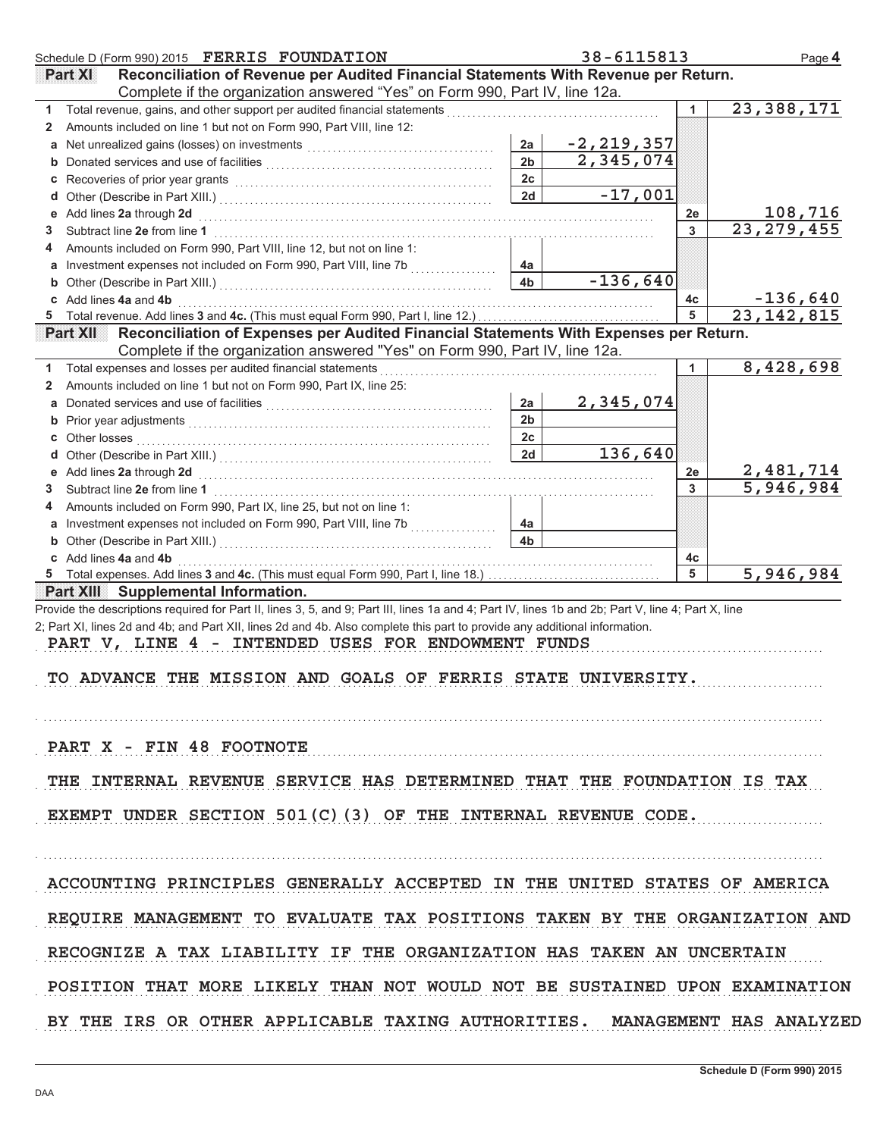| Schedule D (Form 990) 2015 FERRIS FOUNDATION                                                                                                                                                                                             |                      | 38-6115813     |         | Page 4                     |
|------------------------------------------------------------------------------------------------------------------------------------------------------------------------------------------------------------------------------------------|----------------------|----------------|---------|----------------------------|
| Reconciliation of Revenue per Audited Financial Statements With Revenue per Return.<br><b>Part XII</b>                                                                                                                                   |                      |                |         |                            |
| Complete if the organization answered "Yes" on Form 990, Part IV, line 12a.                                                                                                                                                              |                      |                |         |                            |
| $1 \quad$                                                                                                                                                                                                                                |                      |                | 1       | $\overline{23}$ , 388, 171 |
| Amounts included on line 1 but not on Form 990, Part VIII, line 12:<br>2                                                                                                                                                                 |                      |                |         |                            |
|                                                                                                                                                                                                                                          | 2a                   | $-2, 219, 357$ |         |                            |
|                                                                                                                                                                                                                                          | 2 <sub>b</sub>       | 2,345,074      |         |                            |
|                                                                                                                                                                                                                                          | 2 <sub>c</sub>       |                |         |                            |
|                                                                                                                                                                                                                                          | 2d                   | $-17,001$      |         |                            |
| e Add lines 2a through 2d (a) and the contract of the Add lines 2a through 1                                                                                                                                                             |                      |                | 2e      | 108,716                    |
| 3<br>Amounts included on Form 990, Part VIII, line 12, but not on line 1:                                                                                                                                                                |                      |                | 3       | 23, 279, 455               |
| 4<br>a Investment expenses not included on Form 990, Part VIII, line 7b                                                                                                                                                                  | 4a                   |                |         |                            |
|                                                                                                                                                                                                                                          | 4 <sub>b</sub>       | $-136,640$     |         |                            |
| c Add lines 4a and 4b                                                                                                                                                                                                                    |                      |                | 4c      | $-136,640$                 |
|                                                                                                                                                                                                                                          |                      |                | 5       | $\overline{23}$ , 142, 815 |
| Reconciliation of Expenses per Audited Financial Statements With Expenses per Return.<br>PartXII L                                                                                                                                       |                      |                |         |                            |
| Complete if the organization answered "Yes" on Form 990, Part IV, line 12a.                                                                                                                                                              |                      |                |         |                            |
| 1 Total expenses and losses per audited financial statements [11] [11] Total expenses and losses and losses                                                                                                                              |                      |                | 1       | 8,428,698                  |
| Amounts included on line 1 but not on Form 990, Part IX, line 25:<br>2                                                                                                                                                                   |                      |                |         |                            |
|                                                                                                                                                                                                                                          | 2a                   | 2,345,074      |         |                            |
|                                                                                                                                                                                                                                          | 2 <sub>b</sub>       |                |         |                            |
|                                                                                                                                                                                                                                          | 2c                   |                |         |                            |
|                                                                                                                                                                                                                                          | 2d                   | 136,640        |         |                            |
|                                                                                                                                                                                                                                          |                      |                | 2е      | 2,481,714                  |
| 3                                                                                                                                                                                                                                        |                      |                | 3       | 5,946,984                  |
| Amounts included on Form 990, Part IX, line 25, but not on line 1:<br>4                                                                                                                                                                  |                      |                |         |                            |
| a Investment expenses not included on Form 990, Part VIII, line 7b                                                                                                                                                                       | 4a<br>4 <sub>b</sub> |                |         |                            |
| <b>b</b> Other (Describe in Part XIII.) <b>CONSIDENT DESCRIPTION DESCRIPTION DESCRIPTION DESCRIPTION DESCRIPTION DESCRIPTION DESCRIPTION DESCRIPTION DESCRIPTION DESCRIPTION DESCRIPTION DESCRIPTION DESCRI</b><br>c Add lines 4a and 4b |                      |                |         |                            |
|                                                                                                                                                                                                                                          |                      |                | 4c<br>5 | 5,946,984                  |
| <b>Part XIII</b> Supplemental Information.                                                                                                                                                                                               |                      |                |         |                            |
| Provide the descriptions required for Part II, lines 3, 5, and 9; Part III, lines 1a and 4; Part IV, lines 1b and 2b; Part V, line 4; Part X, line                                                                                       |                      |                |         |                            |
| 2; Part XI, lines 2d and 4b; and Part XII, lines 2d and 4b. Also complete this part to provide any additional information.                                                                                                               |                      |                |         |                            |
| PART V, LINE 4 - INTENDED USES FOR ENDOWMENT FUNDS                                                                                                                                                                                       |                      |                |         |                            |
|                                                                                                                                                                                                                                          |                      |                |         |                            |
| TO ADVANCE THE MISSION AND GOALS OF FERRIS STATE UNIVERSITY.                                                                                                                                                                             |                      |                |         |                            |
|                                                                                                                                                                                                                                          |                      |                |         |                            |
|                                                                                                                                                                                                                                          |                      |                |         |                            |
|                                                                                                                                                                                                                                          |                      |                |         |                            |
| PART X - FIN 48 FOOTNOTE                                                                                                                                                                                                                 |                      |                |         |                            |
| THE INTERNAL REVENUE SERVICE HAS DETERMINED THAT THE FOUNDATION IS TAX                                                                                                                                                                   |                      |                |         |                            |
|                                                                                                                                                                                                                                          |                      |                |         |                            |
| EXEMPT UNDER SECTION 501(C)(3) OF THE INTERNAL REVENUE CODE.                                                                                                                                                                             |                      |                |         |                            |
|                                                                                                                                                                                                                                          |                      |                |         |                            |
|                                                                                                                                                                                                                                          |                      |                |         |                            |
|                                                                                                                                                                                                                                          |                      |                |         |                            |
| ACCOUNTING PRINCIPLES GENERALLY ACCEPTED IN THE UNITED STATES OF AMERICA                                                                                                                                                                 |                      |                |         |                            |
|                                                                                                                                                                                                                                          |                      |                |         |                            |
| REQUIRE MANAGEMENT TO EVALUATE TAX POSITIONS TAKEN BY THE ORGANIZATION AND                                                                                                                                                               |                      |                |         |                            |
|                                                                                                                                                                                                                                          |                      |                |         |                            |
| RECOGNIZE A TAX LIABILITY IF THE ORGANIZATION HAS TAKEN AN UNCERTAIN                                                                                                                                                                     |                      |                |         |                            |
|                                                                                                                                                                                                                                          |                      |                |         |                            |
| POSITION THAT MORE LIKELY THAN NOT WOULD NOT BE SUSTAINED UPON EXAMINATION                                                                                                                                                               |                      |                |         |                            |
| BY THE IRS OR OTHER APPLICABLE TAXING AUTHORITIES. MANAGEMENT HAS ANALYZED                                                                                                                                                               |                      |                |         |                            |
|                                                                                                                                                                                                                                          |                      |                |         |                            |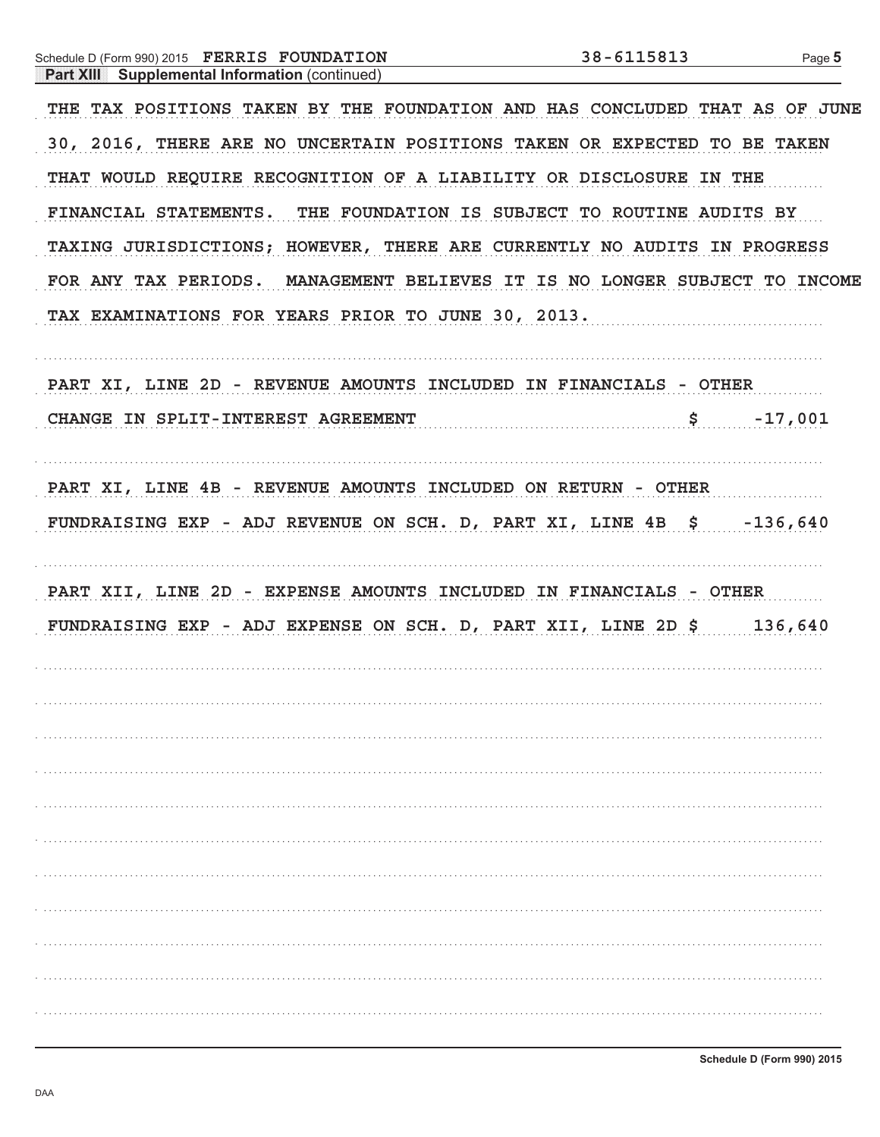| Schedule D (Form 990) 2015 FERRIS FOUNDATION                                | 38-6115813 | Page 5    |
|-----------------------------------------------------------------------------|------------|-----------|
| <b>Part XIII</b> Supplemental Information (continued)                       |            |           |
| THE TAX POSITIONS TAKEN BY THE FOUNDATION AND HAS CONCLUDED THAT AS OF JUNE |            |           |
| 30, 2016, THERE ARE NO UNCERTAIN POSITIONS TAKEN OR EXPECTED TO BE TAKEN    |            |           |
| THAT WOULD REQUIRE RECOGNITION OF A LIABILITY OR DISCLOSURE IN THE          |            |           |
| FINANCIAL STATEMENTS. THE FOUNDATION IS SUBJECT TO ROUTINE AUDITS BY        |            |           |
| TAXING JURISDICTIONS; HOWEVER, THERE ARE CURRENTLY NO AUDITS IN PROGRESS    |            |           |
| FOR ANY TAX PERIODS. MANAGEMENT BELIEVES IT IS NO LONGER SUBJECT TO INCOME  |            |           |
| TAX EXAMINATIONS FOR YEARS PRIOR TO JUNE 30, 2013.                          |            |           |
| PART XI, LINE 2D - REVENUE AMOUNTS INCLUDED IN FINANCIALS - OTHER           |            |           |
| CHANGE IN SPLIT-INTEREST AGREEMENT 5                                        |            | $-17,001$ |
| PART XI, LINE 4B - REVENUE AMOUNTS INCLUDED ON RETURN - OTHER               |            |           |
| FUNDRAISING EXP - ADJ REVENUE ON SCH. D, PART XI, LINE 4B \$ -136,640       |            |           |
| PART XII, LINE 2D - EXPENSE AMOUNTS INCLUDED IN FINANCIALS - OTHER          |            |           |
| FUNDRAISING EXP - ADJ EXPENSE ON SCH. D, PART XII, LINE 2D \$136,640        |            |           |
|                                                                             |            |           |
|                                                                             |            |           |
|                                                                             |            |           |
|                                                                             |            |           |
|                                                                             |            |           |
|                                                                             |            |           |
|                                                                             |            |           |
|                                                                             |            |           |
|                                                                             |            |           |
|                                                                             |            |           |
|                                                                             |            |           |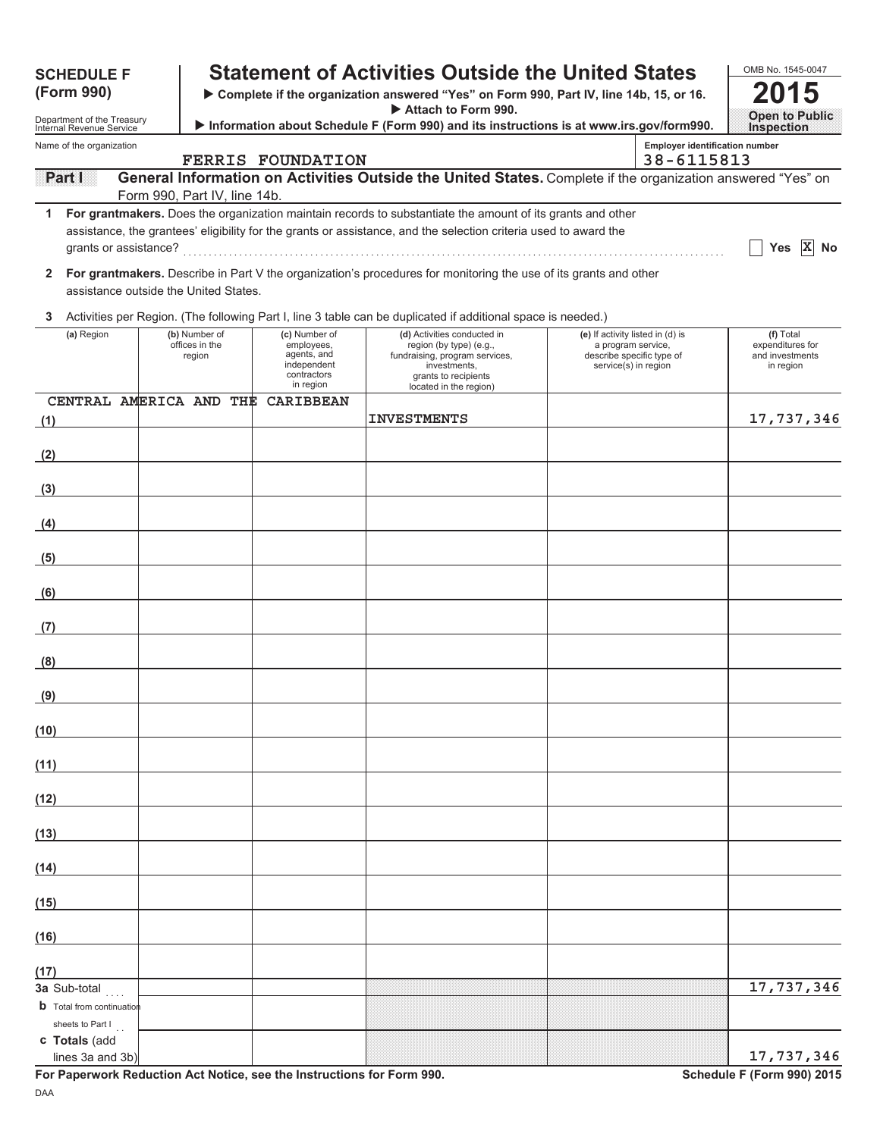| <b>SCHEDULE F</b>                                      |  |                                           |                                                                                       | <b>Statement of Activities Outside the United States</b>                                                                                                   |                                                                                                             |                                                     | OMB No. 1545-0047                                             |
|--------------------------------------------------------|--|-------------------------------------------|---------------------------------------------------------------------------------------|------------------------------------------------------------------------------------------------------------------------------------------------------------|-------------------------------------------------------------------------------------------------------------|-----------------------------------------------------|---------------------------------------------------------------|
| (Form 990)                                             |  |                                           |                                                                                       | Complete if the organization answered "Yes" on Form 990, Part IV, line 14b, 15, or 16.<br>Attach to Form 990.                                              |                                                                                                             | <b>Open to Public</b>                               |                                                               |
| Department of the Treasury<br>Internal Revenue Service |  |                                           |                                                                                       | Information about Schedule F (Form 990) and its instructions is at www.irs.gov/form990.                                                                    |                                                                                                             |                                                     | <b>Inspection</b>                                             |
| Name of the organization                               |  |                                           | <b>FERRIS FOUNDATION</b>                                                              |                                                                                                                                                            |                                                                                                             | <b>Employer identification number</b><br>38-6115813 |                                                               |
| Pant I                                                 |  |                                           |                                                                                       | General Information on Activities Outside the United States. Complete if the organization answered "Yes" on                                                |                                                                                                             |                                                     |                                                               |
| 1                                                      |  | Form 990, Part IV, line 14b.              |                                                                                       | For grantmakers. Does the organization maintain records to substantiate the amount of its grants and other                                                 |                                                                                                             |                                                     |                                                               |
| grants or assistance?                                  |  |                                           |                                                                                       | assistance, the grantees' eligibility for the grants or assistance, and the selection criteria used to award the                                           |                                                                                                             |                                                     | Yes $X$<br>No                                                 |
| $\mathbf{2}$<br>assistance outside the United States.  |  |                                           |                                                                                       | For grantmakers. Describe in Part V the organization's procedures for monitoring the use of its grants and other                                           |                                                                                                             |                                                     |                                                               |
| 3                                                      |  |                                           |                                                                                       | Activities per Region. (The following Part I, line 3 table can be duplicated if additional space is needed.)                                               |                                                                                                             |                                                     |                                                               |
| (a) Region                                             |  | (b) Number of<br>offices in the<br>region | (c) Number of<br>employees,<br>agents, and<br>independent<br>contractors<br>in region | (d) Activities conducted in<br>region (by type) (e.g.,<br>fundraising, program services,<br>investments,<br>grants to recipients<br>located in the region) | (e) If activity listed in (d) is<br>a program service,<br>describe specific type of<br>service(s) in region |                                                     | (f) Total<br>expenditures for<br>and investments<br>in region |
| CENTRAL AMERICA AND THE<br>(1)                         |  |                                           | <b>CARIBBEAN</b>                                                                      | <b>INVESTMENTS</b>                                                                                                                                         |                                                                                                             |                                                     | 17,737,346                                                    |
|                                                        |  |                                           |                                                                                       |                                                                                                                                                            |                                                                                                             |                                                     |                                                               |
| (2)                                                    |  |                                           |                                                                                       |                                                                                                                                                            |                                                                                                             |                                                     |                                                               |
| (3)                                                    |  |                                           |                                                                                       |                                                                                                                                                            |                                                                                                             |                                                     |                                                               |
| (4)                                                    |  |                                           |                                                                                       |                                                                                                                                                            |                                                                                                             |                                                     |                                                               |
| (5)                                                    |  |                                           |                                                                                       |                                                                                                                                                            |                                                                                                             |                                                     |                                                               |
| (6)<br><b>Contract Contract</b>                        |  |                                           |                                                                                       |                                                                                                                                                            |                                                                                                             |                                                     |                                                               |
| (7)<br><b>Contract Contract</b>                        |  |                                           |                                                                                       |                                                                                                                                                            |                                                                                                             |                                                     |                                                               |
| (8)                                                    |  |                                           |                                                                                       |                                                                                                                                                            |                                                                                                             |                                                     |                                                               |
| (9)                                                    |  |                                           |                                                                                       |                                                                                                                                                            |                                                                                                             |                                                     |                                                               |
| (10)                                                   |  |                                           |                                                                                       |                                                                                                                                                            |                                                                                                             |                                                     |                                                               |
| (11)                                                   |  |                                           |                                                                                       |                                                                                                                                                            |                                                                                                             |                                                     |                                                               |
| (12)                                                   |  |                                           |                                                                                       |                                                                                                                                                            |                                                                                                             |                                                     |                                                               |
| (13)                                                   |  |                                           |                                                                                       |                                                                                                                                                            |                                                                                                             |                                                     |                                                               |
|                                                        |  |                                           |                                                                                       |                                                                                                                                                            |                                                                                                             |                                                     |                                                               |
| (14)                                                   |  |                                           |                                                                                       |                                                                                                                                                            |                                                                                                             |                                                     |                                                               |
| (15)                                                   |  |                                           |                                                                                       |                                                                                                                                                            |                                                                                                             |                                                     |                                                               |
| (16)                                                   |  |                                           |                                                                                       |                                                                                                                                                            |                                                                                                             |                                                     |                                                               |
| (17)                                                   |  |                                           |                                                                                       |                                                                                                                                                            |                                                                                                             |                                                     |                                                               |
| 3a Sub-total<br><b>b</b> Total from continuation       |  |                                           |                                                                                       |                                                                                                                                                            |                                                                                                             |                                                     | 17,737,346                                                    |
| sheets to Part I                                       |  |                                           |                                                                                       |                                                                                                                                                            |                                                                                                             |                                                     |                                                               |
| c Totals (add<br>lines 3a and 3b)                      |  |                                           |                                                                                       |                                                                                                                                                            |                                                                                                             |                                                     | 17,737,346                                                    |

For Paperwork Reduction Act Notice, see the Instructions for Form 990. Schedule F (Form 990) 2015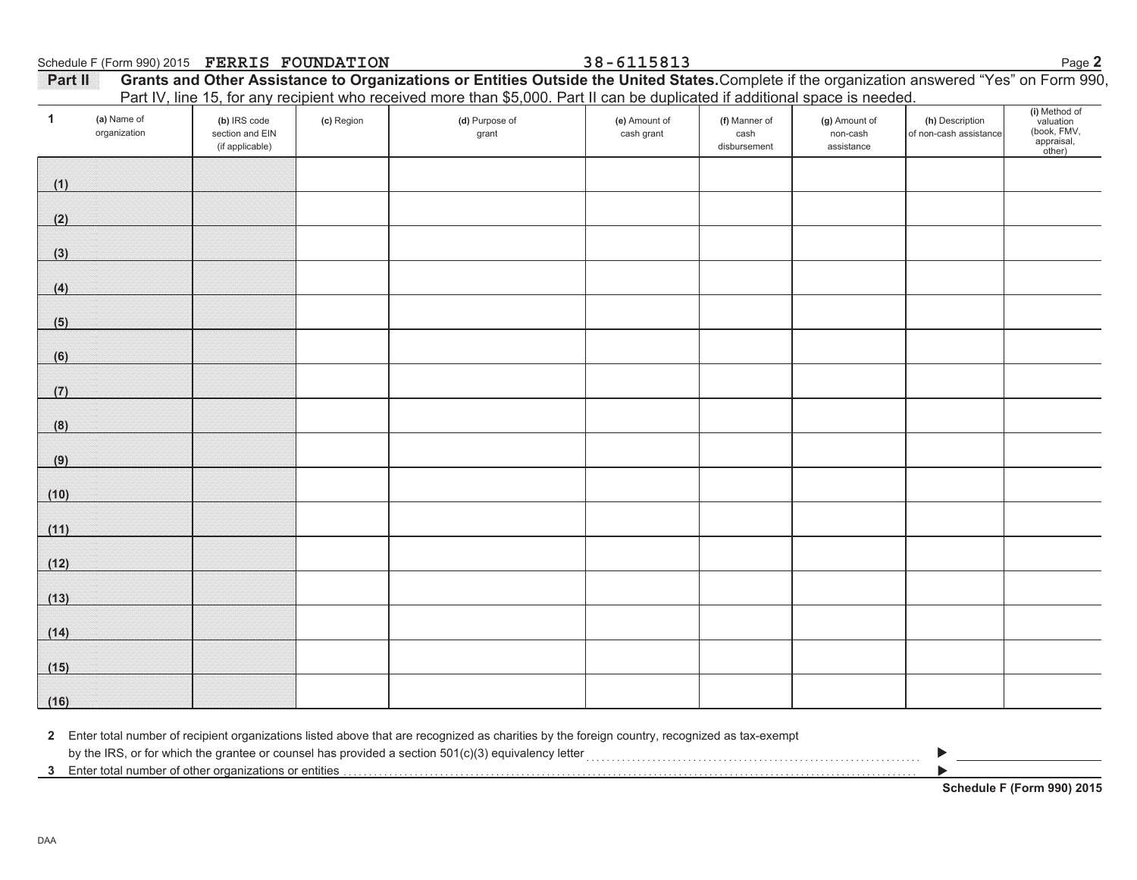Schedule F (Form 990) 2015 Page **2 FERRIS FOUNDATION 38-6115813**

| <b>Partill</b> | Grants and Other Assistance to Organizations or Entities Outside the United States. Complete if the organization answered "Yes" on Form 990, |  |
|----------------|----------------------------------------------------------------------------------------------------------------------------------------------|--|
|                | Part IV, line 15, for any recipient who received more than \$5,000. Part II can be duplicated if additional space is needed.                 |  |

| $\mathbf{1}$ | (a) Name of  | (b) IRS code                       | (c) Region | T art TV, line TO, for any recipient who received more than $\phi$ 0,000. I art in earl be adplicated in durinomal opace is neceded.<br>(d) Purpose of | (e) Amount of | (f) Manner of        | (g) Amount of          | (h) Description        |                                                                   |
|--------------|--------------|------------------------------------|------------|--------------------------------------------------------------------------------------------------------------------------------------------------------|---------------|----------------------|------------------------|------------------------|-------------------------------------------------------------------|
|              | organization | section and EIN<br>(if applicable) |            | grant                                                                                                                                                  | cash grant    | cash<br>disbursement | non-cash<br>assistance | of non-cash assistance | (i) Method of<br>valuation<br>(book, FMV,<br>appraisal,<br>other) |
| (1)          |              |                                    |            |                                                                                                                                                        |               |                      |                        |                        |                                                                   |
| (2)          |              |                                    |            |                                                                                                                                                        |               |                      |                        |                        |                                                                   |
| (3)          |              |                                    |            |                                                                                                                                                        |               |                      |                        |                        |                                                                   |
| (4)          |              |                                    |            |                                                                                                                                                        |               |                      |                        |                        |                                                                   |
| (5)          |              |                                    |            |                                                                                                                                                        |               |                      |                        |                        |                                                                   |
| (6)          |              |                                    |            |                                                                                                                                                        |               |                      |                        |                        |                                                                   |
| (7)          |              |                                    |            |                                                                                                                                                        |               |                      |                        |                        |                                                                   |
| (8)          |              |                                    |            |                                                                                                                                                        |               |                      |                        |                        |                                                                   |
| (9)          |              |                                    |            |                                                                                                                                                        |               |                      |                        |                        |                                                                   |
| (10)         |              |                                    |            |                                                                                                                                                        |               |                      |                        |                        |                                                                   |
| (11)         |              |                                    |            |                                                                                                                                                        |               |                      |                        |                        |                                                                   |
| (12)         |              |                                    |            |                                                                                                                                                        |               |                      |                        |                        |                                                                   |
| (13)         |              |                                    |            |                                                                                                                                                        |               |                      |                        |                        |                                                                   |
| (14)         |              |                                    |            |                                                                                                                                                        |               |                      |                        |                        |                                                                   |
| (15)         |              |                                    |            |                                                                                                                                                        |               |                      |                        |                        |                                                                   |
| (16)         |              |                                    |            |                                                                                                                                                        |               |                      |                        |                        |                                                                   |

**2** Enter total number of recipient organizations listed above that are recognized as charities by the foreign country, recognized as tax-exempt

by the IRS, or for which the grantee or counsel has provided a section 501(c)(3) equivalency letter . . . . . . . . . . . . . . . . . . . . . . . . . . . . . . . . . . . . . . . . . . . . . . . . . . . . . . . . . . . . . . . . . .

Enter total number of other organizations or entities . . . . . . . . . . . . . . . . . . . . . . . . . . . . . . . . . . . . . . . . . . . . . . . . . . . . . . . . . . . . . . . . . . . . . . . . . . . . . . . . . . . . . . . . . . . . . . . . . . . . . . . . . . . . . . . . .

**Schedule F (Form 990) 2015**

 $\blacktriangleright$  $\blacktriangleright$ 

**3**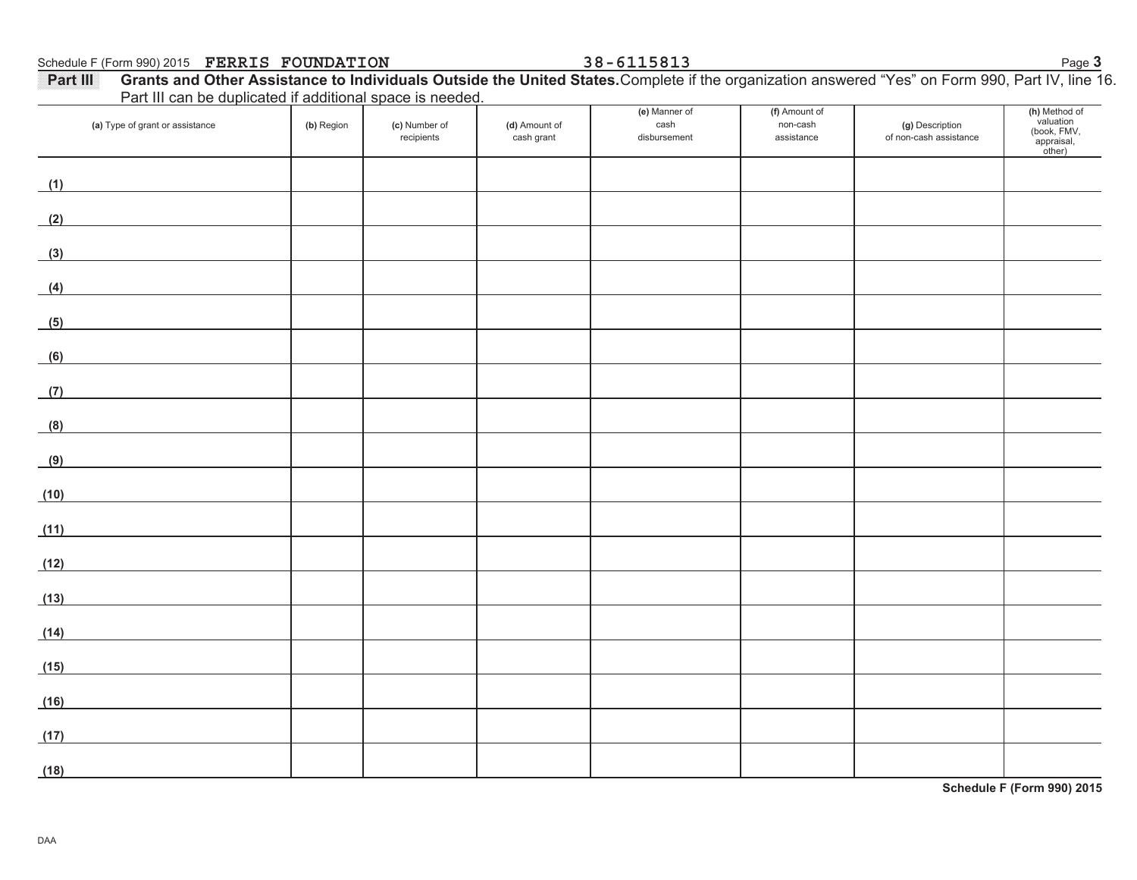Schedule F (Form 990) 2015 Page **3 FERRIS FOUNDATION 38-6115813**

| Part III can be duplicated if additional space is needed.                                                                     |            |                             |                             |                                       |                                         |                                           |                                                                    |
|-------------------------------------------------------------------------------------------------------------------------------|------------|-----------------------------|-----------------------------|---------------------------------------|-----------------------------------------|-------------------------------------------|--------------------------------------------------------------------|
| (a) Type of grant or assistance                                                                                               | (b) Region | (c) Number of<br>recipients | (d) Amount of<br>cash grant | (e) Manner of<br>cash<br>disbursement | (f) Amount of<br>non-cash<br>assistance | (g) Description<br>of non-cash assistance | (h) Method of<br>valuation<br>(book, FMV,<br>`appraisal,<br>other) |
| (1)                                                                                                                           |            |                             |                             |                                       |                                         |                                           |                                                                    |
| (2)                                                                                                                           |            |                             |                             |                                       |                                         |                                           |                                                                    |
| (3)                                                                                                                           |            |                             |                             |                                       |                                         |                                           |                                                                    |
| (4)<br><u> 1989 - Johann Barbara, martxa a</u>                                                                                |            |                             |                             |                                       |                                         |                                           |                                                                    |
| (5)<br><u> 1989 - Johann Stoff, deutscher Stoffen und der Stoffen und der Stoffen und der Stoffen und der Stoffen und der</u> |            |                             |                             |                                       |                                         |                                           |                                                                    |
| (6)                                                                                                                           |            |                             |                             |                                       |                                         |                                           |                                                                    |
| (7)                                                                                                                           |            |                             |                             |                                       |                                         |                                           |                                                                    |
| (8)                                                                                                                           |            |                             |                             |                                       |                                         |                                           |                                                                    |
| (9)                                                                                                                           |            |                             |                             |                                       |                                         |                                           |                                                                    |
| (10)                                                                                                                          |            |                             |                             |                                       |                                         |                                           |                                                                    |
| (11)<br><u> 1989 - Jan Stein Stein Stein Stein Stein Stein Stein Stein Stein Stein Stein Stein Stein Stein Stein Stein S</u>  |            |                             |                             |                                       |                                         |                                           |                                                                    |
| (12)                                                                                                                          |            |                             |                             |                                       |                                         |                                           |                                                                    |
| (13)<br><u> 1980 - Johann Barbara, martxa amerikan p</u>                                                                      |            |                             |                             |                                       |                                         |                                           |                                                                    |
| (14)                                                                                                                          |            |                             |                             |                                       |                                         |                                           |                                                                    |
| (15)                                                                                                                          |            |                             |                             |                                       |                                         |                                           |                                                                    |
| (16)                                                                                                                          |            |                             |                             |                                       |                                         |                                           |                                                                    |
| (17)                                                                                                                          |            |                             |                             |                                       |                                         |                                           |                                                                    |
| (18)                                                                                                                          |            |                             |                             |                                       |                                         |                                           |                                                                    |

**Part III Grants and Other Assistance to Individuals Outside the United States.** Complete if the organization answered "Yes" on Form 990, Part IV, line 16. Part III can be duplicated if additional space is needed.

**Schedule F (Form 990) 2015**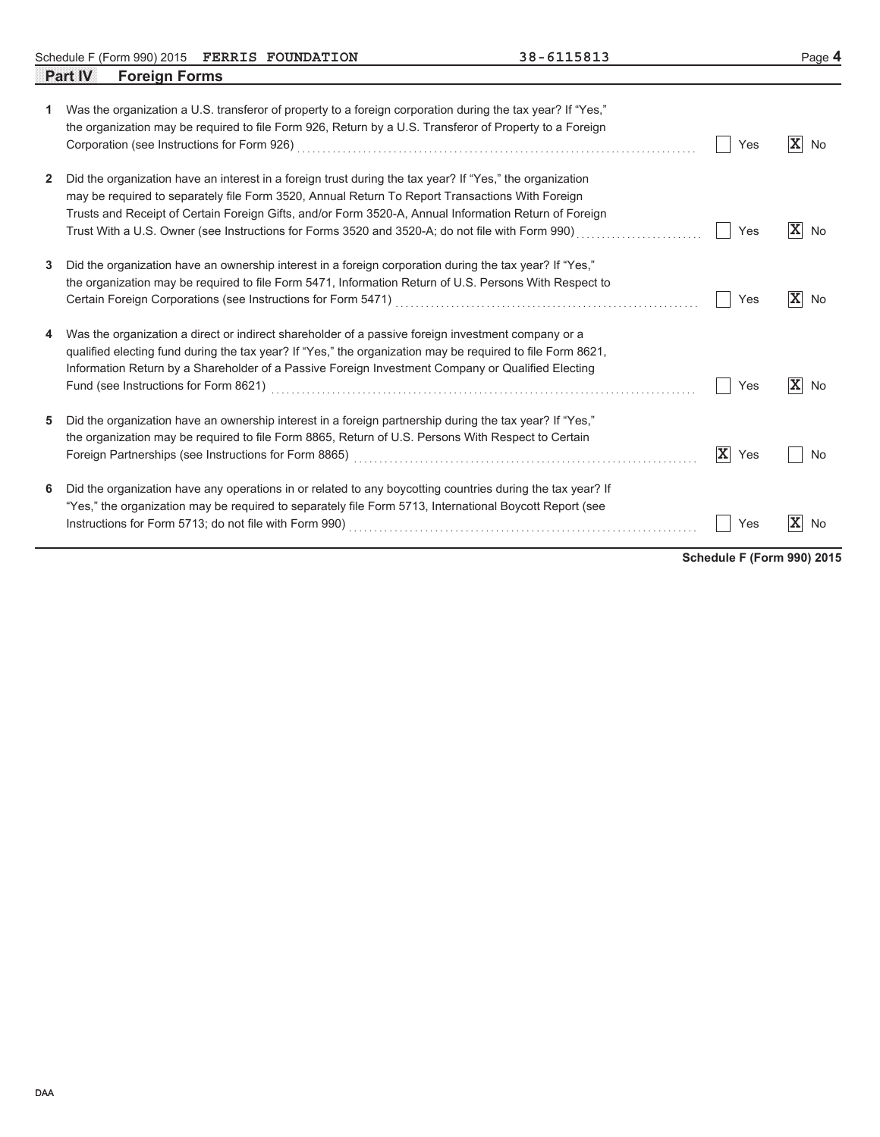Schedule F (Form 990) 2015 FERRIS FOUNDATION 38 - 6115813 Page **4 FERRIS FOUNDATION 38-6115813**

|   | <b>Foreign Forms</b><br><b>Part IV</b>                                                                                                                                                                                                                                                                                                                                                                                  |                    |                      |
|---|-------------------------------------------------------------------------------------------------------------------------------------------------------------------------------------------------------------------------------------------------------------------------------------------------------------------------------------------------------------------------------------------------------------------------|--------------------|----------------------|
| 1 | Was the organization a U.S. transferor of property to a foreign corporation during the tax year? If "Yes,"<br>the organization may be required to file Form 926, Return by a U.S. Transferor of Property to a Foreign                                                                                                                                                                                                   | Yes                | $\mathbf{x}$<br>No   |
| 2 | Did the organization have an interest in a foreign trust during the tax year? If "Yes," the organization<br>may be required to separately file Form 3520, Annual Return To Report Transactions With Foreign<br>Trusts and Receipt of Certain Foreign Gifts, and/or Form 3520-A, Annual Information Return of Foreign<br>Trust With a U.S. Owner (see Instructions for Forms 3520 and 3520-A; do not file with Form 990) | Yes                | $\mathbf{x}$<br>No   |
| 3 | Did the organization have an ownership interest in a foreign corporation during the tax year? If "Yes,"<br>the organization may be required to file Form 5471, Information Return of U.S. Persons With Respect to                                                                                                                                                                                                       | Yes                | $ \mathbf{X} $<br>No |
| 4 | Was the organization a direct or indirect shareholder of a passive foreign investment company or a<br>qualified electing fund during the tax year? If "Yes," the organization may be required to file Form 8621,<br>Information Return by a Shareholder of a Passive Foreign Investment Company or Qualified Electing                                                                                                   | Yes                | $ \mathbf{X} $<br>No |
| 5 | Did the organization have an ownership interest in a foreign partnership during the tax year? If "Yes,"<br>the organization may be required to file Form 8865, Return of U.S. Persons With Respect to Certain                                                                                                                                                                                                           | $\mathbf x$<br>Yes | No                   |
| 6 | Did the organization have any operations in or related to any boycotting countries during the tax year? If<br>"Yes," the organization may be required to separately file Form 5713, International Boycott Report (see                                                                                                                                                                                                   | Yes                | х<br>No              |

**Schedule F (Form 990) 2015**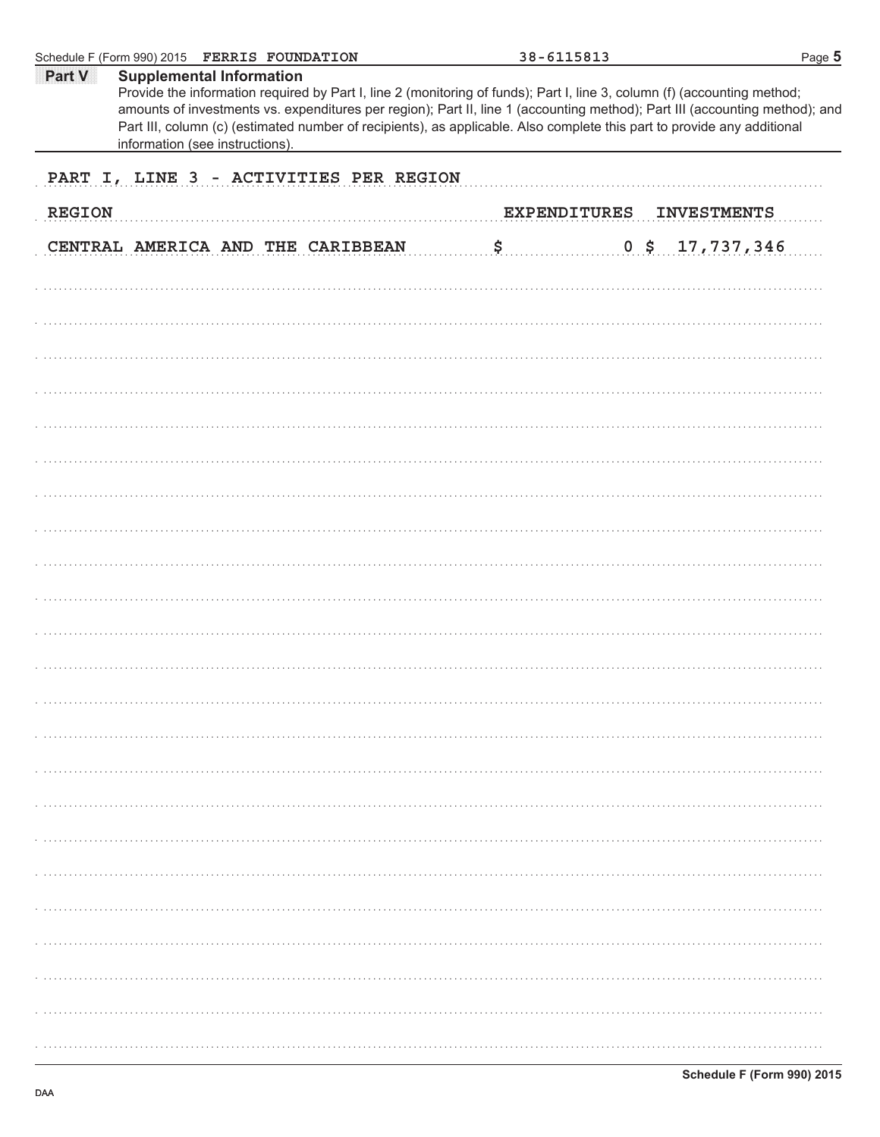|               | Schedule F (Form 990) 2015 FERRIS FOUNDATION                                                                                                                                                                                                                                                                                                                                                                                                             | 38-6115813              | Page 5             |
|---------------|----------------------------------------------------------------------------------------------------------------------------------------------------------------------------------------------------------------------------------------------------------------------------------------------------------------------------------------------------------------------------------------------------------------------------------------------------------|-------------------------|--------------------|
| Part V        | <b>Supplemental Information</b><br>Provide the information required by Part I, line 2 (monitoring of funds); Part I, line 3, column (f) (accounting method;<br>amounts of investments vs. expenditures per region); Part II, line 1 (accounting method); Part III (accounting method); and<br>Part III, column (c) (estimated number of recipients), as applicable. Also complete this part to provide any additional<br>information (see instructions). |                         |                    |
|               | PART I, LINE 3 - ACTIVITIES PER REGION                                                                                                                                                                                                                                                                                                                                                                                                                   |                         |                    |
| <b>REGION</b> |                                                                                                                                                                                                                                                                                                                                                                                                                                                          | <b>EXPENDITURES</b>     | <b>INVESTMENTS</b> |
|               | CENTRAL AMERICA AND THE CARIBBEAN                                                                                                                                                                                                                                                                                                                                                                                                                        | \$<br>$0$ \$ 17,737,346 |                    |
|               |                                                                                                                                                                                                                                                                                                                                                                                                                                                          |                         |                    |
|               |                                                                                                                                                                                                                                                                                                                                                                                                                                                          |                         |                    |
|               |                                                                                                                                                                                                                                                                                                                                                                                                                                                          |                         |                    |
|               |                                                                                                                                                                                                                                                                                                                                                                                                                                                          |                         |                    |
|               |                                                                                                                                                                                                                                                                                                                                                                                                                                                          |                         |                    |
|               |                                                                                                                                                                                                                                                                                                                                                                                                                                                          |                         |                    |
|               |                                                                                                                                                                                                                                                                                                                                                                                                                                                          |                         |                    |
|               |                                                                                                                                                                                                                                                                                                                                                                                                                                                          |                         |                    |
|               |                                                                                                                                                                                                                                                                                                                                                                                                                                                          |                         |                    |
|               |                                                                                                                                                                                                                                                                                                                                                                                                                                                          |                         |                    |
|               |                                                                                                                                                                                                                                                                                                                                                                                                                                                          |                         |                    |
|               |                                                                                                                                                                                                                                                                                                                                                                                                                                                          |                         |                    |
|               |                                                                                                                                                                                                                                                                                                                                                                                                                                                          |                         |                    |
|               |                                                                                                                                                                                                                                                                                                                                                                                                                                                          |                         |                    |
|               |                                                                                                                                                                                                                                                                                                                                                                                                                                                          |                         |                    |
|               |                                                                                                                                                                                                                                                                                                                                                                                                                                                          |                         |                    |
|               |                                                                                                                                                                                                                                                                                                                                                                                                                                                          |                         |                    |
|               |                                                                                                                                                                                                                                                                                                                                                                                                                                                          |                         |                    |
|               |                                                                                                                                                                                                                                                                                                                                                                                                                                                          |                         |                    |
|               |                                                                                                                                                                                                                                                                                                                                                                                                                                                          |                         |                    |
|               |                                                                                                                                                                                                                                                                                                                                                                                                                                                          |                         |                    |
|               |                                                                                                                                                                                                                                                                                                                                                                                                                                                          |                         |                    |
|               |                                                                                                                                                                                                                                                                                                                                                                                                                                                          |                         |                    |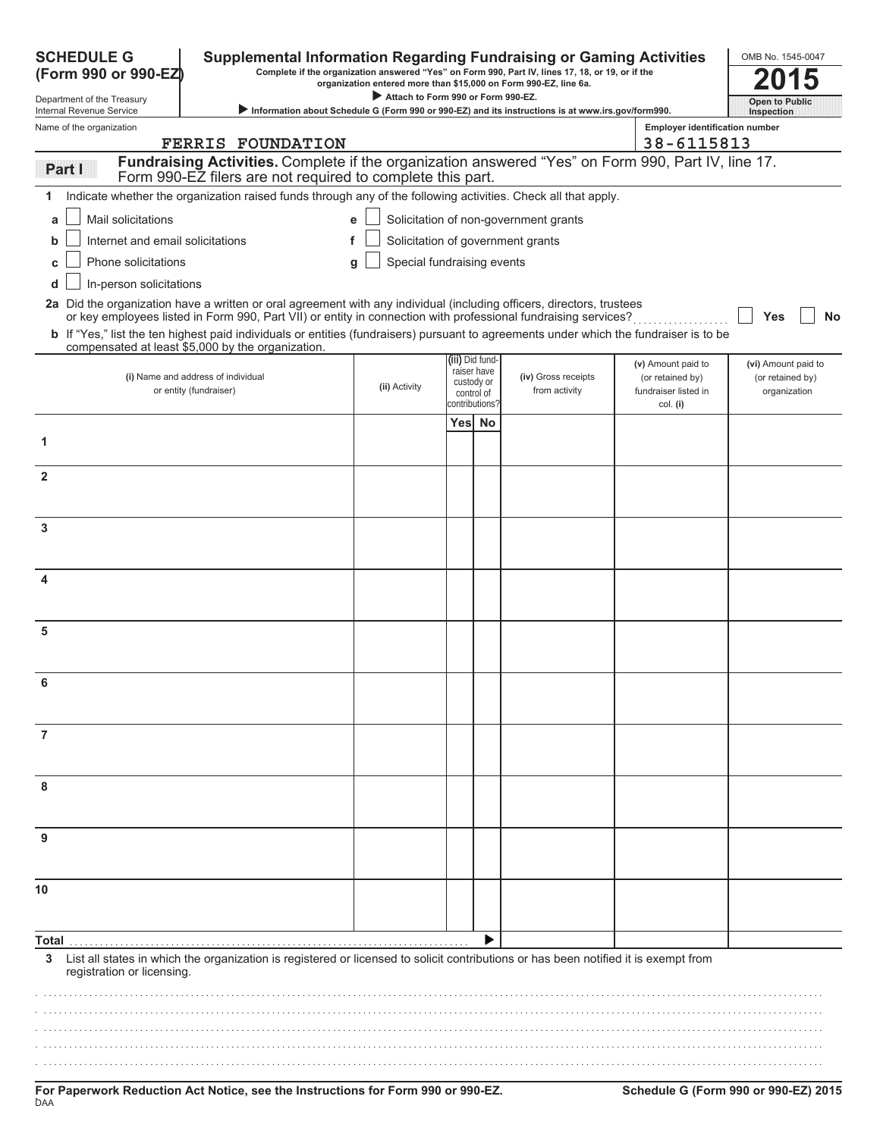| <b>SCHEDULE G</b><br><b>Supplemental Information Regarding Fundraising or Gaming Activities</b><br>Complete if the organization answered "Yes" on Form 990, Part IV, lines 17, 18, or 19, or if the<br>(Form 990 or 990-EZ)<br>organization entered more than \$15,000 on Form 990-EZ, line 6a. |                                                                                                                                                                                                                                         |                                    |                                                            |                |                                                                                                   |                                                                |                                                         |
|-------------------------------------------------------------------------------------------------------------------------------------------------------------------------------------------------------------------------------------------------------------------------------------------------|-----------------------------------------------------------------------------------------------------------------------------------------------------------------------------------------------------------------------------------------|------------------------------------|------------------------------------------------------------|----------------|---------------------------------------------------------------------------------------------------|----------------------------------------------------------------|---------------------------------------------------------|
| Department of the Treasury<br>Internal Revenue Service                                                                                                                                                                                                                                          |                                                                                                                                                                                                                                         | Attach to Form 990 or Form 990-EZ. |                                                            |                | Information about Schedule G (Form 990 or 990-EZ) and its instructions is at www.irs.gov/form990. |                                                                | Open to Public<br>Inspection                            |
| Name of the organization                                                                                                                                                                                                                                                                        |                                                                                                                                                                                                                                         |                                    |                                                            |                |                                                                                                   | <b>Employer identification number</b>                          |                                                         |
|                                                                                                                                                                                                                                                                                                 | <b>FERRIS FOUNDATION</b>                                                                                                                                                                                                                |                                    |                                                            |                |                                                                                                   | 38-6115813                                                     |                                                         |
| Partill                                                                                                                                                                                                                                                                                         | Fundraising Activities. Complete if the organization answered "Yes" on Form 990, Part IV, line 17.<br>Form 990-EZ filers are not required to complete this part.                                                                        |                                    |                                                            |                |                                                                                                   |                                                                |                                                         |
|                                                                                                                                                                                                                                                                                                 | Indicate whether the organization raised funds through any of the following activities. Check all that apply.                                                                                                                           |                                    |                                                            |                |                                                                                                   |                                                                |                                                         |
| Mail solicitations<br>a                                                                                                                                                                                                                                                                         |                                                                                                                                                                                                                                         | e                                  |                                                            |                | Solicitation of non-government grants                                                             |                                                                |                                                         |
| Internet and email solicitations<br>b                                                                                                                                                                                                                                                           |                                                                                                                                                                                                                                         | f                                  |                                                            |                | Solicitation of government grants                                                                 |                                                                |                                                         |
| Phone solicitations                                                                                                                                                                                                                                                                             |                                                                                                                                                                                                                                         | Special fundraising events<br>g    |                                                            |                |                                                                                                   |                                                                |                                                         |
| In-person solicitations<br>d                                                                                                                                                                                                                                                                    |                                                                                                                                                                                                                                         |                                    |                                                            |                |                                                                                                   |                                                                |                                                         |
|                                                                                                                                                                                                                                                                                                 | 2a Did the organization have a written or oral agreement with any individual (including officers, directors, trustees<br>or key employees listed in Form 990, Part VII) or entity in connection with professional fundraising services? |                                    |                                                            |                |                                                                                                   |                                                                | Yes<br>No                                               |
|                                                                                                                                                                                                                                                                                                 | b If "Yes," list the ten highest paid individuals or entities (fundraisers) pursuant to agreements under which the fundraiser is to be<br>compensated at least \$5,000 by the organization.                                             |                                    |                                                            |                |                                                                                                   |                                                                |                                                         |
|                                                                                                                                                                                                                                                                                                 | (i) Name and address of individual<br>or entity (fundraiser)                                                                                                                                                                            | (ii) Activity                      | (iii) Did fund-<br>raiser have<br>custody or<br>control of |                | (iv) Gross receipts<br>from activity                                                              | (v) Amount paid to<br>(or retained by)<br>fundraiser listed in | (vi) Amount paid to<br>(or retained by)<br>organization |
|                                                                                                                                                                                                                                                                                                 |                                                                                                                                                                                                                                         |                                    |                                                            | contributions? |                                                                                                   | col. (i)                                                       |                                                         |
| 1                                                                                                                                                                                                                                                                                               |                                                                                                                                                                                                                                         |                                    | Yes No                                                     |                |                                                                                                   |                                                                |                                                         |
| $\mathbf{2}$                                                                                                                                                                                                                                                                                    |                                                                                                                                                                                                                                         |                                    |                                                            |                |                                                                                                   |                                                                |                                                         |
|                                                                                                                                                                                                                                                                                                 |                                                                                                                                                                                                                                         |                                    |                                                            |                |                                                                                                   |                                                                |                                                         |
| 3                                                                                                                                                                                                                                                                                               |                                                                                                                                                                                                                                         |                                    |                                                            |                |                                                                                                   |                                                                |                                                         |
| 4                                                                                                                                                                                                                                                                                               |                                                                                                                                                                                                                                         |                                    |                                                            |                |                                                                                                   |                                                                |                                                         |
| 5                                                                                                                                                                                                                                                                                               |                                                                                                                                                                                                                                         |                                    |                                                            |                |                                                                                                   |                                                                |                                                         |
|                                                                                                                                                                                                                                                                                                 |                                                                                                                                                                                                                                         |                                    |                                                            |                |                                                                                                   |                                                                |                                                         |
| 6                                                                                                                                                                                                                                                                                               |                                                                                                                                                                                                                                         |                                    |                                                            |                |                                                                                                   |                                                                |                                                         |
| 7                                                                                                                                                                                                                                                                                               |                                                                                                                                                                                                                                         |                                    |                                                            |                |                                                                                                   |                                                                |                                                         |
| 8                                                                                                                                                                                                                                                                                               |                                                                                                                                                                                                                                         |                                    |                                                            |                |                                                                                                   |                                                                |                                                         |
|                                                                                                                                                                                                                                                                                                 |                                                                                                                                                                                                                                         |                                    |                                                            |                |                                                                                                   |                                                                |                                                         |
|                                                                                                                                                                                                                                                                                                 |                                                                                                                                                                                                                                         |                                    |                                                            |                |                                                                                                   |                                                                |                                                         |
| 10                                                                                                                                                                                                                                                                                              |                                                                                                                                                                                                                                         |                                    |                                                            |                |                                                                                                   |                                                                |                                                         |
| Total                                                                                                                                                                                                                                                                                           |                                                                                                                                                                                                                                         |                                    |                                                            |                |                                                                                                   |                                                                |                                                         |
| 3<br>registration or licensing.                                                                                                                                                                                                                                                                 | List all states in which the organization is registered or licensed to solicit contributions or has been notified it is exempt from                                                                                                     |                                    |                                                            |                |                                                                                                   |                                                                |                                                         |
|                                                                                                                                                                                                                                                                                                 |                                                                                                                                                                                                                                         |                                    |                                                            |                |                                                                                                   |                                                                |                                                         |
|                                                                                                                                                                                                                                                                                                 |                                                                                                                                                                                                                                         |                                    |                                                            |                |                                                                                                   |                                                                |                                                         |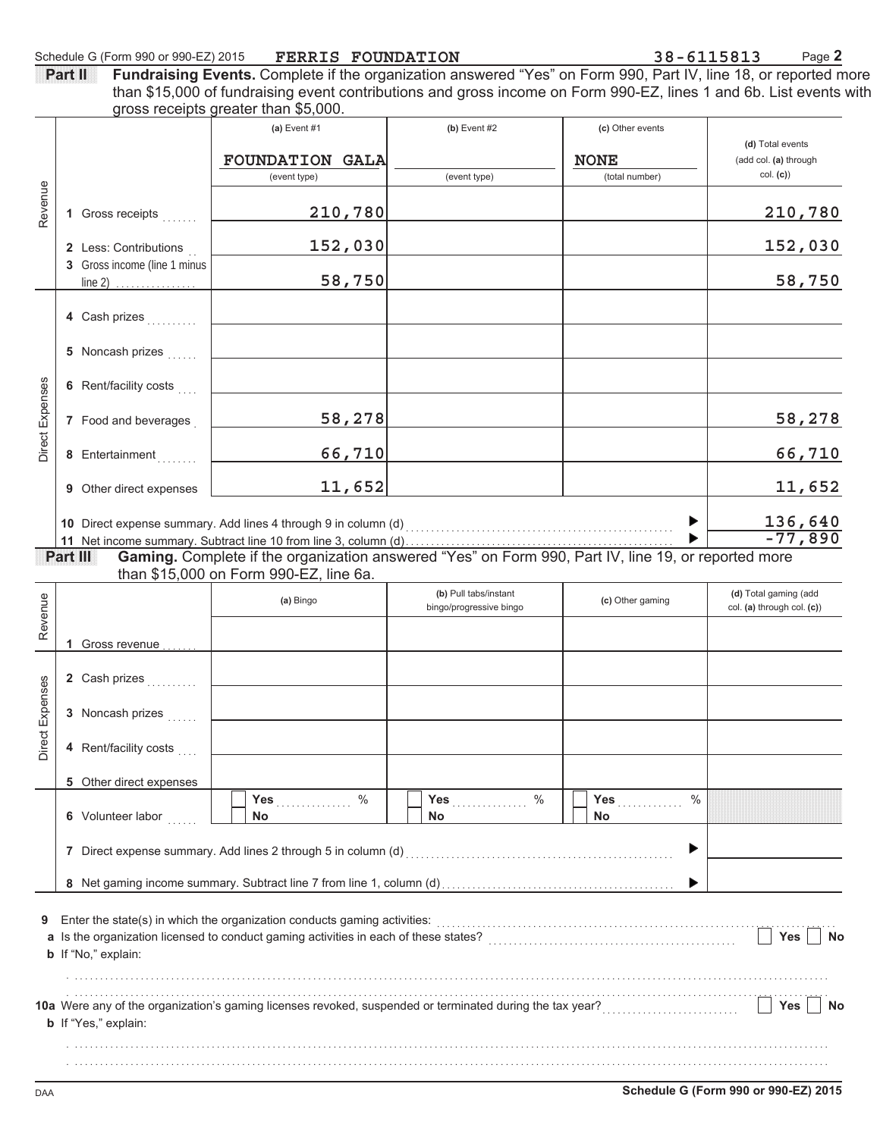| <b>Part II</b> Fundraising Events. Complete if the organization answered "Yes" on Form 990, Part IV, line 18, or reported more |
|--------------------------------------------------------------------------------------------------------------------------------|
| than \$15,000 of fundraising event contributions and gross income on Form 990-EZ, lines 1 and 6b. List events with             |
| gross receipts greater than \$5,000.                                                                                           |

|                 |    |                              | (a) Event $#1$                                                                                           | $(b)$ Event #2          | (c) Other events              |                                   |
|-----------------|----|------------------------------|----------------------------------------------------------------------------------------------------------|-------------------------|-------------------------------|-----------------------------------|
|                 |    |                              |                                                                                                          |                         |                               | (d) Total events                  |
|                 |    |                              | <b>FOUNDATION GALA</b><br>(event type)                                                                   | (event type)            | <b>NONE</b><br>(total number) | (add col. (a) through<br>col. (c) |
|                 |    |                              |                                                                                                          |                         |                               |                                   |
| Revenue         |    | 1 Gross receipts             | 210,780                                                                                                  |                         |                               | 210,780                           |
|                 |    | 2 Less: Contributions        | 152,030                                                                                                  |                         |                               | 152,030                           |
|                 |    | 3 Gross income (line 1 minus |                                                                                                          |                         |                               |                                   |
|                 |    | $line 2)$                    | 58,750                                                                                                   |                         |                               | 58,750                            |
|                 |    |                              |                                                                                                          |                         |                               |                                   |
|                 |    | 4 Cash prizes                |                                                                                                          |                         |                               |                                   |
|                 |    | 5 Noncash prizes             |                                                                                                          |                         |                               |                                   |
|                 |    |                              |                                                                                                          |                         |                               |                                   |
|                 |    | 6 Rent/facility costs        |                                                                                                          |                         |                               |                                   |
| Direct Expenses |    |                              |                                                                                                          |                         |                               |                                   |
|                 |    | 7 Food and beverages         | 58,278                                                                                                   |                         |                               | 58,278                            |
|                 |    | 8 Entertainment              | 66,710                                                                                                   |                         |                               | 66,710                            |
|                 |    |                              |                                                                                                          |                         |                               |                                   |
|                 | 9  | Other direct expenses        | 11,652                                                                                                   |                         |                               | 11,652                            |
|                 |    |                              |                                                                                                          |                         |                               |                                   |
|                 |    |                              |                                                                                                          |                         | ▶                             | 136,640<br>$-77,890$              |
|                 |    | Part III                     | Gaming. Complete if the organization answered "Yes" on Form 990, Part IV, line 19, or reported more      |                         |                               |                                   |
|                 |    |                              | than \$15,000 on Form 990-EZ, line 6a.                                                                   |                         |                               |                                   |
|                 |    |                              |                                                                                                          | (b) Pull tabs/instant   |                               | (d) Total gaming (add             |
|                 |    |                              | (a) Bingo                                                                                                | bingo/progressive bingo | (c) Other gaming              | col. (a) through col. (c))        |
| Revenue         |    |                              |                                                                                                          |                         |                               |                                   |
|                 | 1. | Gross revenue                |                                                                                                          |                         |                               |                                   |
|                 |    | 2 Cash prizes                |                                                                                                          |                         |                               |                                   |
|                 |    |                              |                                                                                                          |                         |                               |                                   |
| Direct Expenses |    | 3 Noncash prizes             |                                                                                                          |                         |                               |                                   |
|                 |    |                              |                                                                                                          |                         |                               |                                   |
|                 |    | 4 Rent/facility costs        |                                                                                                          |                         |                               |                                   |
|                 |    |                              |                                                                                                          |                         |                               |                                   |
|                 |    | 5 Other direct expenses      | ℅<br>Yes                                                                                                 | $\%$<br>Yes             | $\%$<br>Yes                   |                                   |
|                 |    | 6 Volunteer labor            | No                                                                                                       | <b>No</b>               | <b>No</b>                     |                                   |
|                 |    |                              |                                                                                                          |                         |                               |                                   |
|                 |    |                              |                                                                                                          |                         | ▶                             |                                   |
|                 |    |                              |                                                                                                          |                         |                               |                                   |
|                 |    |                              |                                                                                                          |                         | ▶                             |                                   |
| 9               |    |                              | Enter the state(s) in which the organization conducts gaming activities:                                 |                         |                               |                                   |
|                 |    |                              |                                                                                                          |                         |                               | Yes<br>No                         |
|                 |    | b If "No," explain:          |                                                                                                          |                         |                               |                                   |
|                 |    |                              |                                                                                                          |                         |                               |                                   |
|                 |    |                              |                                                                                                          |                         |                               |                                   |
|                 |    |                              | 10a Were any of the organization's gaming licenses revoked, suspended or terminated during the tax year? |                         |                               | Yes<br>No                         |
|                 |    | <b>b</b> If "Yes," explain:  |                                                                                                          |                         |                               |                                   |
|                 |    |                              |                                                                                                          |                         |                               |                                   |
|                 |    |                              |                                                                                                          |                         |                               |                                   |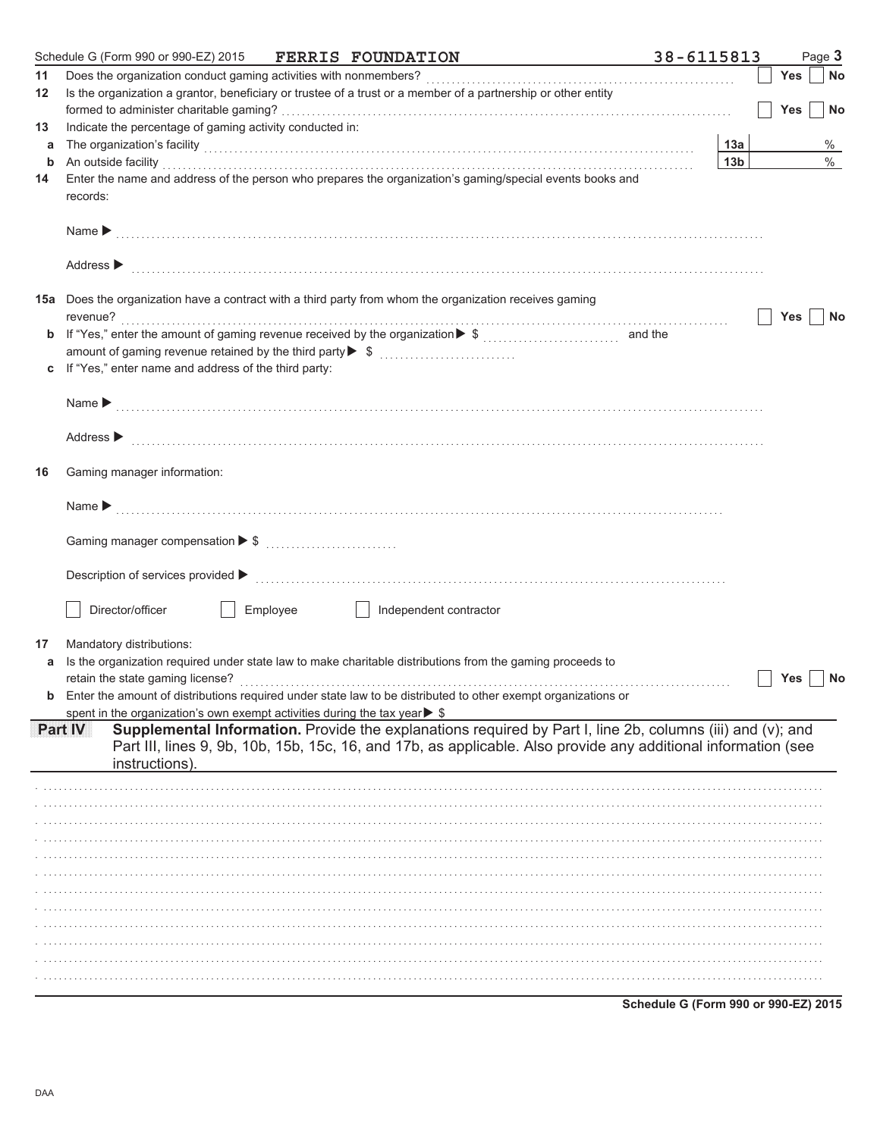| Does the organization conduct gaming activities with nonmembers?<br>11<br>Yes<br>Is the organization a grantor, beneficiary or trustee of a trust or a member of a partnership or other entity<br>12<br>Yes<br>Indicate the percentage of gaming activity conducted in:<br>13<br>The organization's facility with a control of the control of the control of the control of the control of the control of the control of the control of the control of the control of the control of the control of the control<br>13а<br>a<br>13 <sub>b</sub><br>An outside facility with an account of the contract of the contract of the contract of the contract of the contract of the contract of the contract of the contract of the contract of the contract of the contract of the con<br>b<br>Enter the name and address of the person who prepares the organization's gaming/special events books and<br>14<br>records:<br>Name $\blacktriangleright$<br>Address $\blacktriangleright$<br>15a Does the organization have a contract with a third party from whom the organization receives gaming<br>revenue?<br>Yes<br><b>b</b> If "Yes," enter the amount of gaming revenue received by the organization $\triangleright$ \$<br>and the<br>amount of gaming revenue retained by the third party▶ \$<br>If "Yes," enter name and address of the third party:<br>С<br>Name $\blacktriangleright$<br>Address $\blacktriangleright$<br>Gaming manager information:<br>16<br>Name $\blacktriangleright$<br>Description of services provided ▶<br>Director/officer<br>Employee<br>Independent contractor<br>Mandatory distributions:<br>17<br>Is the organization required under state law to make charitable distributions from the gaming proceeds to<br>a<br>retain the state gaming license?<br>Yes<br><b>b</b> Enter the amount of distributions required under state law to be distributed to other exempt organizations or<br>spent in the organization's own exempt activities during the tax year▶ \$<br>Supplemental Information. Provide the explanations required by Part I, line 2b, columns (iii) and (v); and<br>Part IV<br>Part III, lines 9, 9b, 10b, 15b, 15c, 16, and 17b, as applicable. Also provide any additional information (see<br>instructions). | Schedule G (Form 990 or 990-EZ) 2015 FERRIS FOUNDATION |  | 38-6115813 | Page 3 |
|---------------------------------------------------------------------------------------------------------------------------------------------------------------------------------------------------------------------------------------------------------------------------------------------------------------------------------------------------------------------------------------------------------------------------------------------------------------------------------------------------------------------------------------------------------------------------------------------------------------------------------------------------------------------------------------------------------------------------------------------------------------------------------------------------------------------------------------------------------------------------------------------------------------------------------------------------------------------------------------------------------------------------------------------------------------------------------------------------------------------------------------------------------------------------------------------------------------------------------------------------------------------------------------------------------------------------------------------------------------------------------------------------------------------------------------------------------------------------------------------------------------------------------------------------------------------------------------------------------------------------------------------------------------------------------------------------------------------------------------------------------------------------------------------------------------------------------------------------------------------------------------------------------------------------------------------------------------------------------------------------------------------------------------------------------------------------------------------------------------------------------------------------------------------------------------------------------------------------------------------------------------------|--------------------------------------------------------|--|------------|--------|
|                                                                                                                                                                                                                                                                                                                                                                                                                                                                                                                                                                                                                                                                                                                                                                                                                                                                                                                                                                                                                                                                                                                                                                                                                                                                                                                                                                                                                                                                                                                                                                                                                                                                                                                                                                                                                                                                                                                                                                                                                                                                                                                                                                                                                                                                     |                                                        |  |            | No     |
|                                                                                                                                                                                                                                                                                                                                                                                                                                                                                                                                                                                                                                                                                                                                                                                                                                                                                                                                                                                                                                                                                                                                                                                                                                                                                                                                                                                                                                                                                                                                                                                                                                                                                                                                                                                                                                                                                                                                                                                                                                                                                                                                                                                                                                                                     |                                                        |  |            |        |
|                                                                                                                                                                                                                                                                                                                                                                                                                                                                                                                                                                                                                                                                                                                                                                                                                                                                                                                                                                                                                                                                                                                                                                                                                                                                                                                                                                                                                                                                                                                                                                                                                                                                                                                                                                                                                                                                                                                                                                                                                                                                                                                                                                                                                                                                     |                                                        |  |            | No     |
|                                                                                                                                                                                                                                                                                                                                                                                                                                                                                                                                                                                                                                                                                                                                                                                                                                                                                                                                                                                                                                                                                                                                                                                                                                                                                                                                                                                                                                                                                                                                                                                                                                                                                                                                                                                                                                                                                                                                                                                                                                                                                                                                                                                                                                                                     |                                                        |  |            | %      |
|                                                                                                                                                                                                                                                                                                                                                                                                                                                                                                                                                                                                                                                                                                                                                                                                                                                                                                                                                                                                                                                                                                                                                                                                                                                                                                                                                                                                                                                                                                                                                                                                                                                                                                                                                                                                                                                                                                                                                                                                                                                                                                                                                                                                                                                                     |                                                        |  |            | $\%$   |
|                                                                                                                                                                                                                                                                                                                                                                                                                                                                                                                                                                                                                                                                                                                                                                                                                                                                                                                                                                                                                                                                                                                                                                                                                                                                                                                                                                                                                                                                                                                                                                                                                                                                                                                                                                                                                                                                                                                                                                                                                                                                                                                                                                                                                                                                     |                                                        |  |            |        |
|                                                                                                                                                                                                                                                                                                                                                                                                                                                                                                                                                                                                                                                                                                                                                                                                                                                                                                                                                                                                                                                                                                                                                                                                                                                                                                                                                                                                                                                                                                                                                                                                                                                                                                                                                                                                                                                                                                                                                                                                                                                                                                                                                                                                                                                                     |                                                        |  |            |        |
|                                                                                                                                                                                                                                                                                                                                                                                                                                                                                                                                                                                                                                                                                                                                                                                                                                                                                                                                                                                                                                                                                                                                                                                                                                                                                                                                                                                                                                                                                                                                                                                                                                                                                                                                                                                                                                                                                                                                                                                                                                                                                                                                                                                                                                                                     |                                                        |  |            |        |
|                                                                                                                                                                                                                                                                                                                                                                                                                                                                                                                                                                                                                                                                                                                                                                                                                                                                                                                                                                                                                                                                                                                                                                                                                                                                                                                                                                                                                                                                                                                                                                                                                                                                                                                                                                                                                                                                                                                                                                                                                                                                                                                                                                                                                                                                     |                                                        |  |            |        |
|                                                                                                                                                                                                                                                                                                                                                                                                                                                                                                                                                                                                                                                                                                                                                                                                                                                                                                                                                                                                                                                                                                                                                                                                                                                                                                                                                                                                                                                                                                                                                                                                                                                                                                                                                                                                                                                                                                                                                                                                                                                                                                                                                                                                                                                                     |                                                        |  |            | No     |
|                                                                                                                                                                                                                                                                                                                                                                                                                                                                                                                                                                                                                                                                                                                                                                                                                                                                                                                                                                                                                                                                                                                                                                                                                                                                                                                                                                                                                                                                                                                                                                                                                                                                                                                                                                                                                                                                                                                                                                                                                                                                                                                                                                                                                                                                     |                                                        |  |            |        |
|                                                                                                                                                                                                                                                                                                                                                                                                                                                                                                                                                                                                                                                                                                                                                                                                                                                                                                                                                                                                                                                                                                                                                                                                                                                                                                                                                                                                                                                                                                                                                                                                                                                                                                                                                                                                                                                                                                                                                                                                                                                                                                                                                                                                                                                                     |                                                        |  |            |        |
|                                                                                                                                                                                                                                                                                                                                                                                                                                                                                                                                                                                                                                                                                                                                                                                                                                                                                                                                                                                                                                                                                                                                                                                                                                                                                                                                                                                                                                                                                                                                                                                                                                                                                                                                                                                                                                                                                                                                                                                                                                                                                                                                                                                                                                                                     |                                                        |  |            |        |
|                                                                                                                                                                                                                                                                                                                                                                                                                                                                                                                                                                                                                                                                                                                                                                                                                                                                                                                                                                                                                                                                                                                                                                                                                                                                                                                                                                                                                                                                                                                                                                                                                                                                                                                                                                                                                                                                                                                                                                                                                                                                                                                                                                                                                                                                     |                                                        |  |            |        |
|                                                                                                                                                                                                                                                                                                                                                                                                                                                                                                                                                                                                                                                                                                                                                                                                                                                                                                                                                                                                                                                                                                                                                                                                                                                                                                                                                                                                                                                                                                                                                                                                                                                                                                                                                                                                                                                                                                                                                                                                                                                                                                                                                                                                                                                                     |                                                        |  |            |        |
|                                                                                                                                                                                                                                                                                                                                                                                                                                                                                                                                                                                                                                                                                                                                                                                                                                                                                                                                                                                                                                                                                                                                                                                                                                                                                                                                                                                                                                                                                                                                                                                                                                                                                                                                                                                                                                                                                                                                                                                                                                                                                                                                                                                                                                                                     |                                                        |  |            |        |
|                                                                                                                                                                                                                                                                                                                                                                                                                                                                                                                                                                                                                                                                                                                                                                                                                                                                                                                                                                                                                                                                                                                                                                                                                                                                                                                                                                                                                                                                                                                                                                                                                                                                                                                                                                                                                                                                                                                                                                                                                                                                                                                                                                                                                                                                     |                                                        |  |            |        |
|                                                                                                                                                                                                                                                                                                                                                                                                                                                                                                                                                                                                                                                                                                                                                                                                                                                                                                                                                                                                                                                                                                                                                                                                                                                                                                                                                                                                                                                                                                                                                                                                                                                                                                                                                                                                                                                                                                                                                                                                                                                                                                                                                                                                                                                                     |                                                        |  |            |        |
|                                                                                                                                                                                                                                                                                                                                                                                                                                                                                                                                                                                                                                                                                                                                                                                                                                                                                                                                                                                                                                                                                                                                                                                                                                                                                                                                                                                                                                                                                                                                                                                                                                                                                                                                                                                                                                                                                                                                                                                                                                                                                                                                                                                                                                                                     |                                                        |  |            |        |
|                                                                                                                                                                                                                                                                                                                                                                                                                                                                                                                                                                                                                                                                                                                                                                                                                                                                                                                                                                                                                                                                                                                                                                                                                                                                                                                                                                                                                                                                                                                                                                                                                                                                                                                                                                                                                                                                                                                                                                                                                                                                                                                                                                                                                                                                     |                                                        |  |            |        |
|                                                                                                                                                                                                                                                                                                                                                                                                                                                                                                                                                                                                                                                                                                                                                                                                                                                                                                                                                                                                                                                                                                                                                                                                                                                                                                                                                                                                                                                                                                                                                                                                                                                                                                                                                                                                                                                                                                                                                                                                                                                                                                                                                                                                                                                                     |                                                        |  |            |        |
|                                                                                                                                                                                                                                                                                                                                                                                                                                                                                                                                                                                                                                                                                                                                                                                                                                                                                                                                                                                                                                                                                                                                                                                                                                                                                                                                                                                                                                                                                                                                                                                                                                                                                                                                                                                                                                                                                                                                                                                                                                                                                                                                                                                                                                                                     |                                                        |  |            |        |
|                                                                                                                                                                                                                                                                                                                                                                                                                                                                                                                                                                                                                                                                                                                                                                                                                                                                                                                                                                                                                                                                                                                                                                                                                                                                                                                                                                                                                                                                                                                                                                                                                                                                                                                                                                                                                                                                                                                                                                                                                                                                                                                                                                                                                                                                     |                                                        |  |            |        |
|                                                                                                                                                                                                                                                                                                                                                                                                                                                                                                                                                                                                                                                                                                                                                                                                                                                                                                                                                                                                                                                                                                                                                                                                                                                                                                                                                                                                                                                                                                                                                                                                                                                                                                                                                                                                                                                                                                                                                                                                                                                                                                                                                                                                                                                                     |                                                        |  |            |        |
|                                                                                                                                                                                                                                                                                                                                                                                                                                                                                                                                                                                                                                                                                                                                                                                                                                                                                                                                                                                                                                                                                                                                                                                                                                                                                                                                                                                                                                                                                                                                                                                                                                                                                                                                                                                                                                                                                                                                                                                                                                                                                                                                                                                                                                                                     |                                                        |  |            |        |
|                                                                                                                                                                                                                                                                                                                                                                                                                                                                                                                                                                                                                                                                                                                                                                                                                                                                                                                                                                                                                                                                                                                                                                                                                                                                                                                                                                                                                                                                                                                                                                                                                                                                                                                                                                                                                                                                                                                                                                                                                                                                                                                                                                                                                                                                     |                                                        |  |            |        |
|                                                                                                                                                                                                                                                                                                                                                                                                                                                                                                                                                                                                                                                                                                                                                                                                                                                                                                                                                                                                                                                                                                                                                                                                                                                                                                                                                                                                                                                                                                                                                                                                                                                                                                                                                                                                                                                                                                                                                                                                                                                                                                                                                                                                                                                                     |                                                        |  |            |        |
|                                                                                                                                                                                                                                                                                                                                                                                                                                                                                                                                                                                                                                                                                                                                                                                                                                                                                                                                                                                                                                                                                                                                                                                                                                                                                                                                                                                                                                                                                                                                                                                                                                                                                                                                                                                                                                                                                                                                                                                                                                                                                                                                                                                                                                                                     |                                                        |  |            |        |
|                                                                                                                                                                                                                                                                                                                                                                                                                                                                                                                                                                                                                                                                                                                                                                                                                                                                                                                                                                                                                                                                                                                                                                                                                                                                                                                                                                                                                                                                                                                                                                                                                                                                                                                                                                                                                                                                                                                                                                                                                                                                                                                                                                                                                                                                     |                                                        |  |            | No     |
|                                                                                                                                                                                                                                                                                                                                                                                                                                                                                                                                                                                                                                                                                                                                                                                                                                                                                                                                                                                                                                                                                                                                                                                                                                                                                                                                                                                                                                                                                                                                                                                                                                                                                                                                                                                                                                                                                                                                                                                                                                                                                                                                                                                                                                                                     |                                                        |  |            |        |
|                                                                                                                                                                                                                                                                                                                                                                                                                                                                                                                                                                                                                                                                                                                                                                                                                                                                                                                                                                                                                                                                                                                                                                                                                                                                                                                                                                                                                                                                                                                                                                                                                                                                                                                                                                                                                                                                                                                                                                                                                                                                                                                                                                                                                                                                     |                                                        |  |            |        |
|                                                                                                                                                                                                                                                                                                                                                                                                                                                                                                                                                                                                                                                                                                                                                                                                                                                                                                                                                                                                                                                                                                                                                                                                                                                                                                                                                                                                                                                                                                                                                                                                                                                                                                                                                                                                                                                                                                                                                                                                                                                                                                                                                                                                                                                                     |                                                        |  |            |        |
|                                                                                                                                                                                                                                                                                                                                                                                                                                                                                                                                                                                                                                                                                                                                                                                                                                                                                                                                                                                                                                                                                                                                                                                                                                                                                                                                                                                                                                                                                                                                                                                                                                                                                                                                                                                                                                                                                                                                                                                                                                                                                                                                                                                                                                                                     |                                                        |  |            |        |
|                                                                                                                                                                                                                                                                                                                                                                                                                                                                                                                                                                                                                                                                                                                                                                                                                                                                                                                                                                                                                                                                                                                                                                                                                                                                                                                                                                                                                                                                                                                                                                                                                                                                                                                                                                                                                                                                                                                                                                                                                                                                                                                                                                                                                                                                     |                                                        |  |            |        |
|                                                                                                                                                                                                                                                                                                                                                                                                                                                                                                                                                                                                                                                                                                                                                                                                                                                                                                                                                                                                                                                                                                                                                                                                                                                                                                                                                                                                                                                                                                                                                                                                                                                                                                                                                                                                                                                                                                                                                                                                                                                                                                                                                                                                                                                                     |                                                        |  |            |        |
|                                                                                                                                                                                                                                                                                                                                                                                                                                                                                                                                                                                                                                                                                                                                                                                                                                                                                                                                                                                                                                                                                                                                                                                                                                                                                                                                                                                                                                                                                                                                                                                                                                                                                                                                                                                                                                                                                                                                                                                                                                                                                                                                                                                                                                                                     |                                                        |  |            |        |
|                                                                                                                                                                                                                                                                                                                                                                                                                                                                                                                                                                                                                                                                                                                                                                                                                                                                                                                                                                                                                                                                                                                                                                                                                                                                                                                                                                                                                                                                                                                                                                                                                                                                                                                                                                                                                                                                                                                                                                                                                                                                                                                                                                                                                                                                     |                                                        |  |            |        |
|                                                                                                                                                                                                                                                                                                                                                                                                                                                                                                                                                                                                                                                                                                                                                                                                                                                                                                                                                                                                                                                                                                                                                                                                                                                                                                                                                                                                                                                                                                                                                                                                                                                                                                                                                                                                                                                                                                                                                                                                                                                                                                                                                                                                                                                                     |                                                        |  |            |        |
|                                                                                                                                                                                                                                                                                                                                                                                                                                                                                                                                                                                                                                                                                                                                                                                                                                                                                                                                                                                                                                                                                                                                                                                                                                                                                                                                                                                                                                                                                                                                                                                                                                                                                                                                                                                                                                                                                                                                                                                                                                                                                                                                                                                                                                                                     |                                                        |  |            |        |
|                                                                                                                                                                                                                                                                                                                                                                                                                                                                                                                                                                                                                                                                                                                                                                                                                                                                                                                                                                                                                                                                                                                                                                                                                                                                                                                                                                                                                                                                                                                                                                                                                                                                                                                                                                                                                                                                                                                                                                                                                                                                                                                                                                                                                                                                     |                                                        |  |            |        |
|                                                                                                                                                                                                                                                                                                                                                                                                                                                                                                                                                                                                                                                                                                                                                                                                                                                                                                                                                                                                                                                                                                                                                                                                                                                                                                                                                                                                                                                                                                                                                                                                                                                                                                                                                                                                                                                                                                                                                                                                                                                                                                                                                                                                                                                                     |                                                        |  |            |        |
|                                                                                                                                                                                                                                                                                                                                                                                                                                                                                                                                                                                                                                                                                                                                                                                                                                                                                                                                                                                                                                                                                                                                                                                                                                                                                                                                                                                                                                                                                                                                                                                                                                                                                                                                                                                                                                                                                                                                                                                                                                                                                                                                                                                                                                                                     |                                                        |  |            |        |
|                                                                                                                                                                                                                                                                                                                                                                                                                                                                                                                                                                                                                                                                                                                                                                                                                                                                                                                                                                                                                                                                                                                                                                                                                                                                                                                                                                                                                                                                                                                                                                                                                                                                                                                                                                                                                                                                                                                                                                                                                                                                                                                                                                                                                                                                     |                                                        |  |            |        |
|                                                                                                                                                                                                                                                                                                                                                                                                                                                                                                                                                                                                                                                                                                                                                                                                                                                                                                                                                                                                                                                                                                                                                                                                                                                                                                                                                                                                                                                                                                                                                                                                                                                                                                                                                                                                                                                                                                                                                                                                                                                                                                                                                                                                                                                                     |                                                        |  |            |        |
|                                                                                                                                                                                                                                                                                                                                                                                                                                                                                                                                                                                                                                                                                                                                                                                                                                                                                                                                                                                                                                                                                                                                                                                                                                                                                                                                                                                                                                                                                                                                                                                                                                                                                                                                                                                                                                                                                                                                                                                                                                                                                                                                                                                                                                                                     |                                                        |  |            |        |

Schedule G (Form 990 or 990-EZ) 2015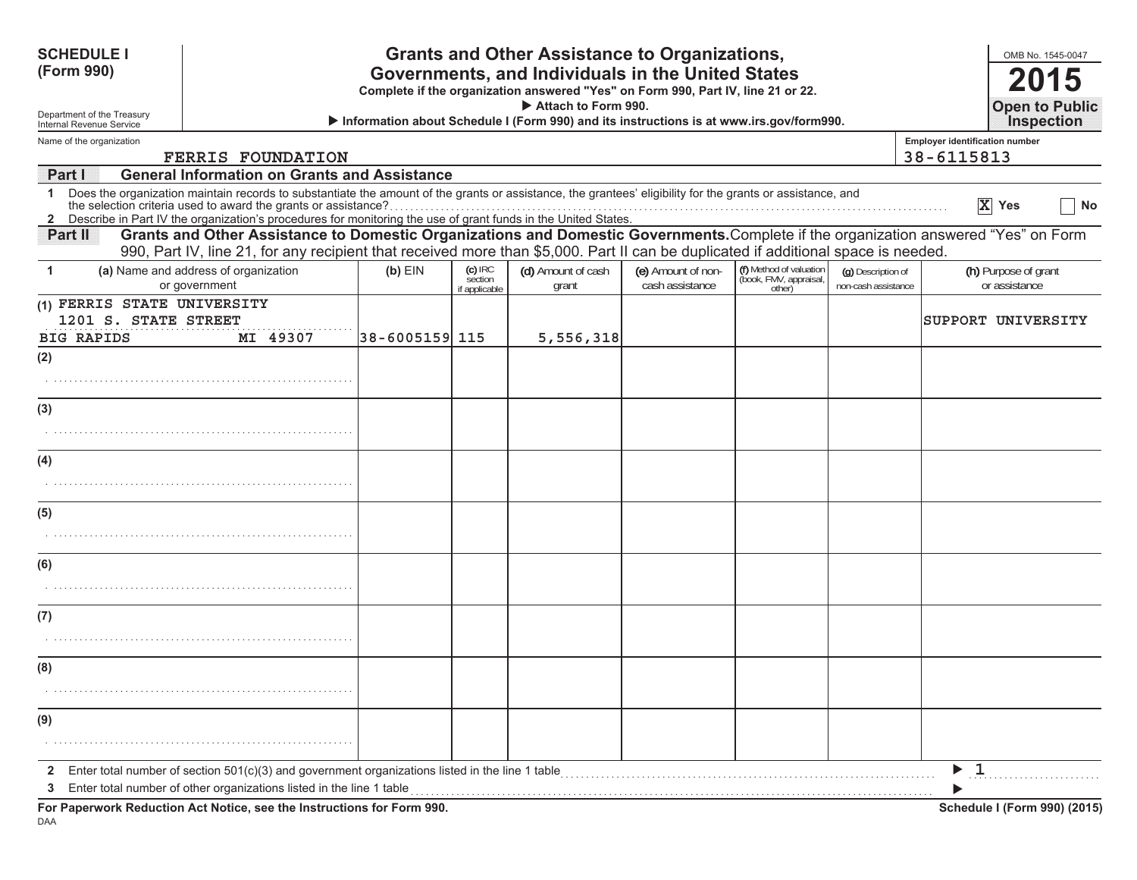| <b>SCHEDULE I</b><br>(Form 990)                        |                                                                                                                                                                                                                                                                                                                                                 |                |                                       | <b>Grants and Other Assistance to Organizations,</b><br>Governments, and Individuals in the United States<br>Complete if the organization answered "Yes" on Form 990, Part IV, line 21 or 22.<br>Attach to Form 990. |                                       |                                                             |                                           | OMB No. 1545-0047<br>2015<br><b>Open to Public</b>                                                                                  |
|--------------------------------------------------------|-------------------------------------------------------------------------------------------------------------------------------------------------------------------------------------------------------------------------------------------------------------------------------------------------------------------------------------------------|----------------|---------------------------------------|----------------------------------------------------------------------------------------------------------------------------------------------------------------------------------------------------------------------|---------------------------------------|-------------------------------------------------------------|-------------------------------------------|-------------------------------------------------------------------------------------------------------------------------------------|
| Department of the Treasury<br>Internal Revenue Service |                                                                                                                                                                                                                                                                                                                                                 |                |                                       | Information about Schedule I (Form 990) and its instructions is at www.irs.gov/form990.                                                                                                                              |                                       |                                                             |                                           | <b>Inspection</b>                                                                                                                   |
| Name of the organization                               | <b>FERRIS FOUNDATION</b>                                                                                                                                                                                                                                                                                                                        |                |                                       |                                                                                                                                                                                                                      |                                       |                                                             |                                           | <b>Employer identification number</b><br>38-6115813                                                                                 |
| <b>Part I</b>                                          | <b>General Information on Grants and Assistance</b>                                                                                                                                                                                                                                                                                             |                |                                       |                                                                                                                                                                                                                      |                                       |                                                             |                                           |                                                                                                                                     |
| $\mathbf{1}$                                           | Does the organization maintain records to substantiate the amount of the grants or assistance, the grantees' eligibility for the grants or assistance, and<br>the selection criteria used to award the grants or assistance?<br>2 Describe in Part IV the organization's procedures for monitoring the use of grant funds in the United States. |                |                                       |                                                                                                                                                                                                                      |                                       |                                                             |                                           | X Yes<br>No                                                                                                                         |
| Partill                                                | 990, Part IV, line 21, for any recipient that received more than \$5,000. Part II can be duplicated if additional space is needed.                                                                                                                                                                                                              |                |                                       |                                                                                                                                                                                                                      |                                       |                                                             |                                           | Grants and Other Assistance to Domestic Organizations and Domestic Governments. Complete if the organization answered "Yes" on Form |
| 1                                                      | (a) Name and address of organization<br>or government                                                                                                                                                                                                                                                                                           | $(b)$ EIN      | $(c)$ IRC<br>section<br>if applicable | (d) Amount of cash<br>grant                                                                                                                                                                                          | (e) Amount of non-<br>cash assistance | (f) Method of valuation<br>(book, FMV, appraisal,<br>other) | (g) Description of<br>non-cash assistance | (h) Purpose of grant<br>or assistance                                                                                               |
| (1) FERRIS STATE UNIVERSITY<br>1201 S. STATE STREET    |                                                                                                                                                                                                                                                                                                                                                 |                |                                       |                                                                                                                                                                                                                      |                                       |                                                             |                                           | SUPPORT UNIVERSITY                                                                                                                  |
| <b>BIG RAPIDS</b><br>(2)                               | MI 49307                                                                                                                                                                                                                                                                                                                                        | 38-6005159 115 |                                       | 5,556,318                                                                                                                                                                                                            |                                       |                                                             |                                           |                                                                                                                                     |
|                                                        |                                                                                                                                                                                                                                                                                                                                                 |                |                                       |                                                                                                                                                                                                                      |                                       |                                                             |                                           |                                                                                                                                     |
| (3)                                                    |                                                                                                                                                                                                                                                                                                                                                 |                |                                       |                                                                                                                                                                                                                      |                                       |                                                             |                                           |                                                                                                                                     |
|                                                        |                                                                                                                                                                                                                                                                                                                                                 |                |                                       |                                                                                                                                                                                                                      |                                       |                                                             |                                           |                                                                                                                                     |
| (4)                                                    |                                                                                                                                                                                                                                                                                                                                                 |                |                                       |                                                                                                                                                                                                                      |                                       |                                                             |                                           |                                                                                                                                     |
|                                                        |                                                                                                                                                                                                                                                                                                                                                 |                |                                       |                                                                                                                                                                                                                      |                                       |                                                             |                                           |                                                                                                                                     |
| (5)                                                    |                                                                                                                                                                                                                                                                                                                                                 |                |                                       |                                                                                                                                                                                                                      |                                       |                                                             |                                           |                                                                                                                                     |
|                                                        |                                                                                                                                                                                                                                                                                                                                                 |                |                                       |                                                                                                                                                                                                                      |                                       |                                                             |                                           |                                                                                                                                     |
| (6)                                                    |                                                                                                                                                                                                                                                                                                                                                 |                |                                       |                                                                                                                                                                                                                      |                                       |                                                             |                                           |                                                                                                                                     |
|                                                        |                                                                                                                                                                                                                                                                                                                                                 |                |                                       |                                                                                                                                                                                                                      |                                       |                                                             |                                           |                                                                                                                                     |
| (7)                                                    |                                                                                                                                                                                                                                                                                                                                                 |                |                                       |                                                                                                                                                                                                                      |                                       |                                                             |                                           |                                                                                                                                     |
|                                                        |                                                                                                                                                                                                                                                                                                                                                 |                |                                       |                                                                                                                                                                                                                      |                                       |                                                             |                                           |                                                                                                                                     |
| (8)                                                    |                                                                                                                                                                                                                                                                                                                                                 |                |                                       |                                                                                                                                                                                                                      |                                       |                                                             |                                           |                                                                                                                                     |
|                                                        |                                                                                                                                                                                                                                                                                                                                                 |                |                                       |                                                                                                                                                                                                                      |                                       |                                                             |                                           |                                                                                                                                     |
| (9)                                                    |                                                                                                                                                                                                                                                                                                                                                 |                |                                       |                                                                                                                                                                                                                      |                                       |                                                             |                                           |                                                                                                                                     |
|                                                        |                                                                                                                                                                                                                                                                                                                                                 |                |                                       |                                                                                                                                                                                                                      |                                       |                                                             |                                           |                                                                                                                                     |
| $\mathbf{2}$<br>3                                      | Enter total number of section $501(c)(3)$ and government organizations listed in the line 1 table<br>Enter total number of other organizations listed in the line 1 table                                                                                                                                                                       |                |                                       |                                                                                                                                                                                                                      |                                       |                                                             |                                           | - 1                                                                                                                                 |
|                                                        | For Paperwork Reduction Act Notice, see the Instructions for Form 990.                                                                                                                                                                                                                                                                          |                |                                       |                                                                                                                                                                                                                      |                                       |                                                             |                                           | Schedule I (Form 990) (2015)                                                                                                        |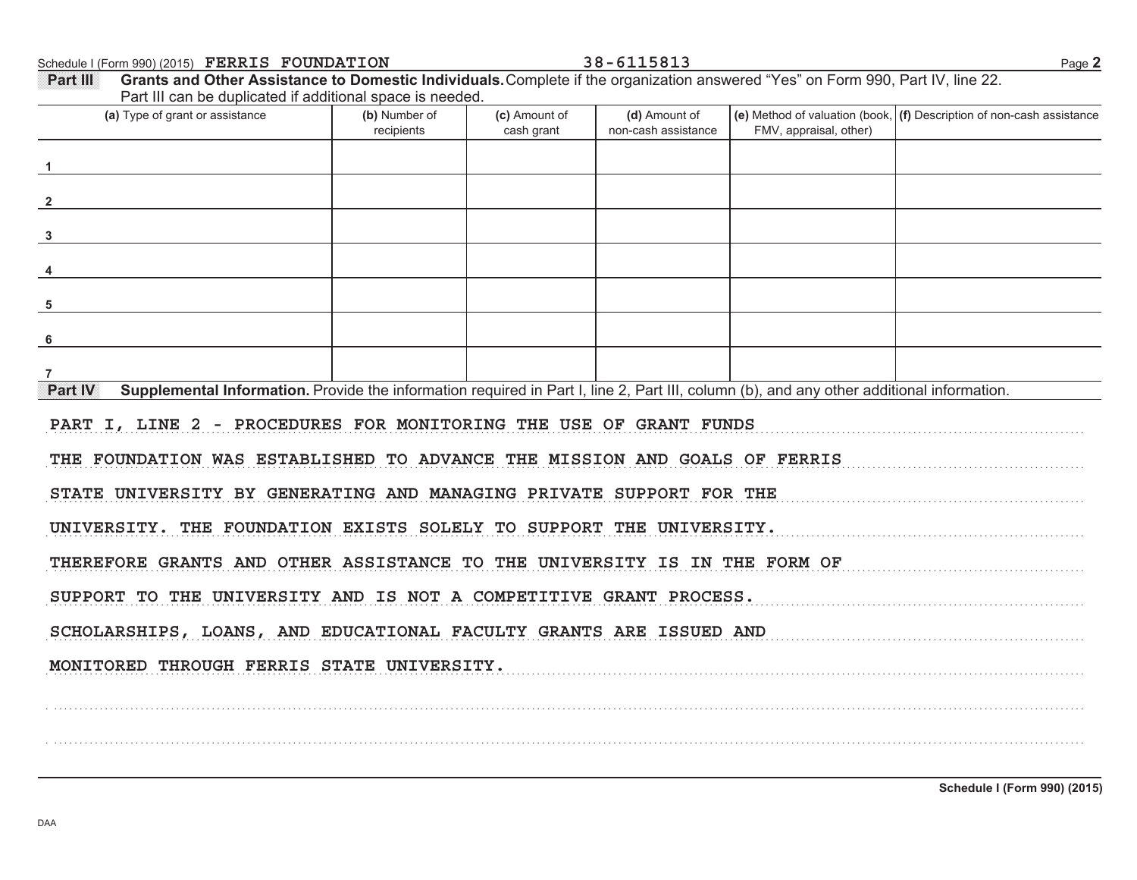Schedule I (Form 990) (2015) Page **2 FERRIS FOUNDATION 38-6115813**

FMV, appraisal, other) **(d)** Amount of **(e)** Method of valuation (book, **(f)** Description of non-cash assistance cash grant **(a)** Type of grant or assistance **(b)** Number of **(c)** Amount of **Part III Grants and Other Assistance to Domestic Individuals.** Complete if the organization answered "Yes" on Form 990, Part IV, line 22. Part III can be duplicated if additional space is needed. recipients and increment cash arant non-cash assistance **Part IV** Supplemental Information. Provide the information required in Part I, line 2, Part III, column (b), and any other additional information. . . . . . . . . . . . . . . . . . . . . . . . . . . . . . . . . . . . . . . . . . . . . . . . . . . . . . . . . . . . . . . . . . . . . . . . . . . . . . . . . . . . . . . . . . . . . . . . . . . . . . . . . . . . . . . . . . . . . . . . . . . . . . . . . . . . . . . . . . . . . . . . . . . . . . . . . . . . . . . . . . . . . . . . . . . . . . . . . . . . . . . . . . . . . . . . . . . . . . . . . . . . .. . . . . . . . . . . . . . . . . . . . . . . . . . . . . . . . . . . . . . . . . . . . . . . . . . . . . . . . . . . . . . . . . . . . . . . . . . . . . . . . . . . . . . . . . . . . . . . . . . . . . . . . . . . . . . . . . . . . . . . . . . . . . . . . . . . . . . . . . . . . . . . . . . . . . . . . . . . . . . . . . . . . . . . . . . . . . . . . . . . . . . . . . . . . . . . . . . . . . . . . . . . .STATE UNIVERSITY BY GENERATING AND MANAGING PRIVATE SUPPORT FOR THE CONTROLLERY OF THE CONTROLLERY OF STATE AND MANAGING PRIVATE SUPPORT FOR THE CONTROLLERY OF STATE AND ANNUAL CONTROLLERY OF STATE AND AN OUTLINE AND AN OU . . . . . . . . . . . . . . . . . . . . . . . . . . . . . . . . . . . . . . . . . . . . . . . . . . . . . . . . . . . . . . . . . . . . . . . . . . . . . . . . . . . . . . . . . . . . . . . . . . . . . . . . . . . . . . . . . . . . . . . . . . . . . . . . . . . . . . . . . . . . . . . . . . . . . . . . . . . . . . . . . . . . . . . . . . . . . . . . . . . . . . . . . . . . . . . . . . . . . . . . . . . .. . . . . . . . . . . . . . . . . . . . . . . . . . . . . . . . . . . . . . . . . . . . . . . . . . . . . . . . . . . . . . . . . . . . . . . . . . . . . . . . . . . . . . . . . . . . . . . . . . . . . . . . . . . . . . . . . . . . . . . . . . . . . . . . . . . . . . . . . . . . . . . . . . . . . . . . . . . . . . . . . . . . . . . . . . . . . . . . . . . . . . . . . . . . . . . . . . . . . . . . . . . .. . . . . . . . . . . . . . . . . . . . . . . . . . . . . . . . . . . . . . . . . . . . . . . . . . . . . . . . . . . . . . . . . . . . . . . . . . . . . . . . . . . . . . . . . . . . . . . . . . . . . . . . . . . . . . . . . . . . . . . . . . . . . . . . . . . . . . . . . . . . . . . . . . . . . . . . . . . . . . . . . . . . . . . . . . . . . . . . . . . . . . . . . . . . . . . . . . . . . . . . . . . .. . . . . . . . . . . . . . . . . . . . . . . . . . . . . . . . . . . . . . . . . . . . . . . . . . . . . . . . . . . . . . . . . . . . . . . . . . . . . . . . . . . . . . . . . . . . . . . . . . . . . . . . . . . . . . . . . . . . . . . . . . . . . . . . . . . . . . . . . . . . . . . . . . . . . . . . . . . . . . . . . . . . . . . . . . . . . . . . . . . . . . . . . . . . . . . . . . . . . . . . . . . .. . . . . . . . . . . . . . . . . . . . . . . . . . . . . . . . . . . . . . . . . . . . . . . . . . . . . . . . . . . . . . . . . . . . . . . . . . . . . . . . . . . . . . . . . . . . . . . . . . . . . . . . . . . . . . . . . . . . . . . . . . . . . . . . . . . . . . . . . . . . . . . . . . . . . . . . . . . . . . . . . . . . . . . . . . . . . . . . . . . . . . . . . . . . . . . . . . . . . . . . . . . .. . . . . . . . . . . . . . . . . . . . . . . . . . . . . . . . . . . . . . . . . . . . . . . . . . . . . . . . . . . . . . . . . . . . . . . . . . . . . . . . . . . . . . . . . . . . . . . . . . . . . . . . . . . . . . . . . . . . . . . . . . . . . . . . . . . . . . . . . . . . . . . . . . . . . . . . . . . . . . . . . . . . . . . . . . . . . . . . . . . . . . . . . . . . . . . . . . . . . . . . . . . .. . . . . . . . . . . . . . . . . . . . . . . . . . . . . . . . . . . . . . . . . . . . . . . . . . . . . . . . . . . . . . . . . . . . . . . . . . . . . . . . . . . . . . . . . . . . . . . . . . . . . . . . . . . . . . . . . . . . . . . . . . . . . . . . . . . . . . . . . . . . . . . . . . . . . . . . . . . . . . . . . . . . . . . . . . . . . . . . . . . . . . . . . . . . . . . . . . . . . . . . . . . .**123456 7PART I, LINE 2 - PROCEDURES FOR MONITORING THE USE OF GRANT FUNDS THE FOUNDATION WAS ESTABLISHED TO ADVANCE THE MISSION AND GOALS OF FERRIS UNIVERSITY. THE FOUNDATION EXISTS SOLELY TO SUPPORT THE UNIVERSITY.THEREFORE GRANTS AND OTHER ASSISTANCE TO THE UNIVERSITY IS IN THE FORM OF SUPPORT TO THE UNIVERSITY AND IS NOT A COMPETITIVE GRANT PROCESS. SCHOLARSHIPS, LOANS, AND EDUCATIONAL FACULTY GRANTS ARE ISSUED AND MONITORED THROUGH FERRIS STATE UNIVERSITY.**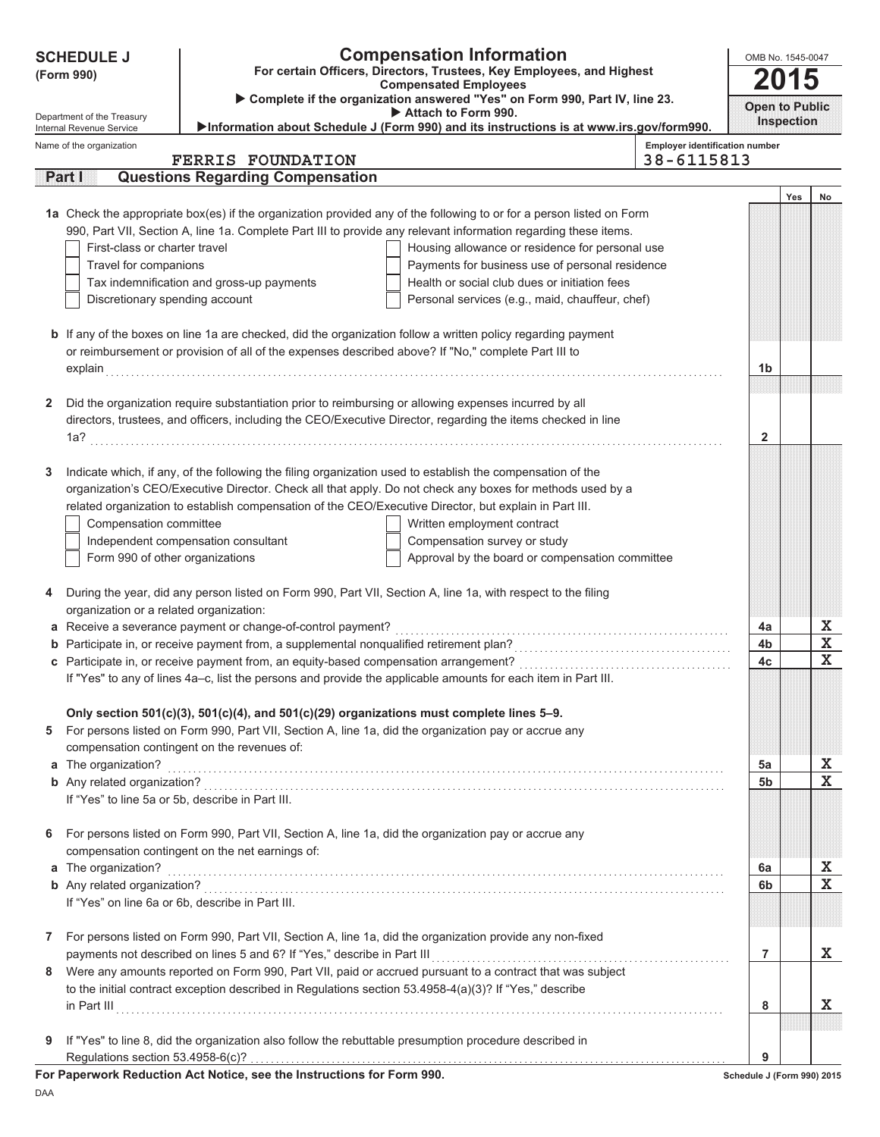|   | <b>SCHEDULE J</b>                                                                                                   |                                                                                                              | <b>Compensation Information</b>                                                                                      |                                       | OMB No. 1545-0047          |                   |                  |
|---|---------------------------------------------------------------------------------------------------------------------|--------------------------------------------------------------------------------------------------------------|----------------------------------------------------------------------------------------------------------------------|---------------------------------------|----------------------------|-------------------|------------------|
|   | For certain Officers, Directors, Trustees, Key Employees, and Highest<br>(Form 990)<br><b>Compensated Employees</b> |                                                                                                              |                                                                                                                      |                                       |                            |                   | 2015             |
|   |                                                                                                                     |                                                                                                              | Complete if the organization answered "Yes" on Form 990, Part IV, line 23.<br>Attach to Form 990.                    |                                       | <b>Open to Public</b>      |                   |                  |
|   | Department of the Treasury<br>Internal Revenue Service                                                              |                                                                                                              | >Information about Schedule J (Form 990) and its instructions is at www.irs.gov/form990.                             |                                       |                            | <b>Inspection</b> |                  |
|   | Name of the organization                                                                                            |                                                                                                              |                                                                                                                      | <b>Employer identification number</b> |                            |                   |                  |
|   |                                                                                                                     | <b>FERRIS FOUNDATION</b>                                                                                     |                                                                                                                      | 38-6115813                            |                            |                   |                  |
|   | <b>Part I</b>                                                                                                       | <b>Questions Regarding Compensation</b>                                                                      |                                                                                                                      |                                       |                            |                   |                  |
|   |                                                                                                                     |                                                                                                              | 1a Check the appropriate box(es) if the organization provided any of the following to or for a person listed on Form |                                       |                            | Yes               | No               |
|   |                                                                                                                     |                                                                                                              | 990, Part VII, Section A, line 1a. Complete Part III to provide any relevant information regarding these items.      |                                       |                            |                   |                  |
|   | First-class or charter travel                                                                                       |                                                                                                              | Housing allowance or residence for personal use                                                                      |                                       |                            |                   |                  |
|   | Travel for companions                                                                                               |                                                                                                              | Payments for business use of personal residence                                                                      |                                       |                            |                   |                  |
|   |                                                                                                                     | Tax indemnification and gross-up payments                                                                    | Health or social club dues or initiation fees                                                                        |                                       |                            |                   |                  |
|   | Discretionary spending account                                                                                      |                                                                                                              | Personal services (e.g., maid, chauffeur, chef)                                                                      |                                       |                            |                   |                  |
|   |                                                                                                                     |                                                                                                              |                                                                                                                      |                                       |                            |                   |                  |
|   |                                                                                                                     |                                                                                                              | <b>b</b> If any of the boxes on line 1a are checked, did the organization follow a written policy regarding payment  |                                       |                            |                   |                  |
|   |                                                                                                                     | or reimbursement or provision of all of the expenses described above? If "No," complete Part III to          |                                                                                                                      |                                       |                            |                   |                  |
|   |                                                                                                                     |                                                                                                              |                                                                                                                      |                                       | 1b                         |                   |                  |
|   |                                                                                                                     |                                                                                                              |                                                                                                                      |                                       |                            |                   |                  |
| 2 |                                                                                                                     | Did the organization require substantiation prior to reimbursing or allowing expenses incurred by all        |                                                                                                                      |                                       |                            |                   |                  |
|   |                                                                                                                     |                                                                                                              | directors, trustees, and officers, including the CEO/Executive Director, regarding the items checked in line         |                                       |                            |                   |                  |
|   |                                                                                                                     |                                                                                                              |                                                                                                                      |                                       | 2                          |                   |                  |
|   |                                                                                                                     |                                                                                                              |                                                                                                                      |                                       |                            |                   |                  |
| 3 |                                                                                                                     | Indicate which, if any, of the following the filing organization used to establish the compensation of the   |                                                                                                                      |                                       |                            |                   |                  |
|   |                                                                                                                     |                                                                                                              | organization's CEO/Executive Director. Check all that apply. Do not check any boxes for methods used by a            |                                       |                            |                   |                  |
|   |                                                                                                                     | related organization to establish compensation of the CEO/Executive Director, but explain in Part III.       |                                                                                                                      |                                       |                            |                   |                  |
|   | Compensation committee                                                                                              |                                                                                                              | Written employment contract                                                                                          |                                       |                            |                   |                  |
|   |                                                                                                                     | Independent compensation consultant                                                                          | Compensation survey or study                                                                                         |                                       |                            |                   |                  |
|   | Form 990 of other organizations                                                                                     |                                                                                                              | Approval by the board or compensation committee                                                                      |                                       |                            |                   |                  |
|   |                                                                                                                     |                                                                                                              |                                                                                                                      |                                       |                            |                   |                  |
| 4 |                                                                                                                     | During the year, did any person listed on Form 990, Part VII, Section A, line 1a, with respect to the filing |                                                                                                                      |                                       |                            |                   |                  |
|   | organization or a related organization:                                                                             |                                                                                                              |                                                                                                                      |                                       |                            |                   |                  |
|   |                                                                                                                     | a Receive a severance payment or change-of-control payment?                                                  |                                                                                                                      |                                       | 4a<br>4b                   |                   | X<br>$\mathbf X$ |
|   |                                                                                                                     |                                                                                                              |                                                                                                                      |                                       | 4c                         |                   | $\mathbf x$      |
|   |                                                                                                                     |                                                                                                              | If "Yes" to any of lines 4a-c, list the persons and provide the applicable amounts for each item in Part III.        |                                       |                            |                   |                  |
|   |                                                                                                                     |                                                                                                              |                                                                                                                      |                                       |                            |                   |                  |
|   |                                                                                                                     | Only section $501(c)(3)$ , $501(c)(4)$ , and $501(c)(29)$ organizations must complete lines 5-9.             |                                                                                                                      |                                       |                            |                   |                  |
| 5 |                                                                                                                     | For persons listed on Form 990, Part VII, Section A, line 1a, did the organization pay or accrue any         |                                                                                                                      |                                       |                            |                   |                  |
|   |                                                                                                                     | compensation contingent on the revenues of:                                                                  |                                                                                                                      |                                       |                            |                   |                  |
|   | a The organization?                                                                                                 |                                                                                                              |                                                                                                                      |                                       | 5a                         |                   | X                |
|   |                                                                                                                     |                                                                                                              |                                                                                                                      |                                       | 5b                         |                   | $\mathbf X$      |
|   |                                                                                                                     | If "Yes" to line 5a or 5b, describe in Part III.                                                             |                                                                                                                      |                                       |                            |                   |                  |
|   |                                                                                                                     |                                                                                                              |                                                                                                                      |                                       |                            |                   |                  |
| 6 |                                                                                                                     | For persons listed on Form 990, Part VII, Section A, line 1a, did the organization pay or accrue any         |                                                                                                                      |                                       |                            |                   |                  |
|   |                                                                                                                     | compensation contingent on the net earnings of:                                                              |                                                                                                                      |                                       |                            |                   |                  |
|   | a The organization?                                                                                                 |                                                                                                              |                                                                                                                      |                                       | 6a                         |                   | X                |
|   |                                                                                                                     |                                                                                                              |                                                                                                                      |                                       | 6b                         |                   | $\mathbf X$      |
|   |                                                                                                                     | If "Yes" on line 6a or 6b, describe in Part III.                                                             |                                                                                                                      |                                       |                            |                   |                  |
|   |                                                                                                                     |                                                                                                              |                                                                                                                      |                                       |                            |                   |                  |
| 7 |                                                                                                                     | For persons listed on Form 990, Part VII, Section A, line 1a, did the organization provide any non-fixed     |                                                                                                                      |                                       |                            |                   |                  |
|   |                                                                                                                     | payments not described on lines 5 and 6? If "Yes," describe in Part III                                      |                                                                                                                      |                                       | 7                          |                   | X.               |
| 8 |                                                                                                                     |                                                                                                              | Were any amounts reported on Form 990, Part VII, paid or accrued pursuant to a contract that was subject             |                                       |                            |                   |                  |
|   |                                                                                                                     | to the initial contract exception described in Regulations section 53.4958-4(a)(3)? If "Yes," describe       |                                                                                                                      |                                       |                            |                   |                  |
|   |                                                                                                                     |                                                                                                              |                                                                                                                      |                                       | 8                          |                   | X.               |
|   |                                                                                                                     |                                                                                                              |                                                                                                                      |                                       |                            |                   |                  |
| 9 |                                                                                                                     | If "Yes" to line 8, did the organization also follow the rebuttable presumption procedure described in       |                                                                                                                      |                                       | 9                          |                   |                  |
|   | Regulations section 53.4958-6(c)?                                                                                   | For Paperwork Reduction Act Notice, see the Instructions for Form 990.                                       |                                                                                                                      |                                       | Schedule J (Form 990) 2015 |                   |                  |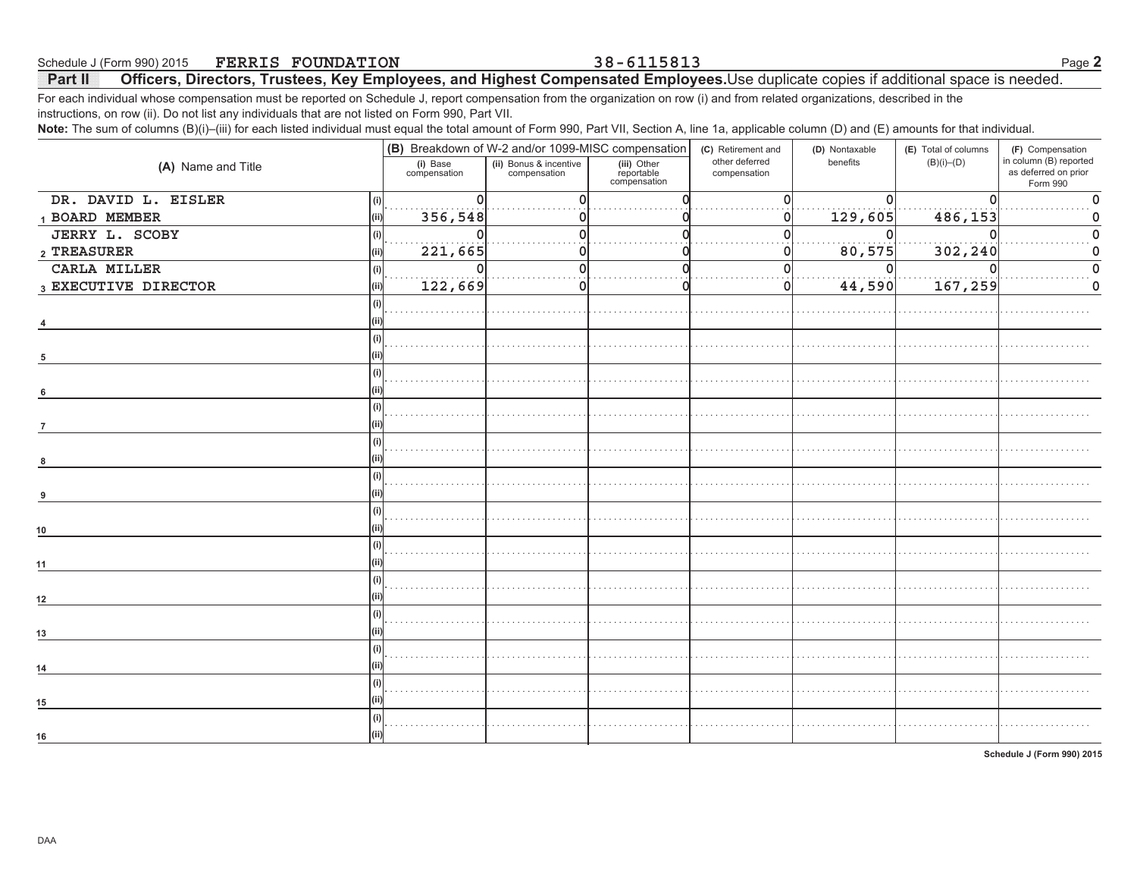For each individual whose compensation must be reported on Schedule J, report compensation from the organization on row (i) and from related organizations, described in the instructions, on row (ii). Do not list any individuals that are not listed on Form 990, Part VII.

Note: The sum of columns (B)(i)–(iii) for each listed individual must equal the total amount of Form 990, Part VII, Section A, line 1a, applicable column (D) and (E) amounts for that individual.

| $\sqrt{2}$                 |                          |                                                                                              |                                           | $\sim$ $\sim$ $\sim$                                 | $\sqrt{ }$<br>$\sqrt{ }$   |                                          |                                                                                |
|----------------------------|--------------------------|----------------------------------------------------------------------------------------------|-------------------------------------------|------------------------------------------------------|----------------------------|------------------------------------------|--------------------------------------------------------------------------------|
| (A) Name and Title         | (i) Base<br>compensation | (B) Breakdown of W-2 and/or 1099-MISC compensation<br>(ii) Bonus & incentive<br>compensation | (iii) Other<br>reportable<br>compensation | (C) Retirement and<br>other deferred<br>compensation | (D) Nontaxable<br>benefits | (E) Total of columns<br>$(B)(i)$ – $(D)$ | (F) Compensation<br>in column (B) reported<br>as deferred on prior<br>Form 990 |
| DR. DAVID L. EISLER<br>(i) | $\Omega$                 |                                                                                              |                                           |                                                      |                            |                                          |                                                                                |
| 1 BOARD MEMBER             | 356,548<br>(ii)          |                                                                                              |                                           | 0I                                                   | 129,605                    | 486,153                                  |                                                                                |
| JERRY L. SCOBY             | 0<br>(i)                 |                                                                                              |                                           | ŋ                                                    | 0                          |                                          |                                                                                |
| $\,$ 2 TREASURER           | 221,665<br>'ii)          |                                                                                              |                                           | 0                                                    | 80,575                     | 302,240                                  |                                                                                |
| CARLA MILLER               | $\Omega$<br>(i)          |                                                                                              |                                           | $\Omega$                                             | $\Omega$                   |                                          |                                                                                |
| 3 EXECUTIVE DIRECTOR       | 122,669<br>(ii)          |                                                                                              |                                           | 0l                                                   | 44,590                     | 167,259                                  | 0                                                                              |
|                            | (i)                      |                                                                                              |                                           |                                                      |                            |                                          |                                                                                |
|                            |                          |                                                                                              |                                           |                                                      |                            |                                          |                                                                                |
| 4                          |                          |                                                                                              |                                           |                                                      |                            |                                          |                                                                                |
|                            | (i)                      |                                                                                              |                                           |                                                      |                            |                                          |                                                                                |
| 5                          |                          |                                                                                              |                                           |                                                      |                            |                                          |                                                                                |
|                            | (i)                      |                                                                                              |                                           |                                                      |                            |                                          |                                                                                |
| 6                          |                          |                                                                                              |                                           |                                                      |                            |                                          |                                                                                |
|                            |                          |                                                                                              |                                           |                                                      |                            |                                          |                                                                                |
|                            |                          |                                                                                              |                                           |                                                      |                            |                                          |                                                                                |
|                            |                          |                                                                                              |                                           |                                                      |                            |                                          |                                                                                |
| 8                          |                          |                                                                                              |                                           |                                                      |                            |                                          |                                                                                |
|                            |                          |                                                                                              |                                           |                                                      |                            |                                          |                                                                                |
| 9                          |                          |                                                                                              |                                           |                                                      |                            |                                          |                                                                                |
|                            |                          |                                                                                              |                                           |                                                      |                            |                                          |                                                                                |
| 10                         |                          |                                                                                              |                                           |                                                      |                            |                                          |                                                                                |
|                            |                          |                                                                                              |                                           |                                                      |                            |                                          |                                                                                |
| 11                         |                          |                                                                                              |                                           |                                                      |                            |                                          |                                                                                |
|                            |                          |                                                                                              |                                           |                                                      |                            |                                          |                                                                                |
| 12                         |                          |                                                                                              |                                           |                                                      |                            |                                          |                                                                                |
|                            | (i)                      |                                                                                              |                                           |                                                      |                            |                                          |                                                                                |
| 13                         |                          |                                                                                              |                                           |                                                      |                            |                                          |                                                                                |
|                            |                          |                                                                                              |                                           |                                                      |                            |                                          |                                                                                |
|                            |                          |                                                                                              |                                           |                                                      |                            |                                          |                                                                                |
| 14                         |                          |                                                                                              |                                           |                                                      |                            |                                          |                                                                                |
|                            |                          |                                                                                              |                                           |                                                      |                            |                                          |                                                                                |
| 15                         |                          |                                                                                              |                                           |                                                      |                            |                                          |                                                                                |
|                            |                          |                                                                                              |                                           |                                                      |                            |                                          |                                                                                |
| 16                         |                          |                                                                                              |                                           |                                                      |                            |                                          |                                                                                |

**Schedule J (Form 990) 2015**

### Schedule J (Form 990) 2015 Page **2 FERRIS FOUNDATION 38-6115813**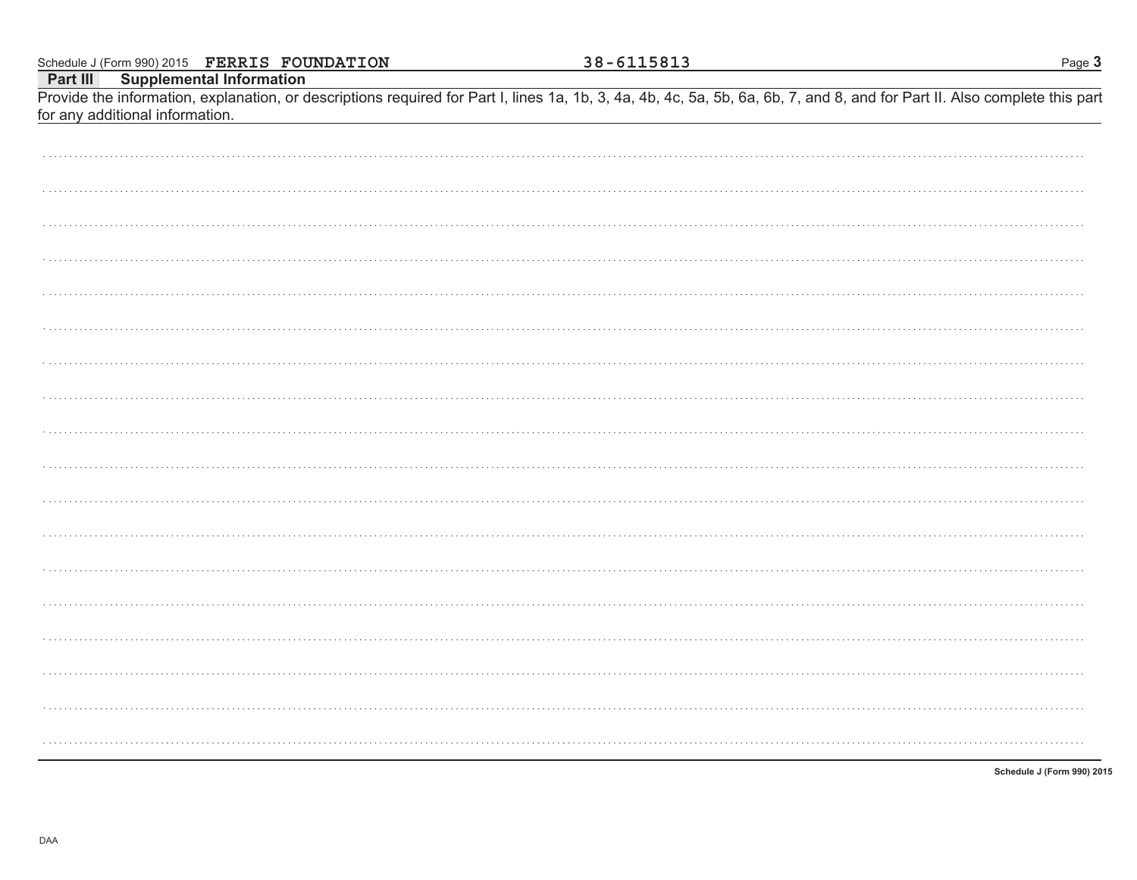|                                          | Schedule J (Form 990) 2015 FERRIS FOUNDATION | 38-6115813                                                                                                                                                                 | Page 3 |
|------------------------------------------|----------------------------------------------|----------------------------------------------------------------------------------------------------------------------------------------------------------------------------|--------|
| <b>Part III</b> Supplemental Information |                                              |                                                                                                                                                                            |        |
|                                          |                                              | Provide the information, explanation, or descriptions required for Part I, lines 1a, 1b, 3, 4a, 4b, 4c, 5a, 5b, 6a, 6b, 7, and 8, and for Part II. Also complete this part |        |
| for any additional information.          |                                              |                                                                                                                                                                            |        |
|                                          |                                              |                                                                                                                                                                            |        |
|                                          |                                              |                                                                                                                                                                            |        |
|                                          |                                              |                                                                                                                                                                            |        |
|                                          |                                              |                                                                                                                                                                            |        |
|                                          |                                              |                                                                                                                                                                            |        |
|                                          |                                              |                                                                                                                                                                            |        |
|                                          |                                              |                                                                                                                                                                            |        |
|                                          |                                              |                                                                                                                                                                            |        |
|                                          |                                              |                                                                                                                                                                            |        |
|                                          |                                              |                                                                                                                                                                            |        |
|                                          |                                              |                                                                                                                                                                            |        |
|                                          |                                              |                                                                                                                                                                            |        |
|                                          |                                              |                                                                                                                                                                            |        |
|                                          |                                              |                                                                                                                                                                            |        |
|                                          |                                              |                                                                                                                                                                            |        |
|                                          |                                              |                                                                                                                                                                            |        |
|                                          |                                              |                                                                                                                                                                            |        |
|                                          |                                              |                                                                                                                                                                            |        |
|                                          |                                              |                                                                                                                                                                            |        |
|                                          |                                              |                                                                                                                                                                            |        |
|                                          |                                              |                                                                                                                                                                            |        |
|                                          |                                              |                                                                                                                                                                            |        |
|                                          |                                              |                                                                                                                                                                            |        |
|                                          |                                              |                                                                                                                                                                            |        |
|                                          |                                              |                                                                                                                                                                            |        |
|                                          |                                              |                                                                                                                                                                            |        |
|                                          |                                              |                                                                                                                                                                            |        |
|                                          |                                              |                                                                                                                                                                            |        |
|                                          |                                              |                                                                                                                                                                            |        |
|                                          |                                              |                                                                                                                                                                            |        |
|                                          |                                              |                                                                                                                                                                            |        |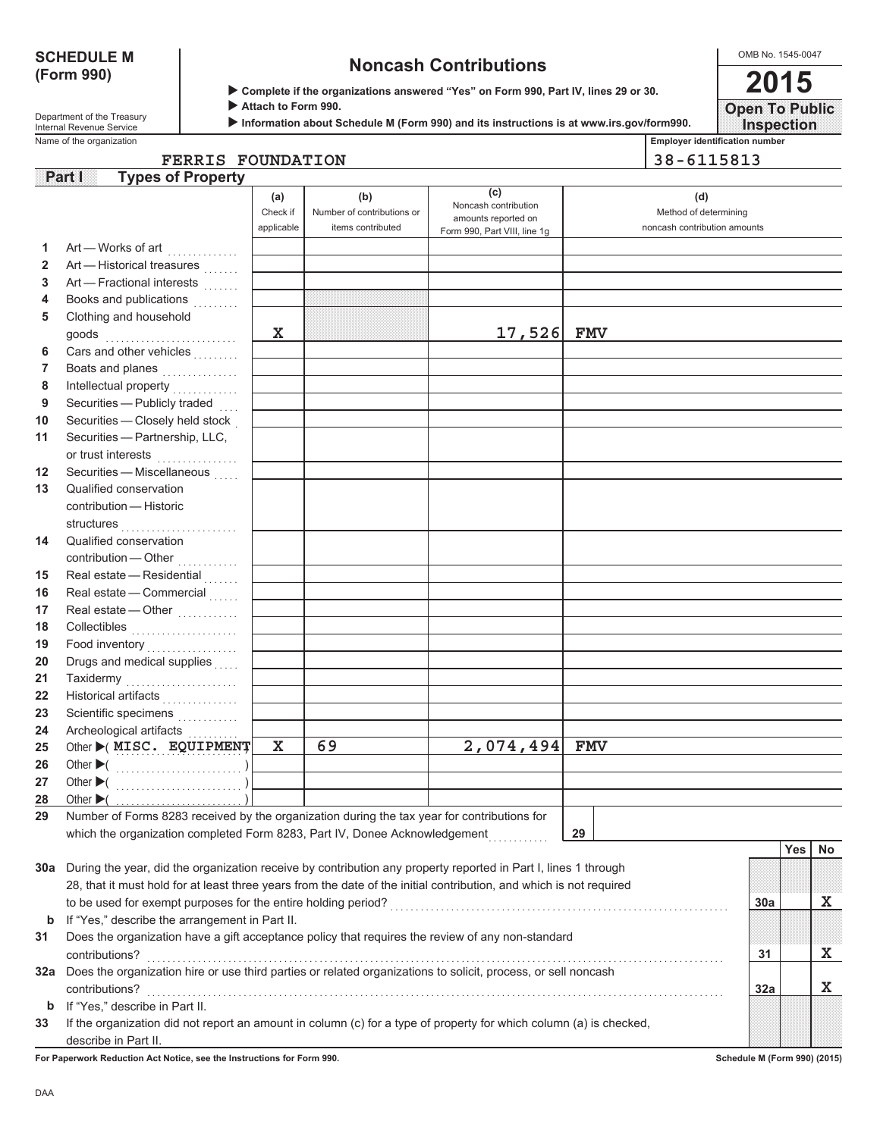# **(Form 990)**

# **SCHEDULE M Noncash Contributions**

OMB No. 1545-0047 **2015**

**Open To Public**

| Department of the Treasury |
|----------------------------|
| Internal Revenue Service   |

X **Complete if the organizations answered "Yes" on Form 990, Part IV, lines 29 or 30.**

Attach to Form 990.

X **Information about Schedule M (Form 990) and its instructions is at www.irs.gov/form990.**

Name of the organization **Employer identification number Employer identification number Inspection**

**FERRIS FOUNDATION 38-6115813**

|              | <b>Types of Property</b><br>Partil                                                                                  |                 |                                                        |                                                    |                                                              |     |            |    |
|--------------|---------------------------------------------------------------------------------------------------------------------|-----------------|--------------------------------------------------------|----------------------------------------------------|--------------------------------------------------------------|-----|------------|----|
|              |                                                                                                                     | (a)<br>Check if | (b)<br>Number of contributions or<br>items contributed | (c)<br>Noncash contribution<br>amounts reported on | (d)<br>Method of determining<br>noncash contribution amounts |     |            |    |
|              |                                                                                                                     | applicable      |                                                        | Form 990, Part VIII, line 1g                       |                                                              |     |            |    |
| 1            | Art - Works of art<br>.                                                                                             |                 |                                                        |                                                    |                                                              |     |            |    |
| $\mathbf{2}$ | Art - Historical treasures                                                                                          |                 |                                                        |                                                    |                                                              |     |            |    |
| 3            | Art - Fractional interests                                                                                          |                 |                                                        |                                                    |                                                              |     |            |    |
| 4            | Books and publications<br>1.1.1.1.1                                                                                 |                 |                                                        |                                                    |                                                              |     |            |    |
| 5            | Clothing and household                                                                                              | $\mathbf X$     |                                                        |                                                    |                                                              |     |            |    |
|              | goods                                                                                                               |                 |                                                        | 17,526                                             | FMV                                                          |     |            |    |
| 6            | Cars and other vehicles                                                                                             |                 |                                                        |                                                    |                                                              |     |            |    |
| 7            | Boats and planes                                                                                                    |                 |                                                        |                                                    |                                                              |     |            |    |
| 8            | Intellectual property                                                                                               |                 |                                                        |                                                    |                                                              |     |            |    |
| 9            | Securities - Publicly traded                                                                                        |                 |                                                        |                                                    |                                                              |     |            |    |
| 10           | Securities - Closely held stock                                                                                     |                 |                                                        |                                                    |                                                              |     |            |    |
| 11           | Securities - Partnership, LLC,<br>or trust interests<br>.                                                           |                 |                                                        |                                                    |                                                              |     |            |    |
| 12           | Securities - Miscellaneous                                                                                          |                 |                                                        |                                                    |                                                              |     |            |    |
| 13           | Qualified conservation                                                                                              |                 |                                                        |                                                    |                                                              |     |            |    |
|              | contribution - Historic                                                                                             |                 |                                                        |                                                    |                                                              |     |            |    |
|              | structures                                                                                                          |                 |                                                        |                                                    |                                                              |     |            |    |
| 14           | Qualified conservation                                                                                              |                 |                                                        |                                                    |                                                              |     |            |    |
|              | contribution - Other<br>.                                                                                           |                 |                                                        |                                                    |                                                              |     |            |    |
| 15           | Real estate - Residential                                                                                           |                 |                                                        |                                                    |                                                              |     |            |    |
| 16           | Real estate - Commercial                                                                                            |                 |                                                        |                                                    |                                                              |     |            |    |
| 17           | Real estate - Other                                                                                                 |                 |                                                        |                                                    |                                                              |     |            |    |
| 18           | Collectibles                                                                                                        |                 |                                                        |                                                    |                                                              |     |            |    |
| 19           |                                                                                                                     |                 |                                                        |                                                    |                                                              |     |            |    |
| 20           | Drugs and medical supplies                                                                                          |                 |                                                        |                                                    |                                                              |     |            |    |
| 21           | Taxidermy<br>.                                                                                                      |                 |                                                        |                                                    |                                                              |     |            |    |
| 22           | Historical artifacts                                                                                                |                 |                                                        |                                                    |                                                              |     |            |    |
| 23           | Scientific specimens                                                                                                |                 |                                                        |                                                    |                                                              |     |            |    |
| 24           | Archeological artifacts                                                                                             |                 |                                                        |                                                    |                                                              |     |            |    |
| 25           | Other >(MISC. EQUIPMENT                                                                                             | $\mathbf X$     | 69                                                     | 2,074,494                                          | <b>FMV</b>                                                   |     |            |    |
| 26           |                                                                                                                     |                 |                                                        |                                                    |                                                              |     |            |    |
| 27           |                                                                                                                     |                 |                                                        |                                                    |                                                              |     |            |    |
| 28           | Other $\blacktriangleright$ (                                                                                       |                 |                                                        |                                                    |                                                              |     |            |    |
|              | 29 Number of Forms 8283 received by the organization during the tax year for contributions for                      |                 |                                                        |                                                    |                                                              |     |            |    |
|              | which the organization completed Form 8283, Part IV, Donee Acknowledgement                                          |                 |                                                        |                                                    | 29                                                           |     |            |    |
|              |                                                                                                                     |                 |                                                        |                                                    |                                                              |     | <b>Yes</b> | No |
|              | 30a During the year, did the organization receive by contribution any property reported in Part I, lines 1 through  |                 |                                                        |                                                    |                                                              |     |            |    |
|              | 28, that it must hold for at least three years from the date of the initial contribution, and which is not required |                 |                                                        |                                                    |                                                              |     |            |    |
|              | to be used for exempt purposes for the entire holding period?                                                       |                 |                                                        |                                                    |                                                              | 30a |            | X  |
| b            | If "Yes," describe the arrangement in Part II.                                                                      |                 |                                                        |                                                    |                                                              |     |            |    |
| 31           | Does the organization have a gift acceptance policy that requires the review of any non-standard                    |                 |                                                        |                                                    |                                                              |     |            |    |
|              | contributions?                                                                                                      |                 |                                                        |                                                    |                                                              | 31  |            | X  |
|              | 32a Does the organization hire or use third parties or related organizations to solicit, process, or sell noncash   |                 |                                                        |                                                    |                                                              |     |            |    |
|              | contributions?                                                                                                      |                 |                                                        |                                                    |                                                              | 32a |            | X  |
| b            | If "Yes," describe in Part II.                                                                                      |                 |                                                        |                                                    |                                                              |     |            |    |
| 33           | If the organization did not report an amount in column (c) for a type of property for which column (a) is checked,  |                 |                                                        |                                                    |                                                              |     |            |    |
|              | describe in Part II.                                                                                                |                 |                                                        |                                                    |                                                              |     |            |    |

**For Paperwork Reduction Act Notice, see the Instructions for Form 990. Schedule M (Form 990) (2015)**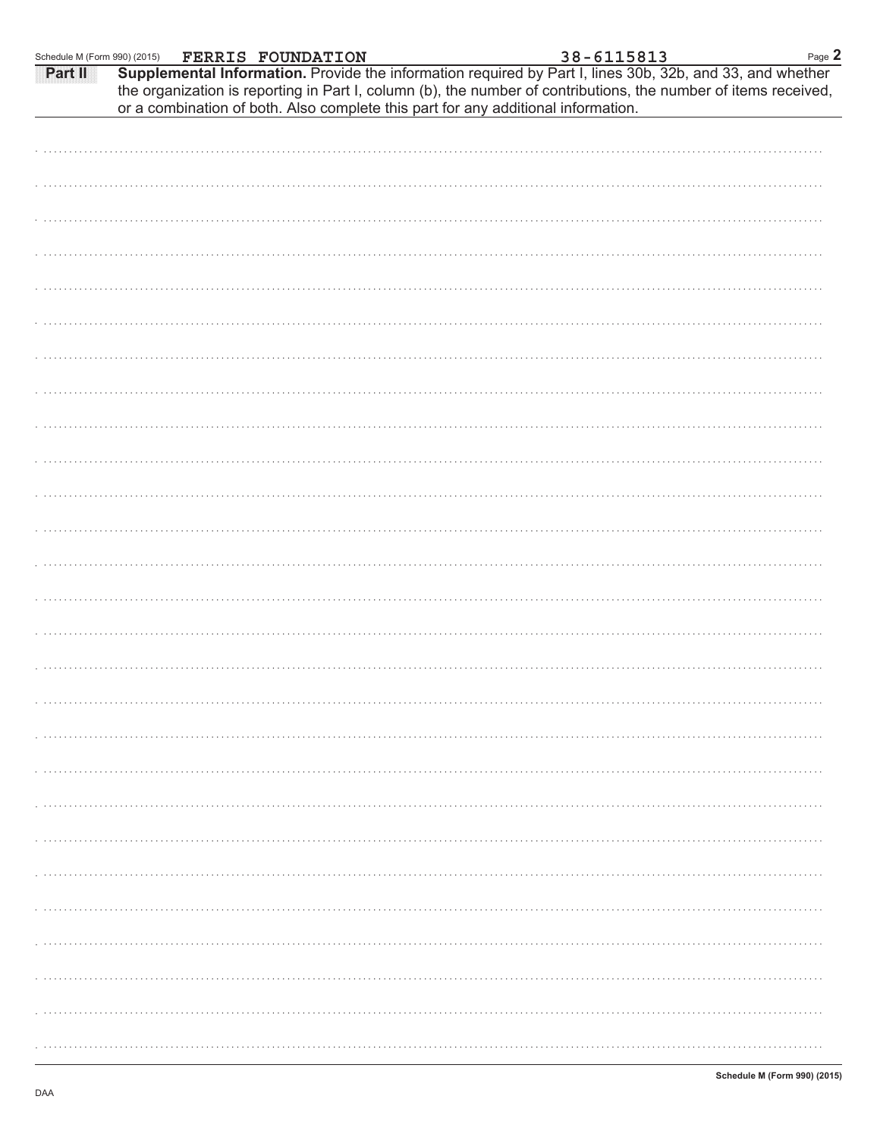| Schedule M (Form 990) (2015) |  |                                                                                   |  |  | Page 2                                                                                                                                                                                                                                                                                 |
|------------------------------|--|-----------------------------------------------------------------------------------|--|--|----------------------------------------------------------------------------------------------------------------------------------------------------------------------------------------------------------------------------------------------------------------------------------------|
| <b>Part III</b>              |  |                                                                                   |  |  | $\frac{1990}{(2015)}$ FERRIS FOUNDATION 38 - 6115813 Page Supplemental Information. Provide the information required by Part I, lines 30b, 32b, and 33, and whether<br>the organization is reporting in Part I, column (b), the number of contributions, the number of items received, |
|                              |  | or a combination of both. Also complete this part for any additional information. |  |  |                                                                                                                                                                                                                                                                                        |
|                              |  |                                                                                   |  |  |                                                                                                                                                                                                                                                                                        |
|                              |  |                                                                                   |  |  |                                                                                                                                                                                                                                                                                        |
|                              |  |                                                                                   |  |  |                                                                                                                                                                                                                                                                                        |
|                              |  |                                                                                   |  |  |                                                                                                                                                                                                                                                                                        |
|                              |  |                                                                                   |  |  |                                                                                                                                                                                                                                                                                        |
|                              |  |                                                                                   |  |  |                                                                                                                                                                                                                                                                                        |
|                              |  |                                                                                   |  |  |                                                                                                                                                                                                                                                                                        |
|                              |  |                                                                                   |  |  |                                                                                                                                                                                                                                                                                        |
|                              |  |                                                                                   |  |  |                                                                                                                                                                                                                                                                                        |
|                              |  |                                                                                   |  |  |                                                                                                                                                                                                                                                                                        |
|                              |  |                                                                                   |  |  |                                                                                                                                                                                                                                                                                        |
|                              |  |                                                                                   |  |  |                                                                                                                                                                                                                                                                                        |
|                              |  |                                                                                   |  |  |                                                                                                                                                                                                                                                                                        |
|                              |  |                                                                                   |  |  |                                                                                                                                                                                                                                                                                        |
|                              |  |                                                                                   |  |  |                                                                                                                                                                                                                                                                                        |
|                              |  |                                                                                   |  |  |                                                                                                                                                                                                                                                                                        |
|                              |  |                                                                                   |  |  |                                                                                                                                                                                                                                                                                        |
|                              |  |                                                                                   |  |  |                                                                                                                                                                                                                                                                                        |
|                              |  |                                                                                   |  |  |                                                                                                                                                                                                                                                                                        |
|                              |  |                                                                                   |  |  |                                                                                                                                                                                                                                                                                        |
|                              |  |                                                                                   |  |  |                                                                                                                                                                                                                                                                                        |
|                              |  |                                                                                   |  |  |                                                                                                                                                                                                                                                                                        |
|                              |  |                                                                                   |  |  |                                                                                                                                                                                                                                                                                        |
|                              |  |                                                                                   |  |  |                                                                                                                                                                                                                                                                                        |
|                              |  |                                                                                   |  |  |                                                                                                                                                                                                                                                                                        |
|                              |  |                                                                                   |  |  |                                                                                                                                                                                                                                                                                        |
|                              |  |                                                                                   |  |  |                                                                                                                                                                                                                                                                                        |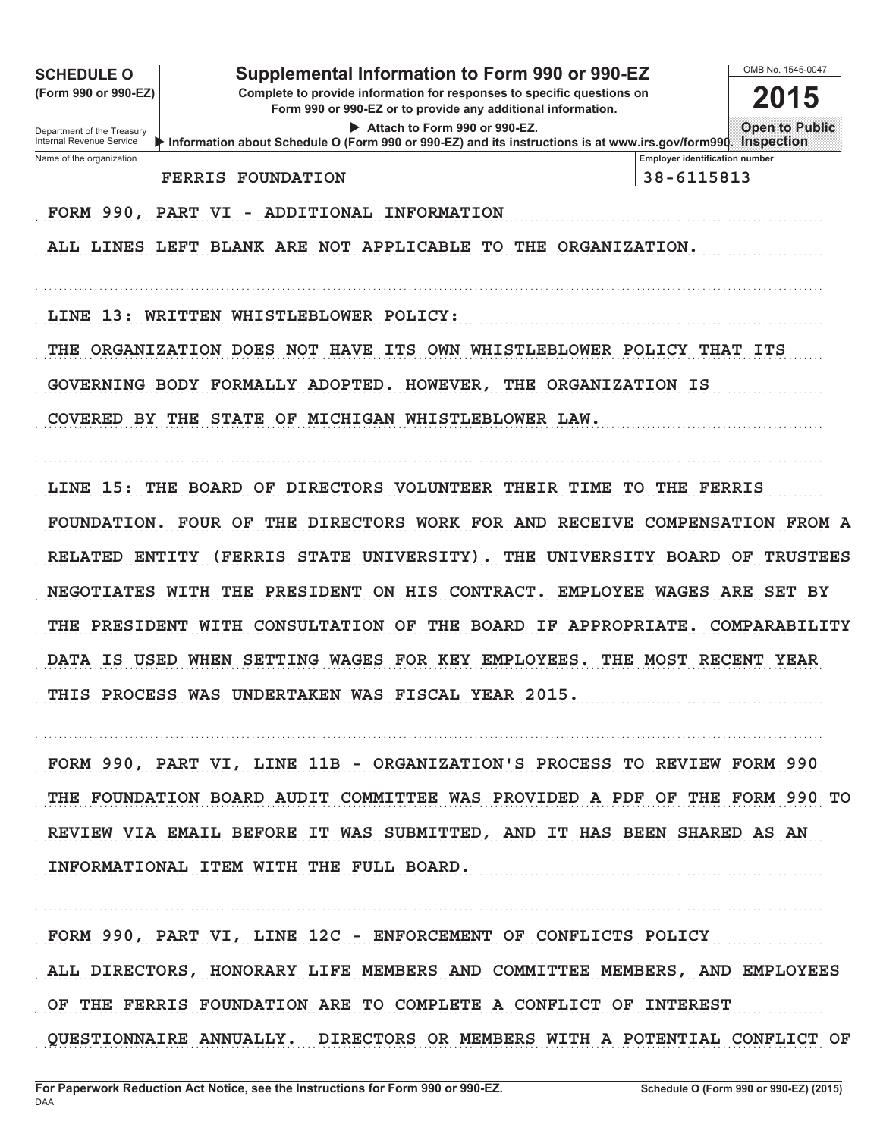| <b>SCHEDULE O</b><br>(Form 990 or 990-EZ)<br>Department of the Treasury<br>Internal Revenue Service                                                           | Supplemental Information to Form 990 or 990-EZ<br>Complete to provide information for responses to specific questions on<br>Form 990 or 990-EZ or to provide any additional information.<br>Attach to Form 990 or 990-EZ.<br>Information about Schedule O (Form 990 or 990-EZ) and its instructions is at www.irs.gov/form990.                                                                   |                                                                                                                                                                 | OMB No. 1545-0047<br>2015<br><b>Open to Public</b><br><b>Inspection</b>                                                            |
|---------------------------------------------------------------------------------------------------------------------------------------------------------------|--------------------------------------------------------------------------------------------------------------------------------------------------------------------------------------------------------------------------------------------------------------------------------------------------------------------------------------------------------------------------------------------------|-----------------------------------------------------------------------------------------------------------------------------------------------------------------|------------------------------------------------------------------------------------------------------------------------------------|
| Name of the organization                                                                                                                                      | <b>FERRIS FOUNDATION</b>                                                                                                                                                                                                                                                                                                                                                                         | <b>Employer identification number</b><br>38-6115813                                                                                                             |                                                                                                                                    |
| FORM 990, PART                                                                                                                                                | ADDITIONAL INFORMATION<br>VI<br>ALL LINES LEFT BLANK ARE NOT APPLICABLE<br>TO .                                                                                                                                                                                                                                                                                                                  | THE ORGANIZATION.                                                                                                                                               |                                                                                                                                    |
| LINE<br>13:<br>WRITTEN                                                                                                                                        | WHISTLEBLOWER POLICY:                                                                                                                                                                                                                                                                                                                                                                            |                                                                                                                                                                 |                                                                                                                                    |
| ORGANIZATION DOES<br>THE                                                                                                                                      | <b>NOT</b><br><b>HAVE</b><br>ITS<br>OWN                                                                                                                                                                                                                                                                                                                                                          | WHISTLEBLOWER POLICY THAT                                                                                                                                       | ITS                                                                                                                                |
|                                                                                                                                                               | GOVERNING BODY FORMALLY ADOPTED. HOWEVER,                                                                                                                                                                                                                                                                                                                                                        | THE ORGANIZATION IS                                                                                                                                             |                                                                                                                                    |
| COVERED<br>BY<br>THE                                                                                                                                          | <b>STATE</b><br>OF<br>MICHIGAN WHISTLEBLOWER LAW.                                                                                                                                                                                                                                                                                                                                                |                                                                                                                                                                 |                                                                                                                                    |
| LINE 15:<br>THE<br><b>FOUNDATION.</b><br><b>RELATED</b><br><b>ENTITY</b><br><b>NEGOTIATES</b><br>WITH<br><b>PRESIDENT</b><br>THE<br><b>DATA</b><br>IS<br>USED | BOARD<br>OF<br><b>DIRECTORS</b><br><b>VOLUNTEER</b><br><b>FOUR OF</b><br>THE<br><b>DIRECTORS</b><br>WORK FOR AND<br>FERRIS)<br><b>STATE</b><br>UNIVERSITY)<br>THE<br><b>PRESIDENT</b><br>ON.<br>HIS<br>CONTRACT.<br>WITH<br><b>CONSULTATION</b><br>THE<br><b>BOARD</b><br>OF<br><b>WAGES</b><br>FOR KEY EMPLOYEES<br>WHEN<br><b>SETTING</b><br>THIS PROCESS WAS UNDERTAKEN WAS FISCAL YEAR 2015. | THEIR<br>TIME<br>TО<br>THE<br><b>RECEIVE</b><br>THE<br>UNIVERSITY<br><b>BOARD</b><br><b>EMPLOYEE</b><br><b>WAGES</b><br>ΙF<br><b>APPROPRIATE</b><br>THE<br>MOST | <b>FERRIS</b><br><b>COMPENSATION FROM A</b><br>OF<br><b>TRUSTEES</b><br>ARE<br>SET<br>BY<br>COMPARABILITY<br><b>RECENT</b><br>YEAR |
|                                                                                                                                                               | FORM 990, PART VI, LINE 11B - ORGANIZATION'S PROCESS TO REVIEW FORM 990<br>THE FOUNDATION BOARD AUDIT COMMITTEE WAS PROVIDED A PDF OF THE FORM 990 TO<br>REVIEW VIA EMAIL BEFORE IT WAS SUBMITTED, AND IT HAS BEEN SHARED AS AN<br>INFORMATIONAL ITEM WITH THE FULL BOARD.                                                                                                                       |                                                                                                                                                                 |                                                                                                                                    |

FORM 990, PART VI, LINE 12C - ENFORCEMENT OF CONFLICTS POLICY ALL DIRECTORS, HONORARY LIFE MEMBERS AND COMMITTEE MEMBERS, AND EMPLOYEES OF THE FERRIS FOUNDATION ARE TO COMPLETE A CONFLICT OF INTEREST . . . . . . . . . QUESTIONNAIRE ANNUALLY. DIRECTORS OR MEMBERS WITH A POTENTIAL CONFLICT OF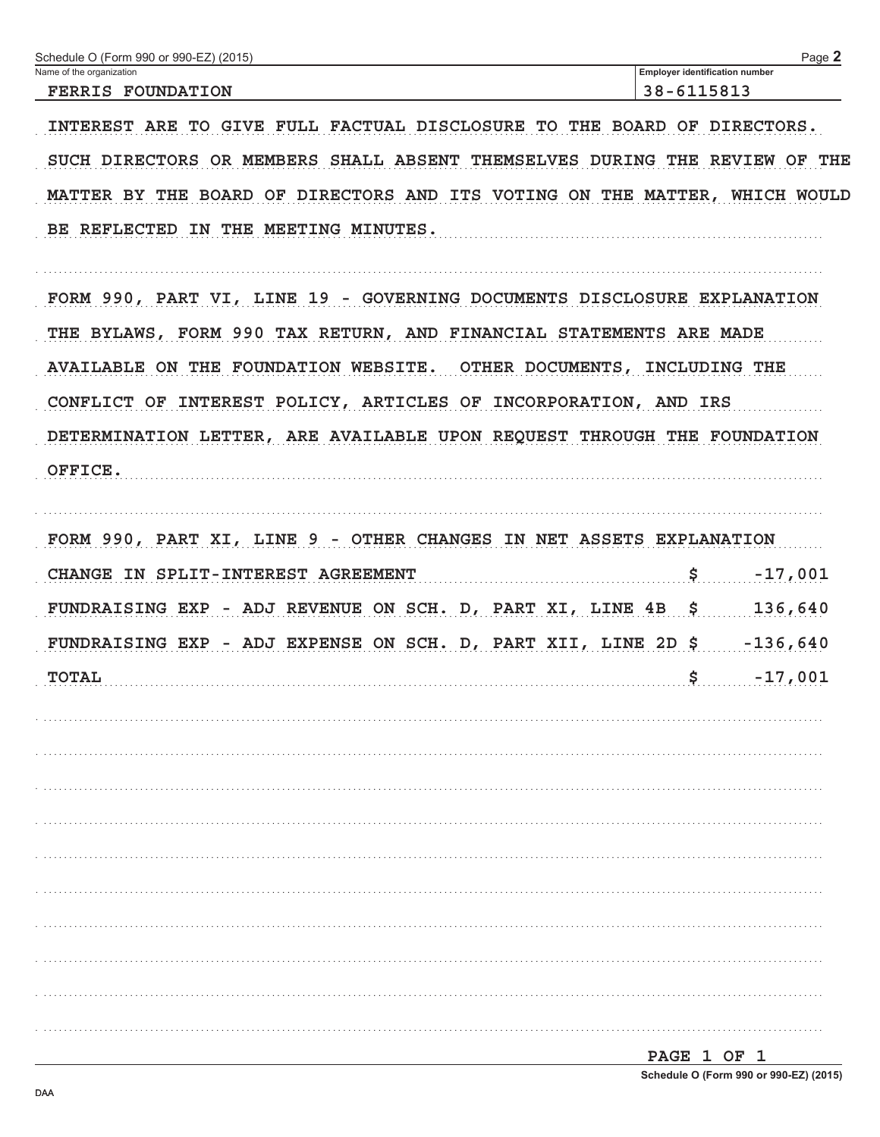| Schedule O (Form 990 or 990-EZ) (2015)                                     | Page 2                                              |
|----------------------------------------------------------------------------|-----------------------------------------------------|
| Name of the organization<br><b>FERRIS FOUNDATION</b>                       | <b>Employer identification number</b><br>38-6115813 |
|                                                                            |                                                     |
| INTEREST ARE TO GIVE FULL FACTUAL DISCLOSURE TO THE BOARD OF DIRECTORS.    |                                                     |
| SUCH DIRECTORS OR MEMBERS SHALL ABSENT THEMSELVES DURING THE REVIEW OF THE |                                                     |
| MATTER BY THE BOARD OF DIRECTORS AND ITS VOTING ON THE MATTER, WHICH WOULD |                                                     |
| BE REFLECTED IN THE MEETING MINUTES.                                       |                                                     |
| FORM 990, PART VI, LINE 19 - GOVERNING DOCUMENTS DISCLOSURE EXPLANATION    |                                                     |
| THE BYLAWS, FORM 990 TAX RETURN, AND FINANCIAL STATEMENTS ARE MADE         |                                                     |
| AVAILABLE ON THE FOUNDATION WEBSITE. OTHER DOCUMENTS, INCLUDING THE        |                                                     |
| CONFLICT OF INTEREST POLICY, ARTICLES OF INCORPORATION, AND IRS            |                                                     |
| DETERMINATION LETTER, ARE AVAILABLE UPON REQUEST THROUGH THE FOUNDATION    |                                                     |
| OFFICE.                                                                    |                                                     |
|                                                                            |                                                     |
| FORM 990, PART XI, LINE 9 - OTHER CHANGES IN NET ASSETS EXPLANATION        |                                                     |
| CHANGE IN SPLIT-INTEREST AGREEMENT                                         | $\boldsymbol{\mathsf{S}}$<br>$-17,001$              |
| FUNDRAISING EXP - ADJ REVENUE ON SCH. D, PART XI, LINE 4B \$               | 136,640                                             |
| FUNDRAISING EXP - ADJ EXPENSE ON SCH. D, PART XII, LINE 2D \$ -136,640     |                                                     |
| <b>TOTAL</b>                                                               | $\ddot{\mathbf{s}}$<br>$-17,001$                    |
|                                                                            |                                                     |
|                                                                            |                                                     |
|                                                                            |                                                     |
|                                                                            |                                                     |
|                                                                            |                                                     |
|                                                                            |                                                     |
|                                                                            |                                                     |
|                                                                            |                                                     |
|                                                                            |                                                     |
|                                                                            |                                                     |
|                                                                            |                                                     |
|                                                                            | DACF 1 OF 1                                         |

| rage i Or i                            |  |  |  |  |
|----------------------------------------|--|--|--|--|
| Schedule O (Form 990 or 990-EZ) (2015) |  |  |  |  |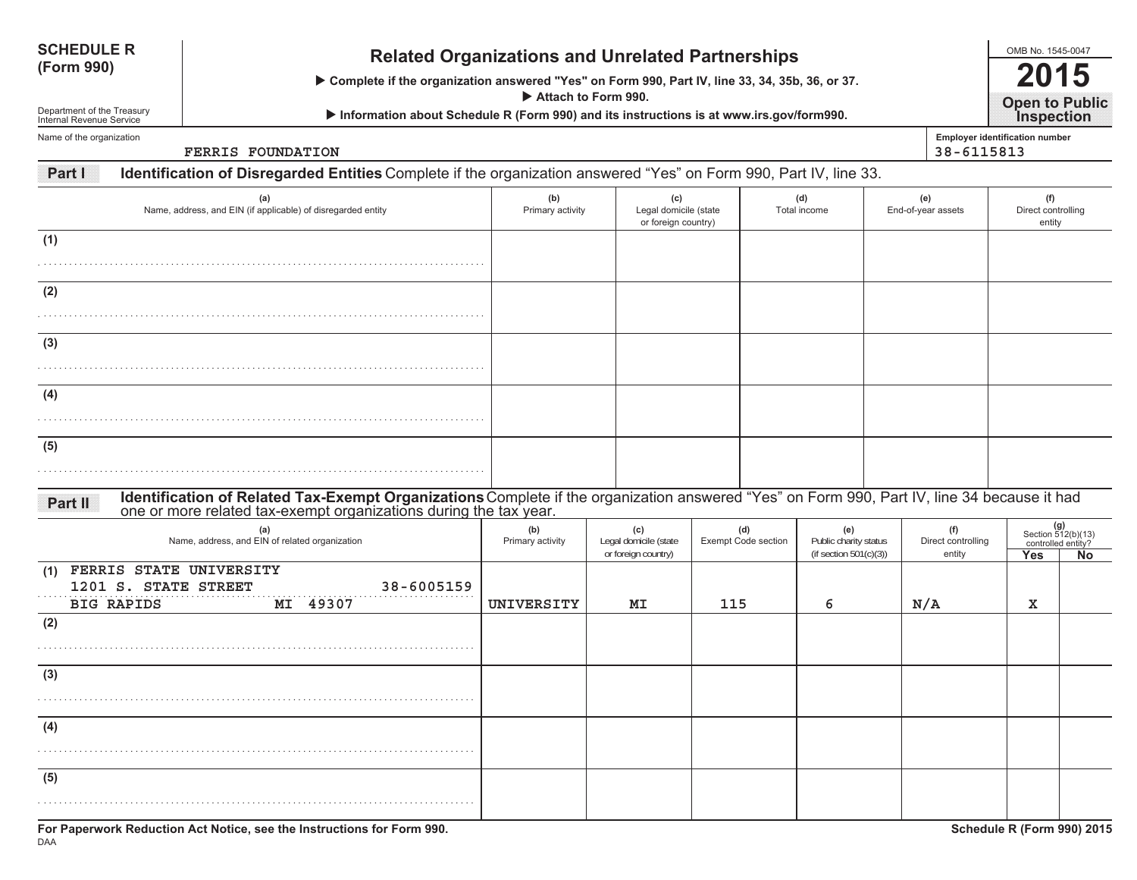| <b>SCHEDULE R</b><br><b>Related Organizations and Unrelated Partnerships</b><br>(Form 990)<br>> Complete if the organization answered "Yes" on Form 990, Part IV, line 33, 34, 35b, 36, or 37.<br>Attach to Form 990.<br>Department of the Treasury<br>Information about Schedule R (Form 990) and its instructions is at www.irs.gov/form990.<br>Internal Revenue Service |                                                 |                                                                                                                                                                                                               |                         |                                                     |     |                                   |                     |                                                    |                                     | OMB No. 1545-0047<br>5<br><b>Open to Public</b><br>Inspection |                                                          |  |  |  |
|----------------------------------------------------------------------------------------------------------------------------------------------------------------------------------------------------------------------------------------------------------------------------------------------------------------------------------------------------------------------------|-------------------------------------------------|---------------------------------------------------------------------------------------------------------------------------------------------------------------------------------------------------------------|-------------------------|-----------------------------------------------------|-----|-----------------------------------|---------------------|----------------------------------------------------|-------------------------------------|---------------------------------------------------------------|----------------------------------------------------------|--|--|--|
| Name of the organization                                                                                                                                                                                                                                                                                                                                                   |                                                 | FERRIS FOUNDATION                                                                                                                                                                                             |                         |                                                     |     |                                   |                     |                                                    | 38-6115813                          | Employer identification number                                |                                                          |  |  |  |
| Part I                                                                                                                                                                                                                                                                                                                                                                     |                                                 | Identification of Disregarded Entities Complete if the organization answered "Yes" on Form 990, Part IV, line 33.                                                                                             |                         |                                                     |     |                                   |                     |                                                    |                                     |                                                               |                                                          |  |  |  |
|                                                                                                                                                                                                                                                                                                                                                                            |                                                 | (a)<br>Name, address, and EIN (if applicable) of disregarded entity                                                                                                                                           | (b)<br>Primary activity | (c)<br>Legal domicile (state<br>or foreign country) |     |                                   | (d)<br>Total income |                                                    | (e)<br>End-of-year assets           | (f)<br>Direct controlling<br>entity                           |                                                          |  |  |  |
| (1)                                                                                                                                                                                                                                                                                                                                                                        |                                                 |                                                                                                                                                                                                               |                         |                                                     |     |                                   |                     |                                                    |                                     |                                                               |                                                          |  |  |  |
| (2)                                                                                                                                                                                                                                                                                                                                                                        |                                                 |                                                                                                                                                                                                               |                         |                                                     |     |                                   |                     |                                                    |                                     |                                                               |                                                          |  |  |  |
| (3)                                                                                                                                                                                                                                                                                                                                                                        |                                                 |                                                                                                                                                                                                               |                         |                                                     |     |                                   |                     |                                                    |                                     |                                                               |                                                          |  |  |  |
| (4)                                                                                                                                                                                                                                                                                                                                                                        |                                                 |                                                                                                                                                                                                               |                         |                                                     |     |                                   |                     |                                                    |                                     |                                                               |                                                          |  |  |  |
|                                                                                                                                                                                                                                                                                                                                                                            |                                                 |                                                                                                                                                                                                               |                         |                                                     |     |                                   |                     |                                                    |                                     |                                                               |                                                          |  |  |  |
| (5)                                                                                                                                                                                                                                                                                                                                                                        |                                                 |                                                                                                                                                                                                               |                         |                                                     |     |                                   |                     |                                                    |                                     |                                                               |                                                          |  |  |  |
| <b>Partill</b>                                                                                                                                                                                                                                                                                                                                                             |                                                 | Identification of Related Tax-Exempt Organizations Complete if the organization answered "Yes" on Form 990, Part IV, line 34 because it had one or more related tax-exempt organizations during the tax year. |                         |                                                     |     |                                   |                     |                                                    |                                     |                                                               |                                                          |  |  |  |
|                                                                                                                                                                                                                                                                                                                                                                            |                                                 | (a)<br>Name, address, and EIN of related organization                                                                                                                                                         | (b)<br>Primary activity | (c)<br>Legal domicile (state<br>or foreign country) |     | (d)<br><b>Exempt Code section</b> |                     | Public charity status<br>(if section $501(c)(3)$ ) | (f)<br>Direct controlling<br>entity | Yes                                                           | $(g)$<br>Section 512(b)(13)<br>controlled entity?<br>No. |  |  |  |
| (1)<br><b>BIG RAPIDS</b>                                                                                                                                                                                                                                                                                                                                                   | FERRIS STATE UNIVERSITY<br>1201 S. STATE STREET | 38-6005159<br>MI 49307                                                                                                                                                                                        | UNIVERSITY              | ΜI                                                  | 115 | 6                                 |                     | N/A                                                |                                     | x                                                             |                                                          |  |  |  |
| (2)                                                                                                                                                                                                                                                                                                                                                                        |                                                 |                                                                                                                                                                                                               |                         |                                                     |     |                                   |                     |                                                    |                                     |                                                               |                                                          |  |  |  |
| (3)                                                                                                                                                                                                                                                                                                                                                                        |                                                 |                                                                                                                                                                                                               |                         |                                                     |     |                                   |                     |                                                    |                                     |                                                               |                                                          |  |  |  |
| (4)                                                                                                                                                                                                                                                                                                                                                                        |                                                 |                                                                                                                                                                                                               |                         |                                                     |     |                                   |                     |                                                    |                                     |                                                               |                                                          |  |  |  |
| (5)                                                                                                                                                                                                                                                                                                                                                                        |                                                 |                                                                                                                                                                                                               |                         |                                                     |     |                                   |                     |                                                    |                                     |                                                               |                                                          |  |  |  |
|                                                                                                                                                                                                                                                                                                                                                                            |                                                 |                                                                                                                                                                                                               |                         |                                                     |     |                                   |                     |                                                    |                                     |                                                               |                                                          |  |  |  |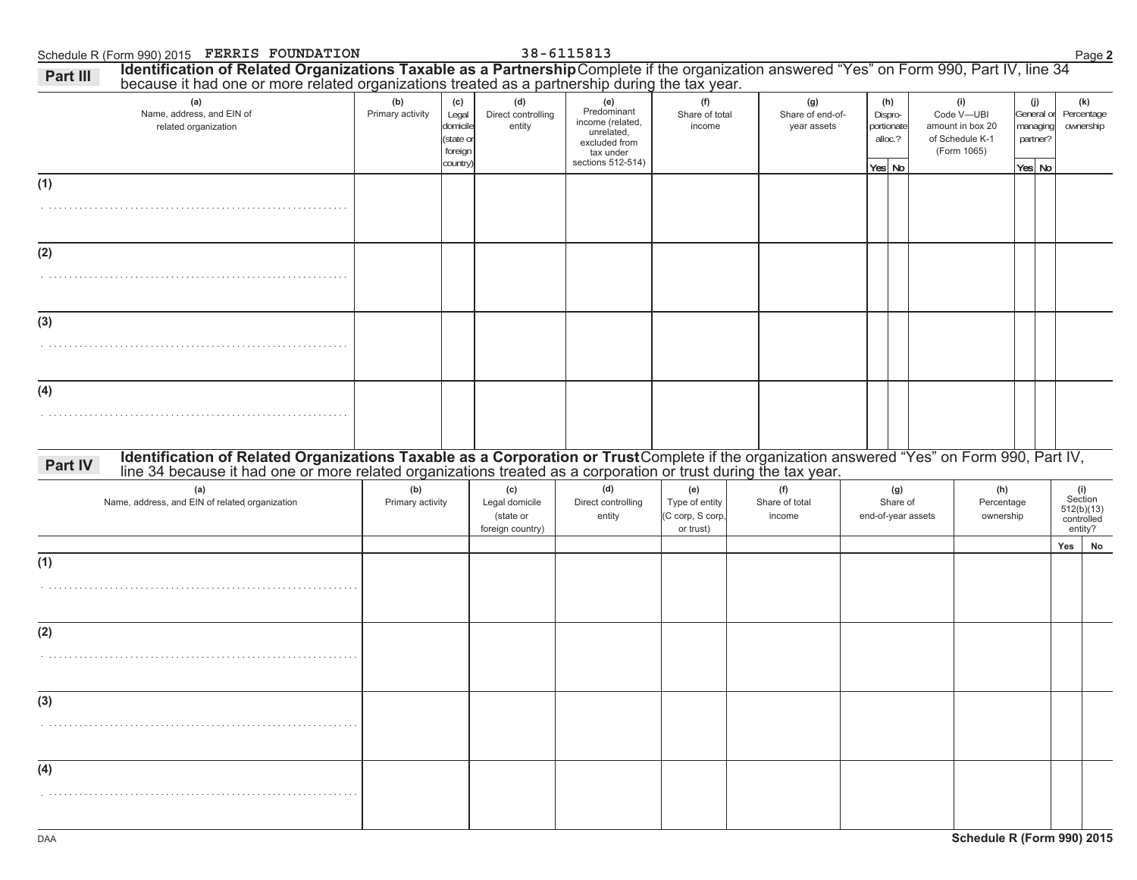Schedule R (Form 990) 2015 Page **2 FERRIS FOUNDATION 38-6115813**

| (a)<br>Name, address, and EIN of                                                                                                                                                                                                          | (b)<br>Primary activity | (c)<br>Legal                                 | (d)<br>Direct controlling                              | (e)<br>Predominant<br>income (related,                        | (f)<br>Share of total                                  | (g)<br>Share of end-of-         | (h)<br>Dispro-                        | (i)<br>Code V-UBI                                  | (j)<br>General or              | (k)<br>Percentage                                     |
|-------------------------------------------------------------------------------------------------------------------------------------------------------------------------------------------------------------------------------------------|-------------------------|----------------------------------------------|--------------------------------------------------------|---------------------------------------------------------------|--------------------------------------------------------|---------------------------------|---------------------------------------|----------------------------------------------------|--------------------------------|-------------------------------------------------------|
| related organization                                                                                                                                                                                                                      |                         | domicile<br>(state or<br>foreign<br>country) | entity                                                 | unrelated,<br>excluded from<br>tax under<br>sections 512-514) | income                                                 | year assets                     | portionate<br>alloc.?<br>Yes No       | amount in box 20<br>of Schedule K-1<br>(Form 1065) | managing<br>partner?<br>Yes No | ownership                                             |
| (1)                                                                                                                                                                                                                                       |                         |                                              |                                                        |                                                               |                                                        |                                 |                                       |                                                    |                                |                                                       |
| (2)                                                                                                                                                                                                                                       |                         |                                              |                                                        |                                                               |                                                        |                                 |                                       |                                                    |                                |                                                       |
|                                                                                                                                                                                                                                           |                         |                                              |                                                        |                                                               |                                                        |                                 |                                       |                                                    |                                |                                                       |
| (3)                                                                                                                                                                                                                                       |                         |                                              |                                                        |                                                               |                                                        |                                 |                                       |                                                    |                                |                                                       |
|                                                                                                                                                                                                                                           |                         |                                              |                                                        |                                                               |                                                        |                                 |                                       |                                                    |                                |                                                       |
| (4)                                                                                                                                                                                                                                       |                         |                                              |                                                        |                                                               |                                                        |                                 |                                       |                                                    |                                |                                                       |
| Identification of Related Organizations Taxable as a Corporation or TrustComplete if the organization answered "Yes" on Form 990, Part IV, line 34 because it had one or more related organizations treated as a corporation o<br>Part IV |                         |                                              |                                                        |                                                               |                                                        |                                 |                                       |                                                    |                                |                                                       |
| (a)<br>Name, address, and EIN of related organization                                                                                                                                                                                     | (b)<br>Primary activity |                                              | (c)<br>Legal domicile<br>(state or<br>foreign country) | (d)<br>Direct controlling<br>entity                           | (e)<br>Type of entity<br>(C corp, S corp,<br>or trust) | (f)<br>Share of total<br>income | (g)<br>Share of<br>end-of-year assets | (h)<br>Percentage<br>ownership                     |                                | (i)<br>Section<br>512(b)(13)<br>controlled<br>entity? |
| (1)                                                                                                                                                                                                                                       |                         |                                              |                                                        |                                                               |                                                        |                                 |                                       |                                                    |                                | No<br>Yes                                             |
|                                                                                                                                                                                                                                           |                         |                                              |                                                        |                                                               |                                                        |                                 |                                       |                                                    |                                |                                                       |
| (2)                                                                                                                                                                                                                                       |                         |                                              |                                                        |                                                               |                                                        |                                 |                                       |                                                    |                                |                                                       |
|                                                                                                                                                                                                                                           |                         |                                              |                                                        |                                                               |                                                        |                                 |                                       |                                                    |                                |                                                       |
|                                                                                                                                                                                                                                           |                         |                                              |                                                        |                                                               |                                                        |                                 |                                       |                                                    |                                |                                                       |
| (3)                                                                                                                                                                                                                                       |                         |                                              |                                                        |                                                               |                                                        |                                 |                                       |                                                    |                                |                                                       |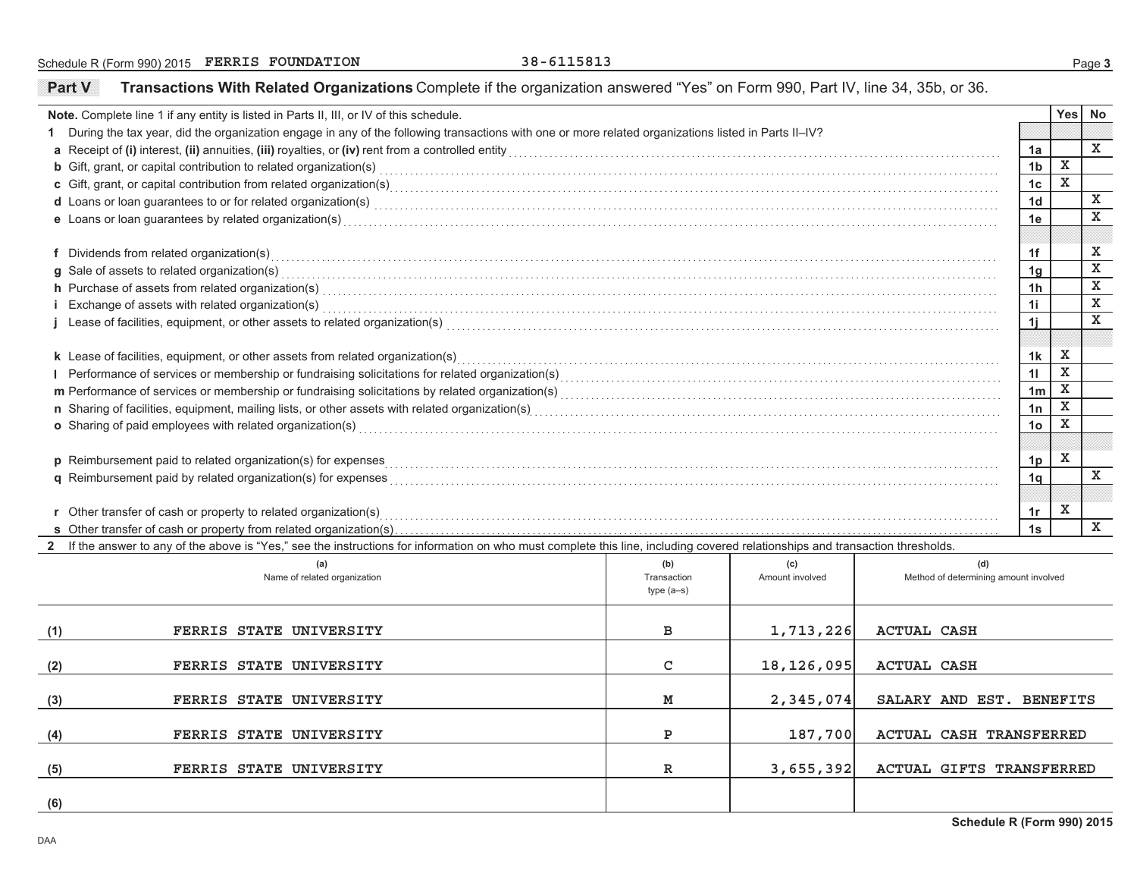Schedule R (Form 990) 2015 Page **3 FERRIS FOUNDATION 38-6115813**

**Part V**

**Transactions With Related Organizations** Complete if the organization answered "Yes" on Form 990, Part IV, line 34, 35b, or 36.

|                                                                                                                                                     | Note. Complete line 1 if any entity is listed in Parts II, III, or IV of this schedule.                                                                                                                                          |             |                 |                                       |                |             | Yes No       |  |  |  |  |
|-----------------------------------------------------------------------------------------------------------------------------------------------------|----------------------------------------------------------------------------------------------------------------------------------------------------------------------------------------------------------------------------------|-------------|-----------------|---------------------------------------|----------------|-------------|--------------|--|--|--|--|
|                                                                                                                                                     | 1 During the tax year, did the organization engage in any of the following transactions with one or more related organizations listed in Parts II-IV?                                                                            |             |                 |                                       |                |             |              |  |  |  |  |
|                                                                                                                                                     |                                                                                                                                                                                                                                  |             |                 |                                       | 1a             |             | X            |  |  |  |  |
|                                                                                                                                                     | <b>b</b> Gift, grant, or capital contribution to related organization(s) encourse consumed and consumed contribution to related organization(s)                                                                                  |             |                 |                                       | 1 <sub>b</sub> | x           |              |  |  |  |  |
|                                                                                                                                                     | c Gift, grant, or capital contribution from related organization(s) entity and contain an accommodal contribution from related organization(s) enterstand contribution from related organization(s) enterstand contained conta   |             |                 |                                       | 1 <sub>c</sub> | $\mathbf x$ |              |  |  |  |  |
|                                                                                                                                                     | d Loans or loan guarantees to or for related organization(s) encourance contains an account of the container and container and container and container and container and container and container and container and container a   |             |                 |                                       | 1 <sub>d</sub> |             | $\mathbf x$  |  |  |  |  |
|                                                                                                                                                     | e Loans or loan guarantees by related organization(s) expressional control or control or control or control or control or control or control or control or control or control or control or control or control or control or c   |             |                 |                                       | 1e             |             | $\mathbf x$  |  |  |  |  |
|                                                                                                                                                     |                                                                                                                                                                                                                                  |             |                 |                                       |                |             |              |  |  |  |  |
|                                                                                                                                                     | f Dividends from related organization(s)                                                                                                                                                                                         |             |                 |                                       | 1f             |             | $\mathbf X$  |  |  |  |  |
|                                                                                                                                                     | g Sale of assets to related organization(s)                                                                                                                                                                                      |             |                 |                                       | 1 <sub>g</sub> |             | x            |  |  |  |  |
|                                                                                                                                                     | h Purchase of assets from related organization(s) encourance contains and contains a container and container and container and container and container and container and container and container and container and container a   |             |                 |                                       | 1 <sub>h</sub> |             | x            |  |  |  |  |
|                                                                                                                                                     | i Exchange of assets with related organization(s) exchange contained and according to the set of assets with related organization(s) exchange of assets with related organization(s)                                             |             |                 |                                       | 1i             |             | $\mathbf x$  |  |  |  |  |
|                                                                                                                                                     |                                                                                                                                                                                                                                  |             |                 |                                       | 1j             |             | $\mathbf x$  |  |  |  |  |
|                                                                                                                                                     |                                                                                                                                                                                                                                  |             |                 |                                       |                |             |              |  |  |  |  |
|                                                                                                                                                     | k Lease of facilities, equipment, or other assets from related organization(s)                                                                                                                                                   |             |                 |                                       | 1 <sub>k</sub> | $\,$ X      |              |  |  |  |  |
|                                                                                                                                                     | Performance of services or membership or fundraising solicitations for related organization(s)<br>manufaction(s) intercontribution(s) intercontribution(s) intercontribution(s) intercontribution(s) intercontribution(s) interc |             |                 |                                       | 11             | x           |              |  |  |  |  |
|                                                                                                                                                     |                                                                                                                                                                                                                                  |             |                 |                                       | 1 <sub>m</sub> | $\,$ X      |              |  |  |  |  |
|                                                                                                                                                     | n Sharing of facilities, equipment, mailing lists, or other assets with related organization(s)<br>manuforce manufaction (successive manuform content material content material content mail in the manufacture manuform of faci |             |                 |                                       | 1n             | $\mathbf x$ |              |  |  |  |  |
| o Sharing of paid employees with related organization(s) encourance contains an account of the state of paid employees with related organization(s) |                                                                                                                                                                                                                                  |             |                 |                                       |                |             |              |  |  |  |  |
|                                                                                                                                                     |                                                                                                                                                                                                                                  |             |                 |                                       |                |             |              |  |  |  |  |
|                                                                                                                                                     | p Reimbursement paid to related organization(s) for expenses                                                                                                                                                                     |             |                 |                                       | 1p             | $\mathbf x$ |              |  |  |  |  |
|                                                                                                                                                     | <b>q</b> Reimbursement paid by related organization(s) for expenses                                                                                                                                                              |             |                 |                                       | 1 <sub>q</sub> |             | $\mathbf{x}$ |  |  |  |  |
|                                                                                                                                                     |                                                                                                                                                                                                                                  |             |                 |                                       |                |             |              |  |  |  |  |
|                                                                                                                                                     | r Other transfer of cash or property to related organization(s) entity and contain an account of the container                                                                                                                   |             |                 |                                       | 1r             | x           |              |  |  |  |  |
|                                                                                                                                                     | s Other transfer of cash or property from related organization(s)                                                                                                                                                                |             |                 |                                       | 1s             |             | $\mathbf x$  |  |  |  |  |
|                                                                                                                                                     | 2 If the answer to any of the above is "Yes," see the instructions for information on who must complete this line, including covered relationships and transaction thresholds.                                                   |             |                 |                                       |                |             |              |  |  |  |  |
|                                                                                                                                                     | (a)                                                                                                                                                                                                                              | (b)         | (c)             | (d)                                   |                |             |              |  |  |  |  |
|                                                                                                                                                     | Name of related organization                                                                                                                                                                                                     | Transaction | Amount involved | Method of determining amount involved |                |             |              |  |  |  |  |
|                                                                                                                                                     |                                                                                                                                                                                                                                  | $type(a-s)$ |                 |                                       |                |             |              |  |  |  |  |
|                                                                                                                                                     |                                                                                                                                                                                                                                  |             |                 |                                       |                |             |              |  |  |  |  |
| (1)                                                                                                                                                 | FERRIS STATE UNIVERSITY                                                                                                                                                                                                          | в           | 1,713,226       | <b>ACTUAL CASH</b>                    |                |             |              |  |  |  |  |
|                                                                                                                                                     |                                                                                                                                                                                                                                  |             |                 |                                       |                |             |              |  |  |  |  |
| (2)                                                                                                                                                 | FERRIS STATE UNIVERSITY                                                                                                                                                                                                          | C           | 18, 126, 095    | <b>ACTUAL CASH</b>                    |                |             |              |  |  |  |  |
|                                                                                                                                                     |                                                                                                                                                                                                                                  |             |                 |                                       |                |             |              |  |  |  |  |
| (3)                                                                                                                                                 | FERRIS STATE UNIVERSITY                                                                                                                                                                                                          | м           | 2,345,074       | SALARY AND EST. BENEFITS              |                |             |              |  |  |  |  |
|                                                                                                                                                     |                                                                                                                                                                                                                                  |             |                 |                                       |                |             |              |  |  |  |  |
| (4)                                                                                                                                                 | FERRIS STATE UNIVERSITY                                                                                                                                                                                                          | P           | 187,700         | ACTUAL CASH TRANSFERRED               |                |             |              |  |  |  |  |
|                                                                                                                                                     |                                                                                                                                                                                                                                  |             |                 |                                       |                |             |              |  |  |  |  |
| (5)                                                                                                                                                 | FERRIS STATE UNIVERSITY                                                                                                                                                                                                          | R           | 3,655,392       | <b>ACTUAL GIFTS TRANSFERRED</b>       |                |             |              |  |  |  |  |
|                                                                                                                                                     |                                                                                                                                                                                                                                  |             |                 |                                       |                |             |              |  |  |  |  |
| (6)                                                                                                                                                 |                                                                                                                                                                                                                                  |             |                 |                                       |                |             |              |  |  |  |  |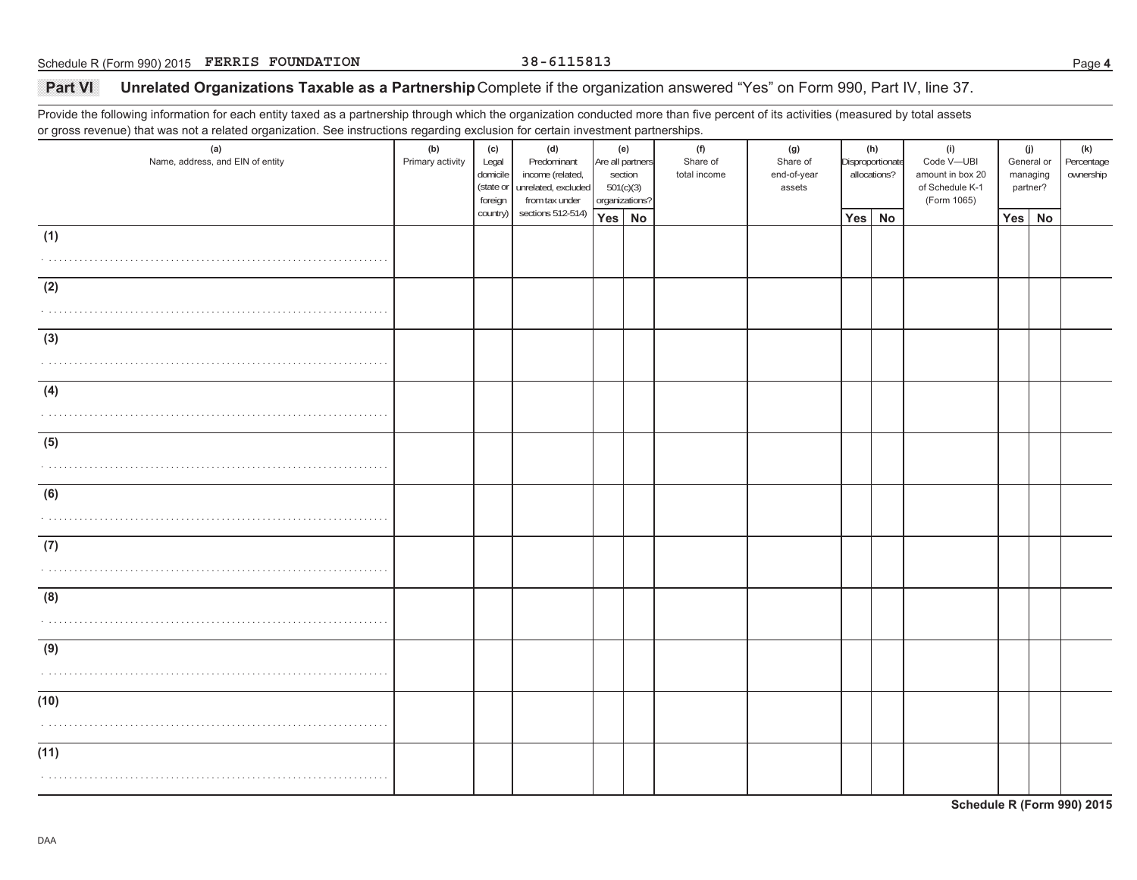## Part VI **Unrelated Organizations Taxable as a Partnership Complete if the organization answered "Yes" on Form 990, Part IV, line 37.**

Provide the following information for each entity taxed as a partnership through which the organization conducted more than five percent of its activities (measured by total assets or gross revenue) that was not a related organization. See instructions regarding exclusion for certain investment partnerships.

| $\checkmark$                            | ັ<br>ັ                  |                                     |                                                                                           |                                                                   |  |                                 |                                          |                                         |  |                                                                         |                                           |  |                                |
|-----------------------------------------|-------------------------|-------------------------------------|-------------------------------------------------------------------------------------------|-------------------------------------------------------------------|--|---------------------------------|------------------------------------------|-----------------------------------------|--|-------------------------------------------------------------------------|-------------------------------------------|--|--------------------------------|
| (a)<br>Name, address, and EIN of entity | (b)<br>Primary activity | (c)<br>Legal<br>domicile<br>foreign | (d)<br>Predominant<br>income (related,<br>(state or unrelated, excluded<br>from tax under | (e)<br>Are all partners<br>section<br>501(c)(3)<br>organizations? |  | (f)<br>Share of<br>total income | (g)<br>Share of<br>end-of-year<br>assets | (h)<br>Disproportionate<br>allocations? |  | (i)<br>Code V-UBI<br>amount in box 20<br>of Schedule K-1<br>(Form 1065) | (j)<br>General or<br>managing<br>partner? |  | (k)<br>Percentage<br>ownership |
|                                         |                         | country)                            | sections 512-514)                                                                         | Yes No                                                            |  |                                 |                                          | Yes No                                  |  |                                                                         | Yes No                                    |  |                                |
|                                         |                         |                                     |                                                                                           |                                                                   |  |                                 |                                          |                                         |  |                                                                         |                                           |  |                                |
| (1)                                     |                         |                                     |                                                                                           |                                                                   |  |                                 |                                          |                                         |  |                                                                         |                                           |  |                                |
|                                         |                         |                                     |                                                                                           |                                                                   |  |                                 |                                          |                                         |  |                                                                         |                                           |  |                                |
|                                         |                         |                                     |                                                                                           |                                                                   |  |                                 |                                          |                                         |  |                                                                         |                                           |  |                                |
|                                         |                         |                                     |                                                                                           |                                                                   |  |                                 |                                          |                                         |  |                                                                         |                                           |  |                                |
|                                         |                         |                                     |                                                                                           |                                                                   |  |                                 |                                          |                                         |  |                                                                         |                                           |  |                                |
| (2)                                     |                         |                                     |                                                                                           |                                                                   |  |                                 |                                          |                                         |  |                                                                         |                                           |  |                                |
|                                         |                         |                                     |                                                                                           |                                                                   |  |                                 |                                          |                                         |  |                                                                         |                                           |  |                                |
| .                                       |                         |                                     |                                                                                           |                                                                   |  |                                 |                                          |                                         |  |                                                                         |                                           |  |                                |
|                                         |                         |                                     |                                                                                           |                                                                   |  |                                 |                                          |                                         |  |                                                                         |                                           |  |                                |
| (3)                                     |                         |                                     |                                                                                           |                                                                   |  |                                 |                                          |                                         |  |                                                                         |                                           |  |                                |
|                                         |                         |                                     |                                                                                           |                                                                   |  |                                 |                                          |                                         |  |                                                                         |                                           |  |                                |
| .                                       |                         |                                     |                                                                                           |                                                                   |  |                                 |                                          |                                         |  |                                                                         |                                           |  |                                |
|                                         |                         |                                     |                                                                                           |                                                                   |  |                                 |                                          |                                         |  |                                                                         |                                           |  |                                |
|                                         |                         |                                     |                                                                                           |                                                                   |  |                                 |                                          |                                         |  |                                                                         |                                           |  |                                |
| (4)                                     |                         |                                     |                                                                                           |                                                                   |  |                                 |                                          |                                         |  |                                                                         |                                           |  |                                |
|                                         |                         |                                     |                                                                                           |                                                                   |  |                                 |                                          |                                         |  |                                                                         |                                           |  |                                |
|                                         |                         |                                     |                                                                                           |                                                                   |  |                                 |                                          |                                         |  |                                                                         |                                           |  |                                |
|                                         |                         |                                     |                                                                                           |                                                                   |  |                                 |                                          |                                         |  |                                                                         |                                           |  |                                |
| (5)                                     |                         |                                     |                                                                                           |                                                                   |  |                                 |                                          |                                         |  |                                                                         |                                           |  |                                |
|                                         |                         |                                     |                                                                                           |                                                                   |  |                                 |                                          |                                         |  |                                                                         |                                           |  |                                |
|                                         |                         |                                     |                                                                                           |                                                                   |  |                                 |                                          |                                         |  |                                                                         |                                           |  |                                |
|                                         |                         |                                     |                                                                                           |                                                                   |  |                                 |                                          |                                         |  |                                                                         |                                           |  |                                |
|                                         |                         |                                     |                                                                                           |                                                                   |  |                                 |                                          |                                         |  |                                                                         |                                           |  |                                |
| (6)                                     |                         |                                     |                                                                                           |                                                                   |  |                                 |                                          |                                         |  |                                                                         |                                           |  |                                |
|                                         |                         |                                     |                                                                                           |                                                                   |  |                                 |                                          |                                         |  |                                                                         |                                           |  |                                |
|                                         |                         |                                     |                                                                                           |                                                                   |  |                                 |                                          |                                         |  |                                                                         |                                           |  |                                |
|                                         |                         |                                     |                                                                                           |                                                                   |  |                                 |                                          |                                         |  |                                                                         |                                           |  |                                |
| (7)                                     |                         |                                     |                                                                                           |                                                                   |  |                                 |                                          |                                         |  |                                                                         |                                           |  |                                |
|                                         |                         |                                     |                                                                                           |                                                                   |  |                                 |                                          |                                         |  |                                                                         |                                           |  |                                |
|                                         |                         |                                     |                                                                                           |                                                                   |  |                                 |                                          |                                         |  |                                                                         |                                           |  |                                |
|                                         |                         |                                     |                                                                                           |                                                                   |  |                                 |                                          |                                         |  |                                                                         |                                           |  |                                |
|                                         |                         |                                     |                                                                                           |                                                                   |  |                                 |                                          |                                         |  |                                                                         |                                           |  |                                |
| (8)                                     |                         |                                     |                                                                                           |                                                                   |  |                                 |                                          |                                         |  |                                                                         |                                           |  |                                |
|                                         |                         |                                     |                                                                                           |                                                                   |  |                                 |                                          |                                         |  |                                                                         |                                           |  |                                |
|                                         |                         |                                     |                                                                                           |                                                                   |  |                                 |                                          |                                         |  |                                                                         |                                           |  |                                |
|                                         |                         |                                     |                                                                                           |                                                                   |  |                                 |                                          |                                         |  |                                                                         |                                           |  |                                |
| (9)                                     |                         |                                     |                                                                                           |                                                                   |  |                                 |                                          |                                         |  |                                                                         |                                           |  |                                |
|                                         |                         |                                     |                                                                                           |                                                                   |  |                                 |                                          |                                         |  |                                                                         |                                           |  |                                |
|                                         |                         |                                     |                                                                                           |                                                                   |  |                                 |                                          |                                         |  |                                                                         |                                           |  |                                |
|                                         |                         |                                     |                                                                                           |                                                                   |  |                                 |                                          |                                         |  |                                                                         |                                           |  |                                |
| (10)                                    |                         |                                     |                                                                                           |                                                                   |  |                                 |                                          |                                         |  |                                                                         |                                           |  |                                |
|                                         |                         |                                     |                                                                                           |                                                                   |  |                                 |                                          |                                         |  |                                                                         |                                           |  |                                |
|                                         |                         |                                     |                                                                                           |                                                                   |  |                                 |                                          |                                         |  |                                                                         |                                           |  |                                |
|                                         |                         |                                     |                                                                                           |                                                                   |  |                                 |                                          |                                         |  |                                                                         |                                           |  |                                |
|                                         |                         |                                     |                                                                                           |                                                                   |  |                                 |                                          |                                         |  |                                                                         |                                           |  |                                |
| (11)                                    |                         |                                     |                                                                                           |                                                                   |  |                                 |                                          |                                         |  |                                                                         |                                           |  |                                |
|                                         |                         |                                     |                                                                                           |                                                                   |  |                                 |                                          |                                         |  |                                                                         |                                           |  |                                |
|                                         |                         |                                     |                                                                                           |                                                                   |  |                                 |                                          |                                         |  |                                                                         |                                           |  |                                |
|                                         |                         |                                     |                                                                                           |                                                                   |  |                                 |                                          |                                         |  |                                                                         |                                           |  |                                |
|                                         |                         |                                     |                                                                                           |                                                                   |  |                                 |                                          |                                         |  |                                                                         |                                           |  |                                |

**Schedule R (Form 990) 2015**